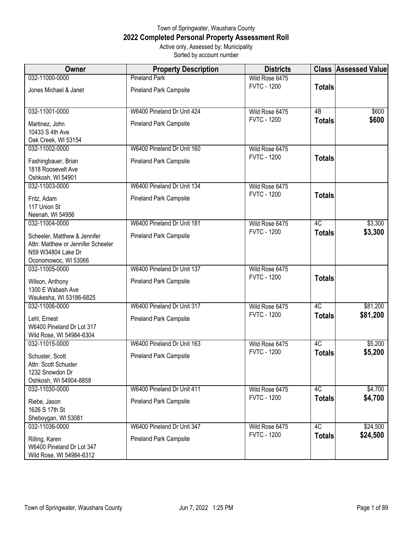## Town of Springwater, Waushara County **2022 Completed Personal Property Assessment Roll** Active only, Assessed by: Municipality

Sorted by account number

| Owner                                                                                                            | <b>Property Description</b>   | <b>Districts</b>   |                 | <b>Class Assessed Value</b> |
|------------------------------------------------------------------------------------------------------------------|-------------------------------|--------------------|-----------------|-----------------------------|
| 032-11000-0000                                                                                                   | <b>Pineland Park</b>          | Wild Rose 6475     |                 |                             |
| Jones Michael & Janet                                                                                            | <b>Pineland Park Campsite</b> | <b>FVTC - 1200</b> | <b>Totals</b>   |                             |
| 032-11001-0000                                                                                                   | W6400 Pineland Dr Unit 424    | Wild Rose 6475     | $\overline{AB}$ | \$600                       |
| Martinez, John<br>10433 S 4th Ave<br>Oak Creek, WI 53154                                                         | <b>Pineland Park Campsite</b> | <b>FVTC - 1200</b> | <b>Totals</b>   | \$600                       |
| 032-11002-0000                                                                                                   | W6400 Pineland Dr Unit 160    | Wild Rose 6475     |                 |                             |
| Fashingbauer, Brian<br>1818 Roosevelt Ave<br>Oshkosh, WI 54901                                                   | <b>Pineland Park Campsite</b> | <b>FVTC - 1200</b> | <b>Totals</b>   |                             |
| 032-11003-0000                                                                                                   | W6400 Pineland Dr Unit 134    | Wild Rose 6475     |                 |                             |
| Fritz, Adam<br>117 Union St<br>Neenah, WI 54956                                                                  | <b>Pineland Park Campsite</b> | <b>FVTC - 1200</b> | <b>Totals</b>   |                             |
| 032-11004-0000                                                                                                   | W6400 Pineland Dr Unit 181    | Wild Rose 6475     | 4C              | \$3,300                     |
| Scheeler, Matthew & Jennifer<br>Attn: Matthew or Jennifer Scheeler<br>N59 W34804 Lake Dr<br>Oconomowoc, WI 53066 | <b>Pineland Park Campsite</b> | <b>FVTC - 1200</b> | <b>Totals</b>   | \$3,300                     |
| 032-11005-0000                                                                                                   | W6400 Pineland Dr Unit 137    | Wild Rose 6475     |                 |                             |
| Wilson, Anthony<br>1300 E Wabash Ave<br>Waukesha, WI 53186-6825                                                  | Pineland Park Campsite        | <b>FVTC - 1200</b> | <b>Totals</b>   |                             |
| 032-11006-0000                                                                                                   | W6400 Pineland Dr Unit 317    | Wild Rose 6475     | 4C              | \$81,200                    |
| Lehl, Ernest<br>W6400 Pineland Dr Lot 317<br>Wild Rose, WI 54984-6304                                            | <b>Pineland Park Campsite</b> | <b>FVTC - 1200</b> | <b>Totals</b>   | \$81,200                    |
| 032-11015-0000                                                                                                   | W6400 Pineland Dr Unit 163    | Wild Rose 6475     | 4C              | \$5,200                     |
| Schuster, Scott<br>Attn: Scott Schuster<br>1232 Snowdon Dr<br>Oshkosh, WI 54904-8858                             | <b>Pineland Park Campsite</b> | <b>FVTC - 1200</b> | <b>Totals</b>   | \$5,200                     |
| 032-11030-0000                                                                                                   | W6400 Pineland Dr Unit 411    | Wild Rose 6475     | 4C              | \$4,700                     |
| Riebe, Jason<br>1626 S 17th St<br>Sheboygan, WI 53081                                                            | <b>Pineland Park Campsite</b> | <b>FVTC - 1200</b> | <b>Totals</b>   | \$4,700                     |
| 032-11036-0000                                                                                                   | W6400 Pineland Dr Unit 347    | Wild Rose 6475     | 4C              | \$24,500                    |
| Rilling, Karen<br>W6400 Pineland Dr Lot 347<br>Wild Rose, WI 54984-6312                                          | Pineland Park Campsite        | <b>FVTC - 1200</b> | <b>Totals</b>   | \$24,500                    |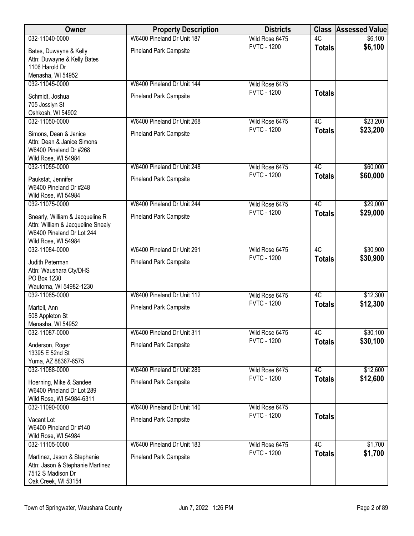| Owner                                                                                                                    | <b>Property Description</b>   | <b>Districts</b>   |                 | <b>Class Assessed Value</b> |
|--------------------------------------------------------------------------------------------------------------------------|-------------------------------|--------------------|-----------------|-----------------------------|
| 032-11040-0000                                                                                                           | W6400 Pineland Dr Unit 187    | Wild Rose 6475     | 4C              | \$6,100                     |
| Bates, Duwayne & Kelly<br>Attn: Duwayne & Kelly Bates<br>1106 Harold Dr<br>Menasha, WI 54952                             | Pineland Park Campsite        | <b>FVTC - 1200</b> | <b>Totals</b>   | \$6,100                     |
| 032-11045-0000                                                                                                           | W6400 Pineland Dr Unit 144    | Wild Rose 6475     |                 |                             |
| Schmidt, Joshua<br>705 Josslyn St<br>Oshkosh, WI 54902                                                                   | <b>Pineland Park Campsite</b> | <b>FVTC - 1200</b> | <b>Totals</b>   |                             |
| 032-11050-0000                                                                                                           | W6400 Pineland Dr Unit 268    | Wild Rose 6475     | $\overline{4C}$ | \$23,200                    |
| Simons, Dean & Janice<br>Attn: Dean & Janice Simons<br>W6400 Pineland Dr #268<br>Wild Rose, WI 54984                     | <b>Pineland Park Campsite</b> | <b>FVTC - 1200</b> | <b>Totals</b>   | \$23,200                    |
| 032-11055-0000                                                                                                           | W6400 Pineland Dr Unit 248    | Wild Rose 6475     | 4C              | \$60,000                    |
| Paukstat, Jennifer<br>W6400 Pineland Dr #248<br>Wild Rose, WI 54984                                                      | <b>Pineland Park Campsite</b> | <b>FVTC - 1200</b> | <b>Totals</b>   | \$60,000                    |
| 032-11075-0000                                                                                                           | W6400 Pineland Dr Unit 244    | Wild Rose 6475     | 4C              | \$29,000                    |
| Snearly, William & Jacqueline R<br>Attn: William & Jacqueline Snealy<br>W6400 Pineland Dr Lot 244<br>Wild Rose, WI 54984 | <b>Pineland Park Campsite</b> | <b>FVTC - 1200</b> | <b>Totals</b>   | \$29,000                    |
| 032-11084-0000                                                                                                           | W6400 Pineland Dr Unit 291    | Wild Rose 6475     | 4C              | \$30,900                    |
| Judith Peterman<br>Attn: Waushara Cty/DHS<br>PO Box 1230<br>Wautoma, WI 54982-1230                                       | <b>Pineland Park Campsite</b> | <b>FVTC - 1200</b> | <b>Totals</b>   | \$30,900                    |
| 032-11085-0000                                                                                                           | W6400 Pineland Dr Unit 112    | Wild Rose 6475     | 4C              | \$12,300                    |
| Martell, Ann<br>508 Appleton St<br>Menasha, WI 54952                                                                     | <b>Pineland Park Campsite</b> | <b>FVTC - 1200</b> | <b>Totals</b>   | \$12,300                    |
| 032-11087-0000                                                                                                           | W6400 Pineland Dr Unit 311    | Wild Rose 6475     | 4C              | \$30,100                    |
| Anderson, Roger<br>13395 E 52nd St<br>Yuma, AZ 88367-6575                                                                | <b>Pineland Park Campsite</b> | <b>FVTC - 1200</b> | <b>Totals</b>   | \$30,100                    |
| 032-11088-0000                                                                                                           | W6400 Pineland Dr Unit 289    | Wild Rose 6475     | 4C              | \$12,600                    |
| Hoerning, Mike & Sandee<br>W6400 Pineland Dr Lot 289<br>Wild Rose, WI 54984-6311                                         | <b>Pineland Park Campsite</b> | <b>FVTC - 1200</b> | <b>Totals</b>   | \$12,600                    |
| 032-11090-0000                                                                                                           | W6400 Pineland Dr Unit 140    | Wild Rose 6475     |                 |                             |
| Vacant Lot<br>W6400 Pineland Dr #140<br>Wild Rose, WI 54984                                                              | <b>Pineland Park Campsite</b> | <b>FVTC - 1200</b> | <b>Totals</b>   |                             |
| 032-11105-0000                                                                                                           | W6400 Pineland Dr Unit 183    | Wild Rose 6475     | 4C              | \$1,700                     |
| Martinez, Jason & Stephanie<br>Attn: Jason & Stephanie Martinez<br>7512 S Madison Dr<br>Oak Creek, WI 53154              | Pineland Park Campsite        | <b>FVTC - 1200</b> | <b>Totals</b>   | \$1,700                     |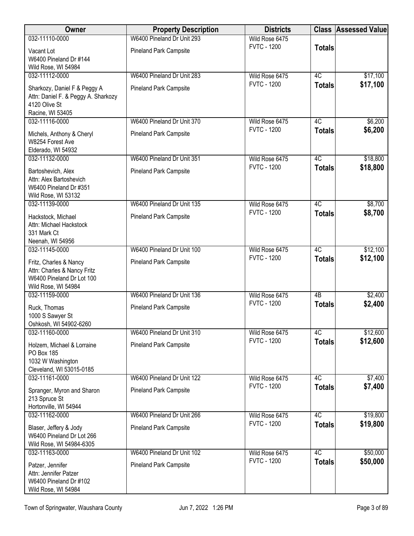| Owner                                                               | <b>Property Description</b>   | <b>Districts</b>                     |                     | <b>Class Assessed Value</b> |
|---------------------------------------------------------------------|-------------------------------|--------------------------------------|---------------------|-----------------------------|
| 032-11110-0000                                                      | W6400 Pineland Dr Unit 293    | Wild Rose 6475                       |                     |                             |
| Vacant Lot                                                          | Pineland Park Campsite        | <b>FVTC - 1200</b>                   | <b>Totals</b>       |                             |
| W6400 Pineland Dr #144                                              |                               |                                      |                     |                             |
| Wild Rose, WI 54984                                                 |                               |                                      |                     |                             |
| 032-11112-0000                                                      | W6400 Pineland Dr Unit 283    | Wild Rose 6475<br><b>FVTC - 1200</b> | 4C                  | \$17,100<br>\$17,100        |
| Sharkozy, Daniel F & Peggy A<br>Attn: Daniel F. & Peggy A. Sharkozy | <b>Pineland Park Campsite</b> |                                      | <b>Totals</b>       |                             |
| 4120 Olive St                                                       |                               |                                      |                     |                             |
| Racine, WI 53405                                                    |                               |                                      |                     |                             |
| 032-11116-0000                                                      | W6400 Pineland Dr Unit 370    | Wild Rose 6475                       | 4C                  | \$6,200                     |
| Michels, Anthony & Cheryl                                           | <b>Pineland Park Campsite</b> | <b>FVTC - 1200</b>                   | <b>Totals</b>       | \$6,200                     |
| W8254 Forest Ave                                                    |                               |                                      |                     |                             |
| Elderado, WI 54932                                                  |                               |                                      |                     |                             |
| 032-11132-0000                                                      | W6400 Pineland Dr Unit 351    | Wild Rose 6475<br><b>FVTC - 1200</b> | 4C<br><b>Totals</b> | \$18,800<br>\$18,800        |
| Bartoshevich, Alex                                                  | <b>Pineland Park Campsite</b> |                                      |                     |                             |
| Attn: Alex Bartoshevich<br>W6400 Pineland Dr #351                   |                               |                                      |                     |                             |
| Wild Rose, WI 53132                                                 |                               |                                      |                     |                             |
| 032-11139-0000                                                      | W6400 Pineland Dr Unit 135    | Wild Rose 6475                       | 4C                  | \$8,700                     |
| Hackstock, Michael                                                  | <b>Pineland Park Campsite</b> | <b>FVTC - 1200</b>                   | <b>Totals</b>       | \$8,700                     |
| Attn: Michael Hackstock                                             |                               |                                      |                     |                             |
| 331 Mark Ct                                                         |                               |                                      |                     |                             |
| Neenah, WI 54956                                                    |                               |                                      |                     |                             |
| 032-11145-0000                                                      | W6400 Pineland Dr Unit 100    | Wild Rose 6475                       | 4C                  | \$12,100                    |
| Fritz, Charles & Nancy                                              | <b>Pineland Park Campsite</b> | <b>FVTC - 1200</b>                   | <b>Totals</b>       | \$12,100                    |
| Attn: Charles & Nancy Fritz                                         |                               |                                      |                     |                             |
| W6400 Pineland Dr Lot 100                                           |                               |                                      |                     |                             |
| Wild Rose, WI 54984                                                 |                               |                                      |                     |                             |
| 032-11159-0000                                                      | W6400 Pineland Dr Unit 136    | Wild Rose 6475                       | 4B                  | \$2,400                     |
| Ruck, Thomas                                                        | <b>Pineland Park Campsite</b> | <b>FVTC - 1200</b>                   | <b>Totals</b>       | \$2,400                     |
| 1000 S Sawyer St                                                    |                               |                                      |                     |                             |
| Oshkosh, WI 54902-6260                                              |                               |                                      |                     |                             |
| 032-11160-0000                                                      | W6400 Pineland Dr Unit 310    | Wild Rose 6475<br><b>FVTC - 1200</b> | 4C                  | \$12,600                    |
| Holzem, Michael & Lorraine                                          | <b>Pineland Park Campsite</b> |                                      | <b>Totals</b>       | \$12,600                    |
| PO Box 185                                                          |                               |                                      |                     |                             |
| 1032 W Washington<br>Cleveland, WI 53015-0185                       |                               |                                      |                     |                             |
| 032-11161-0000                                                      | W6400 Pineland Dr Unit 122    | Wild Rose 6475                       | 4C                  | \$7,400                     |
| Spranger, Myron and Sharon                                          | <b>Pineland Park Campsite</b> | <b>FVTC - 1200</b>                   | <b>Totals</b>       | \$7,400                     |
| 213 Spruce St                                                       |                               |                                      |                     |                             |
| Hortonville, WI 54944                                               |                               |                                      |                     |                             |
| 032-11162-0000                                                      | W6400 Pineland Dr Unit 266    | Wild Rose 6475                       | 4C                  | \$19,800                    |
| Blaser, Jeffery & Jody                                              | <b>Pineland Park Campsite</b> | <b>FVTC - 1200</b>                   | <b>Totals</b>       | \$19,800                    |
| W6400 Pineland Dr Lot 266                                           |                               |                                      |                     |                             |
| Wild Rose, WI 54984-6305                                            |                               |                                      |                     |                             |
| 032-11163-0000                                                      | W6400 Pineland Dr Unit 102    | Wild Rose 6475                       | 4C                  | \$50,000                    |
| Patzer, Jennifer                                                    | <b>Pineland Park Campsite</b> | <b>FVTC - 1200</b>                   | <b>Totals</b>       | \$50,000                    |
| Attn: Jennifer Patzer                                               |                               |                                      |                     |                             |
| W6400 Pineland Dr #102                                              |                               |                                      |                     |                             |
| Wild Rose, WI 54984                                                 |                               |                                      |                     |                             |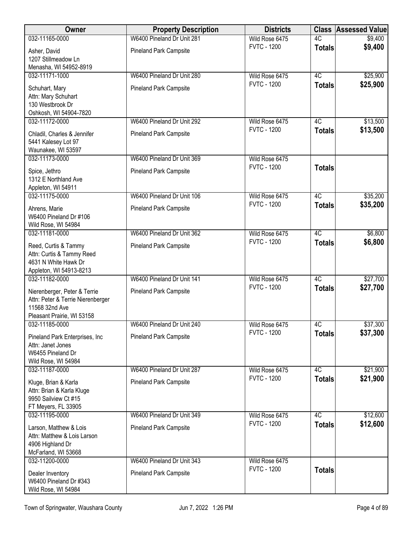| <b>Owner</b>                                 | <b>Property Description</b>   | <b>Districts</b>                     |                 | <b>Class Assessed Value</b> |
|----------------------------------------------|-------------------------------|--------------------------------------|-----------------|-----------------------------|
| 032-11165-0000                               | W6400 Pineland Dr Unit 281    | Wild Rose 6475                       | 4C              | \$9,400                     |
| Asher, David                                 | Pineland Park Campsite        | <b>FVTC - 1200</b>                   | <b>Totals</b>   | \$9,400                     |
| 1207 Stillmeadow Ln                          |                               |                                      |                 |                             |
| Menasha, WI 54952-8919                       |                               |                                      |                 |                             |
| 032-11171-1000                               | W6400 Pineland Dr Unit 280    | Wild Rose 6475<br><b>FVTC - 1200</b> | 4C              | \$25,900                    |
| Schuhart, Mary                               | <b>Pineland Park Campsite</b> |                                      | <b>Totals</b>   | \$25,900                    |
| Attn: Mary Schuhart                          |                               |                                      |                 |                             |
| 130 Westbrook Dr<br>Oshkosh, WI 54904-7820   |                               |                                      |                 |                             |
| 032-11172-0000                               | W6400 Pineland Dr Unit 292    | Wild Rose 6475                       | $\overline{4C}$ | \$13,500                    |
|                                              |                               | <b>FVTC - 1200</b>                   | <b>Totals</b>   | \$13,500                    |
| Chladil, Charles & Jennifer                  | <b>Pineland Park Campsite</b> |                                      |                 |                             |
| 5441 Kalesey Lot 97<br>Waunakee, WI 53597    |                               |                                      |                 |                             |
| 032-11173-0000                               | W6400 Pineland Dr Unit 369    | Wild Rose 6475                       |                 |                             |
|                                              |                               | <b>FVTC - 1200</b>                   | <b>Totals</b>   |                             |
| Spice, Jethro<br>1312 E Northland Ave        | <b>Pineland Park Campsite</b> |                                      |                 |                             |
| Appleton, WI 54911                           |                               |                                      |                 |                             |
| 032-11175-0000                               | W6400 Pineland Dr Unit 106    | Wild Rose 6475                       | 4C              | \$35,200                    |
| Ahrens, Marie                                | <b>Pineland Park Campsite</b> | <b>FVTC - 1200</b>                   | <b>Totals</b>   | \$35,200                    |
| W6400 Pineland Dr #106                       |                               |                                      |                 |                             |
| Wild Rose, WI 54984                          |                               |                                      |                 |                             |
| 032-11181-0000                               | W6400 Pineland Dr Unit 362    | Wild Rose 6475                       | 4C              | \$6,800                     |
| Reed, Curtis & Tammy                         | Pineland Park Campsite        | <b>FVTC - 1200</b>                   | <b>Totals</b>   | \$6,800                     |
| Attn: Curtis & Tammy Reed                    |                               |                                      |                 |                             |
| 4631 N White Hawk Dr                         |                               |                                      |                 |                             |
| Appleton, WI 54913-8213                      |                               |                                      |                 |                             |
| 032-11182-0000                               | W6400 Pineland Dr Unit 141    | Wild Rose 6475                       | 4C              | \$27,700                    |
| Nierenberger, Peter & Terrie                 | <b>Pineland Park Campsite</b> | <b>FVTC - 1200</b>                   | <b>Totals</b>   | \$27,700                    |
| Attn: Peter & Terrie Nierenberger            |                               |                                      |                 |                             |
| 11568 32nd Ave                               |                               |                                      |                 |                             |
| Pleasant Prairie, WI 53158<br>032-11185-0000 | W6400 Pineland Dr Unit 240    | Wild Rose 6475                       | 4C              | \$37,300                    |
|                                              |                               | <b>FVTC - 1200</b>                   | <b>Totals</b>   | \$37,300                    |
| Pineland Park Enterprises, Inc               | <b>Pineland Park Campsite</b> |                                      |                 |                             |
| Attn: Janet Jones<br>W6455 Pineland Dr       |                               |                                      |                 |                             |
| Wild Rose, WI 54984                          |                               |                                      |                 |                             |
| 032-11187-0000                               | W6400 Pineland Dr Unit 287    | Wild Rose 6475                       | 4C              | \$21,900                    |
| Kluge, Brian & Karla                         | <b>Pineland Park Campsite</b> | <b>FVTC - 1200</b>                   | <b>Totals</b>   | \$21,900                    |
| Attn: Brian & Karla Kluge                    |                               |                                      |                 |                             |
| 9950 Sailview Ct #15                         |                               |                                      |                 |                             |
| FT Meyers, FL 33905                          |                               |                                      |                 |                             |
| 032-11195-0000                               | W6400 Pineland Dr Unit 349    | Wild Rose 6475                       | 4C              | \$12,600                    |
| Larson, Matthew & Lois                       | <b>Pineland Park Campsite</b> | <b>FVTC - 1200</b>                   | <b>Totals</b>   | \$12,600                    |
| Attn: Matthew & Lois Larson                  |                               |                                      |                 |                             |
| 4906 Highland Dr                             |                               |                                      |                 |                             |
| McFarland, WI 53668                          |                               |                                      |                 |                             |
| 032-11200-0000                               | W6400 Pineland Dr Unit 343    | Wild Rose 6475<br><b>FVTC - 1200</b> |                 |                             |
| Dealer Inventory                             | <b>Pineland Park Campsite</b> |                                      | <b>Totals</b>   |                             |
| W6400 Pineland Dr #343                       |                               |                                      |                 |                             |
| Wild Rose, WI 54984                          |                               |                                      |                 |                             |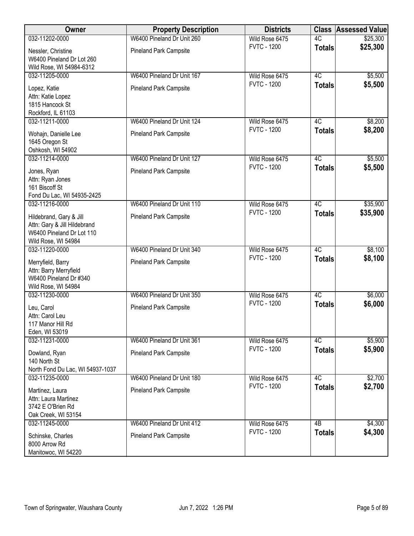| Owner                                                                                                       | <b>Property Description</b>   | <b>Districts</b>   | <b>Class</b>    | <b>Assessed Value</b> |
|-------------------------------------------------------------------------------------------------------------|-------------------------------|--------------------|-----------------|-----------------------|
| 032-11202-0000                                                                                              | W6400 Pineland Dr Unit 260    | Wild Rose 6475     | 4C              | \$25,300              |
| Nessler, Christine<br>W6400 Pineland Dr Lot 260<br>Wild Rose, WI 54984-6312                                 | Pineland Park Campsite        | <b>FVTC - 1200</b> | <b>Totals</b>   | \$25,300              |
| 032-11205-0000                                                                                              | W6400 Pineland Dr Unit 167    | Wild Rose 6475     | 4C              | \$5,500               |
| Lopez, Katie<br>Attn: Katie Lopez<br>1815 Hancock St<br>Rockford, IL 61103                                  | <b>Pineland Park Campsite</b> | <b>FVTC - 1200</b> | <b>Totals</b>   | \$5,500               |
| 032-11211-0000                                                                                              | W6400 Pineland Dr Unit 124    | Wild Rose 6475     | 4C              | \$8,200               |
| Wohajn, Danielle Lee<br>1645 Oregon St<br>Oshkosh, WI 54902                                                 | <b>Pineland Park Campsite</b> | <b>FVTC - 1200</b> | <b>Totals</b>   | \$8,200               |
| 032-11214-0000                                                                                              | W6400 Pineland Dr Unit 127    | Wild Rose 6475     | 4C              | \$5,500               |
| Jones, Ryan<br>Attn: Ryan Jones<br>161 Biscoff St<br>Fond Du Lac, WI 54935-2425                             | <b>Pineland Park Campsite</b> | <b>FVTC - 1200</b> | <b>Totals</b>   | \$5,500               |
| 032-11216-0000                                                                                              | W6400 Pineland Dr Unit 110    | Wild Rose 6475     | 4C              | \$35,900              |
| Hildebrand, Gary & Jill<br>Attn: Gary & Jill Hildebrand<br>W6400 Pineland Dr Lot 110<br>Wild Rose, WI 54984 | <b>Pineland Park Campsite</b> | <b>FVTC - 1200</b> | <b>Totals</b>   | \$35,900              |
| 032-11220-0000                                                                                              | W6400 Pineland Dr Unit 340    | Wild Rose 6475     | 4C              | \$8,100               |
| Merryfield, Barry<br>Attn: Barry Merryfield<br>W6400 Pineland Dr #340<br>Wild Rose, WI 54984                | Pineland Park Campsite        | <b>FVTC - 1200</b> | <b>Totals</b>   | \$8,100               |
| 032-11230-0000                                                                                              | W6400 Pineland Dr Unit 350    | Wild Rose 6475     | 4C              | \$6,000               |
| Leu, Carol<br>Attn: Carol Leu<br>117 Manor Hill Rd<br>Eden, WI 53019                                        | <b>Pineland Park Campsite</b> | <b>FVTC - 1200</b> | <b>Totals</b>   | \$6,000               |
| 032-11231-0000                                                                                              | W6400 Pineland Dr Unit 361    | Wild Rose 6475     | 4C              | \$5,900               |
| Dowland, Ryan<br>140 North St<br>North Fond Du Lac, WI 54937-1037                                           | <b>Pineland Park Campsite</b> | <b>FVTC - 1200</b> | <b>Totals</b>   | \$5,900               |
| 032-11235-0000                                                                                              | W6400 Pineland Dr Unit 180    | Wild Rose 6475     | 4C              | \$2,700               |
| Martinez, Laura<br>Attn: Laura Martinez<br>3742 E O'Brien Rd<br>Oak Creek, WI 53154                         | <b>Pineland Park Campsite</b> | <b>FVTC - 1200</b> | <b>Totals</b>   | \$2,700               |
| 032-11245-0000                                                                                              | W6400 Pineland Dr Unit 412    | Wild Rose 6475     | $\overline{AB}$ | \$4,300               |
| Schinske, Charles<br>8000 Arrow Rd<br>Manitowoc, WI 54220                                                   | <b>Pineland Park Campsite</b> | <b>FVTC - 1200</b> | <b>Totals</b>   | \$4,300               |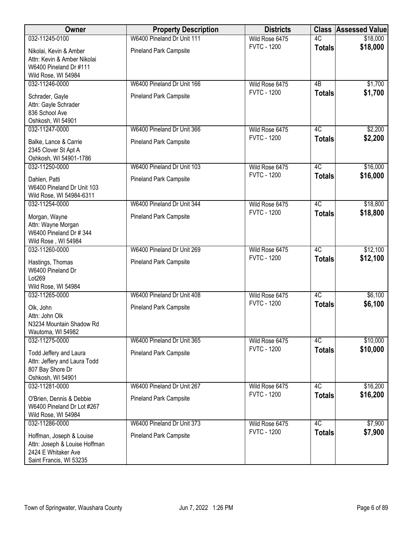| Owner                                                                                                       | <b>Property Description</b>   | <b>Districts</b>   | <b>Class</b>    | <b>Assessed Value</b> |
|-------------------------------------------------------------------------------------------------------------|-------------------------------|--------------------|-----------------|-----------------------|
| 032-11245-0100                                                                                              | W6400 Pineland Dr Unit 111    | Wild Rose 6475     | 4C              | \$18,000              |
| Nikolai, Kevin & Amber<br>Attn: Kevin & Amber Nikolai<br>W6400 Pineland Dr #111<br>Wild Rose, WI 54984      | <b>Pineland Park Campsite</b> | <b>FVTC - 1200</b> | <b>Totals</b>   | \$18,000              |
| 032-11246-0000                                                                                              | W6400 Pineland Dr Unit 166    | Wild Rose 6475     | 4B              | \$1,700               |
| Schrader, Gayle<br>Attn: Gayle Schrader<br>836 School Ave<br>Oshkosh, WI 54901                              | <b>Pineland Park Campsite</b> | <b>FVTC - 1200</b> | <b>Totals</b>   | \$1,700               |
| 032-11247-0000                                                                                              | W6400 Pineland Dr Unit 366    | Wild Rose 6475     | 4C              | \$2,200               |
| Balke, Lance & Carrie<br>2345 Clover St Apt A<br>Oshkosh, WI 54901-1786                                     | <b>Pineland Park Campsite</b> | <b>FVTC - 1200</b> | <b>Totals</b>   | \$2,200               |
| 032-11250-0000                                                                                              | W6400 Pineland Dr Unit 103    | Wild Rose 6475     | 4C              | \$16,000              |
| Dahlen, Patti<br>W6400 Pineland Dr Unit 103<br>Wild Rose, WI 54984-6311                                     | <b>Pineland Park Campsite</b> | <b>FVTC - 1200</b> | <b>Totals</b>   | \$16,000              |
| 032-11254-0000                                                                                              | W6400 Pineland Dr Unit 344    | Wild Rose 6475     | $\overline{4C}$ | \$18,800              |
| Morgan, Wayne<br>Attn: Wayne Morgan<br>W6400 Pineland Dr # 344<br>Wild Rose, WI 54984                       | <b>Pineland Park Campsite</b> | <b>FVTC - 1200</b> | <b>Totals</b>   | \$18,800              |
| 032-11260-0000                                                                                              | W6400 Pineland Dr Unit 269    | Wild Rose 6475     | 4C              | \$12,100              |
| Hastings, Thomas<br>W6400 Pineland Dr<br>Lot269<br>Wild Rose, WI 54984                                      | <b>Pineland Park Campsite</b> | <b>FVTC - 1200</b> | <b>Totals</b>   | \$12,100              |
| 032-11265-0000                                                                                              | W6400 Pineland Dr Unit 408    | Wild Rose 6475     | 4C              | \$6,100               |
| Olk, John<br>Attn: John Olk<br>N3234 Mountain Shadow Rd<br>Wautoma, WI 54982                                | <b>Pineland Park Campsite</b> | <b>FVTC - 1200</b> | <b>Totals</b>   | \$6,100               |
| 032-11275-0000                                                                                              | W6400 Pineland Dr Unit 365    | Wild Rose 6475     | 4C              | \$10,000              |
| Todd Jeffery and Laura<br>Attn: Jeffery and Laura Todd<br>807 Bay Shore Dr<br>Oshkosh, WI 54901             | <b>Pineland Park Campsite</b> | <b>FVTC - 1200</b> | <b>Totals</b>   | \$10,000              |
| 032-11281-0000                                                                                              | W6400 Pineland Dr Unit 267    | Wild Rose 6475     | 4C              | \$16,200              |
| O'Brien, Dennis & Debbie<br>W6400 Pineland Dr Lot #267<br>Wild Rose, WI 54984                               | <b>Pineland Park Campsite</b> | <b>FVTC - 1200</b> | <b>Totals</b>   | \$16,200              |
| 032-11286-0000                                                                                              | W6400 Pineland Dr Unit 373    | Wild Rose 6475     | 4C              | \$7,900               |
| Hoffman, Joseph & Louise<br>Attn: Joseph & Louise Hoffman<br>2424 E Whitaker Ave<br>Saint Francis, WI 53235 | <b>Pineland Park Campsite</b> | <b>FVTC - 1200</b> | <b>Totals</b>   | \$7,900               |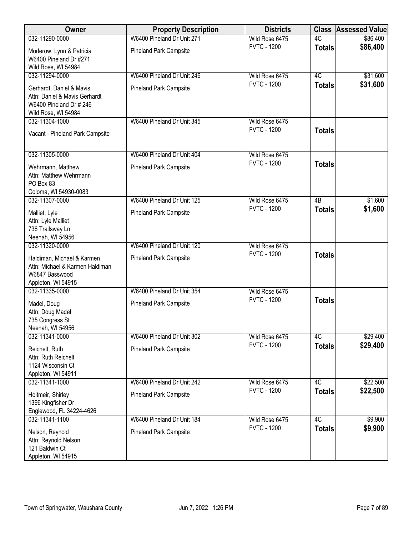| Owner                                                                                                       | <b>Property Description</b>   | <b>Districts</b>                     |                 | <b>Class Assessed Value</b> |
|-------------------------------------------------------------------------------------------------------------|-------------------------------|--------------------------------------|-----------------|-----------------------------|
| 032-11290-0000                                                                                              | W6400 Pineland Dr Unit 271    | Wild Rose 6475                       | $\overline{4C}$ | \$86,400                    |
| Moderow, Lynn & Patricia<br>W6400 Pineland Dr #271<br>Wild Rose, WI 54984                                   | Pineland Park Campsite        | <b>FVTC - 1200</b>                   | <b>Totals</b>   | \$86,400                    |
| 032-11294-0000                                                                                              | W6400 Pineland Dr Unit 246    | Wild Rose 6475                       | 4C              | \$31,600                    |
| Gerhardt, Daniel & Mavis<br>Attn: Daniel & Mavis Gerhardt<br>W6400 Pineland Dr # 246<br>Wild Rose, WI 54984 | <b>Pineland Park Campsite</b> | <b>FVTC - 1200</b>                   | <b>Totals</b>   | \$31,600                    |
| 032-11304-1000<br>Vacant - Pineland Park Campsite                                                           | W6400 Pineland Dr Unit 345    | Wild Rose 6475<br><b>FVTC - 1200</b> | <b>Totals</b>   |                             |
| 032-11305-0000                                                                                              | W6400 Pineland Dr Unit 404    | Wild Rose 6475                       |                 |                             |
| Wehrmann, Matthew<br>Attn: Matthew Wehrmann<br>PO Box 83<br>Coloma, WI 54930-0083                           | <b>Pineland Park Campsite</b> | <b>FVTC - 1200</b>                   | <b>Totals</b>   |                             |
| 032-11307-0000                                                                                              | W6400 Pineland Dr Unit 125    | Wild Rose 6475                       | $\overline{AB}$ | \$1,600                     |
| Malliet, Lyle<br>Attn: Lyle Malliet<br>736 Trailsway Ln<br>Neenah, WI 54956                                 | <b>Pineland Park Campsite</b> | <b>FVTC - 1200</b>                   | <b>Totals</b>   | \$1,600                     |
| 032-11320-0000                                                                                              | W6400 Pineland Dr Unit 120    | Wild Rose 6475                       |                 |                             |
| Haldiman, Michael & Karmen<br>Attn: Michael & Karmen Haldiman<br>W6847 Basswood<br>Appleton, WI 54915       | <b>Pineland Park Campsite</b> | <b>FVTC - 1200</b>                   | <b>Totals</b>   |                             |
| 032-11335-0000                                                                                              | W6400 Pineland Dr Unit 354    | Wild Rose 6475                       |                 |                             |
| Madel, Doug<br>Attn: Doug Madel<br>735 Congress St<br>Neenah, WI 54956                                      | <b>Pineland Park Campsite</b> | <b>FVTC - 1200</b>                   | <b>Totals</b>   |                             |
| 032-11341-0000                                                                                              | W6400 Pineland Dr Unit 302    | Wild Rose 6475                       | 4C              | \$29,400                    |
| Reichelt, Ruth<br>Attn: Ruth Reichelt<br>1124 Wisconsin Ct<br>Appleton, WI 54911                            | <b>Pineland Park Campsite</b> | <b>FVTC - 1200</b>                   | <b>Totals</b>   | \$29,400                    |
| 032-11341-1000                                                                                              | W6400 Pineland Dr Unit 242    | Wild Rose 6475                       | 4C              | \$22,500                    |
| Holtmeir, Shirley<br>1396 Kingfisher Dr<br>Englewood, FL 34224-4626                                         | <b>Pineland Park Campsite</b> | <b>FVTC - 1200</b>                   | <b>Totals</b>   | \$22,500                    |
| 032-11341-1100                                                                                              | W6400 Pineland Dr Unit 184    | Wild Rose 6475                       | 4C              | \$9,900                     |
| Nelson, Reynold<br>Attn: Reynold Nelson<br>121 Baldwin Ct<br>Appleton, WI 54915                             | <b>Pineland Park Campsite</b> | <b>FVTC - 1200</b>                   | <b>Totals</b>   | \$9,900                     |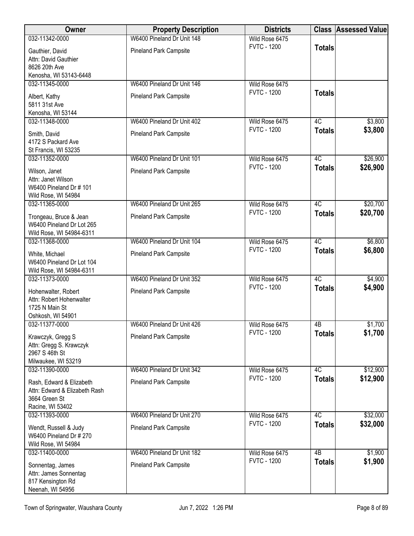| <b>Owner</b>                                                                                   | <b>Property Description</b>   | <b>Districts</b>   |                 | <b>Class Assessed Value</b> |
|------------------------------------------------------------------------------------------------|-------------------------------|--------------------|-----------------|-----------------------------|
| 032-11342-0000                                                                                 | W6400 Pineland Dr Unit 148    | Wild Rose 6475     |                 |                             |
| Gauthier, David<br>Attn: David Gauthier<br>8626 20th Ave                                       | <b>Pineland Park Campsite</b> | <b>FVTC - 1200</b> | <b>Totals</b>   |                             |
| Kenosha, WI 53143-6448<br>032-11345-0000                                                       | W6400 Pineland Dr Unit 146    | Wild Rose 6475     |                 |                             |
| Albert, Kathy<br>5811 31st Ave<br>Kenosha, WI 53144                                            | <b>Pineland Park Campsite</b> | <b>FVTC - 1200</b> | <b>Totals</b>   |                             |
| 032-11348-0000                                                                                 | W6400 Pineland Dr Unit 402    | Wild Rose 6475     | 4C              | \$3,800                     |
| Smith, David<br>4172 S Packard Ave<br>St Francis, WI 53235                                     | <b>Pineland Park Campsite</b> | <b>FVTC - 1200</b> | <b>Totals</b>   | \$3,800                     |
| 032-11352-0000                                                                                 | W6400 Pineland Dr Unit 101    | Wild Rose 6475     | 4C              | \$26,900                    |
| Wilson, Janet<br>Attn: Janet Wilson<br>W6400 Pineland Dr # 101<br>Wild Rose, WI 54984          | <b>Pineland Park Campsite</b> | <b>FVTC - 1200</b> | <b>Totals</b>   | \$26,900                    |
| 032-11365-0000                                                                                 | W6400 Pineland Dr Unit 265    | Wild Rose 6475     | 4C              | \$20,700                    |
| Trongeau, Bruce & Jean<br>W6400 Pineland Dr Lot 265<br>Wild Rose, WI 54984-6311                | <b>Pineland Park Campsite</b> | <b>FVTC - 1200</b> | <b>Totals</b>   | \$20,700                    |
| 032-11368-0000                                                                                 | W6400 Pineland Dr Unit 104    | Wild Rose 6475     | 4C              | \$6,800                     |
| White, Michael<br>W6400 Pineland Dr Lot 104<br>Wild Rose, WI 54984-6311                        | <b>Pineland Park Campsite</b> | <b>FVTC - 1200</b> | <b>Totals</b>   | \$6,800                     |
| 032-11373-0000                                                                                 | W6400 Pineland Dr Unit 352    | Wild Rose 6475     | 4C              | \$4,900                     |
| Hohenwalter, Robert<br>Attn: Robert Hohenwalter<br>1725 N Main St<br>Oshkosh, WI 54901         | <b>Pineland Park Campsite</b> | <b>FVTC - 1200</b> | <b>Totals</b>   | \$4,900                     |
| 032-11377-0000                                                                                 | W6400 Pineland Dr Unit 426    | Wild Rose 6475     | 4B              | \$1,700                     |
| Krawczyk, Gregg S<br>Attn: Gregg S. Krawczyk<br>2967 S 46th St<br>Milwaukee, WI 53219          | <b>Pineland Park Campsite</b> | <b>FVTC - 1200</b> | <b>Totals</b>   | \$1,700                     |
| 032-11390-0000                                                                                 | W6400 Pineland Dr Unit 342    | Wild Rose 6475     | 4C              | \$12,900                    |
| Rash, Edward & Elizabeth<br>Attn: Edward & Elizabeth Rash<br>3664 Green St<br>Racine, WI 53402 | <b>Pineland Park Campsite</b> | <b>FVTC - 1200</b> | <b>Totals</b>   | \$12,900                    |
| 032-11393-0000                                                                                 | W6400 Pineland Dr Unit 270    | Wild Rose 6475     | 4C              | \$32,000                    |
| Wendt, Russell & Judy<br>W6400 Pineland Dr # 270<br>Wild Rose, WI 54984                        | <b>Pineland Park Campsite</b> | <b>FVTC - 1200</b> | <b>Totals</b>   | \$32,000                    |
| 032-11400-0000                                                                                 | W6400 Pineland Dr Unit 182    | Wild Rose 6475     | $\overline{AB}$ | \$1,900                     |
| Sonnentag, James<br>Attn: James Sonnentag<br>817 Kensington Rd<br>Neenah, WI 54956             | <b>Pineland Park Campsite</b> | <b>FVTC - 1200</b> | <b>Totals</b>   | \$1,900                     |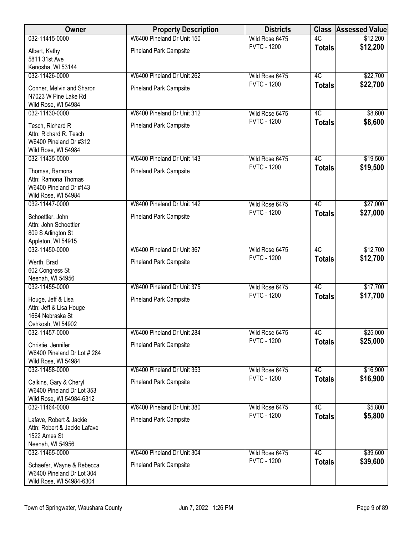| Owner                                                                                       | <b>Property Description</b>   | <b>Districts</b>   | <b>Class</b>  | <b>Assessed Value</b> |
|---------------------------------------------------------------------------------------------|-------------------------------|--------------------|---------------|-----------------------|
| 032-11415-0000                                                                              | W6400 Pineland Dr Unit 150    | Wild Rose 6475     | 4C            | \$12,200              |
| Albert, Kathy<br>5811 31st Ave<br>Kenosha, WI 53144                                         | <b>Pineland Park Campsite</b> | <b>FVTC - 1200</b> | <b>Totals</b> | \$12,200              |
| 032-11426-0000                                                                              | W6400 Pineland Dr Unit 262    | Wild Rose 6475     | 4C            | \$22,700              |
| Conner, Melvin and Sharon<br>N7023 W Pine Lake Rd<br>Wild Rose, WI 54984                    | <b>Pineland Park Campsite</b> | <b>FVTC - 1200</b> | <b>Totals</b> | \$22,700              |
| 032-11430-0000                                                                              | W6400 Pineland Dr Unit 312    | Wild Rose 6475     | 4C            | \$8,600               |
| Tesch, Richard R<br>Attn: Richard R. Tesch<br>W6400 Pineland Dr #312<br>Wild Rose, WI 54984 | <b>Pineland Park Campsite</b> | <b>FVTC - 1200</b> | <b>Totals</b> | \$8,600               |
| 032-11435-0000                                                                              | W6400 Pineland Dr Unit 143    | Wild Rose 6475     | 4C            | \$19,500              |
| Thomas, Ramona<br>Attn: Ramona Thomas<br>W6400 Pineland Dr #143<br>Wild Rose, WI 54984      | <b>Pineland Park Campsite</b> | <b>FVTC - 1200</b> | <b>Totals</b> | \$19,500              |
| 032-11447-0000                                                                              | W6400 Pineland Dr Unit 142    | Wild Rose 6475     | 4C            | \$27,000              |
| Schoettler, John<br>Attn: John Schoettler<br>809 S Arlington St<br>Appleton, WI 54915       | <b>Pineland Park Campsite</b> | <b>FVTC - 1200</b> | <b>Totals</b> | \$27,000              |
| 032-11450-0000                                                                              | W6400 Pineland Dr Unit 367    | Wild Rose 6475     | 4C            | \$12,700              |
| Werth, Brad<br>602 Congress St<br>Neenah, WI 54956                                          | <b>Pineland Park Campsite</b> | <b>FVTC - 1200</b> | <b>Totals</b> | \$12,700              |
| 032-11455-0000                                                                              | W6400 Pineland Dr Unit 375    | Wild Rose 6475     | 4C            | \$17,700              |
| Houge, Jeff & Lisa<br>Attn: Jeff & Lisa Houge<br>1664 Nebraska St<br>Oshkosh, WI 54902      | <b>Pineland Park Campsite</b> | <b>FVTC - 1200</b> | <b>Totals</b> | \$17,700              |
| 032-11457-0000                                                                              | W6400 Pineland Dr Unit 284    | Wild Rose 6475     | 4C            | \$25,000              |
| Christie, Jennifer<br>W6400 Pineland Dr Lot #284<br>Wild Rose, WI 54984                     | <b>Pineland Park Campsite</b> | <b>FVTC - 1200</b> | <b>Totals</b> | \$25,000              |
| 032-11458-0000                                                                              | W6400 Pineland Dr Unit 353    | Wild Rose 6475     | 4C            | \$16,900              |
| Calkins, Gary & Cheryl<br>W6400 Pineland Dr Lot 353<br>Wild Rose, WI 54984-6312             | <b>Pineland Park Campsite</b> | <b>FVTC - 1200</b> | <b>Totals</b> | \$16,900              |
| 032-11464-0000                                                                              | W6400 Pineland Dr Unit 380    | Wild Rose 6475     | 4C            | \$5,800               |
| Lafave, Robert & Jackie<br>Attn: Robert & Jackie Lafave<br>1522 Ames St<br>Neenah, WI 54956 | <b>Pineland Park Campsite</b> | <b>FVTC - 1200</b> | <b>Totals</b> | \$5,800               |
| 032-11465-0000                                                                              | W6400 Pineland Dr Unit 304    | Wild Rose 6475     | 4C            | \$39,600              |
| Schaefer, Wayne & Rebecca<br>W6400 Pineland Dr Lot 304<br>Wild Rose, WI 54984-6304          | <b>Pineland Park Campsite</b> | <b>FVTC - 1200</b> | <b>Totals</b> | \$39,600              |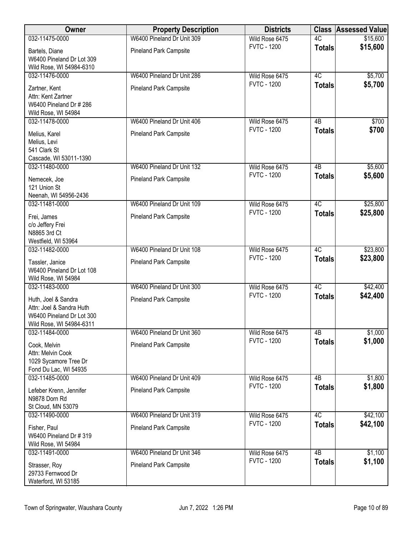| Owner                                          | <b>Property Description</b>   | <b>Districts</b>                     | <b>Class</b>        | <b>Assessed Value</b> |
|------------------------------------------------|-------------------------------|--------------------------------------|---------------------|-----------------------|
| 032-11475-0000                                 | W6400 Pineland Dr Unit 309    | Wild Rose 6475                       | 4C                  | \$15,600              |
| Bartels, Diane                                 | Pineland Park Campsite        | <b>FVTC - 1200</b>                   | <b>Totals</b>       | \$15,600              |
| W6400 Pineland Dr Lot 309                      |                               |                                      |                     |                       |
| Wild Rose, WI 54984-6310                       |                               |                                      |                     |                       |
| 032-11476-0000                                 | W6400 Pineland Dr Unit 286    | Wild Rose 6475<br><b>FVTC - 1200</b> | 4C                  | \$5,700               |
| Zartner, Kent                                  | <b>Pineland Park Campsite</b> |                                      | <b>Totals</b>       | \$5,700               |
| Attn: Kent Zartner                             |                               |                                      |                     |                       |
| W6400 Pineland Dr # 286<br>Wild Rose, WI 54984 |                               |                                      |                     |                       |
| 032-11478-0000                                 | W6400 Pineland Dr Unit 406    | Wild Rose 6475                       | 4B                  | \$700                 |
| Melius, Karel                                  | <b>Pineland Park Campsite</b> | <b>FVTC - 1200</b>                   | <b>Totals</b>       | \$700                 |
| Melius, Levi                                   |                               |                                      |                     |                       |
| 541 Clark St                                   |                               |                                      |                     |                       |
| Cascade, WI 53011-1390                         |                               |                                      |                     |                       |
| 032-11480-0000                                 | W6400 Pineland Dr Unit 132    | Wild Rose 6475                       | 4B                  | \$5,600               |
| Nemecek, Joe                                   | <b>Pineland Park Campsite</b> | <b>FVTC - 1200</b>                   | <b>Totals</b>       | \$5,600               |
| 121 Union St                                   |                               |                                      |                     |                       |
| Neenah, WI 54956-2436                          |                               |                                      |                     |                       |
| 032-11481-0000                                 | W6400 Pineland Dr Unit 109    | Wild Rose 6475<br><b>FVTC - 1200</b> | $\overline{4C}$     | \$25,800              |
| Frei, James                                    | <b>Pineland Park Campsite</b> |                                      | <b>Totals</b>       | \$25,800              |
| c/o Jeffery Frei                               |                               |                                      |                     |                       |
| N8865 3rd Ct<br>Westfield, WI 53964            |                               |                                      |                     |                       |
| 032-11482-0000                                 | W6400 Pineland Dr Unit 108    | Wild Rose 6475                       | 4C                  | \$23,800              |
|                                                |                               | <b>FVTC - 1200</b>                   | <b>Totals</b>       | \$23,800              |
| Tassler, Janice<br>W6400 Pineland Dr Lot 108   | Pineland Park Campsite        |                                      |                     |                       |
| Wild Rose, WI 54984                            |                               |                                      |                     |                       |
| 032-11483-0000                                 | W6400 Pineland Dr Unit 300    | Wild Rose 6475                       | 4C                  | \$42,400              |
| Huth, Joel & Sandra                            | <b>Pineland Park Campsite</b> | <b>FVTC - 1200</b>                   | <b>Totals</b>       | \$42,400              |
| Attn: Joel & Sandra Huth                       |                               |                                      |                     |                       |
| W6400 Pineland Dr Lot 300                      |                               |                                      |                     |                       |
| Wild Rose, WI 54984-6311                       |                               |                                      |                     |                       |
| 032-11484-0000                                 | W6400 Pineland Dr Unit 360    | Wild Rose 6475<br><b>FVTC - 1200</b> | 4B<br><b>Totals</b> | \$1,000<br>\$1,000    |
| Cook, Melvin                                   | <b>Pineland Park Campsite</b> |                                      |                     |                       |
| Attn: Melvin Cook<br>1029 Sycamore Tree Dr     |                               |                                      |                     |                       |
| Fond Du Lac, WI 54935                          |                               |                                      |                     |                       |
| 032-11485-0000                                 | W6400 Pineland Dr Unit 409    | Wild Rose 6475                       | 4B                  | \$1,800               |
| Lefeber Krenn, Jennifer                        | <b>Pineland Park Campsite</b> | <b>FVTC - 1200</b>                   | <b>Totals</b>       | \$1,800               |
| N9878 Dorn Rd                                  |                               |                                      |                     |                       |
| St Cloud, MN 53079                             |                               |                                      |                     |                       |
| 032-11490-0000                                 | W6400 Pineland Dr Unit 319    | Wild Rose 6475                       | $\overline{4C}$     | \$42,100              |
| Fisher, Paul                                   | <b>Pineland Park Campsite</b> | <b>FVTC - 1200</b>                   | <b>Totals</b>       | \$42,100              |
| W6400 Pineland Dr # 319                        |                               |                                      |                     |                       |
| Wild Rose, WI 54984                            |                               |                                      |                     |                       |
| 032-11491-0000                                 | W6400 Pineland Dr Unit 346    | Wild Rose 6475                       | $\overline{AB}$     | \$1,100               |
| Strasser, Roy                                  | <b>Pineland Park Campsite</b> | <b>FVTC - 1200</b>                   | <b>Totals</b>       | \$1,100               |
| 29733 Fernwood Dr                              |                               |                                      |                     |                       |
| Waterford, WI 53185                            |                               |                                      |                     |                       |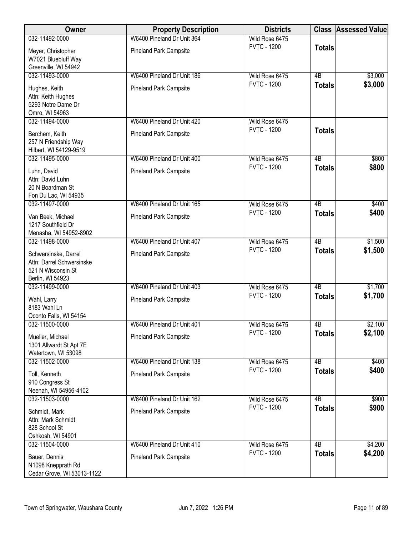| <b>Owner</b>                             | <b>Property Description</b>   | <b>Districts</b>                     |                 | <b>Class Assessed Value</b> |
|------------------------------------------|-------------------------------|--------------------------------------|-----------------|-----------------------------|
| 032-11492-0000                           | W6400 Pineland Dr Unit 364    | Wild Rose 6475                       |                 |                             |
| Meyer, Christopher                       | <b>Pineland Park Campsite</b> | <b>FVTC - 1200</b>                   | <b>Totals</b>   |                             |
| W7021 Bluebluff Way                      |                               |                                      |                 |                             |
| Greenville, WI 54942                     |                               |                                      |                 |                             |
| 032-11493-0000                           | W6400 Pineland Dr Unit 186    | Wild Rose 6475<br><b>FVTC - 1200</b> | $\overline{AB}$ | \$3,000                     |
| Hughes, Keith                            | <b>Pineland Park Campsite</b> |                                      | <b>Totals</b>   | \$3,000                     |
| Attn: Keith Hughes                       |                               |                                      |                 |                             |
| 5293 Notre Dame Dr                       |                               |                                      |                 |                             |
| Omro, WI 54963<br>032-11494-0000         | W6400 Pineland Dr Unit 420    | Wild Rose 6475                       |                 |                             |
|                                          |                               | <b>FVTC - 1200</b>                   | <b>Totals</b>   |                             |
| Berchem, Keith                           | <b>Pineland Park Campsite</b> |                                      |                 |                             |
| 257 N Friendship Way                     |                               |                                      |                 |                             |
| Hilbert, WI 54129-9519<br>032-11495-0000 | W6400 Pineland Dr Unit 400    | Wild Rose 6475                       | $\overline{AB}$ | \$800                       |
|                                          |                               | <b>FVTC - 1200</b>                   | <b>Totals</b>   | \$800                       |
| Luhn, David                              | Pineland Park Campsite        |                                      |                 |                             |
| Attn: David Luhn<br>20 N Boardman St     |                               |                                      |                 |                             |
| Fon Du Lac, WI 54935                     |                               |                                      |                 |                             |
| 032-11497-0000                           | W6400 Pineland Dr Unit 165    | Wild Rose 6475                       | $\overline{AB}$ | \$400                       |
| Van Beek, Michael                        | Pineland Park Campsite        | <b>FVTC - 1200</b>                   | <b>Totals</b>   | \$400                       |
| 1217 Southfield Dr                       |                               |                                      |                 |                             |
| Menasha, WI 54952-8902                   |                               |                                      |                 |                             |
| 032-11498-0000                           | W6400 Pineland Dr Unit 407    | Wild Rose 6475                       | $\overline{AB}$ | \$1,500                     |
| Schwersinske, Darrel                     | <b>Pineland Park Campsite</b> | <b>FVTC - 1200</b>                   | <b>Totals</b>   | \$1,500                     |
| Attn: Darrel Schwersinske                |                               |                                      |                 |                             |
| 521 N Wisconsin St                       |                               |                                      |                 |                             |
| Berlin, WI 54923                         |                               |                                      |                 |                             |
| 032-11499-0000                           | W6400 Pineland Dr Unit 403    | Wild Rose 6475                       | $\overline{AB}$ | \$1,700                     |
| Wahl, Larry                              | <b>Pineland Park Campsite</b> | <b>FVTC - 1200</b>                   | <b>Totals</b>   | \$1,700                     |
| 8183 Wahl Ln                             |                               |                                      |                 |                             |
| Oconto Falls, WI 54154                   |                               |                                      |                 |                             |
| 032-11500-0000                           | W6400 Pineland Dr Unit 401    | Wild Rose 6475                       | 4B              | \$2,100                     |
| Mueller, Michael                         | <b>Pineland Park Campsite</b> | <b>FVTC - 1200</b>                   | <b>Totals</b>   | \$2,100                     |
| 1301 Allwardt St Apt 7E                  |                               |                                      |                 |                             |
| Watertown, WI 53098                      |                               |                                      |                 |                             |
| 032-11502-0000                           | W6400 Pineland Dr Unit 138    | Wild Rose 6475<br><b>FVTC - 1200</b> | 4B              | \$400<br>\$400              |
| Toll, Kenneth                            | <b>Pineland Park Campsite</b> |                                      | <b>Totals</b>   |                             |
| 910 Congress St                          |                               |                                      |                 |                             |
| Neenah, WI 54956-4102<br>032-11503-0000  | W6400 Pineland Dr Unit 162    | Wild Rose 6475                       | $\overline{AB}$ | \$900                       |
|                                          |                               | <b>FVTC - 1200</b>                   | <b>Totals</b>   | \$900                       |
| Schmidt, Mark                            | Pineland Park Campsite        |                                      |                 |                             |
| Attn: Mark Schmidt                       |                               |                                      |                 |                             |
| 828 School St<br>Oshkosh, WI 54901       |                               |                                      |                 |                             |
| 032-11504-0000                           | W6400 Pineland Dr Unit 410    | Wild Rose 6475                       | $\overline{AB}$ | \$4,200                     |
|                                          |                               | <b>FVTC - 1200</b>                   | <b>Totals</b>   | \$4,200                     |
| Bauer, Dennis<br>N1098 Knepprath Rd      | Pineland Park Campsite        |                                      |                 |                             |
| Cedar Grove, WI 53013-1122               |                               |                                      |                 |                             |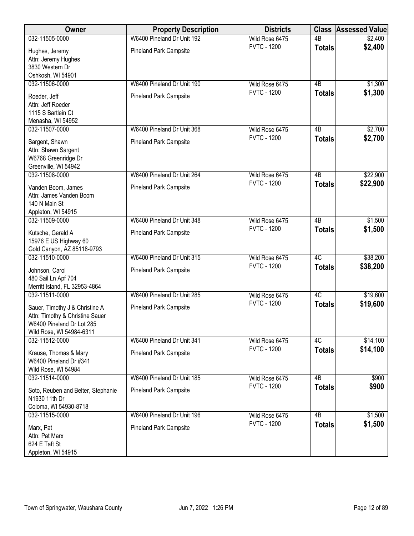| <b>Owner</b>                                                                                                               | <b>Property Description</b>   | <b>Districts</b>   | <b>Class</b>    | <b>Assessed Value</b> |
|----------------------------------------------------------------------------------------------------------------------------|-------------------------------|--------------------|-----------------|-----------------------|
| 032-11505-0000                                                                                                             | W6400 Pineland Dr Unit 192    | Wild Rose 6475     | $\overline{AB}$ | \$2,400               |
| Hughes, Jeremy<br>Attn: Jeremy Hughes<br>3830 Western Dr                                                                   | <b>Pineland Park Campsite</b> | <b>FVTC - 1200</b> | <b>Totals</b>   | \$2,400               |
| Oshkosh, WI 54901<br>032-11506-0000                                                                                        | W6400 Pineland Dr Unit 190    | Wild Rose 6475     | 4B              | \$1,300               |
| Roeder, Jeff<br>Attn: Jeff Roeder<br>1115 S Bartlein Ct<br>Menasha, WI 54952                                               | <b>Pineland Park Campsite</b> | <b>FVTC - 1200</b> | <b>Totals</b>   | \$1,300               |
| 032-11507-0000                                                                                                             | W6400 Pineland Dr Unit 368    | Wild Rose 6475     | 4B              | \$2,700               |
| Sargent, Shawn<br>Attn: Shawn Sargent<br>W6768 Greenridge Dr<br>Greenville, WI 54942                                       | <b>Pineland Park Campsite</b> | <b>FVTC - 1200</b> | <b>Totals</b>   | \$2,700               |
| 032-11508-0000                                                                                                             | W6400 Pineland Dr Unit 264    | Wild Rose 6475     | 4B              | \$22,900              |
| Vanden Boom, James<br>Attn: James Vanden Boom<br>140 N Main St<br>Appleton, WI 54915                                       | <b>Pineland Park Campsite</b> | <b>FVTC - 1200</b> | <b>Totals</b>   | \$22,900              |
| 032-11509-0000                                                                                                             | W6400 Pineland Dr Unit 348    | Wild Rose 6475     | $\overline{AB}$ | \$1,500               |
| Kutsche, Gerald A<br>15976 E US Highway 60<br>Gold Canyon, AZ 85118-9793                                                   | <b>Pineland Park Campsite</b> | <b>FVTC - 1200</b> | <b>Totals</b>   | \$1,500               |
| 032-11510-0000                                                                                                             | W6400 Pineland Dr Unit 315    | Wild Rose 6475     | 4C              | \$38,200              |
| Johnson, Carol<br>480 Sail Ln Apf 704<br>Merritt Island, FL 32953-4864                                                     | Pineland Park Campsite        | <b>FVTC - 1200</b> | <b>Totals</b>   | \$38,200              |
| 032-11511-0000                                                                                                             | W6400 Pineland Dr Unit 285    | Wild Rose 6475     | 4C              | \$19,600              |
| Sauer, Timothy J & Christine A<br>Attn: Timothy & Christine Sauer<br>W6400 Pineland Dr Lot 285<br>Wild Rose, WI 54984-6311 | <b>Pineland Park Campsite</b> | <b>FVTC - 1200</b> | <b>Totals</b>   | \$19,600              |
| 032-11512-0000                                                                                                             | W6400 Pineland Dr Unit 341    | Wild Rose 6475     | 4C              | \$14,100              |
| Krause, Thomas & Mary<br>W6400 Pineland Dr #341<br>Wild Rose, WI 54984                                                     | <b>Pineland Park Campsite</b> | <b>FVTC - 1200</b> | <b>Totals</b>   | \$14,100              |
| 032-11514-0000                                                                                                             | W6400 Pineland Dr Unit 185    | Wild Rose 6475     | 4B              | \$900                 |
| Soto, Reuben and Belter, Stephanie<br>N1930 11th Dr<br>Coloma, WI 54930-8718                                               | <b>Pineland Park Campsite</b> | <b>FVTC - 1200</b> | <b>Totals</b>   | \$900                 |
| 032-11515-0000                                                                                                             | W6400 Pineland Dr Unit 196    | Wild Rose 6475     | $\overline{AB}$ | \$1,500               |
| Marx, Pat<br>Attn: Pat Marx<br>624 E Taft St<br>Appleton, WI 54915                                                         | <b>Pineland Park Campsite</b> | <b>FVTC - 1200</b> | <b>Totals</b>   | \$1,500               |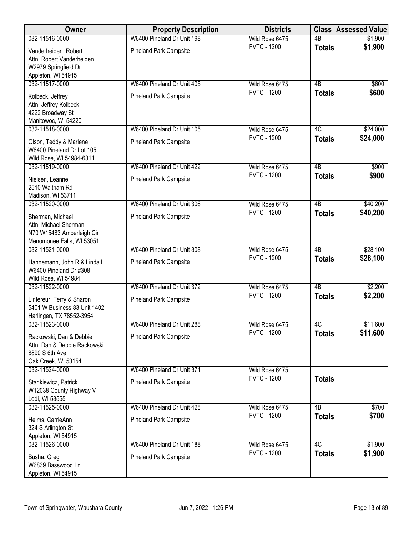| Owner                                                                                               | <b>Property Description</b>   | <b>Districts</b>   | <b>Class</b>    | <b>Assessed Value</b> |
|-----------------------------------------------------------------------------------------------------|-------------------------------|--------------------|-----------------|-----------------------|
| 032-11516-0000                                                                                      | W6400 Pineland Dr Unit 198    | Wild Rose 6475     | $\overline{AB}$ | \$1,900               |
| Vanderheiden, Robert<br>Attn: Robert Vanderheiden<br>W2979 Springfield Dr<br>Appleton, WI 54915     | Pineland Park Campsite        | <b>FVTC - 1200</b> | <b>Totals</b>   | \$1,900               |
| 032-11517-0000                                                                                      | W6400 Pineland Dr Unit 405    | Wild Rose 6475     | 4B              | \$600                 |
| Kolbeck, Jeffrey<br>Attn: Jeffrey Kolbeck<br>4222 Broadway St<br>Manitowoc, WI 54220                | <b>Pineland Park Campsite</b> | <b>FVTC - 1200</b> | <b>Totals</b>   | \$600                 |
| 032-11518-0000                                                                                      | W6400 Pineland Dr Unit 105    | Wild Rose 6475     | 4C              | \$24,000              |
| Olson, Teddy & Marlene<br>W6400 Pineland Dr Lot 105<br>Wild Rose, WI 54984-6311                     | <b>Pineland Park Campsite</b> | <b>FVTC - 1200</b> | <b>Totals</b>   | \$24,000              |
| 032-11519-0000                                                                                      | W6400 Pineland Dr Unit 422    | Wild Rose 6475     | $\overline{AB}$ | \$900                 |
| Nielsen, Leanne<br>2510 Waltham Rd<br>Madison, WI 53711                                             | <b>Pineland Park Campsite</b> | <b>FVTC - 1200</b> | <b>Totals</b>   | \$900                 |
| 032-11520-0000                                                                                      | W6400 Pineland Dr Unit 306    | Wild Rose 6475     | $\overline{AB}$ | \$40,200              |
| Sherman, Michael<br>Attn: Michael Sherman<br>N70 W15483 Amberleigh Cir<br>Menomonee Falls, WI 53051 | <b>Pineland Park Campsite</b> | <b>FVTC - 1200</b> | <b>Totals</b>   | \$40,200              |
| 032-11521-0000                                                                                      | W6400 Pineland Dr Unit 308    | Wild Rose 6475     | $\overline{AB}$ | \$28,100              |
| Hannemann, John R & Linda L<br>W6400 Pineland Dr #308<br>Wild Rose, WI 54984                        | Pineland Park Campsite        | <b>FVTC - 1200</b> | <b>Totals</b>   | \$28,100              |
| 032-11522-0000                                                                                      | W6400 Pineland Dr Unit 372    | Wild Rose 6475     | $\overline{AB}$ | \$2,200               |
| Lintereur, Terry & Sharon<br>5401 W Business 83 Unit 1402<br>Harlingen, TX 78552-3954               | <b>Pineland Park Campsite</b> | <b>FVTC - 1200</b> | <b>Totals</b>   | \$2,200               |
| 032-11523-0000                                                                                      | W6400 Pineland Dr Unit 288    | Wild Rose 6475     | 4C              | \$11,600              |
| Rackowski, Dan & Debbie<br>Attn: Dan & Debbie Rackowski<br>8890 S 6th Ave<br>Oak Creek, WI 53154    | <b>Pineland Park Campsite</b> | <b>FVTC - 1200</b> | <b>Totals</b>   | \$11,600              |
| 032-11524-0000                                                                                      | W6400 Pineland Dr Unit 371    | Wild Rose 6475     |                 |                       |
| Stankiewicz, Patrick<br>W12038 County Highway V<br>Lodi, WI 53555                                   | <b>Pineland Park Campsite</b> | <b>FVTC - 1200</b> | <b>Totals</b>   |                       |
| 032-11525-0000                                                                                      | W6400 Pineland Dr Unit 428    | Wild Rose 6475     | $\overline{AB}$ | \$700                 |
| Helms, CarrieAnn<br>324 S Arlington St<br>Appleton, WI 54915                                        | <b>Pineland Park Campsite</b> | <b>FVTC - 1200</b> | <b>Totals</b>   | \$700                 |
| 032-11526-0000                                                                                      | W6400 Pineland Dr Unit 188    | Wild Rose 6475     | 4C              | \$1,900               |
| Busha, Greg<br>W6839 Basswood Ln<br>Appleton, WI 54915                                              | <b>Pineland Park Campsite</b> | <b>FVTC - 1200</b> | <b>Totals</b>   | \$1,900               |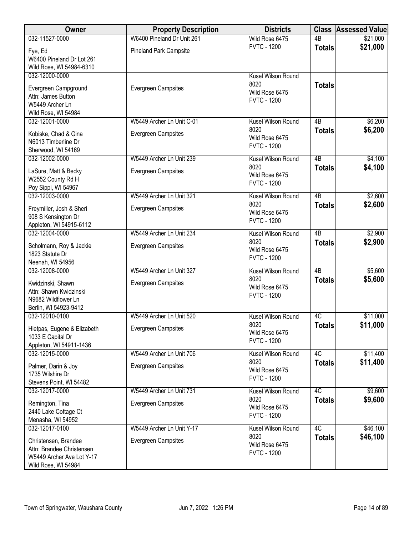| <b>Owner</b>                               | <b>Property Description</b>   | <b>Districts</b>           |                 | <b>Class Assessed Value</b> |
|--------------------------------------------|-------------------------------|----------------------------|-----------------|-----------------------------|
| 032-11527-0000                             | W6400 Pineland Dr Unit 261    | Wild Rose 6475             | $\overline{AB}$ | \$21,000                    |
| Fye, Ed                                    | <b>Pineland Park Campsite</b> | <b>FVTC - 1200</b>         | <b>Totals</b>   | \$21,000                    |
| W6400 Pineland Dr Lot 261                  |                               |                            |                 |                             |
| Wild Rose, WI 54984-6310                   |                               |                            |                 |                             |
| 032-12000-0000                             |                               | Kusel Wilson Round         |                 |                             |
|                                            | Evergreen Campsites           | 8020                       | <b>Totals</b>   |                             |
| Evergreen Campground<br>Attn: James Button |                               | Wild Rose 6475             |                 |                             |
| W5449 Archer Ln                            |                               | <b>FVTC - 1200</b>         |                 |                             |
| Wild Rose, WI 54984                        |                               |                            |                 |                             |
| 032-12001-0000                             | W5449 Archer Ln Unit C-01     | Kusel Wilson Round         | 4B              | \$6,200                     |
|                                            |                               | 8020                       | <b>Totals</b>   | \$6,200                     |
| Kobiske, Chad & Gina                       | Evergreen Campsites           | Wild Rose 6475             |                 |                             |
| N6013 Timberline Dr                        |                               | <b>FVTC - 1200</b>         |                 |                             |
| Sherwood, WI 54169                         |                               |                            |                 |                             |
| 032-12002-0000                             | W5449 Archer Ln Unit 239      | Kusel Wilson Round         | $\overline{AB}$ | \$4,100                     |
| LaSure, Matt & Becky                       | <b>Evergreen Campsites</b>    | 8020<br>Wild Rose 6475     | <b>Totals</b>   | \$4,100                     |
| W2552 County Rd H                          |                               | <b>FVTC - 1200</b>         |                 |                             |
| Poy Sippi, WI 54967                        |                               |                            |                 |                             |
| 032-12003-0000                             | W5449 Archer Ln Unit 321      | Kusel Wilson Round         | 4B              | \$2,600                     |
| Freymiller, Josh & Sheri                   | Evergreen Campsites           | 8020                       | <b>Totals</b>   | \$2,600                     |
| 908 S Kensington Dr                        |                               | Wild Rose 6475             |                 |                             |
| Appleton, WI 54915-6112                    |                               | <b>FVTC - 1200</b>         |                 |                             |
| 032-12004-0000                             | W5449 Archer Ln Unit 234      | <b>Kusel Wilson Round</b>  | $\overline{AB}$ | \$2,900                     |
|                                            |                               | 8020                       | <b>Totals</b>   | \$2,900                     |
| Scholmann, Roy & Jackie                    | Evergreen Campsites           | Wild Rose 6475             |                 |                             |
| 1823 Statute Dr<br>Neenah, WI 54956        |                               | <b>FVTC - 1200</b>         |                 |                             |
| 032-12008-0000                             | W5449 Archer Ln Unit 327      | Kusel Wilson Round         | $\overline{AB}$ | \$5,600                     |
|                                            |                               | 8020                       |                 | \$5,600                     |
| Kwidzinski, Shawn                          | Evergreen Campsites           | Wild Rose 6475             | <b>Totals</b>   |                             |
| Attn: Shawn Kwidzinski                     |                               | <b>FVTC - 1200</b>         |                 |                             |
| N9682 Wildflower Ln                        |                               |                            |                 |                             |
| Berlin, WI 54923-9412                      |                               |                            |                 |                             |
| 032-12010-0100                             | W5449 Archer Ln Unit 520      | Kusel Wilson Round         | 4C              | \$11,000                    |
| Hietpas, Eugene & Elizabeth                | Evergreen Campsites           | 8020<br>Wild Rose 6475     | <b>Totals</b>   | \$11,000                    |
| 1033 E Capital Dr                          |                               | <b>FVTC - 1200</b>         |                 |                             |
| Appleton, WI 54911-1436                    |                               |                            |                 |                             |
| 032-12015-0000                             | W5449 Archer Ln Unit 706      | Kusel Wilson Round         | 4C              | \$11,400                    |
| Palmer, Darin & Joy                        | Evergreen Campsites           | 8020                       | <b>Totals</b>   | \$11,400                    |
| 1735 Wilshire Dr                           |                               | Wild Rose 6475             |                 |                             |
| Stevens Point, WI 54482                    |                               | <b>FVTC - 1200</b>         |                 |                             |
| 032-12017-0000                             | W5449 Archer Ln Unit 731      | Kusel Wilson Round         | 4C              | \$9,600                     |
|                                            |                               | 8020                       | <b>Totals</b>   | \$9,600                     |
| Remington, Tina                            | Evergreen Campsites           | Wild Rose 6475             |                 |                             |
| 2440 Lake Cottage Ct                       |                               | <b>FVTC - 1200</b>         |                 |                             |
| Menasha, WI 54952                          |                               |                            | 4C              |                             |
| 032-12017-0100                             | W5449 Archer Ln Unit Y-17     | Kusel Wilson Round<br>8020 |                 | \$46,100<br>\$46,100        |
| Christensen, Brandee                       | Evergreen Campsites           | Wild Rose 6475             | <b>Totals</b>   |                             |
| Attn: Brandee Christensen                  |                               | <b>FVTC - 1200</b>         |                 |                             |
| W5449 Archer Ave Lot Y-17                  |                               |                            |                 |                             |
| Wild Rose, WI 54984                        |                               |                            |                 |                             |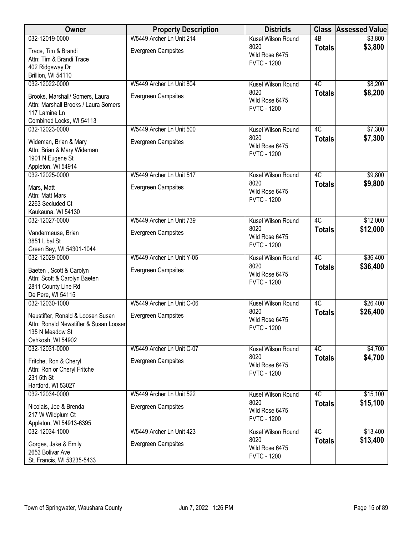| Owner                                                                                                                | <b>Property Description</b> | <b>Districts</b>                             |                 | <b>Class Assessed Value</b> |
|----------------------------------------------------------------------------------------------------------------------|-----------------------------|----------------------------------------------|-----------------|-----------------------------|
| 032-12019-0000                                                                                                       | W5449 Archer Ln Unit 214    | Kusel Wilson Round                           | $\overline{AB}$ | \$3,800                     |
| Trace, Tim & Brandi<br>Attn: Tim & Brandi Trace                                                                      | <b>Evergreen Campsites</b>  | 8020<br>Wild Rose 6475<br><b>FVTC - 1200</b> | <b>Totals</b>   | \$3,800                     |
| 402 Ridgeway Dr                                                                                                      |                             |                                              |                 |                             |
| Brillion, WI 54110<br>032-12022-0000                                                                                 | W5449 Archer Ln Unit 804    | Kusel Wilson Round                           | $\overline{4C}$ | \$8,200                     |
| Brooks, Marshall/ Somers, Laura<br>Attn: Marshall Brooks / Laura Somers<br>117 Lamine Ln<br>Combined Locks, WI 54113 | <b>Evergreen Campsites</b>  | 8020<br>Wild Rose 6475<br><b>FVTC - 1200</b> | <b>Totals</b>   | \$8,200                     |
| 032-12023-0000                                                                                                       | W5449 Archer Ln Unit 500    | Kusel Wilson Round                           | 4C              | \$7,300                     |
| Wideman, Brian & Mary<br>Attn: Brian & Mary Wideman<br>1901 N Eugene St<br>Appleton, WI 54914                        | <b>Evergreen Campsites</b>  | 8020<br>Wild Rose 6475<br><b>FVTC - 1200</b> | <b>Totals</b>   | \$7,300                     |
| 032-12025-0000                                                                                                       | W5449 Archer Ln Unit 517    | Kusel Wilson Round                           | 4C              | \$9,800                     |
| Mars, Matt<br>Attn: Matt Mars<br>2263 Secluded Ct<br>Kaukauna, WI 54130                                              | Evergreen Campsites         | 8020<br>Wild Rose 6475<br><b>FVTC - 1200</b> | <b>Totals</b>   | \$9,800                     |
| 032-12027-0000                                                                                                       | W5449 Archer Ln Unit 739    | Kusel Wilson Round                           | 4C              | \$12,000                    |
| Vandermeuse, Brian<br>3851 Libal St<br>Green Bay, WI 54301-1044                                                      | <b>Evergreen Campsites</b>  | 8020<br>Wild Rose 6475<br><b>FVTC - 1200</b> | <b>Totals</b>   | \$12,000                    |
| 032-12029-0000                                                                                                       | W5449 Archer Ln Unit Y-05   | Kusel Wilson Round                           | 4C              | \$36,400                    |
| Baeten, Scott & Carolyn<br>Attn: Scott & Carolyn Baeten<br>2811 County Line Rd<br>De Pere, WI 54115                  | <b>Evergreen Campsites</b>  | 8020<br>Wild Rose 6475<br><b>FVTC - 1200</b> | <b>Totals</b>   | \$36,400                    |
| 032-12030-1000                                                                                                       | W5449 Archer Ln Unit C-06   | Kusel Wilson Round                           | 4C              | \$26,400                    |
| Neustifter, Ronald & Loosen Susan<br>Attn: Ronald Newstifter & Susan Loosen<br>135 N Meadow St<br>Oshkosh, WI 54902  | <b>Evergreen Campsites</b>  | 8020<br>Wild Rose 6475<br><b>FVTC - 1200</b> | <b>Totals</b>   | \$26,400                    |
| 032-12031-0000                                                                                                       | W5449 Archer Ln Unit C-07   | Kusel Wilson Round                           | 4C              | \$4,700                     |
| Fritche, Ron & Cheryl<br>Attn: Ron or Cheryl Fritche<br>231 5th St<br>Hartford, WI 53027                             | <b>Evergreen Campsites</b>  | 8020<br>Wild Rose 6475<br><b>FVTC - 1200</b> | <b>Totals</b>   | \$4,700                     |
| 032-12034-0000                                                                                                       | W5449 Archer Ln Unit 522    | Kusel Wilson Round                           | 4C              | \$15,100                    |
| Nicolais, Joe & Brenda<br>217 W Wildplum Ct<br>Appleton, WI 54913-6395                                               | <b>Evergreen Campsites</b>  | 8020<br>Wild Rose 6475<br><b>FVTC - 1200</b> | <b>Totals</b>   | \$15,100                    |
| 032-12034-1000                                                                                                       | W5449 Archer Ln Unit 423    | Kusel Wilson Round                           | 4C              | \$13,400                    |
| Gorges, Jake & Emily<br>2653 Bolivar Ave<br>St. Francis, WI 53235-5433                                               | <b>Evergreen Campsites</b>  | 8020<br>Wild Rose 6475<br><b>FVTC - 1200</b> | <b>Totals</b>   | \$13,400                    |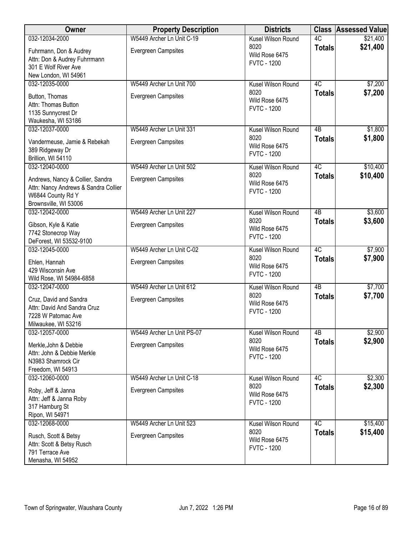| W5449 Archer Ln Unit C-19<br>4C<br>032-12034-2000<br>Kusel Wilson Round<br>\$21,400<br>8020<br>\$21,400<br><b>Totals</b><br>Evergreen Campsites<br>Fuhrmann, Don & Audrey<br>Wild Rose 6475<br>Attn: Don & Audrey Fuhrrmann<br><b>FVTC - 1200</b><br>301 E Wolf River Ave<br>New London, WI 54961<br>4C<br>032-12035-0000<br>W5449 Archer Ln Unit 700<br>Kusel Wilson Round<br>\$7,200<br>8020<br>\$7,200<br><b>Totals</b><br><b>Evergreen Campsites</b><br>Button, Thomas<br>Wild Rose 6475<br>Attn: Thomas Button<br><b>FVTC - 1200</b><br>1135 Sunnycrest Dr<br>Waukesha, WI 53186<br>032-12037-0000<br>W5449 Archer Ln Unit 331<br>4B<br>\$1,800<br>Kusel Wilson Round<br>8020<br>\$1,800<br><b>Totals</b><br><b>Evergreen Campsites</b><br>Vandermeuse, Jamie & Rebekah<br>Wild Rose 6475<br>389 Ridgeway Dr<br><b>FVTC - 1200</b><br>Brillion, WI 54110<br>4C<br>032-12040-0000<br>W5449 Archer Ln Unit 502<br>\$10,400<br>Kusel Wilson Round<br>\$10,400<br>8020<br><b>Totals</b><br>Andrews, Nancy & Collier, Sandra<br><b>Evergreen Campsites</b><br>Wild Rose 6475<br>Attn: Nancy Andrews & Sandra Collier<br><b>FVTC - 1200</b><br>W6844 County Rd Y<br>Brownsville, WI 53006<br>032-12042-0000<br>W5449 Archer Ln Unit 227<br>Kusel Wilson Round<br>$\overline{AB}$<br>\$3,600<br>8020<br>\$3,600<br><b>Totals</b><br>Evergreen Campsites<br>Gibson, Kyle & Katie<br>Wild Rose 6475<br>7742 Stonecrop Way<br><b>FVTC - 1200</b><br>DeForest, WI 53532-9100<br>W5449 Archer Ln Unit C-02<br>4C<br>\$7,900<br>032-12045-0000<br>Kusel Wilson Round<br>8020<br>\$7,900<br><b>Totals</b><br>Evergreen Campsites<br>Ehlen, Hannah<br>Wild Rose 6475<br>429 Wisconsin Ave<br><b>FVTC - 1200</b><br>Wild Rose, WI 54984-6858<br>$\overline{AB}$<br>032-12047-0000<br>W5449 Archer Ln Unit 612<br>\$7,700<br>Kusel Wilson Round<br>8020<br>\$7,700<br><b>Totals</b><br>Cruz, David and Sandra<br>Evergreen Campsites<br>Wild Rose 6475<br>Attn: David And Sandra Cruz<br><b>FVTC - 1200</b><br>7228 W Patomac Ave<br>Milwaukee, WI 53216<br>4B<br>032-12057-0000<br>W5449 Archer Ln Unit PS-07<br>Kusel Wilson Round<br>\$2,900<br>\$2,900<br>8020<br><b>Totals</b><br>Evergreen Campsites<br>Merkle, John & Debbie<br>Wild Rose 6475<br>Attn: John & Debbie Merkle<br><b>FVTC - 1200</b><br>N3983 Shamrock Cir<br>Freedom, WI 54913<br>W5449 Archer Ln Unit C-18<br>4C<br>\$2,300<br>032-12060-0000<br>Kusel Wilson Round<br>8020<br>\$2,300<br><b>Totals</b><br><b>Evergreen Campsites</b><br>Roby, Jeff & Janna<br>Wild Rose 6475<br>Attn: Jeff & Janna Roby<br><b>FVTC - 1200</b><br>317 Hamburg St<br>Ripon, WI 54971<br>4C<br>032-12068-0000<br>W5449 Archer Ln Unit 523<br>\$15,400<br>Kusel Wilson Round<br>\$15,400<br>8020<br><b>Totals</b><br>Evergreen Campsites<br>Rusch, Scott & Betsy | Owner | <b>Property Description</b> | <b>Districts</b> | <b>Class Assessed Value</b> |
|----------------------------------------------------------------------------------------------------------------------------------------------------------------------------------------------------------------------------------------------------------------------------------------------------------------------------------------------------------------------------------------------------------------------------------------------------------------------------------------------------------------------------------------------------------------------------------------------------------------------------------------------------------------------------------------------------------------------------------------------------------------------------------------------------------------------------------------------------------------------------------------------------------------------------------------------------------------------------------------------------------------------------------------------------------------------------------------------------------------------------------------------------------------------------------------------------------------------------------------------------------------------------------------------------------------------------------------------------------------------------------------------------------------------------------------------------------------------------------------------------------------------------------------------------------------------------------------------------------------------------------------------------------------------------------------------------------------------------------------------------------------------------------------------------------------------------------------------------------------------------------------------------------------------------------------------------------------------------------------------------------------------------------------------------------------------------------------------------------------------------------------------------------------------------------------------------------------------------------------------------------------------------------------------------------------------------------------------------------------------------------------------------------------------------------------------------------------------------------------------------------------------------------------------------------------------------------------------------------------------------------------------------------------------------------------------------------------------------------------------------------------------------------------------------------|-------|-----------------------------|------------------|-----------------------------|
|                                                                                                                                                                                                                                                                                                                                                                                                                                                                                                                                                                                                                                                                                                                                                                                                                                                                                                                                                                                                                                                                                                                                                                                                                                                                                                                                                                                                                                                                                                                                                                                                                                                                                                                                                                                                                                                                                                                                                                                                                                                                                                                                                                                                                                                                                                                                                                                                                                                                                                                                                                                                                                                                                                                                                                                                          |       |                             |                  |                             |
|                                                                                                                                                                                                                                                                                                                                                                                                                                                                                                                                                                                                                                                                                                                                                                                                                                                                                                                                                                                                                                                                                                                                                                                                                                                                                                                                                                                                                                                                                                                                                                                                                                                                                                                                                                                                                                                                                                                                                                                                                                                                                                                                                                                                                                                                                                                                                                                                                                                                                                                                                                                                                                                                                                                                                                                                          |       |                             |                  |                             |
|                                                                                                                                                                                                                                                                                                                                                                                                                                                                                                                                                                                                                                                                                                                                                                                                                                                                                                                                                                                                                                                                                                                                                                                                                                                                                                                                                                                                                                                                                                                                                                                                                                                                                                                                                                                                                                                                                                                                                                                                                                                                                                                                                                                                                                                                                                                                                                                                                                                                                                                                                                                                                                                                                                                                                                                                          |       |                             |                  |                             |
|                                                                                                                                                                                                                                                                                                                                                                                                                                                                                                                                                                                                                                                                                                                                                                                                                                                                                                                                                                                                                                                                                                                                                                                                                                                                                                                                                                                                                                                                                                                                                                                                                                                                                                                                                                                                                                                                                                                                                                                                                                                                                                                                                                                                                                                                                                                                                                                                                                                                                                                                                                                                                                                                                                                                                                                                          |       |                             |                  |                             |
|                                                                                                                                                                                                                                                                                                                                                                                                                                                                                                                                                                                                                                                                                                                                                                                                                                                                                                                                                                                                                                                                                                                                                                                                                                                                                                                                                                                                                                                                                                                                                                                                                                                                                                                                                                                                                                                                                                                                                                                                                                                                                                                                                                                                                                                                                                                                                                                                                                                                                                                                                                                                                                                                                                                                                                                                          |       |                             |                  |                             |
|                                                                                                                                                                                                                                                                                                                                                                                                                                                                                                                                                                                                                                                                                                                                                                                                                                                                                                                                                                                                                                                                                                                                                                                                                                                                                                                                                                                                                                                                                                                                                                                                                                                                                                                                                                                                                                                                                                                                                                                                                                                                                                                                                                                                                                                                                                                                                                                                                                                                                                                                                                                                                                                                                                                                                                                                          |       |                             |                  |                             |
|                                                                                                                                                                                                                                                                                                                                                                                                                                                                                                                                                                                                                                                                                                                                                                                                                                                                                                                                                                                                                                                                                                                                                                                                                                                                                                                                                                                                                                                                                                                                                                                                                                                                                                                                                                                                                                                                                                                                                                                                                                                                                                                                                                                                                                                                                                                                                                                                                                                                                                                                                                                                                                                                                                                                                                                                          |       |                             |                  |                             |
|                                                                                                                                                                                                                                                                                                                                                                                                                                                                                                                                                                                                                                                                                                                                                                                                                                                                                                                                                                                                                                                                                                                                                                                                                                                                                                                                                                                                                                                                                                                                                                                                                                                                                                                                                                                                                                                                                                                                                                                                                                                                                                                                                                                                                                                                                                                                                                                                                                                                                                                                                                                                                                                                                                                                                                                                          |       |                             |                  |                             |
|                                                                                                                                                                                                                                                                                                                                                                                                                                                                                                                                                                                                                                                                                                                                                                                                                                                                                                                                                                                                                                                                                                                                                                                                                                                                                                                                                                                                                                                                                                                                                                                                                                                                                                                                                                                                                                                                                                                                                                                                                                                                                                                                                                                                                                                                                                                                                                                                                                                                                                                                                                                                                                                                                                                                                                                                          |       |                             |                  |                             |
|                                                                                                                                                                                                                                                                                                                                                                                                                                                                                                                                                                                                                                                                                                                                                                                                                                                                                                                                                                                                                                                                                                                                                                                                                                                                                                                                                                                                                                                                                                                                                                                                                                                                                                                                                                                                                                                                                                                                                                                                                                                                                                                                                                                                                                                                                                                                                                                                                                                                                                                                                                                                                                                                                                                                                                                                          |       |                             |                  |                             |
|                                                                                                                                                                                                                                                                                                                                                                                                                                                                                                                                                                                                                                                                                                                                                                                                                                                                                                                                                                                                                                                                                                                                                                                                                                                                                                                                                                                                                                                                                                                                                                                                                                                                                                                                                                                                                                                                                                                                                                                                                                                                                                                                                                                                                                                                                                                                                                                                                                                                                                                                                                                                                                                                                                                                                                                                          |       |                             |                  |                             |
|                                                                                                                                                                                                                                                                                                                                                                                                                                                                                                                                                                                                                                                                                                                                                                                                                                                                                                                                                                                                                                                                                                                                                                                                                                                                                                                                                                                                                                                                                                                                                                                                                                                                                                                                                                                                                                                                                                                                                                                                                                                                                                                                                                                                                                                                                                                                                                                                                                                                                                                                                                                                                                                                                                                                                                                                          |       |                             |                  |                             |
|                                                                                                                                                                                                                                                                                                                                                                                                                                                                                                                                                                                                                                                                                                                                                                                                                                                                                                                                                                                                                                                                                                                                                                                                                                                                                                                                                                                                                                                                                                                                                                                                                                                                                                                                                                                                                                                                                                                                                                                                                                                                                                                                                                                                                                                                                                                                                                                                                                                                                                                                                                                                                                                                                                                                                                                                          |       |                             |                  |                             |
|                                                                                                                                                                                                                                                                                                                                                                                                                                                                                                                                                                                                                                                                                                                                                                                                                                                                                                                                                                                                                                                                                                                                                                                                                                                                                                                                                                                                                                                                                                                                                                                                                                                                                                                                                                                                                                                                                                                                                                                                                                                                                                                                                                                                                                                                                                                                                                                                                                                                                                                                                                                                                                                                                                                                                                                                          |       |                             |                  |                             |
|                                                                                                                                                                                                                                                                                                                                                                                                                                                                                                                                                                                                                                                                                                                                                                                                                                                                                                                                                                                                                                                                                                                                                                                                                                                                                                                                                                                                                                                                                                                                                                                                                                                                                                                                                                                                                                                                                                                                                                                                                                                                                                                                                                                                                                                                                                                                                                                                                                                                                                                                                                                                                                                                                                                                                                                                          |       |                             |                  |                             |
|                                                                                                                                                                                                                                                                                                                                                                                                                                                                                                                                                                                                                                                                                                                                                                                                                                                                                                                                                                                                                                                                                                                                                                                                                                                                                                                                                                                                                                                                                                                                                                                                                                                                                                                                                                                                                                                                                                                                                                                                                                                                                                                                                                                                                                                                                                                                                                                                                                                                                                                                                                                                                                                                                                                                                                                                          |       |                             |                  |                             |
|                                                                                                                                                                                                                                                                                                                                                                                                                                                                                                                                                                                                                                                                                                                                                                                                                                                                                                                                                                                                                                                                                                                                                                                                                                                                                                                                                                                                                                                                                                                                                                                                                                                                                                                                                                                                                                                                                                                                                                                                                                                                                                                                                                                                                                                                                                                                                                                                                                                                                                                                                                                                                                                                                                                                                                                                          |       |                             |                  |                             |
|                                                                                                                                                                                                                                                                                                                                                                                                                                                                                                                                                                                                                                                                                                                                                                                                                                                                                                                                                                                                                                                                                                                                                                                                                                                                                                                                                                                                                                                                                                                                                                                                                                                                                                                                                                                                                                                                                                                                                                                                                                                                                                                                                                                                                                                                                                                                                                                                                                                                                                                                                                                                                                                                                                                                                                                                          |       |                             |                  |                             |
|                                                                                                                                                                                                                                                                                                                                                                                                                                                                                                                                                                                                                                                                                                                                                                                                                                                                                                                                                                                                                                                                                                                                                                                                                                                                                                                                                                                                                                                                                                                                                                                                                                                                                                                                                                                                                                                                                                                                                                                                                                                                                                                                                                                                                                                                                                                                                                                                                                                                                                                                                                                                                                                                                                                                                                                                          |       |                             |                  |                             |
|                                                                                                                                                                                                                                                                                                                                                                                                                                                                                                                                                                                                                                                                                                                                                                                                                                                                                                                                                                                                                                                                                                                                                                                                                                                                                                                                                                                                                                                                                                                                                                                                                                                                                                                                                                                                                                                                                                                                                                                                                                                                                                                                                                                                                                                                                                                                                                                                                                                                                                                                                                                                                                                                                                                                                                                                          |       |                             |                  |                             |
|                                                                                                                                                                                                                                                                                                                                                                                                                                                                                                                                                                                                                                                                                                                                                                                                                                                                                                                                                                                                                                                                                                                                                                                                                                                                                                                                                                                                                                                                                                                                                                                                                                                                                                                                                                                                                                                                                                                                                                                                                                                                                                                                                                                                                                                                                                                                                                                                                                                                                                                                                                                                                                                                                                                                                                                                          |       |                             |                  |                             |
|                                                                                                                                                                                                                                                                                                                                                                                                                                                                                                                                                                                                                                                                                                                                                                                                                                                                                                                                                                                                                                                                                                                                                                                                                                                                                                                                                                                                                                                                                                                                                                                                                                                                                                                                                                                                                                                                                                                                                                                                                                                                                                                                                                                                                                                                                                                                                                                                                                                                                                                                                                                                                                                                                                                                                                                                          |       |                             |                  |                             |
|                                                                                                                                                                                                                                                                                                                                                                                                                                                                                                                                                                                                                                                                                                                                                                                                                                                                                                                                                                                                                                                                                                                                                                                                                                                                                                                                                                                                                                                                                                                                                                                                                                                                                                                                                                                                                                                                                                                                                                                                                                                                                                                                                                                                                                                                                                                                                                                                                                                                                                                                                                                                                                                                                                                                                                                                          |       |                             |                  |                             |
|                                                                                                                                                                                                                                                                                                                                                                                                                                                                                                                                                                                                                                                                                                                                                                                                                                                                                                                                                                                                                                                                                                                                                                                                                                                                                                                                                                                                                                                                                                                                                                                                                                                                                                                                                                                                                                                                                                                                                                                                                                                                                                                                                                                                                                                                                                                                                                                                                                                                                                                                                                                                                                                                                                                                                                                                          |       |                             |                  |                             |
|                                                                                                                                                                                                                                                                                                                                                                                                                                                                                                                                                                                                                                                                                                                                                                                                                                                                                                                                                                                                                                                                                                                                                                                                                                                                                                                                                                                                                                                                                                                                                                                                                                                                                                                                                                                                                                                                                                                                                                                                                                                                                                                                                                                                                                                                                                                                                                                                                                                                                                                                                                                                                                                                                                                                                                                                          |       |                             |                  |                             |
|                                                                                                                                                                                                                                                                                                                                                                                                                                                                                                                                                                                                                                                                                                                                                                                                                                                                                                                                                                                                                                                                                                                                                                                                                                                                                                                                                                                                                                                                                                                                                                                                                                                                                                                                                                                                                                                                                                                                                                                                                                                                                                                                                                                                                                                                                                                                                                                                                                                                                                                                                                                                                                                                                                                                                                                                          |       |                             |                  |                             |
|                                                                                                                                                                                                                                                                                                                                                                                                                                                                                                                                                                                                                                                                                                                                                                                                                                                                                                                                                                                                                                                                                                                                                                                                                                                                                                                                                                                                                                                                                                                                                                                                                                                                                                                                                                                                                                                                                                                                                                                                                                                                                                                                                                                                                                                                                                                                                                                                                                                                                                                                                                                                                                                                                                                                                                                                          |       |                             |                  |                             |
|                                                                                                                                                                                                                                                                                                                                                                                                                                                                                                                                                                                                                                                                                                                                                                                                                                                                                                                                                                                                                                                                                                                                                                                                                                                                                                                                                                                                                                                                                                                                                                                                                                                                                                                                                                                                                                                                                                                                                                                                                                                                                                                                                                                                                                                                                                                                                                                                                                                                                                                                                                                                                                                                                                                                                                                                          |       |                             |                  |                             |
|                                                                                                                                                                                                                                                                                                                                                                                                                                                                                                                                                                                                                                                                                                                                                                                                                                                                                                                                                                                                                                                                                                                                                                                                                                                                                                                                                                                                                                                                                                                                                                                                                                                                                                                                                                                                                                                                                                                                                                                                                                                                                                                                                                                                                                                                                                                                                                                                                                                                                                                                                                                                                                                                                                                                                                                                          |       |                             |                  |                             |
|                                                                                                                                                                                                                                                                                                                                                                                                                                                                                                                                                                                                                                                                                                                                                                                                                                                                                                                                                                                                                                                                                                                                                                                                                                                                                                                                                                                                                                                                                                                                                                                                                                                                                                                                                                                                                                                                                                                                                                                                                                                                                                                                                                                                                                                                                                                                                                                                                                                                                                                                                                                                                                                                                                                                                                                                          |       |                             |                  |                             |
|                                                                                                                                                                                                                                                                                                                                                                                                                                                                                                                                                                                                                                                                                                                                                                                                                                                                                                                                                                                                                                                                                                                                                                                                                                                                                                                                                                                                                                                                                                                                                                                                                                                                                                                                                                                                                                                                                                                                                                                                                                                                                                                                                                                                                                                                                                                                                                                                                                                                                                                                                                                                                                                                                                                                                                                                          |       |                             |                  |                             |
|                                                                                                                                                                                                                                                                                                                                                                                                                                                                                                                                                                                                                                                                                                                                                                                                                                                                                                                                                                                                                                                                                                                                                                                                                                                                                                                                                                                                                                                                                                                                                                                                                                                                                                                                                                                                                                                                                                                                                                                                                                                                                                                                                                                                                                                                                                                                                                                                                                                                                                                                                                                                                                                                                                                                                                                                          |       |                             |                  |                             |
|                                                                                                                                                                                                                                                                                                                                                                                                                                                                                                                                                                                                                                                                                                                                                                                                                                                                                                                                                                                                                                                                                                                                                                                                                                                                                                                                                                                                                                                                                                                                                                                                                                                                                                                                                                                                                                                                                                                                                                                                                                                                                                                                                                                                                                                                                                                                                                                                                                                                                                                                                                                                                                                                                                                                                                                                          |       |                             |                  |                             |
|                                                                                                                                                                                                                                                                                                                                                                                                                                                                                                                                                                                                                                                                                                                                                                                                                                                                                                                                                                                                                                                                                                                                                                                                                                                                                                                                                                                                                                                                                                                                                                                                                                                                                                                                                                                                                                                                                                                                                                                                                                                                                                                                                                                                                                                                                                                                                                                                                                                                                                                                                                                                                                                                                                                                                                                                          |       |                             |                  |                             |
|                                                                                                                                                                                                                                                                                                                                                                                                                                                                                                                                                                                                                                                                                                                                                                                                                                                                                                                                                                                                                                                                                                                                                                                                                                                                                                                                                                                                                                                                                                                                                                                                                                                                                                                                                                                                                                                                                                                                                                                                                                                                                                                                                                                                                                                                                                                                                                                                                                                                                                                                                                                                                                                                                                                                                                                                          |       |                             |                  |                             |
|                                                                                                                                                                                                                                                                                                                                                                                                                                                                                                                                                                                                                                                                                                                                                                                                                                                                                                                                                                                                                                                                                                                                                                                                                                                                                                                                                                                                                                                                                                                                                                                                                                                                                                                                                                                                                                                                                                                                                                                                                                                                                                                                                                                                                                                                                                                                                                                                                                                                                                                                                                                                                                                                                                                                                                                                          |       |                             |                  |                             |
|                                                                                                                                                                                                                                                                                                                                                                                                                                                                                                                                                                                                                                                                                                                                                                                                                                                                                                                                                                                                                                                                                                                                                                                                                                                                                                                                                                                                                                                                                                                                                                                                                                                                                                                                                                                                                                                                                                                                                                                                                                                                                                                                                                                                                                                                                                                                                                                                                                                                                                                                                                                                                                                                                                                                                                                                          |       |                             |                  |                             |
|                                                                                                                                                                                                                                                                                                                                                                                                                                                                                                                                                                                                                                                                                                                                                                                                                                                                                                                                                                                                                                                                                                                                                                                                                                                                                                                                                                                                                                                                                                                                                                                                                                                                                                                                                                                                                                                                                                                                                                                                                                                                                                                                                                                                                                                                                                                                                                                                                                                                                                                                                                                                                                                                                                                                                                                                          |       |                             |                  |                             |
|                                                                                                                                                                                                                                                                                                                                                                                                                                                                                                                                                                                                                                                                                                                                                                                                                                                                                                                                                                                                                                                                                                                                                                                                                                                                                                                                                                                                                                                                                                                                                                                                                                                                                                                                                                                                                                                                                                                                                                                                                                                                                                                                                                                                                                                                                                                                                                                                                                                                                                                                                                                                                                                                                                                                                                                                          |       |                             |                  |                             |
|                                                                                                                                                                                                                                                                                                                                                                                                                                                                                                                                                                                                                                                                                                                                                                                                                                                                                                                                                                                                                                                                                                                                                                                                                                                                                                                                                                                                                                                                                                                                                                                                                                                                                                                                                                                                                                                                                                                                                                                                                                                                                                                                                                                                                                                                                                                                                                                                                                                                                                                                                                                                                                                                                                                                                                                                          |       |                             |                  |                             |
|                                                                                                                                                                                                                                                                                                                                                                                                                                                                                                                                                                                                                                                                                                                                                                                                                                                                                                                                                                                                                                                                                                                                                                                                                                                                                                                                                                                                                                                                                                                                                                                                                                                                                                                                                                                                                                                                                                                                                                                                                                                                                                                                                                                                                                                                                                                                                                                                                                                                                                                                                                                                                                                                                                                                                                                                          |       |                             |                  |                             |
|                                                                                                                                                                                                                                                                                                                                                                                                                                                                                                                                                                                                                                                                                                                                                                                                                                                                                                                                                                                                                                                                                                                                                                                                                                                                                                                                                                                                                                                                                                                                                                                                                                                                                                                                                                                                                                                                                                                                                                                                                                                                                                                                                                                                                                                                                                                                                                                                                                                                                                                                                                                                                                                                                                                                                                                                          |       |                             |                  |                             |
|                                                                                                                                                                                                                                                                                                                                                                                                                                                                                                                                                                                                                                                                                                                                                                                                                                                                                                                                                                                                                                                                                                                                                                                                                                                                                                                                                                                                                                                                                                                                                                                                                                                                                                                                                                                                                                                                                                                                                                                                                                                                                                                                                                                                                                                                                                                                                                                                                                                                                                                                                                                                                                                                                                                                                                                                          |       |                             |                  |                             |
|                                                                                                                                                                                                                                                                                                                                                                                                                                                                                                                                                                                                                                                                                                                                                                                                                                                                                                                                                                                                                                                                                                                                                                                                                                                                                                                                                                                                                                                                                                                                                                                                                                                                                                                                                                                                                                                                                                                                                                                                                                                                                                                                                                                                                                                                                                                                                                                                                                                                                                                                                                                                                                                                                                                                                                                                          |       |                             |                  |                             |
|                                                                                                                                                                                                                                                                                                                                                                                                                                                                                                                                                                                                                                                                                                                                                                                                                                                                                                                                                                                                                                                                                                                                                                                                                                                                                                                                                                                                                                                                                                                                                                                                                                                                                                                                                                                                                                                                                                                                                                                                                                                                                                                                                                                                                                                                                                                                                                                                                                                                                                                                                                                                                                                                                                                                                                                                          |       |                             |                  |                             |
|                                                                                                                                                                                                                                                                                                                                                                                                                                                                                                                                                                                                                                                                                                                                                                                                                                                                                                                                                                                                                                                                                                                                                                                                                                                                                                                                                                                                                                                                                                                                                                                                                                                                                                                                                                                                                                                                                                                                                                                                                                                                                                                                                                                                                                                                                                                                                                                                                                                                                                                                                                                                                                                                                                                                                                                                          |       |                             |                  |                             |
| Wild Rose 6475                                                                                                                                                                                                                                                                                                                                                                                                                                                                                                                                                                                                                                                                                                                                                                                                                                                                                                                                                                                                                                                                                                                                                                                                                                                                                                                                                                                                                                                                                                                                                                                                                                                                                                                                                                                                                                                                                                                                                                                                                                                                                                                                                                                                                                                                                                                                                                                                                                                                                                                                                                                                                                                                                                                                                                                           |       |                             |                  |                             |
| Attn: Scott & Betsy Rusch<br><b>FVTC - 1200</b><br>791 Terrace Ave                                                                                                                                                                                                                                                                                                                                                                                                                                                                                                                                                                                                                                                                                                                                                                                                                                                                                                                                                                                                                                                                                                                                                                                                                                                                                                                                                                                                                                                                                                                                                                                                                                                                                                                                                                                                                                                                                                                                                                                                                                                                                                                                                                                                                                                                                                                                                                                                                                                                                                                                                                                                                                                                                                                                       |       |                             |                  |                             |
| Menasha, WI 54952                                                                                                                                                                                                                                                                                                                                                                                                                                                                                                                                                                                                                                                                                                                                                                                                                                                                                                                                                                                                                                                                                                                                                                                                                                                                                                                                                                                                                                                                                                                                                                                                                                                                                                                                                                                                                                                                                                                                                                                                                                                                                                                                                                                                                                                                                                                                                                                                                                                                                                                                                                                                                                                                                                                                                                                        |       |                             |                  |                             |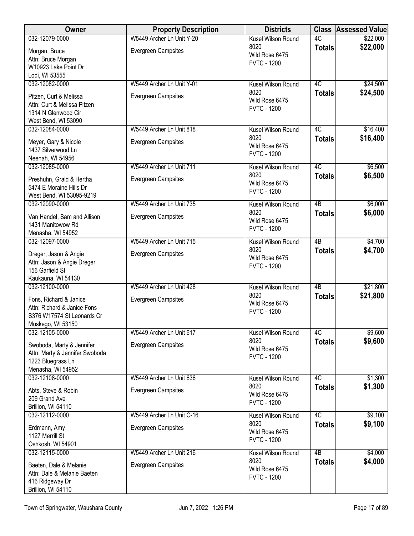| Owner                               | <b>Property Description</b> | <b>Districts</b>                     |                 | <b>Class Assessed Value</b> |
|-------------------------------------|-----------------------------|--------------------------------------|-----------------|-----------------------------|
| 032-12079-0000                      | W5449 Archer Ln Unit Y-20   | Kusel Wilson Round                   | 4C              | \$22,000                    |
| Morgan, Bruce                       | <b>Evergreen Campsites</b>  | 8020                                 | <b>Totals</b>   | \$22,000                    |
| Attn: Bruce Morgan                  |                             | Wild Rose 6475<br><b>FVTC - 1200</b> |                 |                             |
| W10923 Lake Point Dr                |                             |                                      |                 |                             |
| Lodi, WI 53555                      |                             |                                      |                 |                             |
| 032-12082-0000                      | W5449 Archer Ln Unit Y-01   | Kusel Wilson Round                   | 4C              | \$24,500                    |
| Pitzen, Curt & Melissa              | <b>Evergreen Campsites</b>  | 8020                                 | <b>Totals</b>   | \$24,500                    |
| Attn: Curt & Melissa Pitzen         |                             | Wild Rose 6475<br><b>FVTC - 1200</b> |                 |                             |
| 1314 N Glenwood Cir                 |                             |                                      |                 |                             |
| West Bend, WI 53090                 |                             |                                      |                 |                             |
| 032-12084-0000                      | W5449 Archer Ln Unit 818    | Kusel Wilson Round                   | $\overline{4C}$ | \$16,400                    |
| Meyer, Gary & Nicole                | <b>Evergreen Campsites</b>  | 8020                                 | <b>Totals</b>   | \$16,400                    |
| 1437 Silverwood Ln                  |                             | Wild Rose 6475<br><b>FVTC - 1200</b> |                 |                             |
| Neenah, WI 54956                    |                             |                                      |                 |                             |
| 032-12085-0000                      | W5449 Archer Ln Unit 711    | Kusel Wilson Round                   | 4C              | \$6,500                     |
| Preshuhn, Grald & Hertha            | <b>Evergreen Campsites</b>  | 8020                                 | <b>Totals</b>   | \$6,500                     |
| 5474 E Moraine Hills Dr             |                             | Wild Rose 6475                       |                 |                             |
| West Bend, WI 53095-9219            |                             | <b>FVTC - 1200</b>                   |                 |                             |
| 032-12090-0000                      | W5449 Archer Ln Unit 735    | Kusel Wilson Round                   | 4B              | \$6,000                     |
| Van Handel, Sam and Allison         | <b>Evergreen Campsites</b>  | 8020                                 | <b>Totals</b>   | \$6,000                     |
| 1431 Manitowow Rd                   |                             | Wild Rose 6475                       |                 |                             |
| Menasha, WI 54952                   |                             | <b>FVTC - 1200</b>                   |                 |                             |
| 032-12097-0000                      | W5449 Archer Ln Unit 715    | Kusel Wilson Round                   | $\overline{AB}$ | \$4,700                     |
| Dreger, Jason & Angie               | <b>Evergreen Campsites</b>  | 8020                                 | <b>Totals</b>   | \$4,700                     |
| Attn: Jason & Angie Dreger          |                             | Wild Rose 6475                       |                 |                             |
| 156 Garfield St                     |                             | <b>FVTC - 1200</b>                   |                 |                             |
| Kaukauna, WI 54130                  |                             |                                      |                 |                             |
| 032-12100-0000                      | W5449 Archer Ln Unit 428    | Kusel Wilson Round                   | $\overline{AB}$ | \$21,800                    |
| Fons, Richard & Janice              | <b>Evergreen Campsites</b>  | 8020<br>Wild Rose 6475               | <b>Totals</b>   | \$21,800                    |
| Attn: Richard & Janice Fons         |                             | <b>FVTC - 1200</b>                   |                 |                             |
| S376 W17574 St Leonards Cr          |                             |                                      |                 |                             |
| Muskego, WI 53150                   |                             |                                      |                 |                             |
| 032-12105-0000                      | W5449 Archer Ln Unit 617    | Kusel Wilson Round                   | 4C              | \$9,600                     |
| Swoboda, Marty & Jennifer           | <b>Evergreen Campsites</b>  | 8020<br>Wild Rose 6475               | <b>Totals</b>   | \$9,600                     |
| Attn: Marty & Jennifer Swoboda      |                             | <b>FVTC - 1200</b>                   |                 |                             |
| 1223 Bluegrass Ln                   |                             |                                      |                 |                             |
| Menasha, WI 54952<br>032-12108-0000 | W5449 Archer Ln Unit 636    | Kusel Wilson Round                   | 4C              | \$1,300                     |
| Abts, Steve & Robin                 | <b>Evergreen Campsites</b>  | 8020                                 | <b>Totals</b>   | \$1,300                     |
| 209 Grand Ave                       |                             | Wild Rose 6475                       |                 |                             |
| Brillion, WI 54110                  |                             | <b>FVTC - 1200</b>                   |                 |                             |
| 032-12112-0000                      | W5449 Archer Ln Unit C-16   | Kusel Wilson Round                   | 4C              | \$9,100                     |
| Erdmann, Amy                        | <b>Evergreen Campsites</b>  | 8020                                 | <b>Totals</b>   | \$9,100                     |
| 1127 Merrill St                     |                             | Wild Rose 6475                       |                 |                             |
| Oshkosh, WI 54901                   |                             | <b>FVTC - 1200</b>                   |                 |                             |
| 032-12115-0000                      | W5449 Archer Ln Unit 216    | Kusel Wilson Round                   | $\overline{AB}$ | \$4,000                     |
| Baeten, Dale & Melanie              | <b>Evergreen Campsites</b>  | 8020                                 | <b>Totals</b>   | \$4,000                     |
| Attn: Dale & Melanie Baeten         |                             | Wild Rose 6475                       |                 |                             |
| 416 Ridgeway Dr                     |                             | <b>FVTC - 1200</b>                   |                 |                             |
| Brillion, WI 54110                  |                             |                                      |                 |                             |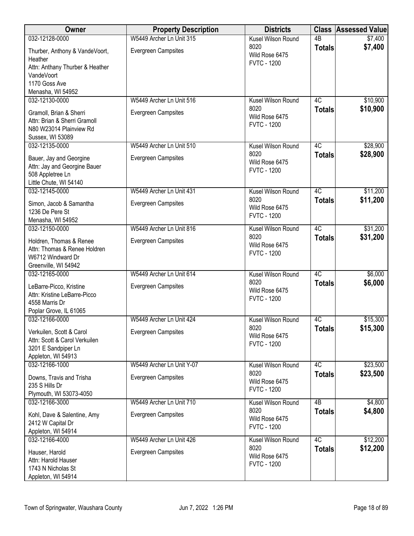| Owner                                                                                                  | <b>Property Description</b> | <b>Districts</b>                             | <b>Class</b>    | <b>Assessed Value</b> |
|--------------------------------------------------------------------------------------------------------|-----------------------------|----------------------------------------------|-----------------|-----------------------|
| 032-12128-0000                                                                                         | W5449 Archer Ln Unit 315    | Kusel Wilson Round                           | $\overline{AB}$ | \$7,400               |
| Thurber, Anthony & VandeVoort,<br>Heather<br>Attn: Anthany Thurber & Heather                           | <b>Evergreen Campsites</b>  | 8020<br>Wild Rose 6475<br><b>FVTC - 1200</b> | <b>Totals</b>   | \$7,400               |
| VandeVoort<br>1170 Goss Ave                                                                            |                             |                                              |                 |                       |
| Menasha, WI 54952<br>032-12130-0000                                                                    | W5449 Archer Ln Unit 516    | Kusel Wilson Round                           | 4C              | \$10,900              |
|                                                                                                        |                             | 8020                                         | <b>Totals</b>   | \$10,900              |
| Gramoll, Brian & Sherri<br>Attn: Brian & Sherri Gramoll<br>N80 W23014 Plainview Rd<br>Sussex, WI 53089 | Evergreen Campsites         | Wild Rose 6475<br><b>FVTC - 1200</b>         |                 |                       |
| 032-12135-0000                                                                                         | W5449 Archer Ln Unit 510    | Kusel Wilson Round                           | 4C              | \$28,900              |
| Bauer, Jay and Georgine<br>Attn: Jay and Georgine Bauer<br>508 Appletree Ln<br>Little Chute, WI 54140  | <b>Evergreen Campsites</b>  | 8020<br>Wild Rose 6475<br><b>FVTC - 1200</b> | <b>Totals</b>   | \$28,900              |
| 032-12145-0000                                                                                         | W5449 Archer Ln Unit 431    | Kusel Wilson Round                           | 4C              | \$11,200              |
| Simon, Jacob & Samantha<br>1236 De Pere St                                                             | <b>Evergreen Campsites</b>  | 8020<br>Wild Rose 6475<br><b>FVTC - 1200</b> | <b>Totals</b>   | \$11,200              |
| Menasha, WI 54952<br>032-12150-0000                                                                    | W5449 Archer Ln Unit 816    | Kusel Wilson Round                           | $\overline{4C}$ | \$31,200              |
| Holdren, Thomas & Renee<br>Attn: Thomas & Renee Holdren                                                | <b>Evergreen Campsites</b>  | 8020<br>Wild Rose 6475<br><b>FVTC - 1200</b> | <b>Totals</b>   | \$31,200              |
| W6712 Windward Dr<br>Greenville, WI 54942                                                              |                             |                                              |                 |                       |
| 032-12165-0000                                                                                         | W5449 Archer Ln Unit 614    | Kusel Wilson Round                           | 4C              | \$6,000               |
| LeBarre-Picco, Kristine<br>Attn: Kristine LeBarre-Picco<br>4558 Marris Dr<br>Poplar Grove, IL 61065    | <b>Evergreen Campsites</b>  | 8020<br>Wild Rose 6475<br><b>FVTC - 1200</b> | <b>Totals</b>   | \$6,000               |
| 032-12166-0000                                                                                         | W5449 Archer Ln Unit 424    | Kusel Wilson Round                           | 4C              | \$15,300              |
| Verkuilen, Scott & Carol<br>Attn: Scott & Carol Verkuilen<br>3201 E Sandpiper Ln<br>Appleton, WI 54913 | <b>Evergreen Campsites</b>  | 8020<br>Wild Rose 6475<br><b>FVTC - 1200</b> | <b>Totals</b>   | \$15,300              |
| 032-12166-1000                                                                                         | W5449 Archer Ln Unit Y-07   | Kusel Wilson Round                           | 4C              | \$23,500              |
| Downs, Travis and Trisha<br>235 S Hills Dr<br>Plymouth, WI 53073-4050                                  | <b>Evergreen Campsites</b>  | 8020<br>Wild Rose 6475<br><b>FVTC - 1200</b> | <b>Totals</b>   | \$23,500              |
| 032-12166-3000                                                                                         | W5449 Archer Ln Unit 710    | Kusel Wilson Round                           | 4 <sub>B</sub>  | \$4,800               |
| Kohl, Dave & Salentine, Amy<br>2412 W Capital Dr<br>Appleton, WI 54914                                 | <b>Evergreen Campsites</b>  | 8020<br>Wild Rose 6475<br><b>FVTC - 1200</b> | <b>Totals</b>   | \$4,800               |
| 032-12166-4000                                                                                         | W5449 Archer Ln Unit 426    | Kusel Wilson Round                           | 4C              | \$12,200              |
| Hauser, Harold<br>Attn: Harold Hauser<br>1743 N Nicholas St<br>Appleton, WI 54914                      | <b>Evergreen Campsites</b>  | 8020<br>Wild Rose 6475<br><b>FVTC - 1200</b> | <b>Totals</b>   | \$12,200              |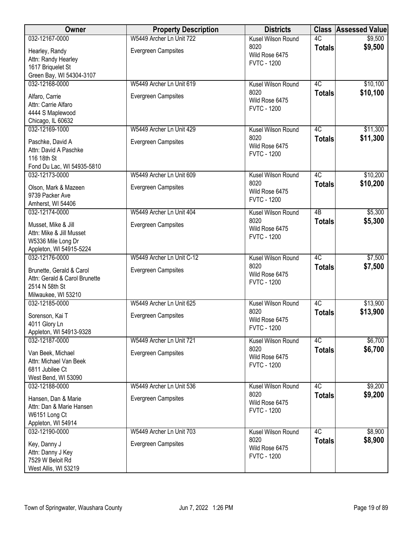| Owner                                                                                              | <b>Property Description</b> | <b>Districts</b>                             |                 | <b>Class Assessed Value</b> |
|----------------------------------------------------------------------------------------------------|-----------------------------|----------------------------------------------|-----------------|-----------------------------|
| 032-12167-0000                                                                                     | W5449 Archer Ln Unit 722    | Kusel Wilson Round                           | 4C              | \$9,500                     |
| Hearley, Randy<br>Attn: Randy Hearley<br>1617 Briquelet St<br>Green Bay, WI 54304-3107             | <b>Evergreen Campsites</b>  | 8020<br>Wild Rose 6475<br><b>FVTC - 1200</b> | <b>Totals</b>   | \$9,500                     |
| 032-12168-0000                                                                                     | W5449 Archer Ln Unit 619    | Kusel Wilson Round                           | 4C              | \$10,100                    |
| Alfaro, Carrie<br>Attn: Carrie Alfaro<br>4444 S Maplewood<br>Chicago, IL 60632                     | <b>Evergreen Campsites</b>  | 8020<br>Wild Rose 6475<br><b>FVTC - 1200</b> | <b>Totals</b>   | \$10,100                    |
| 032-12169-1000                                                                                     | W5449 Archer Ln Unit 429    | Kusel Wilson Round                           | 4C              | \$11,300                    |
| Paschke, David A<br>Attn: David A Paschke<br>116 18th St<br>Fond Du Lac, WI 54935-5810             | <b>Evergreen Campsites</b>  | 8020<br>Wild Rose 6475<br><b>FVTC - 1200</b> | <b>Totals</b>   | \$11,300                    |
| 032-12173-0000                                                                                     | W5449 Archer Ln Unit 609    | Kusel Wilson Round                           | 4C              | \$10,200                    |
| Olson, Mark & Mazeen<br>9739 Packer Ave<br>Amherst, WI 54406                                       | <b>Evergreen Campsites</b>  | 8020<br>Wild Rose 6475<br><b>FVTC - 1200</b> | <b>Totals</b>   | \$10,200                    |
| 032-12174-0000                                                                                     | W5449 Archer Ln Unit 404    | Kusel Wilson Round                           | $\overline{AB}$ | \$5,300                     |
| Musset, Mike & Jill<br>Attn: Mike & Jill Musset<br>W5336 Mile Long Dr<br>Appleton, WI 54915-5224   | Evergreen Campsites         | 8020<br>Wild Rose 6475<br><b>FVTC - 1200</b> | <b>Totals</b>   | \$5,300                     |
| 032-12176-0000                                                                                     | W5449 Archer Ln Unit C-12   | Kusel Wilson Round                           | 4C              | \$7,500                     |
| Brunette, Gerald & Carol<br>Attn: Gerald & Carol Brunette<br>2514 N 58th St<br>Milwaukee, WI 53210 | Evergreen Campsites         | 8020<br>Wild Rose 6475<br><b>FVTC - 1200</b> | <b>Totals</b>   | \$7,500                     |
| 032-12185-0000                                                                                     | W5449 Archer Ln Unit 625    | Kusel Wilson Round                           | 4C              | \$13,900                    |
| Sorenson, Kai T<br>4011 Glory Ln<br>Appleton, WI 54913-9328                                        | Evergreen Campsites         | 8020<br>Wild Rose 6475<br><b>FVTC - 1200</b> | <b>Totals</b>   | \$13,900                    |
| 032-12187-0000                                                                                     | W5449 Archer Ln Unit 721    | Kusel Wilson Round                           | 4C              | \$6,700                     |
| Van Beek, Michael<br>Attn: Michael Van Beek<br>6811 Jubilee Ct<br>West Bend, WI 53090              | <b>Evergreen Campsites</b>  | 8020<br>Wild Rose 6475<br><b>FVTC - 1200</b> | <b>Totals</b>   | \$6,700                     |
| 032-12188-0000                                                                                     | W5449 Archer Ln Unit 536    | Kusel Wilson Round                           | 4C              | \$9,200                     |
| Hansen, Dan & Marie<br>Attn: Dan & Marie Hansen<br>W6151 Long Ct<br>Appleton, WI 54914             | <b>Evergreen Campsites</b>  | 8020<br>Wild Rose 6475<br><b>FVTC - 1200</b> | <b>Totals</b>   | \$9,200                     |
| 032-12190-0000                                                                                     | W5449 Archer Ln Unit 703    | Kusel Wilson Round                           | 4C              | \$8,900                     |
| Key, Danny J<br>Attn: Danny J Key<br>7529 W Beloit Rd<br>West Allis, WI 53219                      | Evergreen Campsites         | 8020<br>Wild Rose 6475<br><b>FVTC - 1200</b> | <b>Totals</b>   | \$8,900                     |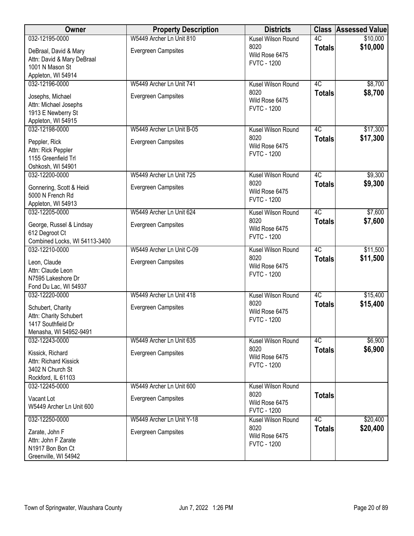| Owner                                                                                                   | <b>Property Description</b>                            | <b>Districts</b>                                                   |                     | <b>Class Assessed Value</b> |
|---------------------------------------------------------------------------------------------------------|--------------------------------------------------------|--------------------------------------------------------------------|---------------------|-----------------------------|
| 032-12195-0000                                                                                          | W5449 Archer Ln Unit 810                               | Kusel Wilson Round                                                 | 4C                  | \$10,000                    |
| DeBraal, David & Mary<br>Attn: David & Mary DeBraal<br>1001 N Mason St                                  | <b>Evergreen Campsites</b>                             | 8020<br>Wild Rose 6475<br><b>FVTC - 1200</b>                       | <b>Totals</b>       | \$10,000                    |
| Appleton, WI 54914                                                                                      |                                                        |                                                                    |                     |                             |
| 032-12196-0000<br>Josephs, Michael<br>Attn: Michael Josephs<br>1913 E Newberry St<br>Appleton, WI 54915 | W5449 Archer Ln Unit 741<br><b>Evergreen Campsites</b> | Kusel Wilson Round<br>8020<br>Wild Rose 6475<br><b>FVTC - 1200</b> | 4C<br><b>Totals</b> | \$8,700<br>\$8,700          |
| 032-12198-0000                                                                                          | W5449 Archer Ln Unit B-05                              | Kusel Wilson Round                                                 | 4C                  | \$17,300                    |
| Peppler, Rick<br>Attn: Rick Peppler<br>1155 Greenfield Trl<br>Oshkosh, WI 54901                         | <b>Evergreen Campsites</b>                             | 8020<br>Wild Rose 6475<br><b>FVTC - 1200</b>                       | <b>Totals</b>       | \$17,300                    |
| 032-12200-0000                                                                                          | W5449 Archer Ln Unit 725                               | Kusel Wilson Round                                                 | 4C                  | \$9,300                     |
| Gonnering, Scott & Heidi<br>5000 N French Rd<br>Appleton, WI 54913                                      | <b>Evergreen Campsites</b>                             | 8020<br>Wild Rose 6475<br><b>FVTC - 1200</b>                       | <b>Totals</b>       | \$9,300                     |
| 032-12205-0000                                                                                          | W5449 Archer Ln Unit 624                               | Kusel Wilson Round                                                 | 4C                  | \$7,600                     |
| George, Russel & Lindsay<br>612 Degroot Ct<br>Combined Locks, WI 54113-3400                             | Evergreen Campsites                                    | 8020<br>Wild Rose 6475<br><b>FVTC - 1200</b>                       | <b>Totals</b>       | \$7,600                     |
| 032-12210-0000                                                                                          | W5449 Archer Ln Unit C-09                              | Kusel Wilson Round                                                 | 4C                  | \$11,500                    |
| Leon, Claude<br>Attn: Claude Leon<br>N7595 Lakeshore Dr<br>Fond Du Lac, WI 54937                        | <b>Evergreen Campsites</b>                             | 8020<br>Wild Rose 6475<br><b>FVTC - 1200</b>                       | <b>Totals</b>       | \$11,500                    |
| 032-12220-0000                                                                                          | W5449 Archer Ln Unit 418                               | Kusel Wilson Round                                                 | 4C                  | \$15,400                    |
| Schubert, Charity<br>Attn: Charity Schubert<br>1417 Southfield Dr<br>Menasha, WI 54952-9491             | <b>Evergreen Campsites</b>                             | 8020<br>Wild Rose 6475<br><b>FVTC - 1200</b>                       | <b>Totals</b>       | \$15,400                    |
| 032-12243-0000                                                                                          | W5449 Archer Ln Unit 635                               | Kusel Wilson Round                                                 | 4C                  | \$6,900                     |
| Kissick, Richard<br>Attn: Richard Kissick<br>3402 N Church St<br>Rockford, IL 61103                     | <b>Evergreen Campsites</b>                             | 8020<br>Wild Rose 6475<br><b>FVTC - 1200</b>                       | <b>Totals</b>       | \$6,900                     |
| 032-12245-0000                                                                                          | W5449 Archer Ln Unit 600                               | Kusel Wilson Round                                                 |                     |                             |
| Vacant Lot<br>W5449 Archer Ln Unit 600                                                                  | <b>Evergreen Campsites</b>                             | 8020<br>Wild Rose 6475<br><b>FVTC - 1200</b>                       | <b>Totals</b>       |                             |
| 032-12250-0000                                                                                          | W5449 Archer Ln Unit Y-18                              | Kusel Wilson Round                                                 | 4C                  | \$20,400                    |
| Zarate, John F<br>Attn: John F Zarate<br>N1917 Bon Bon Ct<br>Greenville, WI 54942                       | <b>Evergreen Campsites</b>                             | 8020<br>Wild Rose 6475<br><b>FVTC - 1200</b>                       | <b>Totals</b>       | \$20,400                    |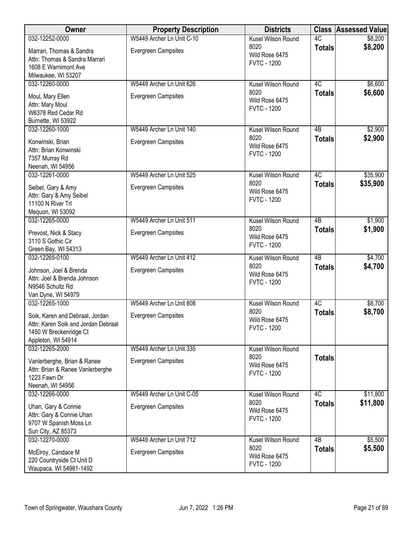| Owner                                                                                                                  | <b>Property Description</b> | <b>Districts</b>                             |                 | <b>Class Assessed Value</b> |
|------------------------------------------------------------------------------------------------------------------------|-----------------------------|----------------------------------------------|-----------------|-----------------------------|
| 032-12252-0000                                                                                                         | W5449 Archer Ln Unit C-10   | Kusel Wilson Round                           | 4C              | \$8,200                     |
| Marrari, Thomas & Sandra<br>Attn: Thomas & Sandra Marrari<br>1608 E Warnimont Ave<br>Milwaukee, WI 53207               | Evergreen Campsites         | 8020<br>Wild Rose 6475<br><b>FVTC - 1200</b> | <b>Totals</b>   | \$8,200                     |
| 032-12260-0000                                                                                                         | W5449 Archer Ln Unit 626    | Kusel Wilson Round                           | 4C              | \$6,600                     |
| Moul, Mary Ellen<br>Attn: Mary Moul<br>W6378 Red Cedar Rd<br>Burnette, WI 53922                                        | Evergreen Campsites         | 8020<br>Wild Rose 6475<br><b>FVTC - 1200</b> | <b>Totals</b>   | \$6,600                     |
| 032-12260-1000                                                                                                         | W5449 Archer Ln Unit 140    | Kusel Wilson Round                           | 4B              | \$2,900                     |
| Konwinski, Brian<br>Attn: Brian Konwinski<br>7357 Murray Rd<br>Neenah, WI 54956                                        | Evergreen Campsites         | 8020<br>Wild Rose 6475<br><b>FVTC - 1200</b> | <b>Totals</b>   | \$2,900                     |
| 032-12261-0000                                                                                                         | W5449 Archer Ln Unit 525    | Kusel Wilson Round                           | 4C              | \$35,900                    |
| Seibel, Gary & Amy<br>Attn: Gary & Amy Seibel<br>11100 N River Trl<br>Mequon, WI 53092                                 | <b>Evergreen Campsites</b>  | 8020<br>Wild Rose 6475<br><b>FVTC - 1200</b> | <b>Totals</b>   | \$35,900                    |
| 032-12265-0000                                                                                                         | W5449 Archer Ln Unit 511    | Kusel Wilson Round                           | $\overline{AB}$ | \$1,900                     |
| Prevost, Nick & Stacy<br>3110 S Gothic Cir<br>Green Bay, WI 54313                                                      | <b>Evergreen Campsites</b>  | 8020<br>Wild Rose 6475<br><b>FVTC - 1200</b> | <b>Totals</b>   | \$1,900                     |
| 032-12265-0100                                                                                                         | W5449 Archer Ln Unit 412    | <b>Kusel Wilson Round</b>                    | $\overline{AB}$ | \$4,700                     |
| Johnson, Joel & Brenda<br>Attn: Joel & Brenda Johnson<br>N9546 Schultz Rd<br>Van Dyne, WI 54979                        | Evergreen Campsites         | 8020<br>Wild Rose 6475<br><b>FVTC - 1200</b> | <b>Totals</b>   | \$4,700                     |
| 032-12265-1000                                                                                                         | W5449 Archer Ln Unit 808    | Kusel Wilson Round                           | 4C              | \$8,700                     |
| Soik, Karen and Debraal, Jordan<br>Attn: Karen Soik and Jordan Debraal<br>1450 W Breckenridge Ct<br>Appleton, WI 54914 | Evergreen Campsites         | 8020<br>Wild Rose 6475<br><b>FVTC - 1200</b> | <b>Totals</b>   | \$8,700                     |
| 032-12265-2000                                                                                                         | W5449 Archer Ln Unit 335    | Kusel Wilson Round                           |                 |                             |
| Vanlerberghe, Brian & Ranee<br>Attn: Brian & Ranee Vanlerberghe<br>1223 Fawn Dr<br>Neenah, WI 54956                    | Evergreen Campsites         | 8020<br>Wild Rose 6475<br><b>FVTC - 1200</b> | <b>Totals</b>   |                             |
| 032-12266-0000                                                                                                         | W5449 Archer Ln Unit C-05   | Kusel Wilson Round                           | 4C              | \$11,800                    |
| Uhan, Gary & Connie<br>Attn: Gary & Connie Uhan<br>9707 W Spanish Moss Ln<br>Sun City, AZ 85373                        | <b>Evergreen Campsites</b>  | 8020<br>Wild Rose 6475<br><b>FVTC - 1200</b> | <b>Totals</b>   | \$11,800                    |
| 032-12270-0000                                                                                                         | W5449 Archer Ln Unit 712    | Kusel Wilson Round                           | $\overline{AB}$ | \$5,500                     |
| McElroy, Candace M<br>220 Countryside Ct Unit D<br>Waupaca, WI 54981-1492                                              | Evergreen Campsites         | 8020<br>Wild Rose 6475<br><b>FVTC - 1200</b> | <b>Totals</b>   | \$5,500                     |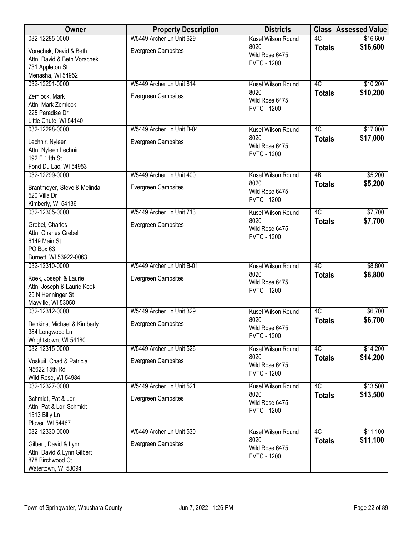| Owner                                                                                          | <b>Property Description</b> | <b>Districts</b>                             |                 | <b>Class Assessed Value</b> |
|------------------------------------------------------------------------------------------------|-----------------------------|----------------------------------------------|-----------------|-----------------------------|
| 032-12285-0000                                                                                 | W5449 Archer Ln Unit 629    | Kusel Wilson Round                           | 4C              | \$16,600                    |
| Vorachek, David & Beth<br>Attn: David & Beth Vorachek<br>731 Appleton St<br>Menasha, WI 54952  | Evergreen Campsites         | 8020<br>Wild Rose 6475<br><b>FVTC - 1200</b> | <b>Totals</b>   | \$16,600                    |
| 032-12291-0000                                                                                 | W5449 Archer Ln Unit 814    | Kusel Wilson Round                           | 4C              | \$10,200                    |
| Zemlock, Mark<br>Attn: Mark Zemlock<br>225 Paradise Dr<br>Little Chute, WI 54140               | Evergreen Campsites         | 8020<br>Wild Rose 6475<br><b>FVTC - 1200</b> | <b>Totals</b>   | \$10,200                    |
| 032-12298-0000                                                                                 | W5449 Archer Ln Unit B-04   | Kusel Wilson Round                           | 4C              | \$17,000                    |
| Lechnir, Nyleen<br>Attn: Nyleen Lechnir<br>192 E 11th St<br>Fond Du Lac, WI 54953              | <b>Evergreen Campsites</b>  | 8020<br>Wild Rose 6475<br><b>FVTC - 1200</b> | <b>Totals</b>   | \$17,000                    |
| 032-12299-0000                                                                                 | W5449 Archer Ln Unit 400    | Kusel Wilson Round                           | $\overline{AB}$ | \$5,200                     |
| Brantmeyer, Steve & Melinda<br>520 Villa Dr<br>Kimberly, WI 54136                              | <b>Evergreen Campsites</b>  | 8020<br>Wild Rose 6475<br><b>FVTC - 1200</b> | <b>Totals</b>   | \$5,200                     |
| 032-12305-0000                                                                                 | W5449 Archer Ln Unit 713    | Kusel Wilson Round                           | 4C              | \$7,700                     |
| Grebel, Charles<br>Attn: Charles Grebel<br>6149 Main St<br>PO Box 63<br>Burnett, WI 53922-0063 | <b>Evergreen Campsites</b>  | 8020<br>Wild Rose 6475<br><b>FVTC - 1200</b> | <b>Totals</b>   | \$7,700                     |
| 032-12310-0000                                                                                 | W5449 Archer Ln Unit B-01   | Kusel Wilson Round                           | 4C              | \$8,800                     |
| Koek, Joseph & Laurie<br>Attn: Joseph & Laurie Koek<br>25 N Henninger St<br>Mayville, WI 53050 | Evergreen Campsites         | 8020<br>Wild Rose 6475<br><b>FVTC - 1200</b> | <b>Totals</b>   | \$8,800                     |
| 032-12312-0000                                                                                 | W5449 Archer Ln Unit 329    | Kusel Wilson Round                           | 4C              | \$6,700                     |
| Denkins, Michael & Kimberly<br>384 Longwood Ln<br>Wrightstown, WI 54180                        | Evergreen Campsites         | 8020<br>Wild Rose 6475<br><b>FVTC - 1200</b> | <b>Totals</b>   | \$6,700                     |
| 032-12315-0000                                                                                 | W5449 Archer Ln Unit 526    | Kusel Wilson Round                           | 4C              | \$14,200                    |
| Voskuil, Chad & Patricia<br>N5622 15th Rd<br>Wild Rose, WI 54984                               | <b>Evergreen Campsites</b>  | 8020<br>Wild Rose 6475<br><b>FVTC - 1200</b> | <b>Totals</b>   | \$14,200                    |
| 032-12327-0000                                                                                 | W5449 Archer Ln Unit 521    | Kusel Wilson Round                           | 4C              | \$13,500                    |
| Schmidt, Pat & Lori<br>Attn: Pat & Lori Schmidt<br>1513 Billy Ln<br>Plover, WI 54467           | <b>Evergreen Campsites</b>  | 8020<br>Wild Rose 6475<br><b>FVTC - 1200</b> | <b>Totals</b>   | \$13,500                    |
| 032-12330-0000                                                                                 | W5449 Archer Ln Unit 530    | Kusel Wilson Round                           | 4C              | \$11,100                    |
| Gilbert, David & Lynn<br>Attn: David & Lynn Gilbert<br>878 Birchwood Ct<br>Watertown, WI 53094 | Evergreen Campsites         | 8020<br>Wild Rose 6475<br><b>FVTC - 1200</b> | <b>Totals</b>   | \$11,100                    |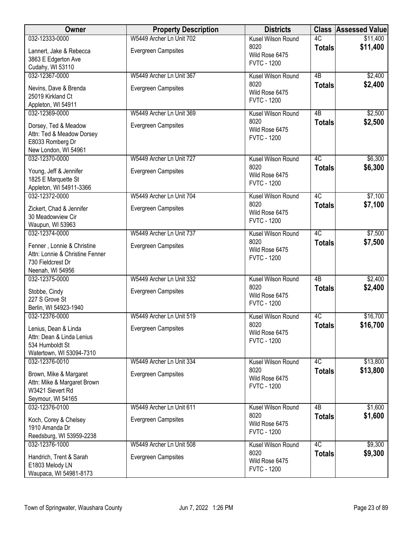| Owner                                                         | <b>Property Description</b> | <b>Districts</b>                     |               | <b>Class Assessed Value</b> |
|---------------------------------------------------------------|-----------------------------|--------------------------------------|---------------|-----------------------------|
| 032-12333-0000                                                | W5449 Archer Ln Unit 702    | Kusel Wilson Round                   | 4C            | \$11,400                    |
| Lannert, Jake & Rebecca                                       | <b>Evergreen Campsites</b>  | 8020                                 | <b>Totals</b> | \$11,400                    |
| 3863 E Edgerton Ave                                           |                             | Wild Rose 6475                       |               |                             |
| Cudahy, WI 53110                                              |                             | <b>FVTC - 1200</b>                   |               |                             |
| 032-12367-0000                                                | W5449 Archer Ln Unit 367    | Kusel Wilson Round                   | 4B            | \$2,400                     |
| Nevins, Dave & Brenda                                         | <b>Evergreen Campsites</b>  | 8020                                 | <b>Totals</b> | \$2,400                     |
| 25019 Kirkland Ct                                             |                             | Wild Rose 6475                       |               |                             |
| Appleton, WI 54911                                            |                             | <b>FVTC - 1200</b>                   |               |                             |
| 032-12369-0000                                                | W5449 Archer Ln Unit 369    | Kusel Wilson Round                   | 4B            | \$2,500                     |
|                                                               |                             | 8020                                 | <b>Totals</b> | \$2,500                     |
| Dorsey, Ted & Meadow<br>Attn: Ted & Meadow Dorsey             | <b>Evergreen Campsites</b>  | Wild Rose 6475                       |               |                             |
| E8033 Romberg Dr                                              |                             | <b>FVTC - 1200</b>                   |               |                             |
| New London, WI 54961                                          |                             |                                      |               |                             |
| 032-12370-0000                                                | W5449 Archer Ln Unit 727    | Kusel Wilson Round                   | 4C            | \$6,300                     |
|                                                               |                             | 8020                                 | <b>Totals</b> | \$6,300                     |
| Young, Jeff & Jennifer<br>1825 E Marquette St                 | <b>Evergreen Campsites</b>  | Wild Rose 6475                       |               |                             |
| Appleton, WI 54911-3366                                       |                             | <b>FVTC - 1200</b>                   |               |                             |
| 032-12372-0000                                                | W5449 Archer Ln Unit 704    | Kusel Wilson Round                   | 4C            | \$7,100                     |
|                                                               |                             | 8020                                 | <b>Totals</b> | \$7,100                     |
| Zickert, Chad & Jennifer<br>30 Meadowview Cir                 | Evergreen Campsites         | Wild Rose 6475                       |               |                             |
| Waupun, WI 53963                                              |                             | <b>FVTC - 1200</b>                   |               |                             |
| 032-12374-0000                                                | W5449 Archer Ln Unit 737    | Kusel Wilson Round                   | 4C            | \$7,500                     |
|                                                               |                             | 8020                                 | <b>Totals</b> | \$7,500                     |
| Fenner, Lonnie & Christine<br>Attn: Lonnie & Christine Fenner | <b>Evergreen Campsites</b>  | Wild Rose 6475                       |               |                             |
| 730 Fieldcrest Dr                                             |                             | <b>FVTC - 1200</b>                   |               |                             |
| Neenah, WI 54956                                              |                             |                                      |               |                             |
| 032-12375-0000                                                | W5449 Archer Ln Unit 332    | Kusel Wilson Round                   | 4B            | \$2,400                     |
|                                                               |                             | 8020                                 | <b>Totals</b> | \$2,400                     |
| Stobbe, Cindy<br>227 S Grove St                               | <b>Evergreen Campsites</b>  | Wild Rose 6475                       |               |                             |
| Berlin, WI 54923-1940                                         |                             | <b>FVTC - 1200</b>                   |               |                             |
| 032-12376-0000                                                | W5449 Archer Ln Unit 519    | Kusel Wilson Round                   | 4C            | \$16,700                    |
|                                                               |                             | 8020                                 | <b>Totals</b> | \$16,700                    |
| Lenius, Dean & Linda                                          | Evergreen Campsites         | Wild Rose 6475                       |               |                             |
| Attn: Dean & Linda Lenius                                     |                             | <b>FVTC - 1200</b>                   |               |                             |
| 534 Humboldt St<br>Watertown, WI 53094-7310                   |                             |                                      |               |                             |
| 032-12376-0010                                                | W5449 Archer Ln Unit 334    | Kusel Wilson Round                   | 4C            | \$13,800                    |
|                                                               |                             | 8020                                 | <b>Totals</b> | \$13,800                    |
| Brown, Mike & Margaret                                        | <b>Evergreen Campsites</b>  | Wild Rose 6475                       |               |                             |
| Attn: Mike & Margaret Brown                                   |                             | <b>FVTC - 1200</b>                   |               |                             |
| W3421 Sievert Rd                                              |                             |                                      |               |                             |
| Seymour, WI 54165                                             |                             |                                      |               |                             |
| 032-12376-0100                                                | W5449 Archer Ln Unit 611    | Kusel Wilson Round<br>8020           | 4B            | \$1,600<br>\$1,600          |
| Koch, Corey & Chelsey                                         | <b>Evergreen Campsites</b>  | Wild Rose 6475                       | <b>Totals</b> |                             |
| 1910 Amanda Dr                                                |                             | <b>FVTC - 1200</b>                   |               |                             |
| Reedsburg, WI 53959-2238                                      |                             |                                      |               |                             |
| 032-12376-1000                                                | W5449 Archer Ln Unit 508    | Kusel Wilson Round                   | 4C            | \$9,300                     |
| Handrich, Trent & Sarah                                       | <b>Evergreen Campsites</b>  | 8020                                 | <b>Totals</b> | \$9,300                     |
| E1803 Melody LN                                               |                             | Wild Rose 6475<br><b>FVTC - 1200</b> |               |                             |
| Waupaca, WI 54981-8173                                        |                             |                                      |               |                             |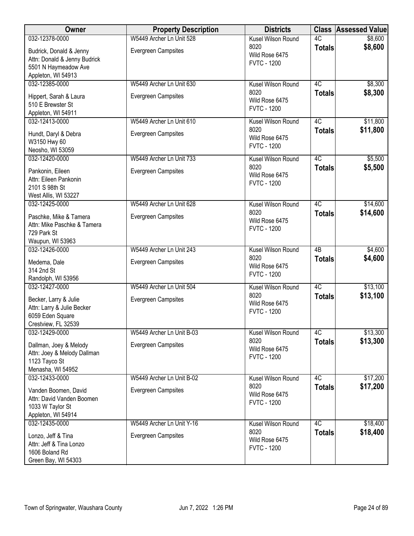| Owner                                                                                                         | <b>Property Description</b>                             | <b>Districts</b>                                                   |                     | <b>Class Assessed Value</b> |
|---------------------------------------------------------------------------------------------------------------|---------------------------------------------------------|--------------------------------------------------------------------|---------------------|-----------------------------|
| 032-12378-0000                                                                                                | W5449 Archer Ln Unit 528                                | Kusel Wilson Round                                                 | 4C                  | \$8,600                     |
| Budrick, Donald & Jenny<br>Attn: Donald & Jenny Budrick                                                       | Evergreen Campsites                                     | 8020<br>Wild Rose 6475<br><b>FVTC - 1200</b>                       | <b>Totals</b>       | \$8,600                     |
| 5501 N Haymeadow Ave                                                                                          |                                                         |                                                                    |                     |                             |
| Appleton, WI 54913                                                                                            |                                                         |                                                                    |                     |                             |
| 032-12385-0000                                                                                                | W5449 Archer Ln Unit 630                                | Kusel Wilson Round                                                 | 4C                  | \$8,300                     |
| Hippert, Sarah & Laura<br>510 E Brewster St                                                                   | Evergreen Campsites                                     | 8020<br>Wild Rose 6475                                             | <b>Totals</b>       | \$8,300                     |
| Appleton, WI 54911                                                                                            |                                                         | <b>FVTC - 1200</b>                                                 |                     |                             |
| 032-12413-0000                                                                                                | W5449 Archer Ln Unit 610                                | Kusel Wilson Round                                                 | 4C                  | \$11,800                    |
| Hundt, Daryl & Debra<br>W3150 Hwy 60                                                                          | Evergreen Campsites                                     | 8020<br>Wild Rose 6475<br><b>FVTC - 1200</b>                       | <b>Totals</b>       | \$11,800                    |
| Neosho, WI 53059<br>032-12420-0000                                                                            | W5449 Archer Ln Unit 733                                | Kusel Wilson Round                                                 | 4C                  |                             |
| Pankonin, Eileen<br>Attn: Eileen Pankonin<br>2101 S 98th St                                                   | <b>Evergreen Campsites</b>                              | 8020<br>Wild Rose 6475<br><b>FVTC - 1200</b>                       | <b>Totals</b>       | \$5,500<br>\$5,500          |
| West Allis, WI 53227                                                                                          |                                                         |                                                                    |                     |                             |
| 032-12425-0000<br>Paschke, Mike & Tamera<br>Attn: Mike Paschke & Tamera                                       | W5449 Archer Ln Unit 628<br><b>Evergreen Campsites</b>  | Kusel Wilson Round<br>8020<br>Wild Rose 6475                       | 4C<br><b>Totals</b> | \$14,600<br>\$14,600        |
| 729 Park St<br>Waupun, WI 53963                                                                               |                                                         | <b>FVTC - 1200</b>                                                 |                     |                             |
| 032-12426-0000                                                                                                | W5449 Archer Ln Unit 243                                | Kusel Wilson Round                                                 | $\overline{AB}$     | \$4,600                     |
| Medema, Dale<br>314 2nd St                                                                                    | Evergreen Campsites                                     | 8020<br>Wild Rose 6475                                             | <b>Totals</b>       | \$4,600                     |
| Randolph, WI 53956                                                                                            |                                                         | <b>FVTC - 1200</b>                                                 |                     |                             |
| 032-12427-0000                                                                                                | W5449 Archer Ln Unit 504                                | Kusel Wilson Round                                                 | 4C                  | \$13,100                    |
| Becker, Larry & Julie<br>Attn: Larry & Julie Becker<br>6059 Eden Square<br>Crestview, FL 32539                | Evergreen Campsites                                     | 8020<br>Wild Rose 6475<br><b>FVTC - 1200</b>                       | <b>Totals</b>       | \$13,100                    |
| 032-12429-0000                                                                                                | W5449 Archer Ln Unit B-03                               | Kusel Wilson Round                                                 | 4C                  | \$13,300                    |
| Dallman, Joey & Melody<br>Attn: Joey & Melody Dallman<br>1123 Tayco St                                        | Evergreen Campsites                                     | 8020<br>Wild Rose 6475<br><b>FVTC - 1200</b>                       | <b>Totals</b>       | \$13,300                    |
| Menasha, WI 54952                                                                                             |                                                         |                                                                    |                     |                             |
| 032-12433-0000<br>Vanden Boomen, David<br>Attn: David Vanden Boomen<br>1033 W Taylor St<br>Appleton, WI 54914 | W5449 Archer Ln Unit B-02<br><b>Evergreen Campsites</b> | Kusel Wilson Round<br>8020<br>Wild Rose 6475<br><b>FVTC - 1200</b> | 4C<br><b>Totals</b> | \$17,200<br>\$17,200        |
| 032-12435-0000                                                                                                | W5449 Archer Ln Unit Y-16                               | Kusel Wilson Round                                                 | 4C                  | \$18,400                    |
| Lonzo, Jeff & Tina<br>Attn: Jeff & Tina Lonzo<br>1606 Boland Rd<br>Green Bay, WI 54303                        | Evergreen Campsites                                     | 8020<br>Wild Rose 6475<br><b>FVTC - 1200</b>                       | <b>Totals</b>       | \$18,400                    |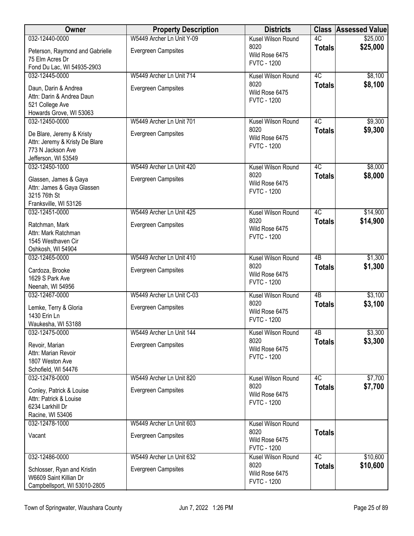| Owner                                     | <b>Property Description</b> | <b>Districts</b>                     |                 | <b>Class Assessed Value</b> |
|-------------------------------------------|-----------------------------|--------------------------------------|-----------------|-----------------------------|
| 032-12440-0000                            | W5449 Archer Ln Unit Y-09   | Kusel Wilson Round                   | 4C              | \$25,000                    |
| Peterson, Raymond and Gabrielle           | <b>Evergreen Campsites</b>  | 8020<br>Wild Rose 6475               | <b>Totals</b>   | \$25,000                    |
| 75 Elm Acres Dr                           |                             | <b>FVTC - 1200</b>                   |                 |                             |
| Fond Du Lac, WI 54935-2903                |                             |                                      |                 |                             |
| 032-12445-0000                            | W5449 Archer Ln Unit 714    | Kusel Wilson Round                   | 4C              | \$8,100                     |
| Daun, Darin & Andrea                      | <b>Evergreen Campsites</b>  | 8020<br>Wild Rose 6475               | <b>Totals</b>   | \$8,100                     |
| Attn: Darin & Andrea Daun                 |                             | <b>FVTC - 1200</b>                   |                 |                             |
| 521 College Ave                           |                             |                                      |                 |                             |
| Howards Grove, WI 53063                   |                             | Kusel Wilson Round                   | $\overline{4C}$ |                             |
| 032-12450-0000                            | W5449 Archer Ln Unit 701    | 8020                                 |                 | \$9,300<br>\$9,300          |
| De Blare, Jeremy & Kristy                 | <b>Evergreen Campsites</b>  | Wild Rose 6475                       | <b>Totals</b>   |                             |
| Attn: Jeremy & Kristy De Blare            |                             | <b>FVTC - 1200</b>                   |                 |                             |
| 773 N Jackson Ave                         |                             |                                      |                 |                             |
| Jefferson, WI 53549<br>032-12450-1000     | W5449 Archer Ln Unit 420    | Kusel Wilson Round                   | 4C              | \$8,000                     |
|                                           |                             | 8020                                 | <b>Totals</b>   | \$8,000                     |
| Glassen, James & Gaya                     | Evergreen Campsites         | Wild Rose 6475                       |                 |                             |
| Attn: James & Gaya Glassen                |                             | <b>FVTC - 1200</b>                   |                 |                             |
| 3215 76th St<br>Franksville, WI 53126     |                             |                                      |                 |                             |
| 032-12451-0000                            | W5449 Archer Ln Unit 425    | Kusel Wilson Round                   | 4C              | \$14,900                    |
|                                           |                             | 8020                                 | <b>Totals</b>   | \$14,900                    |
| Ratchman, Mark                            | <b>Evergreen Campsites</b>  | Wild Rose 6475                       |                 |                             |
| Attn: Mark Ratchman<br>1545 Westhaven Cir |                             | <b>FVTC - 1200</b>                   |                 |                             |
| Oshkosh, WI 54904                         |                             |                                      |                 |                             |
| 032-12465-0000                            | W5449 Archer Ln Unit 410    | Kusel Wilson Round                   | 4B              | \$1,300                     |
| Cardoza, Brooke                           | Evergreen Campsites         | 8020                                 | <b>Totals</b>   | \$1,300                     |
| 1629 S Park Ave                           |                             | Wild Rose 6475                       |                 |                             |
| Neenah, WI 54956                          |                             | <b>FVTC - 1200</b>                   |                 |                             |
| 032-12467-0000                            | W5449 Archer Ln Unit C-03   | Kusel Wilson Round                   | $\overline{AB}$ | \$3,100                     |
| Lemke, Terry & Gloria                     | <b>Evergreen Campsites</b>  | 8020                                 | <b>Totals</b>   | \$3,100                     |
| 1430 Erin Ln                              |                             | Wild Rose 6475                       |                 |                             |
| Waukesha, WI 53188                        |                             | <b>FVTC - 1200</b>                   |                 |                             |
| 032-12475-0000                            | W5449 Archer Ln Unit 144    | Kusel Wilson Round                   | 4B              | \$3,300                     |
| Revoir, Marian                            | <b>Evergreen Campsites</b>  | 8020                                 | <b>Totals</b>   | \$3,300                     |
| Attn: Marian Revoir                       |                             | Wild Rose 6475<br><b>FVTC - 1200</b> |                 |                             |
| 1807 Weston Ave                           |                             |                                      |                 |                             |
| Schofield, WI 54476                       |                             |                                      |                 |                             |
| 032-12478-0000                            | W5449 Archer Ln Unit 820    | Kusel Wilson Round                   | 4C              | \$7,700                     |
| Conley, Patrick & Louise                  | <b>Evergreen Campsites</b>  | 8020<br>Wild Rose 6475               | <b>Totals</b>   | \$7,700                     |
| Attn: Patrick & Louise                    |                             | <b>FVTC - 1200</b>                   |                 |                             |
| 6234 Larkhill Dr                          |                             |                                      |                 |                             |
| Racine, WI 53406<br>032-12478-1000        | W5449 Archer Ln Unit 603    | Kusel Wilson Round                   |                 |                             |
|                                           |                             | 8020                                 | <b>Totals</b>   |                             |
| Vacant                                    | <b>Evergreen Campsites</b>  | Wild Rose 6475                       |                 |                             |
|                                           |                             | <b>FVTC - 1200</b>                   |                 |                             |
| 032-12486-0000                            | W5449 Archer Ln Unit 632    | Kusel Wilson Round                   | 4C              | \$10,600                    |
| Schlosser, Ryan and Kristin               | <b>Evergreen Campsites</b>  | 8020                                 | <b>Totals</b>   | \$10,600                    |
| W6609 Saint Killian Dr                    |                             | Wild Rose 6475                       |                 |                             |
| Campbellsport, WI 53010-2805              |                             | <b>FVTC - 1200</b>                   |                 |                             |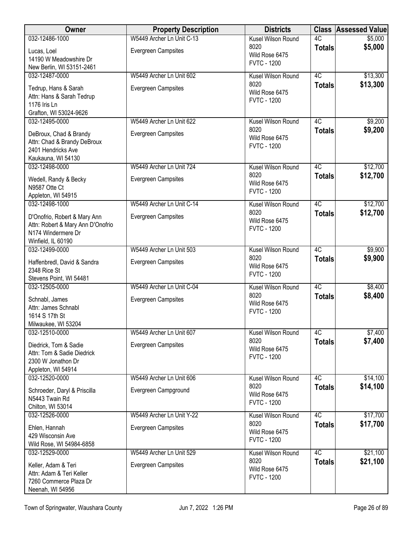| 032-12486-1000<br>Kusel Wilson Round<br>8020<br><b>Totals</b><br><b>Evergreen Campsites</b><br>Lucas, Loel<br>Wild Rose 6475<br>14190 W Meadowshire Dr<br><b>FVTC - 1200</b><br>New Berlin, WI 53151-2461 | Owner | <b>Property Description</b> | <b>Districts</b> |    | <b>Class Assessed Value</b> |
|-----------------------------------------------------------------------------------------------------------------------------------------------------------------------------------------------------------|-------|-----------------------------|------------------|----|-----------------------------|
|                                                                                                                                                                                                           |       | W5449 Archer Ln Unit C-13   |                  | 4C | \$5,000                     |
|                                                                                                                                                                                                           |       |                             |                  |    | \$5,000                     |
|                                                                                                                                                                                                           |       |                             |                  |    |                             |
|                                                                                                                                                                                                           |       |                             |                  |    |                             |
| 4C<br>032-12487-0000<br>W5449 Archer Ln Unit 602<br>Kusel Wilson Round                                                                                                                                    |       |                             |                  |    | \$13,300                    |
| 8020<br><b>Totals</b><br><b>Evergreen Campsites</b><br>Tedrup, Hans & Sarah<br>Wild Rose 6475                                                                                                             |       |                             |                  |    | \$13,300                    |
| Attn: Hans & Sarah Tedrup<br><b>FVTC - 1200</b>                                                                                                                                                           |       |                             |                  |    |                             |
| 1176 Iris Ln                                                                                                                                                                                              |       |                             |                  |    |                             |
| Grafton, WI 53024-9626                                                                                                                                                                                    |       |                             |                  |    |                             |
| 4C<br>032-12495-0000<br>W5449 Archer Ln Unit 622<br>Kusel Wilson Round<br>8020                                                                                                                            |       |                             |                  |    | \$9,200                     |
| <b>Totals</b><br><b>Evergreen Campsites</b><br>DeBroux, Chad & Brandy<br>Wild Rose 6475                                                                                                                   |       |                             |                  |    | \$9,200                     |
| Attn: Chad & Brandy DeBroux<br><b>FVTC - 1200</b>                                                                                                                                                         |       |                             |                  |    |                             |
| 2401 Hendricks Ave                                                                                                                                                                                        |       |                             |                  |    |                             |
| Kaukauna, WI 54130<br>4C<br>032-12498-0000<br>W5449 Archer Ln Unit 724<br>Kusel Wilson Round                                                                                                              |       |                             |                  |    | \$12,700                    |
| 8020<br><b>Totals</b>                                                                                                                                                                                     |       |                             |                  |    | \$12,700                    |
| <b>Evergreen Campsites</b><br>Wedell, Randy & Becky<br>Wild Rose 6475                                                                                                                                     |       |                             |                  |    |                             |
| N9587 Otte Ct<br><b>FVTC - 1200</b>                                                                                                                                                                       |       |                             |                  |    |                             |
| Appleton, WI 54915<br>4C<br>032-12498-1000<br>W5449 Archer Ln Unit C-14<br>Kusel Wilson Round                                                                                                             |       |                             |                  |    | \$12,700                    |
| 8020<br><b>Totals</b>                                                                                                                                                                                     |       |                             |                  |    | \$12,700                    |
| <b>Evergreen Campsites</b><br>D'Onofrio, Robert & Mary Ann<br>Wild Rose 6475                                                                                                                              |       |                             |                  |    |                             |
| Attn: Robert & Mary Ann D'Onofrio<br><b>FVTC - 1200</b><br>N174 Windermere Dr                                                                                                                             |       |                             |                  |    |                             |
| Winfield, IL 60190                                                                                                                                                                                        |       |                             |                  |    |                             |
| 4C<br>032-12499-0000<br>W5449 Archer Ln Unit 503<br>Kusel Wilson Round                                                                                                                                    |       |                             |                  |    | \$9,900                     |
| 8020<br><b>Totals</b>                                                                                                                                                                                     |       |                             |                  |    | \$9,900                     |
| <b>Evergreen Campsites</b><br>Haffenbredl, David & Sandra<br>Wild Rose 6475<br>2348 Rice St                                                                                                               |       |                             |                  |    |                             |
| <b>FVTC - 1200</b><br>Stevens Point, WI 54481                                                                                                                                                             |       |                             |                  |    |                             |
| $\overline{4C}$<br>032-12505-0000<br>W5449 Archer Ln Unit C-04<br>Kusel Wilson Round                                                                                                                      |       |                             |                  |    | \$8,400                     |
| 8020<br><b>Totals</b><br>Evergreen Campsites<br>Schnabl, James                                                                                                                                            |       |                             |                  |    | \$8,400                     |
| Wild Rose 6475<br>Attn: James Schnabl                                                                                                                                                                     |       |                             |                  |    |                             |
| <b>FVTC - 1200</b><br>1614 S 17th St                                                                                                                                                                      |       |                             |                  |    |                             |
| Milwaukee, WI 53204                                                                                                                                                                                       |       |                             |                  |    |                             |
| 032-12510-0000<br>4C<br>W5449 Archer Ln Unit 607<br>Kusel Wilson Round                                                                                                                                    |       |                             |                  |    | \$7,400                     |
| 8020<br><b>Totals</b><br>Diedrick, Tom & Sadie<br><b>Evergreen Campsites</b>                                                                                                                              |       |                             |                  |    | \$7,400                     |
| Wild Rose 6475<br>Attn: Tom & Sadie Diedrick<br><b>FVTC - 1200</b>                                                                                                                                        |       |                             |                  |    |                             |
| 2300 W Jonathon Dr                                                                                                                                                                                        |       |                             |                  |    |                             |
| Appleton, WI 54914                                                                                                                                                                                        |       |                             |                  |    |                             |
| 032-12520-0000<br>4C<br>W5449 Archer Ln Unit 606<br>Kusel Wilson Round                                                                                                                                    |       |                             |                  |    | \$14,100                    |
| 8020<br><b>Totals</b><br>Evergreen Campground<br>Schroeder, Daryl & Priscilla<br>Wild Rose 6475                                                                                                           |       |                             |                  |    | \$14,100                    |
| N5443 Twain Rd<br><b>FVTC - 1200</b>                                                                                                                                                                      |       |                             |                  |    |                             |
| Chilton, WI 53014                                                                                                                                                                                         |       |                             |                  |    |                             |
| 4C<br>W5449 Archer Ln Unit Y-22<br>032-12526-0000<br>Kusel Wilson Round<br>8020                                                                                                                           |       |                             |                  |    | \$17,700                    |
| <b>Totals</b><br>Ehlen, Hannah<br><b>Evergreen Campsites</b><br>Wild Rose 6475                                                                                                                            |       |                             |                  |    | \$17,700                    |
| 429 Wisconsin Ave<br><b>FVTC - 1200</b>                                                                                                                                                                   |       |                             |                  |    |                             |
| Wild Rose, WI 54984-6858<br>4C<br>W5449 Archer Ln Unit 529                                                                                                                                                |       |                             |                  |    |                             |
| 032-12529-0000<br>Kusel Wilson Round<br>8020                                                                                                                                                              |       |                             |                  |    | \$21,100<br>\$21,100        |
| <b>Totals</b><br>Keller, Adam & Teri<br><b>Evergreen Campsites</b><br>Wild Rose 6475                                                                                                                      |       |                             |                  |    |                             |
| Attn: Adam & Teri Keller<br><b>FVTC - 1200</b>                                                                                                                                                            |       |                             |                  |    |                             |
| 7260 Commerce Plaza Dr<br>Neenah, WI 54956                                                                                                                                                                |       |                             |                  |    |                             |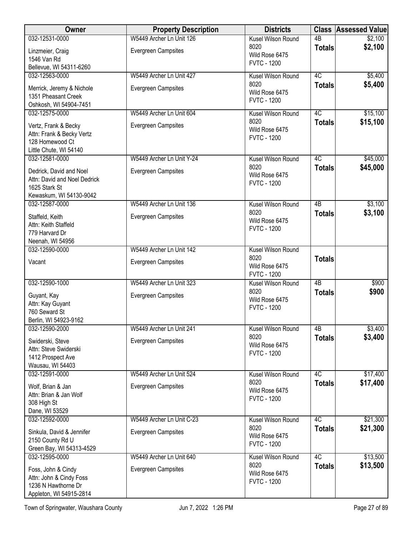| Owner                                         | <b>Property Description</b> | <b>Districts</b>                     |                 | <b>Class Assessed Value</b> |
|-----------------------------------------------|-----------------------------|--------------------------------------|-----------------|-----------------------------|
| 032-12531-0000                                | W5449 Archer Ln Unit 126    | Kusel Wilson Round                   | $\overline{AB}$ | \$2,100                     |
| Linzmeier, Craig                              | <b>Evergreen Campsites</b>  | 8020<br>Wild Rose 6475               | <b>Totals</b>   | \$2,100                     |
| 1546 Van Rd                                   |                             | <b>FVTC - 1200</b>                   |                 |                             |
| Bellevue, WI 54311-6260<br>032-12563-0000     | W5449 Archer Ln Unit 427    |                                      | 4C              |                             |
|                                               |                             | Kusel Wilson Round<br>8020           | <b>Totals</b>   | \$5,400<br>\$5,400          |
| Merrick, Jeremy & Nichole                     | <b>Evergreen Campsites</b>  | Wild Rose 6475                       |                 |                             |
| 1351 Pheasant Creek<br>Oshkosh, WI 54904-7451 |                             | <b>FVTC - 1200</b>                   |                 |                             |
| 032-12575-0000                                | W5449 Archer Ln Unit 604    | Kusel Wilson Round                   | 4C              | \$15,100                    |
| Vertz, Frank & Becky                          | <b>Evergreen Campsites</b>  | 8020                                 | <b>Totals</b>   | \$15,100                    |
| Attn: Frank & Becky Vertz                     |                             | Wild Rose 6475                       |                 |                             |
| 128 Homewood Ct                               |                             | <b>FVTC - 1200</b>                   |                 |                             |
| Little Chute, WI 54140                        |                             |                                      |                 |                             |
| 032-12581-0000                                | W5449 Archer Ln Unit Y-24   | Kusel Wilson Round<br>8020           | 4C              | \$45,000                    |
| Dedrick, David and Noel                       | <b>Evergreen Campsites</b>  | Wild Rose 6475                       | <b>Totals</b>   | \$45,000                    |
| Attn: David and Noel Dedrick                  |                             | <b>FVTC - 1200</b>                   |                 |                             |
| 1625 Stark St<br>Kewaskum, WI 54130-9042      |                             |                                      |                 |                             |
| 032-12587-0000                                | W5449 Archer Ln Unit 136    | Kusel Wilson Round                   | $\overline{AB}$ | \$3,100                     |
| Staffeld, Keith                               | <b>Evergreen Campsites</b>  | 8020                                 | <b>Totals</b>   | \$3,100                     |
| Attn: Keith Staffeld                          |                             | Wild Rose 6475                       |                 |                             |
| 779 Harvard Dr                                |                             | <b>FVTC - 1200</b>                   |                 |                             |
| Neenah, WI 54956                              |                             |                                      |                 |                             |
| 032-12590-0000                                | W5449 Archer Ln Unit 142    | Kusel Wilson Round                   |                 |                             |
| Vacant                                        | Evergreen Campsites         | 8020<br>Wild Rose 6475               | <b>Totals</b>   |                             |
|                                               |                             | <b>FVTC - 1200</b>                   |                 |                             |
| 032-12590-1000                                | W5449 Archer Ln Unit 323    | Kusel Wilson Round                   | $\overline{AB}$ | \$900                       |
| Guyant, Kay                                   | <b>Evergreen Campsites</b>  | 8020                                 | <b>Totals</b>   | \$900                       |
| Attn: Kay Guyant                              |                             | Wild Rose 6475<br><b>FVTC - 1200</b> |                 |                             |
| 760 Seward St                                 |                             |                                      |                 |                             |
| Berlin, WI 54923-9162<br>032-12590-2000       | W5449 Archer Ln Unit 241    | Kusel Wilson Round                   | $\overline{AB}$ | \$3,400                     |
|                                               |                             | 8020                                 | <b>Totals</b>   | \$3,400                     |
| Swiderski, Steve<br>Attn: Steve Swiderski     | <b>Evergreen Campsites</b>  | Wild Rose 6475                       |                 |                             |
| 1412 Prospect Ave                             |                             | <b>FVTC - 1200</b>                   |                 |                             |
| Wausau, WI 54403                              |                             |                                      |                 |                             |
| 032-12591-0000                                | W5449 Archer Ln Unit 524    | Kusel Wilson Round                   | 4C              | \$17,400                    |
| Wolf, Brian & Jan                             | <b>Evergreen Campsites</b>  | 8020<br>Wild Rose 6475               | <b>Totals</b>   | \$17,400                    |
| Attn: Brian & Jan Wolf                        |                             | <b>FVTC - 1200</b>                   |                 |                             |
| 308 High St                                   |                             |                                      |                 |                             |
| Dane, WI 53529<br>032-12592-0000              | W5449 Archer Ln Unit C-23   | Kusel Wilson Round                   | 4C              | \$21,300                    |
|                                               |                             | 8020                                 | <b>Totals</b>   | \$21,300                    |
| Sinkula, David & Jennifer<br>2150 County Rd U | <b>Evergreen Campsites</b>  | Wild Rose 6475                       |                 |                             |
| Green Bay, WI 54313-4529                      |                             | <b>FVTC - 1200</b>                   |                 |                             |
| 032-12595-0000                                | W5449 Archer Ln Unit 640    | Kusel Wilson Round                   | 4C              | \$13,500                    |
| Foss, John & Cindy                            | Evergreen Campsites         | 8020                                 | <b>Totals</b>   | \$13,500                    |
| Attn: John & Cindy Foss                       |                             | Wild Rose 6475                       |                 |                             |
| 1236 N Hawthorne Dr                           |                             | <b>FVTC - 1200</b>                   |                 |                             |
| Appleton, WI 54915-2814                       |                             |                                      |                 |                             |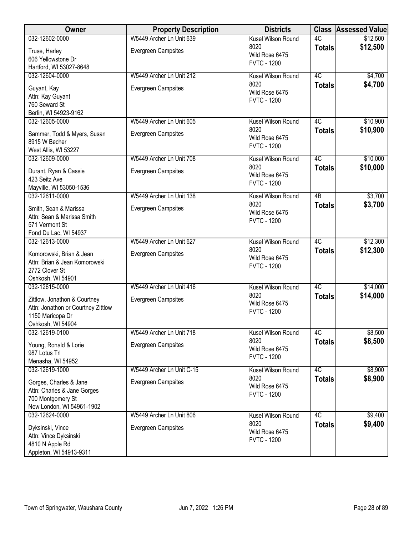| Owner                                                                                                       | <b>Property Description</b> | <b>Districts</b>                             |                 | <b>Class Assessed Value</b> |
|-------------------------------------------------------------------------------------------------------------|-----------------------------|----------------------------------------------|-----------------|-----------------------------|
| 032-12602-0000                                                                                              | W5449 Archer Ln Unit 639    | Kusel Wilson Round                           | 4C              | \$12,500                    |
| Truse, Harley<br>606 Yellowstone Dr<br>Hartford, WI 53027-8648                                              | <b>Evergreen Campsites</b>  | 8020<br>Wild Rose 6475<br><b>FVTC - 1200</b> | <b>Totals</b>   | \$12,500                    |
| 032-12604-0000                                                                                              | W5449 Archer Ln Unit 212    | Kusel Wilson Round                           | 4C              | \$4,700                     |
| Guyant, Kay<br>Attn: Kay Guyant<br>760 Seward St<br>Berlin, WI 54923-9162                                   | <b>Evergreen Campsites</b>  | 8020<br>Wild Rose 6475<br><b>FVTC - 1200</b> | <b>Totals</b>   | \$4,700                     |
| 032-12605-0000                                                                                              | W5449 Archer Ln Unit 605    | Kusel Wilson Round                           | 4C              | \$10,900                    |
| Sammer, Todd & Myers, Susan<br>8915 W Becher<br>West Allis, WI 53227                                        | <b>Evergreen Campsites</b>  | 8020<br>Wild Rose 6475<br><b>FVTC - 1200</b> | <b>Totals</b>   | \$10,900                    |
| 032-12609-0000                                                                                              | W5449 Archer Ln Unit 708    | Kusel Wilson Round                           | 4C              | \$10,000                    |
| Durant, Ryan & Cassie<br>423 Seitz Ave<br>Mayville, WI 53050-1536                                           | Evergreen Campsites         | 8020<br>Wild Rose 6475<br><b>FVTC - 1200</b> | <b>Totals</b>   | \$10,000                    |
| 032-12611-0000                                                                                              | W5449 Archer Ln Unit 138    | Kusel Wilson Round                           | $\overline{AB}$ | \$3,700                     |
| Smith, Sean & Marissa<br>Attn: Sean & Marissa Smith<br>571 Vermont St<br>Fond Du Lac, WI 54937              | Evergreen Campsites         | 8020<br>Wild Rose 6475<br><b>FVTC - 1200</b> | <b>Totals</b>   | \$3,700                     |
| 032-12613-0000                                                                                              | W5449 Archer Ln Unit 627    | Kusel Wilson Round                           | 4C              | \$12,300                    |
| Komorowski, Brian & Jean<br>Attn: Brian & Jean Komorowski<br>2772 Clover St<br>Oshkosh, WI 54901            | <b>Evergreen Campsites</b>  | 8020<br>Wild Rose 6475<br><b>FVTC - 1200</b> | <b>Totals</b>   | \$12,300                    |
| 032-12615-0000                                                                                              | W5449 Archer Ln Unit 416    | Kusel Wilson Round                           | 4C              | \$14,000                    |
| Zittlow, Jonathon & Courtney<br>Attn: Jonathon or Courtney Zittlow<br>1150 Maricopa Dr<br>Oshkosh, WI 54904 | <b>Evergreen Campsites</b>  | 8020<br>Wild Rose 6475<br><b>FVTC - 1200</b> | <b>Totals</b>   | \$14,000                    |
| 032-12619-0100                                                                                              | W5449 Archer Ln Unit 718    | Kusel Wilson Round                           | 4C              | \$8,500                     |
| Young, Ronald & Lorie<br>987 Lotus Trl<br>Menasha, WI 54952                                                 | <b>Evergreen Campsites</b>  | 8020<br>Wild Rose 6475<br><b>FVTC - 1200</b> | <b>Totals</b>   | \$8,500                     |
| 032-12619-1000                                                                                              | W5449 Archer Ln Unit C-15   | Kusel Wilson Round                           | 4C              | \$8,900                     |
| Gorges, Charles & Jane<br>Attn: Charles & Jane Gorges<br>700 Montgomery St<br>New London, WI 54961-1902     | <b>Evergreen Campsites</b>  | 8020<br>Wild Rose 6475<br><b>FVTC - 1200</b> | <b>Totals</b>   | \$8,900                     |
| 032-12624-0000                                                                                              | W5449 Archer Ln Unit 806    | Kusel Wilson Round<br>8020                   | 4C              | \$9,400                     |
| Dyksinski, Vince<br>Attn: Vince Dyksinski<br>4810 N Apple Rd<br>Appleton, WI 54913-9311                     | <b>Evergreen Campsites</b>  | Wild Rose 6475<br><b>FVTC - 1200</b>         | <b>Totals</b>   | \$9,400                     |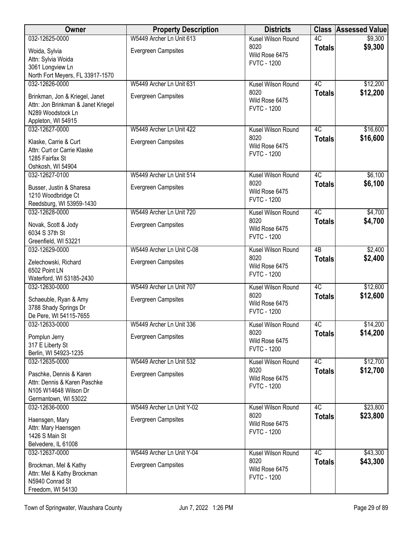| <b>Owner</b>                                          | <b>Property Description</b> | <b>Districts</b>                     |                     | <b>Class Assessed Value</b> |
|-------------------------------------------------------|-----------------------------|--------------------------------------|---------------------|-----------------------------|
| 032-12625-0000                                        | W5449 Archer Ln Unit 613    | Kusel Wilson Round                   | 4C                  | \$9,300                     |
| Woida, Sylvia                                         | Evergreen Campsites         | 8020                                 | <b>Totals</b>       | \$9,300                     |
| Attn: Sylvia Woida                                    |                             | Wild Rose 6475<br><b>FVTC - 1200</b> |                     |                             |
| 3061 Longview Ln                                      |                             |                                      |                     |                             |
| North Fort Meyers, FL 33917-1570                      |                             |                                      |                     |                             |
| 032-12626-0000                                        | W5449 Archer Ln Unit 631    | Kusel Wilson Round                   | 4C                  | \$12,200                    |
| Brinkman, Jon & Kriegel, Janet                        | <b>Evergreen Campsites</b>  | 8020<br>Wild Rose 6475               | <b>Totals</b>       | \$12,200                    |
| Attn: Jon Brinkman & Janet Kriegel                    |                             | <b>FVTC - 1200</b>                   |                     |                             |
| N289 Woodstock Ln                                     |                             |                                      |                     |                             |
| Appleton, WI 54915<br>032-12627-0000                  | W5449 Archer Ln Unit 422    | Kusel Wilson Round                   | 4C                  | \$16,600                    |
|                                                       |                             | 8020                                 | <b>Totals</b>       | \$16,600                    |
| Klaske, Carrie & Curt                                 | Evergreen Campsites         | Wild Rose 6475                       |                     |                             |
| Attn: Curt or Carrie Klaske<br>1285 Fairfax St        |                             | <b>FVTC - 1200</b>                   |                     |                             |
| Oshkosh, WI 54904                                     |                             |                                      |                     |                             |
| 032-12627-0100                                        | W5449 Archer Ln Unit 514    | Kusel Wilson Round                   | 4C                  | \$6,100                     |
| Busser, Justin & Sharesa                              | Evergreen Campsites         | 8020                                 | <b>Totals</b>       | \$6,100                     |
| 1210 Woodbridge Ct                                    |                             | Wild Rose 6475                       |                     |                             |
| Reedsburg, WI 53959-1430                              |                             | <b>FVTC - 1200</b>                   |                     |                             |
| 032-12628-0000                                        | W5449 Archer Ln Unit 720    | Kusel Wilson Round                   | 4C                  | \$4,700                     |
| Novak, Scott & Jody                                   | <b>Evergreen Campsites</b>  | 8020                                 | <b>Totals</b>       | \$4,700                     |
| 6034 S 37th St                                        |                             | Wild Rose 6475                       |                     |                             |
| Greenfield, WI 53221                                  |                             | <b>FVTC - 1200</b>                   |                     |                             |
| 032-12629-0000                                        | W5449 Archer Ln Unit C-08   | Kusel Wilson Round                   | 4B                  | \$2,400                     |
| Zelechowski, Richard                                  | <b>Evergreen Campsites</b>  | 8020                                 | <b>Totals</b>       | \$2,400                     |
| 6502 Point LN                                         |                             | Wild Rose 6475<br><b>FVTC - 1200</b> |                     |                             |
| Waterford, WI 53185-2430                              |                             |                                      |                     |                             |
| 032-12630-0000                                        | W5449 Archer Ln Unit 707    | Kusel Wilson Round                   | 4C                  | \$12,600                    |
| Schaeuble, Ryan & Amy                                 | Evergreen Campsites         | 8020<br>Wild Rose 6475               | <b>Totals</b>       | \$12,600                    |
| 3788 Shady Springs Dr                                 |                             | <b>FVTC - 1200</b>                   |                     |                             |
| De Pere, WI 54115-7655                                |                             |                                      |                     |                             |
| 032-12633-0000                                        | W5449 Archer Ln Unit 336    | Kusel Wilson Round<br>8020           | 4C<br><b>Totals</b> | \$14,200<br>\$14,200        |
| Pomplun Jerry                                         | <b>Evergreen Campsites</b>  | Wild Rose 6475                       |                     |                             |
| 317 E Liberty St                                      |                             | <b>FVTC - 1200</b>                   |                     |                             |
| Berlin, WI 54923-1235<br>032-12635-0000               | W5449 Archer Ln Unit 532    | Kusel Wilson Round                   | 4C                  | \$12,700                    |
|                                                       |                             | 8020                                 | <b>Totals</b>       | \$12,700                    |
| Paschke, Dennis & Karen                               | <b>Evergreen Campsites</b>  | Wild Rose 6475                       |                     |                             |
| Attn: Dennis & Karen Paschke<br>N105 W14648 Wilson Dr |                             | <b>FVTC - 1200</b>                   |                     |                             |
| Germantown, WI 53022                                  |                             |                                      |                     |                             |
| 032-12636-0000                                        | W5449 Archer Ln Unit Y-02   | Kusel Wilson Round                   | 4C                  | \$23,800                    |
| Haensgen, Mary                                        | Evergreen Campsites         | 8020                                 | <b>Totals</b>       | \$23,800                    |
| Attn: Mary Haensgen                                   |                             | Wild Rose 6475                       |                     |                             |
| 1426 S Main St                                        |                             | <b>FVTC - 1200</b>                   |                     |                             |
| Belvedere, IL 61008                                   |                             |                                      |                     |                             |
| 032-12637-0000                                        | W5449 Archer Ln Unit Y-04   | Kusel Wilson Round                   | 4C                  | \$43,300                    |
| Brockman, Mel & Kathy                                 | Evergreen Campsites         | 8020<br>Wild Rose 6475               | <b>Totals</b>       | \$43,300                    |
| Attn: Mel & Kathy Brockman                            |                             | <b>FVTC - 1200</b>                   |                     |                             |
| N5940 Conrad St                                       |                             |                                      |                     |                             |
| Freedom, WI 54130                                     |                             |                                      |                     |                             |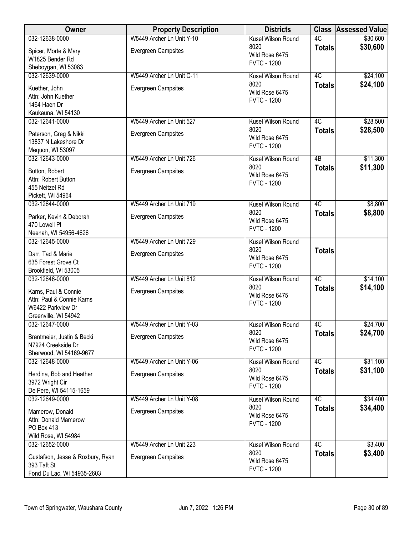| Owner                                     | <b>Property Description</b> | <b>Districts</b>           |               | <b>Class Assessed Value</b> |
|-------------------------------------------|-----------------------------|----------------------------|---------------|-----------------------------|
| 032-12638-0000                            | W5449 Archer Ln Unit Y-10   | Kusel Wilson Round         | 4C            | \$30,600                    |
| Spicer, Morte & Mary                      | Evergreen Campsites         | 8020                       | <b>Totals</b> | \$30,600                    |
| W1825 Bender Rd                           |                             | Wild Rose 6475             |               |                             |
| Sheboygan, WI 53083                       |                             | <b>FVTC - 1200</b>         |               |                             |
| 032-12639-0000                            | W5449 Archer Ln Unit C-11   | Kusel Wilson Round         | 4C            | \$24,100                    |
|                                           |                             | 8020                       | <b>Totals</b> | \$24,100                    |
| Kuether, John                             | <b>Evergreen Campsites</b>  | Wild Rose 6475             |               |                             |
| Attn: John Kuether<br>1464 Haen Dr        |                             | <b>FVTC - 1200</b>         |               |                             |
| Kaukauna, WI 54130                        |                             |                            |               |                             |
| 032-12641-0000                            | W5449 Archer Ln Unit 527    | Kusel Wilson Round         | 4C            | \$28,500                    |
|                                           |                             | 8020                       | <b>Totals</b> | \$28,500                    |
| Paterson, Greg & Nikki                    | <b>Evergreen Campsites</b>  | Wild Rose 6475             |               |                             |
| 13837 N Lakeshore Dr                      |                             | <b>FVTC - 1200</b>         |               |                             |
| Mequon, WI 53097                          |                             |                            |               |                             |
| 032-12643-0000                            | W5449 Archer Ln Unit 726    | Kusel Wilson Round         | 4B            | \$11,300                    |
| Button, Robert                            | Evergreen Campsites         | 8020<br>Wild Rose 6475     | <b>Totals</b> | \$11,300                    |
| Attn: Robert Button                       |                             | <b>FVTC - 1200</b>         |               |                             |
| 455 Neitzel Rd                            |                             |                            |               |                             |
| Pickett, WI 54964                         |                             |                            |               |                             |
| 032-12644-0000                            | W5449 Archer Ln Unit 719    | Kusel Wilson Round         | 4C            | \$8,800                     |
| Parker, Kevin & Deborah                   | Evergreen Campsites         | 8020                       | <b>Totals</b> | \$8,800                     |
| 470 Lowell Pl                             |                             | Wild Rose 6475             |               |                             |
| Neenah, WI 54956-4626                     |                             | <b>FVTC - 1200</b>         |               |                             |
| 032-12645-0000                            | W5449 Archer Ln Unit 729    | Kusel Wilson Round         |               |                             |
| Darr, Tad & Marie                         | Evergreen Campsites         | 8020                       | <b>Totals</b> |                             |
| 635 Forest Grove Ct                       |                             | Wild Rose 6475             |               |                             |
| Brookfield, WI 53005                      |                             | <b>FVTC - 1200</b>         |               |                             |
| 032-12646-0000                            | W5449 Archer Ln Unit 812    | Kusel Wilson Round         | 4C            | \$14,100                    |
|                                           |                             | 8020                       | <b>Totals</b> | \$14,100                    |
| Karns, Paul & Connie                      | <b>Evergreen Campsites</b>  | Wild Rose 6475             |               |                             |
| Attn: Paul & Connie Karns                 |                             | <b>FVTC - 1200</b>         |               |                             |
| W6422 Parkview Dr<br>Greenville, WI 54942 |                             |                            |               |                             |
| 032-12647-0000                            | W5449 Archer Ln Unit Y-03   | Kusel Wilson Round         | 4C            | \$24,700                    |
|                                           |                             | 8020                       | <b>Totals</b> | \$24,700                    |
| Brantmeier, Justin & Becki                | <b>Evergreen Campsites</b>  | Wild Rose 6475             |               |                             |
| N7924 Creekside Dr                        |                             | <b>FVTC - 1200</b>         |               |                             |
| Sherwood, WI 54169-9677                   | W5449 Archer Ln Unit Y-06   |                            |               |                             |
| 032-12648-0000                            |                             | Kusel Wilson Round<br>8020 | 4C            | \$31,100<br>\$31,100        |
| Herdina, Bob and Heather                  | <b>Evergreen Campsites</b>  | Wild Rose 6475             | <b>Totals</b> |                             |
| 3972 Wright Cir                           |                             | <b>FVTC - 1200</b>         |               |                             |
| De Pere, WI 54115-1659                    |                             |                            |               |                             |
| 032-12649-0000                            | W5449 Archer Ln Unit Y-08   | Kusel Wilson Round         | 4C            | \$34,400                    |
| Mamerow, Donald                           | Evergreen Campsites         | 8020                       | <b>Totals</b> | \$34,400                    |
| Attn: Donald Mamerow                      |                             | Wild Rose 6475             |               |                             |
| PO Box 413                                |                             | <b>FVTC - 1200</b>         |               |                             |
| Wild Rose, WI 54984                       |                             |                            |               |                             |
| 032-12652-0000                            | W5449 Archer Ln Unit 223    | Kusel Wilson Round         | 4C            | \$3,400                     |
| Gustafson, Jesse & Roxbury, Ryan          | <b>Evergreen Campsites</b>  | 8020                       | <b>Totals</b> | \$3,400                     |
| 393 Taft St                               |                             | Wild Rose 6475             |               |                             |
| Fond Du Lac, WI 54935-2603                |                             | <b>FVTC - 1200</b>         |               |                             |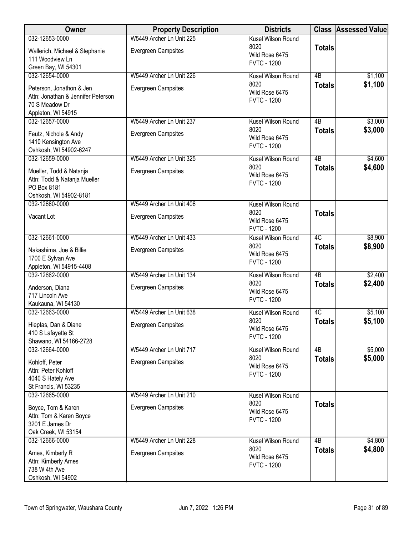| Owner                                                          | <b>Property Description</b> | <b>Districts</b>                     |                 | <b>Class Assessed Value</b> |
|----------------------------------------------------------------|-----------------------------|--------------------------------------|-----------------|-----------------------------|
| 032-12653-0000                                                 | W5449 Archer Ln Unit 225    | Kusel Wilson Round                   |                 |                             |
| Wallerich, Michael & Stephanie                                 | <b>Evergreen Campsites</b>  | 8020<br>Wild Rose 6475               | <b>Totals</b>   |                             |
| 111 Woodview Ln<br>Green Bay, WI 54301                         |                             | <b>FVTC - 1200</b>                   |                 |                             |
| 032-12654-0000                                                 | W5449 Archer Ln Unit 226    | Kusel Wilson Round                   | 4B              | \$1,100                     |
|                                                                |                             | 8020                                 | <b>Totals</b>   | \$1,100                     |
| Peterson, Jonathon & Jen<br>Attn: Jonathan & Jennifer Peterson | <b>Evergreen Campsites</b>  | Wild Rose 6475                       |                 |                             |
| 70 S Meadow Dr                                                 |                             | <b>FVTC - 1200</b>                   |                 |                             |
| Appleton, WI 54915                                             |                             |                                      |                 |                             |
| 032-12657-0000                                                 | W5449 Archer Ln Unit 237    | Kusel Wilson Round<br>8020           | 4B              | \$3,000<br>\$3,000          |
| Feutz, Nichole & Andy                                          | <b>Evergreen Campsites</b>  | Wild Rose 6475                       | <b>Totals</b>   |                             |
| 1410 Kensington Ave<br>Oshkosh, WI 54902-6247                  |                             | <b>FVTC - 1200</b>                   |                 |                             |
| 032-12659-0000                                                 | W5449 Archer Ln Unit 325    | Kusel Wilson Round                   | 4B              | \$4,600                     |
| Mueller, Todd & Natanja                                        | <b>Evergreen Campsites</b>  | 8020                                 | <b>Totals</b>   | \$4,600                     |
| Attn: Todd & Natanja Mueller                                   |                             | Wild Rose 6475<br><b>FVTC - 1200</b> |                 |                             |
| PO Box 8181                                                    |                             |                                      |                 |                             |
| Oshkosh, WI 54902-8181<br>032-12660-0000                       | W5449 Archer Ln Unit 406    |                                      |                 |                             |
|                                                                |                             | Kusel Wilson Round<br>8020           | <b>Totals</b>   |                             |
| Vacant Lot                                                     | <b>Evergreen Campsites</b>  | Wild Rose 6475                       |                 |                             |
|                                                                |                             | <b>FVTC - 1200</b>                   |                 |                             |
| 032-12661-0000                                                 | W5449 Archer Ln Unit 433    | Kusel Wilson Round<br>8020           | $\overline{4C}$ | \$8,900                     |
| Nakashima, Joe & Billie                                        | Evergreen Campsites         | Wild Rose 6475                       | <b>Totals</b>   | \$8,900                     |
| 1700 E Sylvan Ave<br>Appleton, WI 54915-4408                   |                             | <b>FVTC - 1200</b>                   |                 |                             |
| 032-12662-0000                                                 | W5449 Archer Ln Unit 134    | Kusel Wilson Round                   | 4B              | \$2,400                     |
| Anderson, Diana                                                | <b>Evergreen Campsites</b>  | 8020                                 | <b>Totals</b>   | \$2,400                     |
| 717 Lincoln Ave                                                |                             | Wild Rose 6475<br><b>FVTC - 1200</b> |                 |                             |
| Kaukauna, WI 54130                                             |                             |                                      |                 |                             |
| 032-12663-0000                                                 | W5449 Archer Ln Unit 638    | Kusel Wilson Round<br>8020           | 4C              | \$5,100                     |
| Hieptas, Dan & Diane                                           | <b>Evergreen Campsites</b>  | Wild Rose 6475                       | <b>Totals</b>   | \$5,100                     |
| 410 S Lafayette St<br>Shawano, WI 54166-2728                   |                             | <b>FVTC - 1200</b>                   |                 |                             |
| 032-12664-0000                                                 | W5449 Archer Ln Unit 717    | Kusel Wilson Round                   | 4B              | \$5,000                     |
| Kohloff, Peter                                                 | <b>Evergreen Campsites</b>  | 8020                                 | <b>Totals</b>   | \$5,000                     |
| Attn: Peter Kohloff                                            |                             | Wild Rose 6475<br><b>FVTC - 1200</b> |                 |                             |
| 4040 S Hately Ave                                              |                             |                                      |                 |                             |
| St Francis, WI 53235<br>032-12665-0000                         | W5449 Archer Ln Unit 210    | Kusel Wilson Round                   |                 |                             |
|                                                                |                             | 8020                                 | <b>Totals</b>   |                             |
| Boyce, Tom & Karen                                             | <b>Evergreen Campsites</b>  | Wild Rose 6475                       |                 |                             |
| Attn: Tom & Karen Boyce<br>3201 E James Dr                     |                             | <b>FVTC - 1200</b>                   |                 |                             |
| Oak Creek, WI 53154                                            |                             |                                      |                 |                             |
| 032-12666-0000                                                 | W5449 Archer Ln Unit 228    | Kusel Wilson Round                   | 4B              | \$4,800                     |
| Ames, Kimberly R                                               | Evergreen Campsites         | 8020<br>Wild Rose 6475               | <b>Totals</b>   | \$4,800                     |
| Attn: Kimberly Ames<br>738 W 4th Ave                           |                             | <b>FVTC - 1200</b>                   |                 |                             |
| Oshkosh, WI 54902                                              |                             |                                      |                 |                             |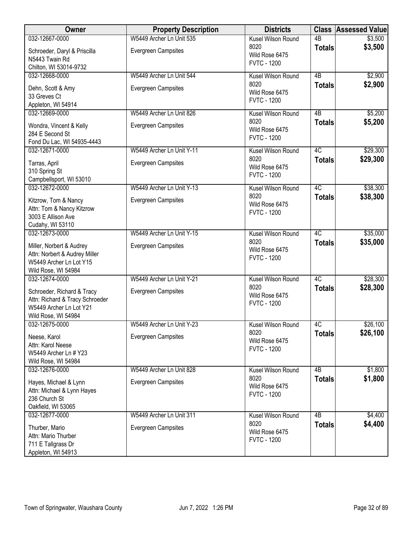| Owner                                                         | <b>Property Description</b> | <b>Districts</b>                             |                     | <b>Class Assessed Value</b> |
|---------------------------------------------------------------|-----------------------------|----------------------------------------------|---------------------|-----------------------------|
| 032-12667-0000                                                | W5449 Archer Ln Unit 535    | Kusel Wilson Round                           | $\overline{AB}$     | \$3,500                     |
| Schroeder, Daryl & Priscilla<br>N5443 Twain Rd                | Evergreen Campsites         | 8020<br>Wild Rose 6475<br><b>FVTC - 1200</b> | <b>Totals</b>       | \$3,500                     |
| Chilton, WI 53014-9732                                        |                             |                                              |                     |                             |
| 032-12668-0000                                                | W5449 Archer Ln Unit 544    | Kusel Wilson Round<br>8020                   | $\overline{AB}$     | \$2,900                     |
| Dehn, Scott & Amy                                             | Evergreen Campsites         | Wild Rose 6475                               | <b>Totals</b>       | \$2,900                     |
| 33 Greves Ct<br>Appleton, WI 54914                            |                             | <b>FVTC - 1200</b>                           |                     |                             |
| 032-12669-0000                                                | W5449 Archer Ln Unit 826    | Kusel Wilson Round                           | 4B                  | \$5,200                     |
|                                                               |                             | 8020                                         | <b>Totals</b>       | \$5,200                     |
| Wondra, Vincent & Kelly<br>284 E Second St                    | <b>Evergreen Campsites</b>  | Wild Rose 6475                               |                     |                             |
| Fond Du Lac, WI 54935-4443                                    |                             | <b>FVTC - 1200</b>                           |                     |                             |
| 032-12671-0000                                                | W5449 Archer Ln Unit Y-11   | Kusel Wilson Round                           | 4C                  | \$29,300                    |
| Tarras, April                                                 | Evergreen Campsites         | 8020<br>Wild Rose 6475                       | <b>Totals</b>       | \$29,300                    |
| 310 Spring St                                                 |                             | <b>FVTC - 1200</b>                           |                     |                             |
| Campbellsport, WI 53010                                       |                             |                                              |                     |                             |
| 032-12672-0000                                                | W5449 Archer Ln Unit Y-13   | Kusel Wilson Round<br>8020                   | 4C<br><b>Totals</b> | \$38,300<br>\$38,300        |
| Kitzrow, Tom & Nancy                                          | Evergreen Campsites         | Wild Rose 6475                               |                     |                             |
| Attn: Tom & Nancy Kitzrow<br>3003 E Allison Ave               |                             | <b>FVTC - 1200</b>                           |                     |                             |
| Cudahy, WI 53110                                              |                             |                                              |                     |                             |
| 032-12673-0000                                                | W5449 Archer Ln Unit Y-15   | Kusel Wilson Round                           | 4C                  | \$35,000                    |
| Miller, Norbert & Audrey                                      | Evergreen Campsites         | 8020<br>Wild Rose 6475                       | <b>Totals</b>       | \$35,000                    |
| Attn: Norbert & Audrey Miller                                 |                             | <b>FVTC - 1200</b>                           |                     |                             |
| W5449 Archer Ln Lot Y15<br>Wild Rose, WI 54984                |                             |                                              |                     |                             |
| 032-12674-0000                                                | W5449 Archer Ln Unit Y-21   | Kusel Wilson Round                           | 4C                  | \$28,300                    |
|                                                               |                             | 8020                                         | <b>Totals</b>       | \$28,300                    |
| Schroeder, Richard & Tracy<br>Attn: Richard & Tracy Schroeder | Evergreen Campsites         | Wild Rose 6475                               |                     |                             |
| W5449 Archer Ln Lot Y21                                       |                             | <b>FVTC - 1200</b>                           |                     |                             |
| Wild Rose, WI 54984                                           |                             |                                              |                     |                             |
| 032-12675-0000                                                | W5449 Archer Ln Unit Y-23   | Kusel Wilson Round<br>8020                   | 4C                  | \$26,100<br>\$26,100        |
| Neese, Karol                                                  | Evergreen Campsites         | Wild Rose 6475                               | <b>Totals</b>       |                             |
| Attn: Karol Neese<br>W5449 Archer Ln # Y23                    |                             | <b>FVTC - 1200</b>                           |                     |                             |
| Wild Rose, WI 54984                                           |                             |                                              |                     |                             |
| 032-12676-0000                                                | W5449 Archer Ln Unit 828    | Kusel Wilson Round                           | 4B                  | \$1,800                     |
| Hayes, Michael & Lynn                                         | Evergreen Campsites         | 8020                                         | <b>Totals</b>       | \$1,800                     |
| Attn: Michael & Lynn Hayes                                    |                             | Wild Rose 6475<br><b>FVTC - 1200</b>         |                     |                             |
| 236 Church St                                                 |                             |                                              |                     |                             |
| Oakfield, WI 53065<br>032-12677-0000                          | W5449 Archer Ln Unit 311    | Kusel Wilson Round                           | 4B                  | \$4,400                     |
|                                                               |                             | 8020                                         | <b>Totals</b>       | \$4,400                     |
| Thurber, Mario<br>Attn: Mario Thurber                         | Evergreen Campsites         | Wild Rose 6475                               |                     |                             |
| 711 E Tallgrass Dr                                            |                             | <b>FVTC - 1200</b>                           |                     |                             |
| Appleton, WI 54913                                            |                             |                                              |                     |                             |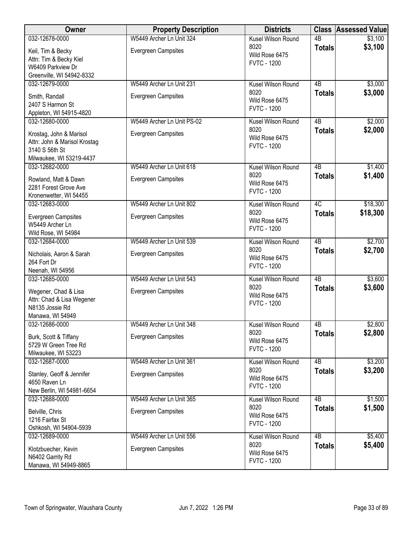| <b>Owner</b>                                            | <b>Property Description</b> | <b>Districts</b>                     |                 | <b>Class Assessed Value</b> |
|---------------------------------------------------------|-----------------------------|--------------------------------------|-----------------|-----------------------------|
| 032-12678-0000                                          | W5449 Archer Ln Unit 324    | Kusel Wilson Round                   | $\overline{AB}$ | \$3,100                     |
| Keil, Tim & Becky                                       | Evergreen Campsites         | 8020                                 | <b>Totals</b>   | \$3,100                     |
| Attn: Tim & Becky Kiel                                  |                             | Wild Rose 6475<br><b>FVTC - 1200</b> |                 |                             |
| W6409 Parkview Dr                                       |                             |                                      |                 |                             |
| Greenville, WI 54942-8332                               |                             |                                      |                 |                             |
| 032-12679-0000                                          | W5449 Archer Ln Unit 231    | Kusel Wilson Round                   | $\overline{AB}$ | \$3,000                     |
| Smith, Randall                                          | <b>Evergreen Campsites</b>  | 8020                                 | <b>Totals</b>   | \$3,000                     |
| 2407 S Harmon St                                        |                             | Wild Rose 6475                       |                 |                             |
| Appleton, WI 54915-4820                                 |                             | <b>FVTC - 1200</b>                   |                 |                             |
| 032-12680-0000                                          | W5449 Archer Ln Unit PS-02  | Kusel Wilson Round                   | 4B              | \$2,000                     |
|                                                         |                             | 8020                                 | <b>Totals</b>   | \$2,000                     |
| Krostag, John & Marisol<br>Attn: John & Marisol Krostag | <b>Evergreen Campsites</b>  | Wild Rose 6475                       |                 |                             |
| 3140 S 56th St                                          |                             | <b>FVTC - 1200</b>                   |                 |                             |
| Milwaukee, WI 53219-4437                                |                             |                                      |                 |                             |
| 032-12682-0000                                          | W5449 Archer Ln Unit 618    | Kusel Wilson Round                   | $\overline{AB}$ | \$1,400                     |
|                                                         |                             | 8020                                 | <b>Totals</b>   | \$1,400                     |
| Rowland, Matt & Dawn                                    | <b>Evergreen Campsites</b>  | Wild Rose 6475                       |                 |                             |
| 2281 Forest Grove Ave                                   |                             | <b>FVTC - 1200</b>                   |                 |                             |
| Kronenwetter, WI 54455<br>032-12683-0000                | W5449 Archer Ln Unit 802    | Kusel Wilson Round                   | 4C              | \$18,300                    |
|                                                         |                             | 8020                                 |                 | \$18,300                    |
| Evergreen Campsites                                     | Evergreen Campsites         | Wild Rose 6475                       | <b>Totals</b>   |                             |
| W5449 Archer Ln                                         |                             | <b>FVTC - 1200</b>                   |                 |                             |
| Wild Rose, WI 54984                                     |                             |                                      |                 |                             |
| 032-12684-0000                                          | W5449 Archer Ln Unit 539    | Kusel Wilson Round                   | $\overline{AB}$ | \$2,700                     |
| Nicholais, Aaron & Sarah                                | Evergreen Campsites         | 8020                                 | <b>Totals</b>   | \$2,700                     |
| 264 Fort Dr                                             |                             | Wild Rose 6475<br><b>FVTC - 1200</b> |                 |                             |
| Neenah, WI 54956                                        |                             |                                      |                 |                             |
| 032-12685-0000                                          | W5449 Archer Ln Unit 543    | Kusel Wilson Round                   | $\overline{AB}$ | \$3,600                     |
| Wegener, Chad & Lisa                                    | Evergreen Campsites         | 8020                                 | <b>Totals</b>   | \$3,600                     |
| Attn: Chad & Lisa Wegener                               |                             | Wild Rose 6475                       |                 |                             |
| N8135 Jossie Rd                                         |                             | <b>FVTC - 1200</b>                   |                 |                             |
| Manawa, WI 54949                                        |                             |                                      |                 |                             |
| 032-12686-0000                                          | W5449 Archer Ln Unit 348    | Kusel Wilson Round                   | 4B              | \$2,800                     |
| Burk, Scott & Tiffany                                   | Evergreen Campsites         | 8020                                 | <b>Totals</b>   | \$2,800                     |
| 5729 W Green Tree Rd                                    |                             | Wild Rose 6475                       |                 |                             |
| Milwaukee, WI 53223                                     |                             | <b>FVTC - 1200</b>                   |                 |                             |
| 032-12687-0000                                          | W5449 Archer Ln Unit 361    | Kusel Wilson Round                   | 4B              | \$3,200                     |
| Stanley, Geoff & Jennifer                               | <b>Evergreen Campsites</b>  | 8020                                 | <b>Totals</b>   | \$3,200                     |
| 4650 Raven Ln                                           |                             | Wild Rose 6475                       |                 |                             |
| New Berlin, WI 54981-6654                               |                             | <b>FVTC - 1200</b>                   |                 |                             |
| 032-12688-0000                                          | W5449 Archer Ln Unit 365    | Kusel Wilson Round                   | $\overline{AB}$ | \$1,500                     |
|                                                         |                             | 8020                                 | <b>Totals</b>   | \$1,500                     |
| Belville, Chris                                         | Evergreen Campsites         | Wild Rose 6475                       |                 |                             |
| 1216 Fairfax St                                         |                             | <b>FVTC - 1200</b>                   |                 |                             |
| Oshkosh, WI 54904-5939<br>032-12689-0000                | W5449 Archer Ln Unit 556    | Kusel Wilson Round                   | 4B              | \$5,400                     |
|                                                         |                             | 8020                                 |                 | \$5,400                     |
| Klotzbuecher, Kevin                                     | Evergreen Campsites         | Wild Rose 6475                       | <b>Totals</b>   |                             |
| N6402 Garrity Rd                                        |                             | <b>FVTC - 1200</b>                   |                 |                             |
| Manawa, WI 54949-8865                                   |                             |                                      |                 |                             |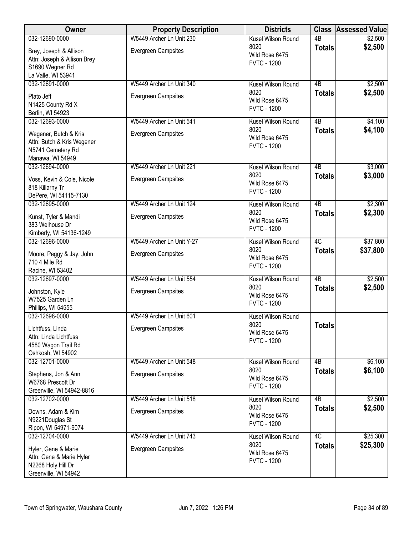| Owner                                                                                          | <b>Property Description</b> | <b>Districts</b>                             |                 | <b>Class Assessed Value</b> |
|------------------------------------------------------------------------------------------------|-----------------------------|----------------------------------------------|-----------------|-----------------------------|
| 032-12690-0000                                                                                 | W5449 Archer Ln Unit 230    | Kusel Wilson Round                           | $\overline{AB}$ | \$2,500                     |
| Brey, Joseph & Allison<br>Attn: Joseph & Allison Brey<br>S1690 Wegner Rd<br>La Valle, WI 53941 | Evergreen Campsites         | 8020<br>Wild Rose 6475<br><b>FVTC - 1200</b> | <b>Totals</b>   | \$2,500                     |
| 032-12691-0000                                                                                 | W5449 Archer Ln Unit 340    | Kusel Wilson Round                           | 4B              | \$2,500                     |
| Plato Jeff<br>N1425 County Rd X<br>Berlin, WI 54923                                            | <b>Evergreen Campsites</b>  | 8020<br>Wild Rose 6475<br><b>FVTC - 1200</b> | <b>Totals</b>   | \$2,500                     |
| 032-12693-0000                                                                                 | W5449 Archer Ln Unit 541    | Kusel Wilson Round                           | 4B              | \$4,100                     |
| Wegener, Butch & Kris<br>Attn: Butch & Kris Wegener<br>N5741 Cemetery Rd<br>Manawa, WI 54949   | <b>Evergreen Campsites</b>  | 8020<br>Wild Rose 6475<br><b>FVTC - 1200</b> | <b>Totals</b>   | \$4,100                     |
| 032-12694-0000                                                                                 | W5449 Archer Ln Unit 221    | Kusel Wilson Round                           | $\overline{AB}$ | \$3,000                     |
| Voss, Kevin & Cole, Nicole<br>818 Killarny Tr<br>DePere, WI 54115-7130                         | <b>Evergreen Campsites</b>  | 8020<br>Wild Rose 6475<br><b>FVTC - 1200</b> | <b>Totals</b>   | \$3,000                     |
| 032-12695-0000                                                                                 | W5449 Archer Ln Unit 124    | Kusel Wilson Round                           | $\overline{AB}$ | \$2,300                     |
| Kunst, Tyler & Mandi<br>383 Welhouse Dr<br>Kimberly, WI 54136-1249                             | Evergreen Campsites         | 8020<br>Wild Rose 6475<br><b>FVTC - 1200</b> | <b>Totals</b>   | \$2,300                     |
| 032-12696-0000                                                                                 | W5449 Archer Ln Unit Y-27   | Kusel Wilson Round                           | 4C              | \$37,800                    |
| Moore, Peggy & Jay, John<br>710 4 Mile Rd<br>Racine, WI 53402                                  | Evergreen Campsites         | 8020<br>Wild Rose 6475<br><b>FVTC - 1200</b> | <b>Totals</b>   | \$37,800                    |
| 032-12697-0000                                                                                 | W5449 Archer Ln Unit 554    | Kusel Wilson Round                           | $\overline{AB}$ | \$2,500                     |
| Johnston, Kyle<br>W7525 Garden Ln<br>Phillips, WI 54555                                        | Evergreen Campsites         | 8020<br>Wild Rose 6475<br><b>FVTC - 1200</b> | <b>Totals</b>   | \$2,500                     |
| 032-12698-0000                                                                                 | W5449 Archer Ln Unit 601    | Kusel Wilson Round                           |                 |                             |
| Lichtfuss, Linda<br>Attn: Linda Lichtfuss<br>4580 Wagon Trail Rd<br>Oshkosh, WI 54902          | Evergreen Campsites         | 8020<br>Wild Rose 6475<br><b>FVTC - 1200</b> | <b>Totals</b>   |                             |
| 032-12701-0000                                                                                 | W5449 Archer Ln Unit 548    | Kusel Wilson Round                           | 4B              | \$6,100                     |
| Stephens, Jon & Ann<br>W6768 Prescott Dr<br>Greenville, WI 54942-8816                          | <b>Evergreen Campsites</b>  | 8020<br>Wild Rose 6475<br><b>FVTC - 1200</b> | <b>Totals</b>   | \$6,100                     |
| 032-12702-0000                                                                                 | W5449 Archer Ln Unit 518    | Kusel Wilson Round                           | $\overline{AB}$ | \$2,500                     |
| Downs, Adam & Kim<br>N9221Douglas St<br>Ripon, WI 54971-9074                                   | Evergreen Campsites         | 8020<br>Wild Rose 6475<br><b>FVTC - 1200</b> | <b>Totals</b>   | \$2,500                     |
| 032-12704-0000                                                                                 | W5449 Archer Ln Unit 743    | Kusel Wilson Round                           | 4C              | \$25,300                    |
| Hyler, Gene & Marie<br>Attn: Gene & Marie Hyler<br>N2268 Holy Hill Dr<br>Greenville, WI 54942  | Evergreen Campsites         | 8020<br>Wild Rose 6475<br><b>FVTC - 1200</b> | <b>Totals</b>   | \$25,300                    |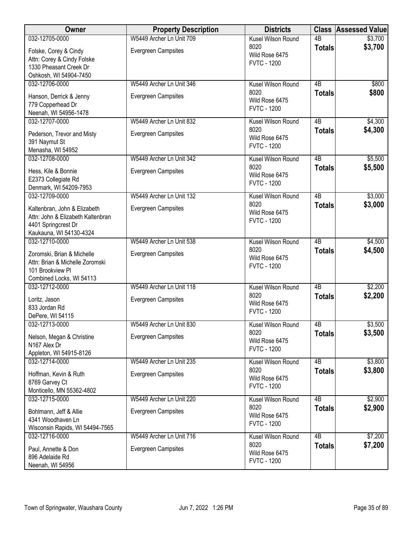| Owner                                       | <b>Property Description</b> | <b>Districts</b>                     |                 | <b>Class Assessed Value</b> |
|---------------------------------------------|-----------------------------|--------------------------------------|-----------------|-----------------------------|
| 032-12705-0000                              | W5449 Archer Ln Unit 709    | Kusel Wilson Round                   | $\overline{AB}$ | \$3,700                     |
| Folske, Corey & Cindy                       | <b>Evergreen Campsites</b>  | 8020                                 | <b>Totals</b>   | \$3,700                     |
| Attn: Corey & Cindy Folske                  |                             | Wild Rose 6475                       |                 |                             |
| 1330 Pheasant Creek Dr                      |                             | <b>FVTC - 1200</b>                   |                 |                             |
| Oshkosh, WI 54904-7450                      |                             |                                      |                 |                             |
| 032-12706-0000                              | W5449 Archer Ln Unit 346    | Kusel Wilson Round                   | 4B              | \$800                       |
| Hanson, Derrick & Jenny                     | <b>Evergreen Campsites</b>  | 8020                                 | <b>Totals</b>   | \$800                       |
| 779 Copperhead Dr                           |                             | Wild Rose 6475                       |                 |                             |
| Neenah, WI 54956-1478                       |                             | <b>FVTC - 1200</b>                   |                 |                             |
| 032-12707-0000                              | W5449 Archer Ln Unit 832    | Kusel Wilson Round                   | 4B              | \$4,300                     |
|                                             |                             | 8020                                 | <b>Totals</b>   | \$4,300                     |
| Pederson, Trevor and Misty                  | <b>Evergreen Campsites</b>  | Wild Rose 6475                       |                 |                             |
| 391 Naymut St<br>Menasha, WI 54952          |                             | <b>FVTC - 1200</b>                   |                 |                             |
| 032-12708-0000                              | W5449 Archer Ln Unit 342    | Kusel Wilson Round                   | 4B              | \$5,500                     |
|                                             |                             | 8020                                 | <b>Totals</b>   | \$5,500                     |
| Hess, Kile & Bonnie                         | Evergreen Campsites         | Wild Rose 6475                       |                 |                             |
| E2373 Collegiate Rd                         |                             | <b>FVTC - 1200</b>                   |                 |                             |
| Denmark, WI 54209-7953                      |                             |                                      |                 |                             |
| 032-12709-0000                              | W5449 Archer Ln Unit 132    | Kusel Wilson Round                   | $\overline{AB}$ | \$3,000                     |
| Kaltenbran, John & Elizabeth                | <b>Evergreen Campsites</b>  | 8020<br>Wild Rose 6475               | <b>Totals</b>   | \$3,000                     |
| Attn: John & Elizabeth Kaltenbran           |                             | <b>FVTC - 1200</b>                   |                 |                             |
| 4401 Springcrest Dr                         |                             |                                      |                 |                             |
| Kaukauna, WI 54130-4324                     |                             |                                      |                 |                             |
| 032-12710-0000                              | W5449 Archer Ln Unit 538    | Kusel Wilson Round                   | $\overline{AB}$ | \$4,500                     |
| Zoromski, Brian & Michelle                  | <b>Evergreen Campsites</b>  | 8020                                 | <b>Totals</b>   | \$4,500                     |
| Attn: Brian & Michelle Zoromski             |                             | Wild Rose 6475                       |                 |                             |
| 101 Brookview Pl                            |                             | <b>FVTC - 1200</b>                   |                 |                             |
| Combined Locks, WI 54113                    |                             |                                      |                 |                             |
| 032-12712-0000                              | W5449 Archer Ln Unit 118    | Kusel Wilson Round                   | $\overline{AB}$ | \$2,200                     |
| Loritz, Jason                               | Evergreen Campsites         | 8020                                 | <b>Totals</b>   | \$2,200                     |
| 833 Jordan Rd                               |                             | Wild Rose 6475                       |                 |                             |
| DePere, WI 54115                            |                             | <b>FVTC - 1200</b>                   |                 |                             |
| 032-12713-0000                              | W5449 Archer Ln Unit 830    | Kusel Wilson Round                   | 4B              | \$3,500                     |
|                                             | <b>Evergreen Campsites</b>  | 8020                                 | <b>Totals</b>   | \$3,500                     |
| Nelson, Megan & Christine<br>N167 Alex Dr   |                             | Wild Rose 6475                       |                 |                             |
| Appleton, WI 54915-8126                     |                             | <b>FVTC - 1200</b>                   |                 |                             |
| 032-12714-0000                              | W5449 Archer Ln Unit 235    | Kusel Wilson Round                   | 4 <sub>B</sub>  | \$3,800                     |
|                                             |                             | 8020                                 | <b>Totals</b>   | \$3,800                     |
| Hoffman, Kevin & Ruth                       | <b>Evergreen Campsites</b>  | Wild Rose 6475                       |                 |                             |
| 8769 Garvey Ct<br>Monticello, MN 55362-4802 |                             | <b>FVTC - 1200</b>                   |                 |                             |
| 032-12715-0000                              | W5449 Archer Ln Unit 220    | Kusel Wilson Round                   | 4B              | \$2,900                     |
|                                             |                             | 8020                                 | <b>Totals</b>   | \$2,900                     |
| Bohlmann, Jeff & Allie                      | <b>Evergreen Campsites</b>  | Wild Rose 6475                       |                 |                             |
| 4341 Woodhaven Ln                           |                             | <b>FVTC - 1200</b>                   |                 |                             |
| Wisconsin Rapids, WI 54494-7565             |                             |                                      |                 |                             |
| 032-12716-0000                              | W5449 Archer Ln Unit 716    | Kusel Wilson Round                   | $\overline{AB}$ | \$7,200                     |
| Paul, Annette & Don                         | <b>Evergreen Campsites</b>  | 8020                                 | <b>Totals</b>   | \$7,200                     |
| 896 Adelaide Rd                             |                             | Wild Rose 6475<br><b>FVTC - 1200</b> |                 |                             |
| Neenah, WI 54956                            |                             |                                      |                 |                             |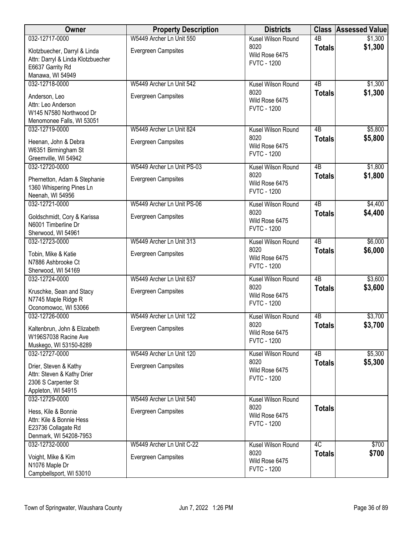| Owner                                                                                                     | <b>Property Description</b> | <b>Districts</b>                             |                 | <b>Class Assessed Value</b> |
|-----------------------------------------------------------------------------------------------------------|-----------------------------|----------------------------------------------|-----------------|-----------------------------|
| 032-12717-0000                                                                                            | W5449 Archer Ln Unit 550    | Kusel Wilson Round                           | $\overline{AB}$ | \$1,300                     |
| Klotzbuecher, Darryl & Linda<br>Attn: Darryl & Linda Klotzbuecher<br>E6637 Garrity Rd<br>Manawa, WI 54949 | <b>Evergreen Campsites</b>  | 8020<br>Wild Rose 6475<br><b>FVTC - 1200</b> | <b>Totals</b>   | \$1,300                     |
| 032-12718-0000                                                                                            | W5449 Archer Ln Unit 542    | Kusel Wilson Round                           | 4B              | \$1,300                     |
| Anderson, Leo<br>Attn: Leo Anderson<br>W145 N7580 Northwood Dr<br>Menomonee Falls, WI 53051               | Evergreen Campsites         | 8020<br>Wild Rose 6475<br><b>FVTC - 1200</b> | <b>Totals</b>   | \$1,300                     |
| 032-12719-0000                                                                                            | W5449 Archer Ln Unit 824    | Kusel Wilson Round                           | 4B              | \$5,800                     |
| Heenan, John & Debra<br>W6351 Birmingham St<br>Greemville, WI 54942                                       | <b>Evergreen Campsites</b>  | 8020<br>Wild Rose 6475<br><b>FVTC - 1200</b> | <b>Totals</b>   | \$5,800                     |
| 032-12720-0000                                                                                            | W5449 Archer Ln Unit PS-03  | Kusel Wilson Round                           | 4B              | \$1,800                     |
| Phernetton, Adam & Stephanie<br>1360 Whispering Pines Ln<br>Neenah, WI 54956                              | Evergreen Campsites         | 8020<br>Wild Rose 6475<br><b>FVTC - 1200</b> | <b>Totals</b>   | \$1,800                     |
| 032-12721-0000                                                                                            | W5449 Archer Ln Unit PS-06  | Kusel Wilson Round                           | $\overline{AB}$ | \$4,400                     |
| Goldschmidt, Cory & Karissa<br>N6001 Timberline Dr<br>Sherwood, WI 54961                                  | <b>Evergreen Campsites</b>  | 8020<br>Wild Rose 6475<br><b>FVTC - 1200</b> | <b>Totals</b>   | \$4,400                     |
| 032-12723-0000                                                                                            | W5449 Archer Ln Unit 313    | Kusel Wilson Round                           | $\overline{AB}$ | \$6,000                     |
| Tobin, Mike & Katie<br>N7886 Ashbrooke Ct<br>Sherwood, WI 54169                                           | <b>Evergreen Campsites</b>  | 8020<br>Wild Rose 6475<br><b>FVTC - 1200</b> | <b>Totals</b>   | \$6,000                     |
| 032-12724-0000                                                                                            | W5449 Archer Ln Unit 637    | Kusel Wilson Round                           | $\overline{AB}$ | \$3,600                     |
| Kruschke, Sean and Stacy<br>N7745 Maple Ridge R<br>Oconomowoc, WI 53066                                   | Evergreen Campsites         | 8020<br>Wild Rose 6475<br><b>FVTC - 1200</b> | <b>Totals</b>   | \$3,600                     |
| 032-12726-0000                                                                                            | W5449 Archer Ln Unit 122    | Kusel Wilson Round                           | 4B              | \$3,700                     |
| Kaltenbrun, John & Elizabeth<br>W196S7038 Racine Ave<br>Muskego, WI 53150-8289                            | Evergreen Campsites         | 8020<br>Wild Rose 6475<br><b>FVTC - 1200</b> | <b>Totals</b>   | \$3,700                     |
| 032-12727-0000                                                                                            | W5449 Archer Ln Unit 120    | Kusel Wilson Round                           | 4 <sub>B</sub>  | \$5,300                     |
| Drier, Steven & Kathy<br>Attn: Steven & Kathy Drier<br>2306 S Carpenter St<br>Appleton, WI 54915          | <b>Evergreen Campsites</b>  | 8020<br>Wild Rose 6475<br><b>FVTC - 1200</b> | <b>Totals</b>   | \$5,300                     |
| 032-12729-0000                                                                                            | W5449 Archer Ln Unit 540    | Kusel Wilson Round                           |                 |                             |
| Hess, Kile & Bonnie<br>Attn: Kile & Bonnie Hess<br>E23736 Collagate Rd<br>Denmark, WI 54208-7953          | <b>Evergreen Campsites</b>  | 8020<br>Wild Rose 6475<br><b>FVTC - 1200</b> | <b>Totals</b>   |                             |
| 032-12732-0000                                                                                            | W5449 Archer Ln Unit C-22   | Kusel Wilson Round                           | 4C              | \$700                       |
| Voight, Mike & Kim<br>N1076 Maple Dr<br>Campbellsport, WI 53010                                           | <b>Evergreen Campsites</b>  | 8020<br>Wild Rose 6475<br><b>FVTC - 1200</b> | <b>Totals</b>   | \$700                       |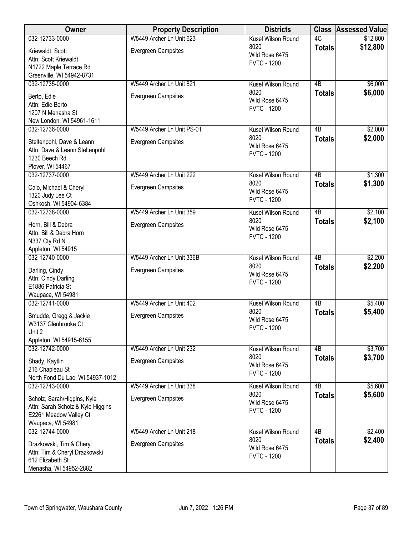| Owner                                                                                                           | <b>Property Description</b>                            | <b>Districts</b>                                                   |                 | <b>Class Assessed Value</b> |
|-----------------------------------------------------------------------------------------------------------------|--------------------------------------------------------|--------------------------------------------------------------------|-----------------|-----------------------------|
| 032-12733-0000                                                                                                  | W5449 Archer Ln Unit 623                               | Kusel Wilson Round                                                 | 4C              | \$12,800                    |
| Kriewaldt, Scott<br>Attn: Scott Kriewaldt<br>N1722 Maple Terrace Rd<br>Greenville, WI 54942-8731                | <b>Evergreen Campsites</b>                             | 8020<br>Wild Rose 6475<br><b>FVTC - 1200</b>                       | <b>Totals</b>   | \$12,800                    |
| 032-12735-0000                                                                                                  | W5449 Archer Ln Unit 821                               | Kusel Wilson Round                                                 | 4B              | \$6,000                     |
| Berto, Edie<br>Attn: Edie Berto<br>1207 N Menasha St<br>New London, WI 54961-1611                               | <b>Evergreen Campsites</b>                             | 8020<br>Wild Rose 6475<br><b>FVTC - 1200</b>                       | <b>Totals</b>   | \$6,000                     |
| 032-12736-0000                                                                                                  | W5449 Archer Ln Unit PS-01                             | Kusel Wilson Round                                                 | 4B              | \$2,000                     |
| Steltenpohl, Dave & Leann<br>Attn: Dave & Leann Steltenpohl<br>1230 Beech Rd<br>Plover, WI 54467                | <b>Evergreen Campsites</b>                             | 8020<br>Wild Rose 6475<br><b>FVTC - 1200</b>                       | <b>Totals</b>   | \$2,000                     |
| 032-12737-0000                                                                                                  | W5449 Archer Ln Unit 222                               | Kusel Wilson Round                                                 | $\overline{AB}$ | \$1,300                     |
| Calo, Michael & Cheryl<br>1320 Judy Lee Ct<br>Oshkosh, WI 54904-6384                                            | <b>Evergreen Campsites</b>                             | 8020<br>Wild Rose 6475<br><b>FVTC - 1200</b>                       | <b>Totals</b>   | \$1,300                     |
| 032-12738-0000                                                                                                  | W5449 Archer Ln Unit 359                               | Kusel Wilson Round                                                 | $\overline{AB}$ | \$2,100                     |
| Horn, Bill & Debra<br>Attn: Bill & Debra Horn<br>N337 Cty Rd N<br>Appleton, WI 54915                            | <b>Evergreen Campsites</b>                             | 8020<br>Wild Rose 6475<br><b>FVTC - 1200</b>                       | <b>Totals</b>   | \$2,100                     |
| 032-12740-0000                                                                                                  | W5449 Archer Ln Unit 336B                              | Kusel Wilson Round                                                 | $\overline{AB}$ | \$2,200                     |
| Darling, Cindy<br>Attn: Cindy Darling<br>E1886 Patricia St<br>Waupaca, WI 54981                                 | <b>Evergreen Campsites</b>                             | 8020<br>Wild Rose 6475<br><b>FVTC - 1200</b>                       | <b>Totals</b>   | \$2,200                     |
| 032-12741-0000                                                                                                  | W5449 Archer Ln Unit 402                               | Kusel Wilson Round                                                 | $\overline{AB}$ | \$5,400                     |
| Smudde, Gregg & Jackie<br>W3137 Glenbrooke Ct<br>Unit 2                                                         | <b>Evergreen Campsites</b>                             | 8020<br>Wild Rose 6475<br><b>FVTC - 1200</b>                       | <b>Totals</b>   | \$5,400                     |
| Appleton, WI 54915-6155<br>032-12742-0000                                                                       |                                                        |                                                                    | 4B              |                             |
| Shady, Kaytlin<br>216 Chapleau St                                                                               | W5449 Archer Ln Unit 232<br><b>Evergreen Campsites</b> | Kusel Wilson Round<br>8020<br>Wild Rose 6475<br><b>FVTC - 1200</b> | <b>Totals</b>   | \$3,700<br>\$3,700          |
| North Fond Du Lac, WI 54937-1012<br>032-12743-0000                                                              | W5449 Archer Ln Unit 338                               | Kusel Wilson Round                                                 | 4B              | \$5,600                     |
| Scholz, Sarah/Higgins, Kyle<br>Attn: Sarah Scholz & Kyle Higgins<br>E2261 Meadow Valley Ct<br>Waupaca, WI 54981 | <b>Evergreen Campsites</b>                             | 8020<br>Wild Rose 6475<br><b>FVTC - 1200</b>                       | <b>Totals</b>   | \$5,600                     |
| 032-12744-0000                                                                                                  | W5449 Archer Ln Unit 218                               | Kusel Wilson Round                                                 | $\overline{AB}$ | \$2,400                     |
| Drazkowski, Tim & Cheryl<br>Attn: Tim & Cheryl Drazkowski<br>612 Elizabeth St<br>Menasha, WI 54952-2882         | <b>Evergreen Campsites</b>                             | 8020<br>Wild Rose 6475<br><b>FVTC - 1200</b>                       | <b>Totals</b>   | \$2,400                     |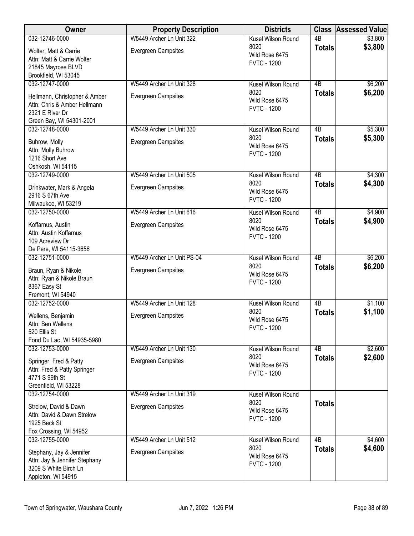| Owner                                                                                                        | <b>Property Description</b> | <b>Districts</b>                             |                 | <b>Class Assessed Value</b> |
|--------------------------------------------------------------------------------------------------------------|-----------------------------|----------------------------------------------|-----------------|-----------------------------|
| 032-12746-0000                                                                                               | W5449 Archer Ln Unit 322    | Kusel Wilson Round                           | $\overline{AB}$ | \$3,800                     |
| Wolter, Matt & Carrie<br>Attn: Matt & Carrie Wolter<br>21845 Mayrose BLVD<br>Brookfield, WI 53045            | Evergreen Campsites         | 8020<br>Wild Rose 6475<br><b>FVTC - 1200</b> | <b>Totals</b>   | \$3,800                     |
| 032-12747-0000                                                                                               | W5449 Archer Ln Unit 328    | Kusel Wilson Round                           | $\overline{AB}$ | \$6,200                     |
| Hellmann, Christopher & Amber<br>Attn: Chris & Amber Hellmann<br>2321 E River Dr<br>Green Bay, WI 54301-2001 | Evergreen Campsites         | 8020<br>Wild Rose 6475<br><b>FVTC - 1200</b> | <b>Totals</b>   | \$6,200                     |
| 032-12748-0000                                                                                               | W5449 Archer Ln Unit 330    | Kusel Wilson Round                           | 4B              | \$5,300                     |
| Buhrow, Molly<br>Attn: Molly Buhrow<br>1216 Short Ave<br>Oshkosh, WI 54115                                   | <b>Evergreen Campsites</b>  | 8020<br>Wild Rose 6475<br><b>FVTC - 1200</b> | <b>Totals</b>   | \$5,300                     |
| 032-12749-0000                                                                                               | W5449 Archer Ln Unit 505    | Kusel Wilson Round                           | $\overline{AB}$ | \$4,300                     |
| Drinkwater, Mark & Angela<br>2916 S 67th Ave<br>Milwaukee, WI 53219                                          | Evergreen Campsites         | 8020<br>Wild Rose 6475<br><b>FVTC - 1200</b> | <b>Totals</b>   | \$4,300                     |
| 032-12750-0000                                                                                               | W5449 Archer Ln Unit 616    | Kusel Wilson Round                           | $\overline{AB}$ | \$4,900                     |
| Koffarnus, Austin<br>Attn: Austin Koffarnus<br>109 Acreview Dr<br>De Pere, WI 54115-3656                     | <b>Evergreen Campsites</b>  | 8020<br>Wild Rose 6475<br><b>FVTC - 1200</b> | <b>Totals</b>   | \$4,900                     |
| 032-12751-0000                                                                                               | W5449 Archer Ln Unit PS-04  | Kusel Wilson Round                           | $\overline{AB}$ | \$6,200                     |
| Braun, Ryan & Nikole<br>Attn: Ryan & Nikole Braun<br>8367 Easy St<br>Fremont, WI 54940                       | Evergreen Campsites         | 8020<br>Wild Rose 6475<br><b>FVTC - 1200</b> | <b>Totals</b>   | \$6,200                     |
| 032-12752-0000                                                                                               | W5449 Archer Ln Unit 128    | Kusel Wilson Round                           | $\overline{AB}$ | \$1,100                     |
| Wellens, Benjamin<br>Attn: Ben Wellens<br>520 Ellis St<br>Fond Du Lac, WI 54935-5980                         | Evergreen Campsites         | 8020<br>Wild Rose 6475<br><b>FVTC - 1200</b> | <b>Totals</b>   | \$1,100                     |
| 032-12753-0000                                                                                               | W5449 Archer Ln Unit 130    | Kusel Wilson Round                           | 4B              | \$2,600                     |
| Springer, Fred & Patty<br>Attn: Fred & Patty Springer<br>4771 S 99th St<br>Greenfield, WI 53228              | <b>Evergreen Campsites</b>  | 8020<br>Wild Rose 6475<br><b>FVTC - 1200</b> | <b>Totals</b>   | \$2,600                     |
| 032-12754-0000                                                                                               | W5449 Archer Ln Unit 319    | Kusel Wilson Round                           |                 |                             |
| Strelow, David & Dawn<br>Attn: David & Dawn Strelow<br>1925 Beck St<br>Fox Crossing, WI 54952                | <b>Evergreen Campsites</b>  | 8020<br>Wild Rose 6475<br><b>FVTC - 1200</b> | <b>Totals</b>   |                             |
| 032-12755-0000                                                                                               | W5449 Archer Ln Unit 512    | Kusel Wilson Round                           | $\overline{AB}$ | \$4,600                     |
| Stephany, Jay & Jennifer<br>Attn: Jay & Jennifer Stephany<br>3209 S White Birch Ln<br>Appleton, WI 54915     | <b>Evergreen Campsites</b>  | 8020<br>Wild Rose 6475<br><b>FVTC - 1200</b> | <b>Totals</b>   | \$4,600                     |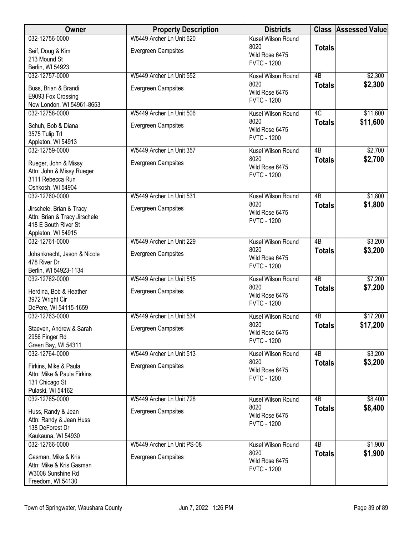| Owner                                                     | <b>Property Description</b> | <b>Districts</b>                     |                 | <b>Class Assessed Value</b> |
|-----------------------------------------------------------|-----------------------------|--------------------------------------|-----------------|-----------------------------|
| 032-12756-0000                                            | W5449 Archer Ln Unit 620    | <b>Kusel Wilson Round</b>            |                 |                             |
| Seif, Doug & Kim                                          | Evergreen Campsites         | 8020<br>Wild Rose 6475               | <b>Totals</b>   |                             |
| 213 Mound St                                              |                             | <b>FVTC - 1200</b>                   |                 |                             |
| Berlin, WI 54923                                          |                             |                                      |                 |                             |
| 032-12757-0000                                            | W5449 Archer Ln Unit 552    | Kusel Wilson Round<br>8020           | 4B              | \$2,300                     |
| Buss, Brian & Brandi                                      | Evergreen Campsites         | Wild Rose 6475                       | <b>Totals</b>   | \$2,300                     |
| E9093 Fox Crossing                                        |                             | <b>FVTC - 1200</b>                   |                 |                             |
| New London, WI 54961-8653                                 |                             |                                      |                 |                             |
| 032-12758-0000                                            | W5449 Archer Ln Unit 506    | Kusel Wilson Round<br>8020           | 4C              | \$11,600<br>\$11,600        |
| Schuh, Bob & Diana                                        | <b>Evergreen Campsites</b>  | Wild Rose 6475                       | <b>Totals</b>   |                             |
| 3575 Tulip Trl                                            |                             | <b>FVTC - 1200</b>                   |                 |                             |
| Appleton, WI 54913<br>032-12759-0000                      | W5449 Archer Ln Unit 357    | Kusel Wilson Round                   | 4B              | \$2,700                     |
|                                                           |                             | 8020                                 | <b>Totals</b>   | \$2,700                     |
| Rueger, John & Missy                                      | Evergreen Campsites         | Wild Rose 6475                       |                 |                             |
| Attn: John & Missy Rueger<br>3111 Rebecca Run             |                             | <b>FVTC - 1200</b>                   |                 |                             |
| Oshkosh, WI 54904                                         |                             |                                      |                 |                             |
| 032-12760-0000                                            | W5449 Archer Ln Unit 531    | Kusel Wilson Round                   | $\overline{AB}$ | \$1,800                     |
|                                                           |                             | 8020                                 | <b>Totals</b>   | \$1,800                     |
| Jirschele, Brian & Tracy<br>Attn: Brian & Tracy Jirschele | <b>Evergreen Campsites</b>  | Wild Rose 6475                       |                 |                             |
| 418 E South River St                                      |                             | <b>FVTC - 1200</b>                   |                 |                             |
| Appleton, WI 54915                                        |                             |                                      |                 |                             |
| 032-12761-0000                                            | W5449 Archer Ln Unit 229    | Kusel Wilson Round                   | 4B              | \$3,200                     |
| Johanknecht, Jason & Nicole                               | Evergreen Campsites         | 8020                                 | <b>Totals</b>   | \$3,200                     |
| 478 River Dr                                              |                             | Wild Rose 6475                       |                 |                             |
| Berlin, WI 54923-1134                                     |                             | <b>FVTC - 1200</b>                   |                 |                             |
| 032-12762-0000                                            | W5449 Archer Ln Unit 515    | Kusel Wilson Round                   | $\overline{AB}$ | \$7,200                     |
| Herdina, Bob & Heather                                    | Evergreen Campsites         | 8020                                 | <b>Totals</b>   | \$7,200                     |
| 3972 Wright Cir                                           |                             | Wild Rose 6475<br><b>FVTC - 1200</b> |                 |                             |
| DePere, WI 54115-1659                                     |                             |                                      |                 |                             |
| 032-12763-0000                                            | W5449 Archer Ln Unit 534    | Kusel Wilson Round                   | 4B              | \$17,200                    |
| Staeven, Andrew & Sarah                                   | Evergreen Campsites         | 8020<br>Wild Rose 6475               | <b>Totals</b>   | \$17,200                    |
| 2956 Finger Rd                                            |                             | <b>FVTC - 1200</b>                   |                 |                             |
| Green Bay, WI 54311                                       |                             |                                      |                 |                             |
| 032-12764-0000                                            | W5449 Archer Ln Unit 513    | Kusel Wilson Round                   | 4B              | \$3,200                     |
| Firkins, Mike & Paula                                     | <b>Evergreen Campsites</b>  | 8020<br>Wild Rose 6475               | <b>Totals</b>   | \$3,200                     |
| Attn: Mike & Paula Firkins                                |                             | <b>FVTC - 1200</b>                   |                 |                             |
| 131 Chicago St                                            |                             |                                      |                 |                             |
| Pulaski, WI 54162<br>032-12765-0000                       | W5449 Archer Ln Unit 728    | Kusel Wilson Round                   | $\overline{AB}$ | \$8,400                     |
|                                                           |                             | 8020                                 | <b>Totals</b>   | \$8,400                     |
| Huss, Randy & Jean                                        | Evergreen Campsites         | Wild Rose 6475                       |                 |                             |
| Attn: Randy & Jean Huss<br>138 DeForest Dr                |                             | <b>FVTC - 1200</b>                   |                 |                             |
| Kaukauna, WI 54930                                        |                             |                                      |                 |                             |
| 032-12766-0000                                            | W5449 Archer Ln Unit PS-08  | Kusel Wilson Round                   | 4B              | \$1,900                     |
| Gasman, Mike & Kris                                       | <b>Evergreen Campsites</b>  | 8020                                 | <b>Totals</b>   | \$1,900                     |
| Attn: Mike & Kris Gasman                                  |                             | Wild Rose 6475                       |                 |                             |
| W3008 Sunshine Rd                                         |                             | <b>FVTC - 1200</b>                   |                 |                             |
| Freedom, WI 54130                                         |                             |                                      |                 |                             |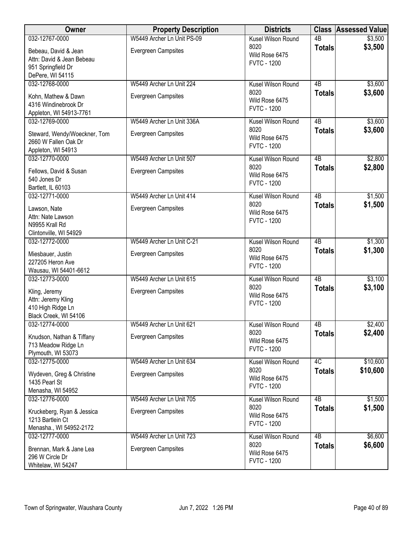| Owner                                          | <b>Property Description</b> | <b>Districts</b>       |                 | <b>Class Assessed Value</b> |
|------------------------------------------------|-----------------------------|------------------------|-----------------|-----------------------------|
| 032-12767-0000                                 | W5449 Archer Ln Unit PS-09  | Kusel Wilson Round     | $\overline{AB}$ | \$3,500                     |
| Bebeau, David & Jean                           | <b>Evergreen Campsites</b>  | 8020                   | <b>Totals</b>   | \$3,500                     |
| Attn: David & Jean Bebeau                      |                             | Wild Rose 6475         |                 |                             |
| 951 Springfield Dr                             |                             | <b>FVTC - 1200</b>     |                 |                             |
| DePere, WI 54115                               |                             |                        |                 |                             |
| 032-12768-0000                                 | W5449 Archer Ln Unit 224    | Kusel Wilson Round     | 4B              | \$3,600                     |
|                                                |                             | 8020                   | <b>Totals</b>   | \$3,600                     |
| Kohn, Mathew & Dawn                            | Evergreen Campsites         | Wild Rose 6475         |                 |                             |
| 4316 Windinebrook Dr                           |                             | <b>FVTC - 1200</b>     |                 |                             |
| Appleton, WI 54913-7761                        |                             |                        |                 |                             |
| 032-12769-0000                                 | W5449 Archer Ln Unit 336A   | Kusel Wilson Round     | 4B              | \$3,600                     |
| Steward, Wendy/Woeckner, Tom                   | <b>Evergreen Campsites</b>  | 8020<br>Wild Rose 6475 | <b>Totals</b>   | \$3,600                     |
| 2660 W Fallen Oak Dr                           |                             | <b>FVTC - 1200</b>     |                 |                             |
| Appleton, WI 54913                             |                             |                        |                 |                             |
| 032-12770-0000                                 | W5449 Archer Ln Unit 507    | Kusel Wilson Round     | $\overline{AB}$ | \$2,800                     |
| Fellows, David & Susan                         | <b>Evergreen Campsites</b>  | 8020                   | <b>Totals</b>   | \$2,800                     |
| 540 Jones Dr                                   |                             | Wild Rose 6475         |                 |                             |
| Bartlett, IL 60103                             |                             | <b>FVTC - 1200</b>     |                 |                             |
| 032-12771-0000                                 | W5449 Archer Ln Unit 414    | Kusel Wilson Round     | $\overline{AB}$ | \$1,500                     |
|                                                |                             | 8020                   | <b>Totals</b>   | \$1,500                     |
| Lawson, Nate                                   | <b>Evergreen Campsites</b>  | Wild Rose 6475         |                 |                             |
| Attn: Nate Lawson                              |                             | <b>FVTC - 1200</b>     |                 |                             |
| N9955 Krall Rd                                 |                             |                        |                 |                             |
| Clintonville, WI 54929                         |                             |                        |                 |                             |
| 032-12772-0000                                 | W5449 Archer Ln Unit C-21   | Kusel Wilson Round     | 4B              | \$1,300                     |
| Miesbauer, Justin                              | <b>Evergreen Campsites</b>  | 8020                   | <b>Totals</b>   | \$1,300                     |
| 227205 Heron Ave                               |                             | Wild Rose 6475         |                 |                             |
| Wausau, WI 54401-6612                          |                             | <b>FVTC - 1200</b>     |                 |                             |
| 032-12773-0000                                 | W5449 Archer Ln Unit 615    | Kusel Wilson Round     | $\overline{AB}$ | \$3,100                     |
|                                                |                             | 8020                   | <b>Totals</b>   | \$3,100                     |
| Kling, Jeremy                                  | <b>Evergreen Campsites</b>  | Wild Rose 6475         |                 |                             |
| Attn: Jeremy Kling<br>410 High Ridge Ln        |                             | <b>FVTC - 1200</b>     |                 |                             |
| Black Creek, WI 54106                          |                             |                        |                 |                             |
| 032-12774-0000                                 | W5449 Archer Ln Unit 621    | Kusel Wilson Round     | 4B              | \$2,400                     |
|                                                |                             | 8020                   | <b>Totals</b>   | \$2,400                     |
| Knudson, Nathan & Tiffany                      | <b>Evergreen Campsites</b>  | Wild Rose 6475         |                 |                             |
| 713 Meadow Ridge Ln                            |                             | <b>FVTC - 1200</b>     |                 |                             |
| Plymouth, WI 53073                             |                             |                        |                 |                             |
| 032-12775-0000                                 | W5449 Archer Ln Unit 634    | Kusel Wilson Round     | 4C              | \$10,600                    |
| Wydeven, Greg & Christine                      | <b>Evergreen Campsites</b>  | 8020                   | <b>Totals</b>   | \$10,600                    |
| 1435 Pearl St                                  |                             | Wild Rose 6475         |                 |                             |
| Menasha, WI 54952                              |                             | <b>FVTC - 1200</b>     |                 |                             |
| 032-12776-0000                                 | W5449 Archer Ln Unit 705    | Kusel Wilson Round     | $\overline{AB}$ | \$1,500                     |
|                                                | <b>Evergreen Campsites</b>  | 8020                   | <b>Totals</b>   | \$1,500                     |
| Kruckeberg, Ryan & Jessica<br>1213 Bartlein Ct |                             | Wild Rose 6475         |                 |                             |
| Menasha., WI 54952-2172                        |                             | <b>FVTC - 1200</b>     |                 |                             |
| 032-12777-0000                                 | W5449 Archer Ln Unit 723    | Kusel Wilson Round     | 4B              | \$6,600                     |
|                                                |                             | 8020                   | <b>Totals</b>   | \$6,600                     |
| Brennan, Mark & Jane Lea                       | <b>Evergreen Campsites</b>  | Wild Rose 6475         |                 |                             |
| 296 W Circle Dr                                |                             | <b>FVTC - 1200</b>     |                 |                             |
| Whitelaw, WI 54247                             |                             |                        |                 |                             |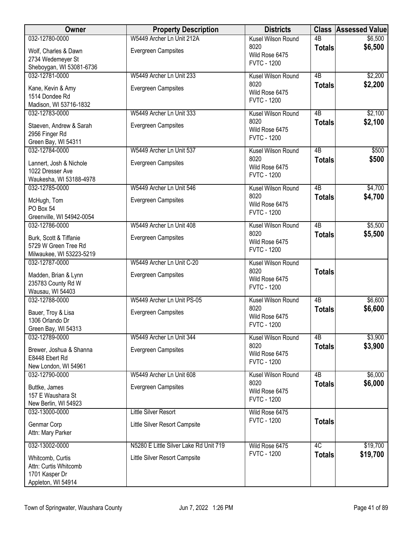| Owner                                       | <b>Property Description</b>            | <b>Districts</b>                     |                     | <b>Class Assessed Value</b> |
|---------------------------------------------|----------------------------------------|--------------------------------------|---------------------|-----------------------------|
| 032-12780-0000                              | W5449 Archer Ln Unit 212A              | Kusel Wilson Round                   | $\overline{AB}$     | \$6,500                     |
| Wolf, Charles & Dawn                        | <b>Evergreen Campsites</b>             | 8020<br>Wild Rose 6475               | <b>Totals</b>       | \$6,500                     |
| 2734 Wedemeyer St                           |                                        | <b>FVTC - 1200</b>                   |                     |                             |
| Sheboygan, WI 53081-6736                    |                                        |                                      |                     |                             |
| 032-12781-0000                              | W5449 Archer Ln Unit 233               | Kusel Wilson Round<br>8020           | $\overline{AB}$     | \$2,200                     |
| Kane, Kevin & Amy                           | <b>Evergreen Campsites</b>             | Wild Rose 6475                       | <b>Totals</b>       | \$2,200                     |
| 1514 Dondee Rd                              |                                        | <b>FVTC - 1200</b>                   |                     |                             |
| Madison, WI 53716-1832<br>032-12783-0000    | W5449 Archer Ln Unit 333               | Kusel Wilson Round                   | 4B                  | \$2,100                     |
|                                             |                                        | 8020                                 | <b>Totals</b>       | \$2,100                     |
| Staeven, Andrew & Sarah                     | <b>Evergreen Campsites</b>             | Wild Rose 6475                       |                     |                             |
| 2956 Finger Rd<br>Green Bay, WI 54311       |                                        | <b>FVTC - 1200</b>                   |                     |                             |
| 032-12784-0000                              | W5449 Archer Ln Unit 537               | Kusel Wilson Round                   | $\overline{AB}$     | \$500                       |
|                                             |                                        | 8020                                 | <b>Totals</b>       | \$500                       |
| Lannert, Josh & Nichole<br>1022 Dresser Ave | Evergreen Campsites                    | Wild Rose 6475                       |                     |                             |
| Waukesha, WI 53188-4978                     |                                        | <b>FVTC - 1200</b>                   |                     |                             |
| 032-12785-0000                              | W5449 Archer Ln Unit 546               | Kusel Wilson Round                   | $\overline{AB}$     | \$4,700                     |
| McHugh, Tom                                 | <b>Evergreen Campsites</b>             | 8020                                 | <b>Totals</b>       | \$4,700                     |
| PO Box 54                                   |                                        | Wild Rose 6475                       |                     |                             |
| Greenville, WI 54942-0054                   |                                        | <b>FVTC - 1200</b>                   |                     |                             |
| 032-12786-0000                              | W5449 Archer Ln Unit 408               | <b>Kusel Wilson Round</b>            | $\overline{AB}$     | \$5,500                     |
| Burk, Scott & Tiffanie                      | <b>Evergreen Campsites</b>             | 8020                                 | <b>Totals</b>       | \$5,500                     |
| 5729 W Green Tree Rd                        |                                        | Wild Rose 6475<br><b>FVTC - 1200</b> |                     |                             |
| Milwaukee, WI 53223-5219                    |                                        |                                      |                     |                             |
| 032-12787-0000                              | W5449 Archer Ln Unit C-20              | Kusel Wilson Round                   |                     |                             |
| Madden, Brian & Lynn                        | <b>Evergreen Campsites</b>             | 8020<br>Wild Rose 6475               | <b>Totals</b>       |                             |
| 235783 County Rd W                          |                                        | <b>FVTC - 1200</b>                   |                     |                             |
| Wausau, WI 54403                            |                                        |                                      |                     |                             |
| 032-12788-0000                              | W5449 Archer Ln Unit PS-05             | Kusel Wilson Round<br>8020           | 4B<br><b>Totals</b> | \$6,600<br>\$6,600          |
| Bauer, Troy & Lisa                          | <b>Evergreen Campsites</b>             | Wild Rose 6475                       |                     |                             |
| 1306 Orlando Dr                             |                                        | <b>FVTC - 1200</b>                   |                     |                             |
| Green Bay, WI 54313<br>032-12789-0000       | W5449 Archer Ln Unit 344               | Kusel Wilson Round                   | 4 <sub>B</sub>      | \$3,900                     |
|                                             |                                        | 8020                                 | <b>Totals</b>       | \$3,900                     |
| Brewer, Joshua & Shanna<br>E8448 Ebert Rd   | <b>Evergreen Campsites</b>             | Wild Rose 6475                       |                     |                             |
| New London, WI 54961                        |                                        | <b>FVTC - 1200</b>                   |                     |                             |
| 032-12790-0000                              | W5449 Archer Ln Unit 608               | Kusel Wilson Round                   | $\overline{AB}$     | \$6,000                     |
| Buttke, James                               | <b>Evergreen Campsites</b>             | 8020                                 | <b>Totals</b>       | \$6,000                     |
| 157 E Waushara St                           |                                        | Wild Rose 6475                       |                     |                             |
| New Berlin, WI 54923                        |                                        | <b>FVTC - 1200</b>                   |                     |                             |
| 032-13000-0000                              | <b>Little Silver Resort</b>            | Wild Rose 6475                       |                     |                             |
| Genmar Corp                                 | Little Silver Resort Campsite          | <b>FVTC - 1200</b>                   | <b>Totals</b>       |                             |
| Attn: Mary Parker                           |                                        |                                      |                     |                             |
| 032-13002-0000                              | N5280 E Little Silver Lake Rd Unit 719 | Wild Rose 6475                       | 4C                  | \$19,700                    |
| Whitcomb, Curtis                            | Little Silver Resort Campsite          | <b>FVTC - 1200</b>                   | <b>Totals</b>       | \$19,700                    |
| Attn: Curtis Whitcomb                       |                                        |                                      |                     |                             |
| 1701 Kasper Dr                              |                                        |                                      |                     |                             |
| Appleton, WI 54914                          |                                        |                                      |                     |                             |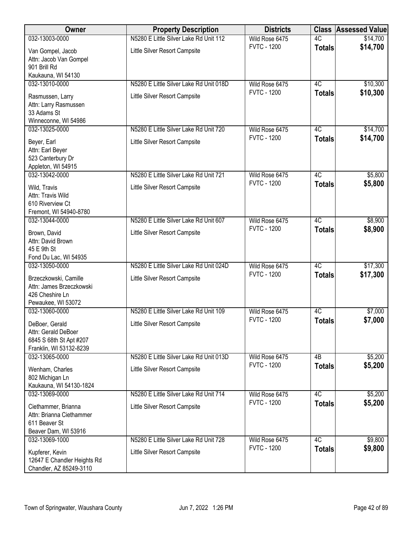| Owner                                                                                       | <b>Property Description</b>             | <b>Districts</b>                     | <b>Class</b>  | <b>Assessed Value</b> |
|---------------------------------------------------------------------------------------------|-----------------------------------------|--------------------------------------|---------------|-----------------------|
| 032-13003-0000                                                                              | N5280 E Little Silver Lake Rd Unit 112  | Wild Rose 6475                       | 4C            | \$14,700              |
| Van Gompel, Jacob<br>Attn: Jacob Van Gompel<br>901 Brill Rd<br>Kaukauna, WI 54130           | Little Silver Resort Campsite           | <b>FVTC - 1200</b>                   | <b>Totals</b> | \$14,700              |
| 032-13010-0000                                                                              | N5280 E Little Silver Lake Rd Unit 018D | Wild Rose 6475                       | 4C            | \$10,300              |
| Rasmussen, Larry<br>Attn: Larry Rasmussen<br>33 Adams St<br>Winneconne, WI 54986            | Little Silver Resort Campsite           | <b>FVTC - 1200</b>                   | <b>Totals</b> | \$10,300              |
| 032-13025-0000                                                                              | N5280 E Little Silver Lake Rd Unit 720  | Wild Rose 6475<br><b>FVTC - 1200</b> | 4C            | \$14,700              |
| Beyer, Earl<br>Attn: Earl Beyer<br>523 Canterbury Dr<br>Appleton, WI 54915                  | Little Silver Resort Campsite           |                                      | <b>Totals</b> | \$14,700              |
| 032-13042-0000                                                                              | N5280 E Little Silver Lake Rd Unit 721  | Wild Rose 6475                       | 4C            | \$5,800               |
| Wild, Travis<br>Attn: Travis Wild<br>610 Riverview Ct<br>Fremont, WI 54940-8780             | Little Silver Resort Campsite           | <b>FVTC - 1200</b>                   | <b>Totals</b> | \$5,800               |
| 032-13044-0000                                                                              | N5280 E Little Silver Lake Rd Unit 607  | Wild Rose 6475                       | 4C            | \$8,900               |
| Brown, David<br>Attn: David Brown<br>45 E 9th St                                            | Little Silver Resort Campsite           | <b>FVTC - 1200</b>                   | <b>Totals</b> | \$8,900               |
| Fond Du Lac, WI 54935<br>032-13050-0000                                                     | N5280 E Little Silver Lake Rd Unit 024D | Wild Rose 6475                       | 4C            | \$17,300              |
| Brzeczkowski, Camille<br>Attn: James Brzeczkowski<br>426 Cheshire Ln<br>Pewaukee, WI 53072  | Little Silver Resort Campsite           | <b>FVTC - 1200</b>                   | <b>Totals</b> | \$17,300              |
| 032-13060-0000                                                                              | N5280 E Little Silver Lake Rd Unit 109  | Wild Rose 6475                       | 4C            | \$7,000               |
| DeBoer, Gerald<br>Attn: Gerald DeBoer<br>6845 S 68th St Apt #207<br>Franklin, WI 53132-8239 | Little Silver Resort Campsite           | <b>FVTC - 1200</b>                   | <b>Totals</b> | \$7,000               |
| 032-13065-0000                                                                              | N5280 E Little Silver Lake Rd Unit 013D | Wild Rose 6475                       | 4B            | \$5,200               |
| Wenham, Charles<br>802 Michigan Ln<br>Kaukauna, WI 54130-1824                               | Little Silver Resort Campsite           | <b>FVTC - 1200</b>                   | <b>Totals</b> | \$5,200               |
| 032-13069-0000                                                                              | N5280 E Little Silver Lake Rd Unit 714  | Wild Rose 6475                       | 4C            | \$5,200               |
| Ciethammer, Brianna<br>Attn: Brianna Ciethammer<br>611 Beaver St<br>Beaver Dam, WI 53916    | Little Silver Resort Campsite           | <b>FVTC - 1200</b>                   | <b>Totals</b> | \$5,200               |
| 032-13069-1000                                                                              | N5280 E Little Silver Lake Rd Unit 728  | Wild Rose 6475                       | 4C            | \$9,800               |
| Kupferer, Kevin<br>12647 E Chandler Heights Rd<br>Chandler, AZ 85249-3110                   | Little Silver Resort Campsite           | <b>FVTC - 1200</b>                   | <b>Totals</b> | \$9,800               |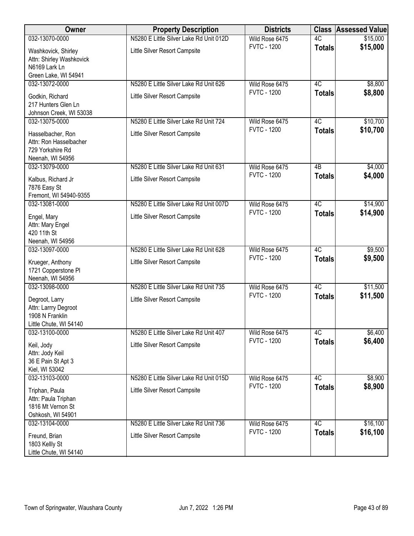| Owner                                                                               | <b>Property Description</b>             | <b>Districts</b>   | <b>Class</b>    | <b>Assessed Value</b> |
|-------------------------------------------------------------------------------------|-----------------------------------------|--------------------|-----------------|-----------------------|
| 032-13070-0000                                                                      | N5280 E Little Silver Lake Rd Unit 012D | Wild Rose 6475     | 4C              | \$15,000              |
| Washkovick, Shirley<br>Attn: Shirley Washkovick<br>N6169 Lark Ln                    | Little Silver Resort Campsite           | <b>FVTC - 1200</b> | <b>Totals</b>   | \$15,000              |
| Green Lake, WI 54941<br>032-13072-0000                                              | N5280 E Little Silver Lake Rd Unit 626  | Wild Rose 6475     | 4C              | \$8,800               |
| Godkin, Richard<br>217 Hunters Glen Ln<br>Johnson Creek, WI 53038                   | Little Silver Resort Campsite           | <b>FVTC - 1200</b> | <b>Totals</b>   | \$8,800               |
| 032-13075-0000                                                                      | N5280 E Little Silver Lake Rd Unit 724  | Wild Rose 6475     | 4C              | \$10,700              |
| Hasselbacher, Ron<br>Attn: Ron Hasselbacher<br>729 Yorkshire Rd<br>Neenah, WI 54956 | Little Silver Resort Campsite           | <b>FVTC - 1200</b> | <b>Totals</b>   | \$10,700              |
| 032-13079-0000                                                                      | N5280 E Little Silver Lake Rd Unit 631  | Wild Rose 6475     | $\overline{AB}$ | \$4,000               |
| Kalbus, Richard Jr<br>7876 Easy St<br>Fremont, WI 54940-9355                        | Little Silver Resort Campsite           | <b>FVTC - 1200</b> | <b>Totals</b>   | \$4,000               |
| 032-13081-0000                                                                      | N5280 E Little Silver Lake Rd Unit 007D | Wild Rose 6475     | 4C              | \$14,900              |
| Engel, Mary<br>Attn: Mary Engel<br>420 11th St<br>Neenah, WI 54956                  | Little Silver Resort Campsite           | <b>FVTC - 1200</b> | <b>Totals</b>   | \$14,900              |
| 032-13097-0000                                                                      | N5280 E Little Silver Lake Rd Unit 628  | Wild Rose 6475     | 4C              | \$9,500               |
| Krueger, Anthony<br>1721 Copperstone PI<br>Neenah, WI 54956                         | Little Silver Resort Campsite           | <b>FVTC - 1200</b> | <b>Totals</b>   | \$9,500               |
| 032-13098-0000                                                                      | N5280 E Little Silver Lake Rd Unit 735  | Wild Rose 6475     | 4C              | \$11,500              |
| Degroot, Larry<br>Attn: Larrry Degroot<br>1908 N Franklin<br>Little Chute, WI 54140 | Little Silver Resort Campsite           | <b>FVTC - 1200</b> | <b>Totals</b>   | \$11,500              |
| 032-13100-0000                                                                      | N5280 E Little Silver Lake Rd Unit 407  | Wild Rose 6475     | 4C              | \$6,400               |
| Keil, Jody<br>Attn: Jody Keil<br>36 E Pain St Apt 3<br>Kiel, WI 53042               | Little Silver Resort Campsite           | <b>FVTC - 1200</b> | <b>Totals</b>   | \$6,400               |
| 032-13103-0000                                                                      | N5280 E Little Silver Lake Rd Unit 015D | Wild Rose 6475     | 4C              | \$8,900               |
| Triphan, Paula<br>Attn: Paula Triphan<br>1816 Mt Vernon St<br>Oshkosh, WI 54901     | Little Silver Resort Campsite           | <b>FVTC - 1200</b> | <b>Totals</b>   | \$8,900               |
| 032-13104-0000                                                                      | N5280 E Little Silver Lake Rd Unit 736  | Wild Rose 6475     | 4C              | \$16,100              |
| Freund, Brian<br>1803 Kellly St<br>Little Chute, WI 54140                           | Little Silver Resort Campsite           | <b>FVTC - 1200</b> | <b>Totals</b>   | \$16,100              |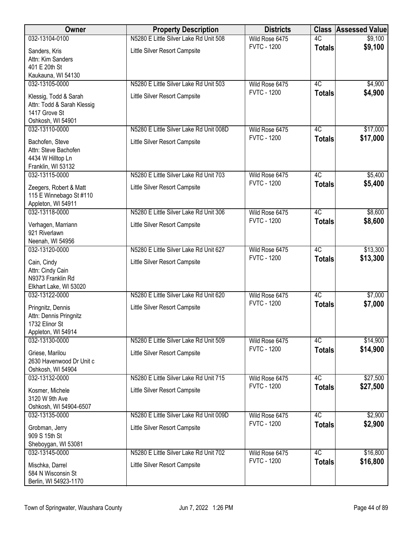| Owner                                       | <b>Property Description</b>             | <b>Districts</b>                     | <b>Class</b>  | <b>Assessed Value</b> |
|---------------------------------------------|-----------------------------------------|--------------------------------------|---------------|-----------------------|
| 032-13104-0100                              | N5280 E Little Silver Lake Rd Unit 508  | Wild Rose 6475                       | 4C            | \$9,100               |
| Sanders, Kris                               | Little Silver Resort Campsite           | <b>FVTC - 1200</b>                   | <b>Totals</b> | \$9,100               |
| Attn: Kim Sanders                           |                                         |                                      |               |                       |
| 401 E 20th St                               |                                         |                                      |               |                       |
| Kaukauna, WI 54130                          |                                         |                                      |               |                       |
| 032-13105-0000                              | N5280 E Little Silver Lake Rd Unit 503  | Wild Rose 6475<br><b>FVTC - 1200</b> | 4C            | \$4,900<br>\$4,900    |
| Klessig, Todd & Sarah                       | Little Silver Resort Campsite           |                                      | <b>Totals</b> |                       |
| Attn: Todd & Sarah Klessig                  |                                         |                                      |               |                       |
| 1417 Grove St<br>Oshkosh, WI 54901          |                                         |                                      |               |                       |
| 032-13110-0000                              | N5280 E Little Silver Lake Rd Unit 008D | Wild Rose 6475                       | 4C            | \$17,000              |
|                                             |                                         | <b>FVTC - 1200</b>                   | <b>Totals</b> | \$17,000              |
| Bachofen, Steve<br>Attn: Steve Bachofen     | Little Silver Resort Campsite           |                                      |               |                       |
| 4434 W Hilltop Ln                           |                                         |                                      |               |                       |
| Franklin, WI 53132                          |                                         |                                      |               |                       |
| 032-13115-0000                              | N5280 E Little Silver Lake Rd Unit 703  | Wild Rose 6475                       | 4C            | \$5,400               |
| Zeegers, Robert & Matt                      | Little Silver Resort Campsite           | <b>FVTC - 1200</b>                   | <b>Totals</b> | \$5,400               |
| 115 E Winnebago St #110                     |                                         |                                      |               |                       |
| Appleton, WI 54911                          |                                         |                                      |               |                       |
| 032-13118-0000                              | N5280 E Little Silver Lake Rd Unit 306  | Wild Rose 6475                       | 4C            | \$8,600               |
| Verhagen, Marriann                          | Little Silver Resort Campsite           | <b>FVTC - 1200</b>                   | <b>Totals</b> | \$8,600               |
| 921 Riverlawn                               |                                         |                                      |               |                       |
| Neenah, WI 54956                            |                                         |                                      |               |                       |
| 032-13120-0000                              | N5280 E Little Silver Lake Rd Unit 627  | Wild Rose 6475                       | 4C            | \$13,300              |
| Cain, Cindy                                 | Little Silver Resort Campsite           | <b>FVTC - 1200</b>                   | <b>Totals</b> | \$13,300              |
| Attn: Cindy Cain                            |                                         |                                      |               |                       |
| N9373 Franklin Rd                           |                                         |                                      |               |                       |
| Elkhart Lake, WI 53020                      |                                         |                                      |               |                       |
| 032-13122-0000                              | N5280 E Little Silver Lake Rd Unit 620  | Wild Rose 6475<br><b>FVTC - 1200</b> | 4C            | \$7,000               |
| Pringnitz, Dennis                           | Little Silver Resort Campsite           |                                      | <b>Totals</b> | \$7,000               |
| Attn: Dennis Pringnitz                      |                                         |                                      |               |                       |
| 1732 Elinor St                              |                                         |                                      |               |                       |
| Appleton, WI 54914<br>032-13130-0000        | N5280 E Little Silver Lake Rd Unit 509  | Wild Rose 6475                       | 4C            | \$14,900              |
|                                             |                                         | <b>FVTC - 1200</b>                   | <b>Totals</b> | \$14,900              |
| Griese, Marilou<br>2630 Havenwood Dr Unit c | Little Silver Resort Campsite           |                                      |               |                       |
| Oshkosh, WI 54904                           |                                         |                                      |               |                       |
| 032-13132-0000                              | N5280 E Little Silver Lake Rd Unit 715  | Wild Rose 6475                       | 4C            | \$27,500              |
|                                             |                                         | <b>FVTC - 1200</b>                   | <b>Totals</b> | \$27,500              |
| Kosmer, Michele<br>3120 W 9th Ave           | Little Silver Resort Campsite           |                                      |               |                       |
| Oshkosh, WI 54904-6507                      |                                         |                                      |               |                       |
| 032-13135-0000                              | N5280 E Little Silver Lake Rd Unit 009D | Wild Rose 6475                       | 4C            | \$2,900               |
| Grobman, Jerry                              | Little Silver Resort Campsite           | <b>FVTC - 1200</b>                   | <b>Totals</b> | \$2,900               |
| 909 S 15th St                               |                                         |                                      |               |                       |
| Sheboygan, WI 53081                         |                                         |                                      |               |                       |
| 032-13145-0000                              | N5280 E Little Silver Lake Rd Unit 702  | Wild Rose 6475                       | 4C            | \$16,800              |
| Mischka, Darrel                             | Little Silver Resort Campsite           | <b>FVTC - 1200</b>                   | <b>Totals</b> | \$16,800              |
| 584 N Wisconsin St                          |                                         |                                      |               |                       |
| Berlin, WI 54923-1170                       |                                         |                                      |               |                       |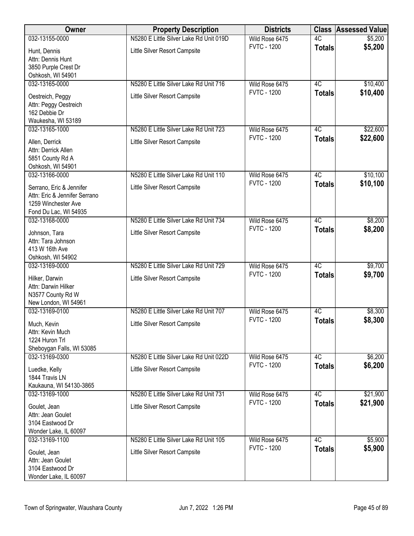| Owner                                                     | <b>Property Description</b>             | <b>Districts</b>   | <b>Class</b>    | <b>Assessed Value</b> |
|-----------------------------------------------------------|-----------------------------------------|--------------------|-----------------|-----------------------|
| 032-13155-0000                                            | N5280 E Little Silver Lake Rd Unit 019D | Wild Rose 6475     | 4C              | \$5,200               |
| Hunt, Dennis                                              | Little Silver Resort Campsite           | <b>FVTC - 1200</b> | <b>Totals</b>   | \$5,200               |
| Attn: Dennis Hunt                                         |                                         |                    |                 |                       |
| 3850 Purple Crest Dr                                      |                                         |                    |                 |                       |
| Oshkosh, WI 54901<br>032-13165-0000                       | N5280 E Little Silver Lake Rd Unit 716  | Wild Rose 6475     | 4C              | \$10,400              |
|                                                           |                                         | <b>FVTC - 1200</b> | <b>Totals</b>   | \$10,400              |
| Oestreich, Peggy<br>Attn: Peggy Oestreich                 | Little Silver Resort Campsite           |                    |                 |                       |
| 162 Debbie Dr                                             |                                         |                    |                 |                       |
| Waukesha, WI 53189                                        |                                         |                    |                 |                       |
| 032-13165-1000                                            | N5280 E Little Silver Lake Rd Unit 723  | Wild Rose 6475     | 4C              | \$22,600              |
| Allen, Derrick                                            | Little Silver Resort Campsite           | <b>FVTC - 1200</b> | <b>Totals</b>   | \$22,600              |
| Attn: Derrick Allen                                       |                                         |                    |                 |                       |
| 5851 County Rd A                                          |                                         |                    |                 |                       |
| Oshkosh, WI 54901<br>032-13166-0000                       | N5280 E Little Silver Lake Rd Unit 110  | Wild Rose 6475     | 4C              | \$10,100              |
|                                                           |                                         | <b>FVTC - 1200</b> | <b>Totals</b>   | \$10,100              |
| Serrano, Eric & Jennifer<br>Attn: Eric & Jennifer Serrano | Little Silver Resort Campsite           |                    |                 |                       |
| 1259 Winchester Ave                                       |                                         |                    |                 |                       |
| Fond Du Lac, WI 54935                                     |                                         |                    |                 |                       |
| 032-13168-0000                                            | N5280 E Little Silver Lake Rd Unit 734  | Wild Rose 6475     | $\overline{4C}$ | \$8,200               |
| Johnson, Tara                                             | Little Silver Resort Campsite           | <b>FVTC - 1200</b> | <b>Totals</b>   | \$8,200               |
| Attn: Tara Johnson                                        |                                         |                    |                 |                       |
| 413 W 16th Ave                                            |                                         |                    |                 |                       |
| Oshkosh, WI 54902<br>032-13169-0000                       | N5280 E Little Silver Lake Rd Unit 729  | Wild Rose 6475     | 4C              | \$9,700               |
|                                                           |                                         | <b>FVTC - 1200</b> | <b>Totals</b>   | \$9,700               |
| Hilker, Darwin<br>Attn: Darwin Hilker                     | Little Silver Resort Campsite           |                    |                 |                       |
| N3577 County Rd W                                         |                                         |                    |                 |                       |
| New London, WI 54961                                      |                                         |                    |                 |                       |
| 032-13169-0100                                            | N5280 E Little Silver Lake Rd Unit 707  | Wild Rose 6475     | 4C              | \$8,300               |
| Much, Kevin                                               | Little Silver Resort Campsite           | <b>FVTC - 1200</b> | <b>Totals</b>   | \$8,300               |
| Attn: Kevin Much                                          |                                         |                    |                 |                       |
| 1224 Huron Trl<br>Sheboygan Falls, WI 53085               |                                         |                    |                 |                       |
| 032-13169-0300                                            | N5280 E Little Silver Lake Rd Unit 022D | Wild Rose 6475     | 4C              | \$6,200               |
| Luedke, Kelly                                             | Little Silver Resort Campsite           | <b>FVTC - 1200</b> | <b>Totals</b>   | \$6,200               |
| 1844 Travis LN                                            |                                         |                    |                 |                       |
| Kaukauna, WI 54130-3865                                   |                                         |                    |                 |                       |
| 032-13169-1000                                            | N5280 E Little Silver Lake Rd Unit 731  | Wild Rose 6475     | 4C              | \$21,900              |
| Goulet, Jean                                              | Little Silver Resort Campsite           | <b>FVTC - 1200</b> | <b>Totals</b>   | \$21,900              |
| Attn: Jean Goulet                                         |                                         |                    |                 |                       |
| 3104 Eastwood Dr                                          |                                         |                    |                 |                       |
| Wonder Lake, IL 60097<br>032-13169-1100                   | N5280 E Little Silver Lake Rd Unit 105  | Wild Rose 6475     | 4C              | \$5,900               |
|                                                           |                                         | <b>FVTC - 1200</b> | <b>Totals</b>   | \$5,900               |
| Goulet, Jean<br>Attn: Jean Goulet                         | Little Silver Resort Campsite           |                    |                 |                       |
| 3104 Eastwood Dr                                          |                                         |                    |                 |                       |
| Wonder Lake, IL 60097                                     |                                         |                    |                 |                       |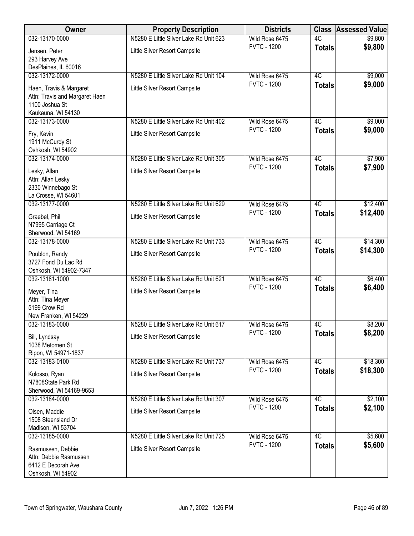| <b>Owner</b>                          | <b>Property Description</b>            | <b>Districts</b>                     | <b>Class</b>    | <b>Assessed Value</b> |
|---------------------------------------|----------------------------------------|--------------------------------------|-----------------|-----------------------|
| 032-13170-0000                        | N5280 E Little Silver Lake Rd Unit 623 | Wild Rose 6475                       | 4C              | \$9,800               |
| Jensen, Peter                         | Little Silver Resort Campsite          | <b>FVTC - 1200</b>                   | <b>Totals</b>   | \$9,800               |
| 293 Harvey Ave                        |                                        |                                      |                 |                       |
| DesPlaines, IL 60016                  |                                        |                                      |                 |                       |
| 032-13172-0000                        | N5280 E Little Silver Lake Rd Unit 104 | Wild Rose 6475                       | 4C              | \$9,000               |
| Haen, Travis & Margaret               | Little Silver Resort Campsite          | <b>FVTC - 1200</b>                   | <b>Totals</b>   | \$9,000               |
| Attn: Travis and Margaret Haen        |                                        |                                      |                 |                       |
| 1100 Joshua St                        |                                        |                                      |                 |                       |
| Kaukauna, WI 54130<br>032-13173-0000  | N5280 E Little Silver Lake Rd Unit 402 | Wild Rose 6475                       | 4C              | \$9,000               |
|                                       |                                        | <b>FVTC - 1200</b>                   | <b>Totals</b>   | \$9,000               |
| Fry, Kevin                            | Little Silver Resort Campsite          |                                      |                 |                       |
| 1911 McCurdy St<br>Oshkosh, WI 54902  |                                        |                                      |                 |                       |
| 032-13174-0000                        | N5280 E Little Silver Lake Rd Unit 305 | Wild Rose 6475                       | 4C              | \$7,900               |
|                                       |                                        | <b>FVTC - 1200</b>                   | <b>Totals</b>   | \$7,900               |
| Lesky, Allan<br>Attn: Allan Lesky     | Little Silver Resort Campsite          |                                      |                 |                       |
| 2330 Winnebago St                     |                                        |                                      |                 |                       |
| La Crosse, WI 54601                   |                                        |                                      |                 |                       |
| 032-13177-0000                        | N5280 E Little Silver Lake Rd Unit 629 | Wild Rose 6475                       | 4C              | \$12,400              |
| Graebel, Phil                         | Little Silver Resort Campsite          | <b>FVTC - 1200</b>                   | <b>Totals</b>   | \$12,400              |
| N7995 Carriage Ct                     |                                        |                                      |                 |                       |
| Sherwood, WI 54169                    |                                        |                                      |                 |                       |
| 032-13178-0000                        | N5280 E Little Silver Lake Rd Unit 733 | Wild Rose 6475                       | 4C              | \$14,300              |
| Poublon, Randy                        | Little Silver Resort Campsite          | <b>FVTC - 1200</b>                   | <b>Totals</b>   | \$14,300              |
| 3727 Fond Du Lac Rd                   |                                        |                                      |                 |                       |
| Oshkosh, WI 54902-7347                |                                        |                                      |                 |                       |
| 032-13181-1000                        | N5280 E Little Silver Lake Rd Unit 621 | Wild Rose 6475<br><b>FVTC - 1200</b> | 4C              | \$6,400               |
| Meyer, Tina                           | Little Silver Resort Campsite          |                                      | <b>Totals</b>   | \$6,400               |
| Attn: Tina Meyer                      |                                        |                                      |                 |                       |
| 5199 Crow Rd<br>New Franken, WI 54229 |                                        |                                      |                 |                       |
| 032-13183-0000                        | N5280 E Little Silver Lake Rd Unit 617 | Wild Rose 6475                       | 4C              | \$8,200               |
|                                       |                                        | <b>FVTC - 1200</b>                   | <b>Totals</b>   | \$8,200               |
| Bill, Lyndsay<br>1038 Metomen St      | Little Silver Resort Campsite          |                                      |                 |                       |
| Ripon, WI 54971-1837                  |                                        |                                      |                 |                       |
| 032-13183-0100                        | N5280 E Little Silver Lake Rd Unit 737 | Wild Rose 6475                       | 4C              | \$18,300              |
| Kolosso, Ryan                         | Little Silver Resort Campsite          | <b>FVTC - 1200</b>                   | <b>Totals</b>   | \$18,300              |
| N7808State Park Rd                    |                                        |                                      |                 |                       |
| Sherwood, WI 54169-9653               |                                        |                                      |                 |                       |
| 032-13184-0000                        | N5280 E Little Silver Lake Rd Unit 307 | Wild Rose 6475                       | $\overline{4C}$ | \$2,100               |
| Olsen, Maddie                         | Little Silver Resort Campsite          | <b>FVTC - 1200</b>                   | <b>Totals</b>   | \$2,100               |
| 1508 Steensland Dr                    |                                        |                                      |                 |                       |
| Madison, WI 53704                     |                                        |                                      |                 |                       |
| 032-13185-0000                        | N5280 E Little Silver Lake Rd Unit 725 | Wild Rose 6475                       | $\overline{4C}$ | \$5,600               |
| Rasmussen, Debbie                     | Little Silver Resort Campsite          | <b>FVTC - 1200</b>                   | <b>Totals</b>   | \$5,600               |
| Attn: Debbie Rasmussen                |                                        |                                      |                 |                       |
| 6412 E Decorah Ave                    |                                        |                                      |                 |                       |
| Oshkosh, WI 54902                     |                                        |                                      |                 |                       |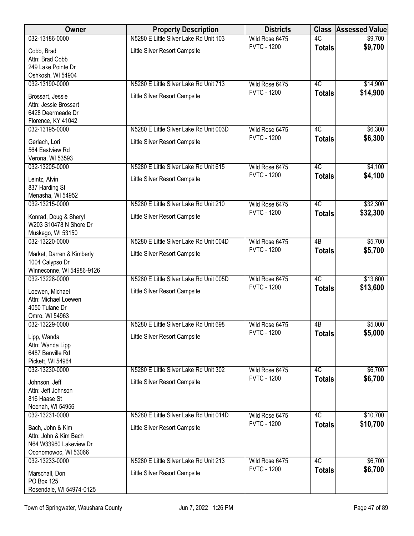| Owner                                           | <b>Property Description</b>             | <b>Districts</b>                     | <b>Class</b>        | <b>Assessed Value</b> |
|-------------------------------------------------|-----------------------------------------|--------------------------------------|---------------------|-----------------------|
| 032-13186-0000                                  | N5280 E Little Silver Lake Rd Unit 103  | Wild Rose 6475                       | 4C                  | \$9,700               |
| Cobb, Brad                                      | Little Silver Resort Campsite           | <b>FVTC - 1200</b>                   | <b>Totals</b>       | \$9,700               |
| Attn: Brad Cobb                                 |                                         |                                      |                     |                       |
| 249 Lake Pointe Dr<br>Oshkosh, WI 54904         |                                         |                                      |                     |                       |
| 032-13190-0000                                  | N5280 E Little Silver Lake Rd Unit 713  | Wild Rose 6475                       | 4C                  | \$14,900              |
| Brossart, Jessie                                | Little Silver Resort Campsite           | <b>FVTC - 1200</b>                   | <b>Totals</b>       | \$14,900              |
| Attn: Jessie Brossart                           |                                         |                                      |                     |                       |
| 6428 Deermeade Dr                               |                                         |                                      |                     |                       |
| Florence, KY 41042<br>032-13195-0000            | N5280 E Little Silver Lake Rd Unit 003D | Wild Rose 6475                       | 4C                  | \$6,300               |
|                                                 |                                         | <b>FVTC - 1200</b>                   | <b>Totals</b>       | \$6,300               |
| Gerlach, Lori<br>564 Eastview Rd                | Little Silver Resort Campsite           |                                      |                     |                       |
| Verona, WI 53593                                |                                         |                                      |                     |                       |
| 032-13205-0000                                  | N5280 E Little Silver Lake Rd Unit 615  | Wild Rose 6475                       | 4C                  | \$4,100               |
| Leintz, Alvin                                   | Little Silver Resort Campsite           | <b>FVTC - 1200</b>                   | <b>Totals</b>       | \$4,100               |
| 837 Harding St                                  |                                         |                                      |                     |                       |
| Menasha, WI 54952<br>032-13215-0000             | N5280 E Little Silver Lake Rd Unit 210  |                                      | 4C                  |                       |
|                                                 |                                         | Wild Rose 6475<br><b>FVTC - 1200</b> | <b>Totals</b>       | \$32,300<br>\$32,300  |
| Konrad, Doug & Sheryl<br>W203 S10478 N Shore Dr | Little Silver Resort Campsite           |                                      |                     |                       |
| Muskego, WI 53150                               |                                         |                                      |                     |                       |
| 032-13220-0000                                  | N5280 E Little Silver Lake Rd Unit 004D | Wild Rose 6475                       | $\overline{AB}$     | \$5,700               |
| Market, Darren & Kimberly                       | Little Silver Resort Campsite           | <b>FVTC - 1200</b>                   | <b>Totals</b>       | \$5,700               |
| 1004 Calypso Dr                                 |                                         |                                      |                     |                       |
| Winneconne, WI 54986-9126                       |                                         |                                      |                     |                       |
| 032-13228-0000                                  | N5280 E Little Silver Lake Rd Unit 005D | Wild Rose 6475<br><b>FVTC - 1200</b> | 4C<br><b>Totals</b> | \$13,600<br>\$13,600  |
| Loewen, Michael<br>Attn: Michael Loewen         | Little Silver Resort Campsite           |                                      |                     |                       |
| 4050 Tulane Dr                                  |                                         |                                      |                     |                       |
| Omro, WI 54963                                  |                                         |                                      |                     |                       |
| 032-13229-0000                                  | N5280 E Little Silver Lake Rd Unit 698  | Wild Rose 6475                       | 4B                  | \$5,000               |
| Lipp, Wanda                                     | Little Silver Resort Campsite           | <b>FVTC - 1200</b>                   | <b>Totals</b>       | \$5,000               |
| Attn: Wanda Lipp<br>6487 Banville Rd            |                                         |                                      |                     |                       |
| Pickett, WI 54964                               |                                         |                                      |                     |                       |
| 032-13230-0000                                  | N5280 E Little Silver Lake Rd Unit 302  | Wild Rose 6475                       | 4C                  | \$6,700               |
| Johnson, Jeff                                   | Little Silver Resort Campsite           | <b>FVTC - 1200</b>                   | <b>Totals</b>       | \$6,700               |
| Attn: Jeff Johnson                              |                                         |                                      |                     |                       |
| 816 Haase St                                    |                                         |                                      |                     |                       |
| Neenah, WI 54956<br>032-13231-0000              | N5280 E Little Silver Lake Rd Unit 014D | Wild Rose 6475                       | 4C                  | \$10,700              |
| Bach, John & Kim                                | Little Silver Resort Campsite           | <b>FVTC - 1200</b>                   | <b>Totals</b>       | \$10,700              |
| Attn: John & Kim Bach                           |                                         |                                      |                     |                       |
| N64 W33960 Lakeview Dr                          |                                         |                                      |                     |                       |
| Oconomowoc, WI 53066                            |                                         |                                      |                     |                       |
| 032-13233-0000                                  | N5280 E Little Silver Lake Rd Unit 213  | Wild Rose 6475<br><b>FVTC - 1200</b> | 4C<br><b>Totals</b> | \$6,700<br>\$6,700    |
| Marschall, Don<br>PO Box 125                    | Little Silver Resort Campsite           |                                      |                     |                       |
| Rosendale, WI 54974-0125                        |                                         |                                      |                     |                       |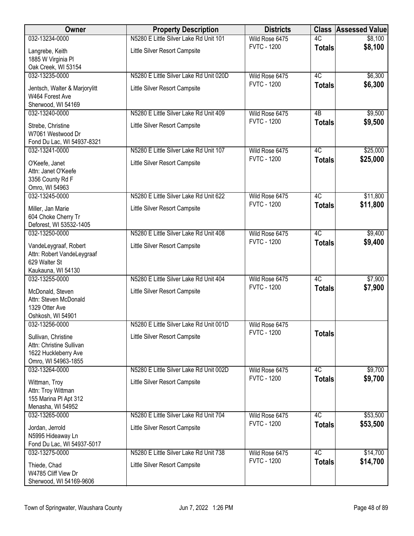| Owner                                        | <b>Property Description</b>             | <b>Districts</b>                     | <b>Class</b>  | <b>Assessed Value</b> |
|----------------------------------------------|-----------------------------------------|--------------------------------------|---------------|-----------------------|
| 032-13234-0000                               | N5280 E Little Silver Lake Rd Unit 101  | Wild Rose 6475                       | 4C            | \$8,100               |
| Langrebe, Keith                              | Little Silver Resort Campsite           | <b>FVTC - 1200</b>                   | <b>Totals</b> | \$8,100               |
| 1885 W Virginia Pl                           |                                         |                                      |               |                       |
| Oak Creek, WI 53154                          |                                         |                                      |               |                       |
| 032-13235-0000                               | N5280 E Little Silver Lake Rd Unit 020D | Wild Rose 6475                       | 4C            | \$6,300               |
| Jentsch, Walter & Marjorylitt                | Little Silver Resort Campsite           | <b>FVTC - 1200</b>                   | <b>Totals</b> | \$6,300               |
| W464 Forest Ave                              |                                         |                                      |               |                       |
| Sherwood, WI 54169                           |                                         |                                      |               |                       |
| 032-13240-0000                               | N5280 E Little Silver Lake Rd Unit 409  | Wild Rose 6475                       | 4B            | \$9,500               |
| Strebe, Christine                            | Little Silver Resort Campsite           | <b>FVTC - 1200</b>                   | <b>Totals</b> | \$9,500               |
| W7061 Westwood Dr                            |                                         |                                      |               |                       |
| Fond Du Lac, WI 54937-8321                   |                                         |                                      |               |                       |
| 032-13241-0000                               | N5280 E Little Silver Lake Rd Unit 107  | Wild Rose 6475                       | 4C            | \$25,000              |
| O'Keefe, Janet                               | Little Silver Resort Campsite           | <b>FVTC - 1200</b>                   | <b>Totals</b> | \$25,000              |
| Attn: Janet O'Keefe                          |                                         |                                      |               |                       |
| 3356 County Rd F                             |                                         |                                      |               |                       |
| Omro, WI 54963                               |                                         |                                      |               |                       |
| 032-13245-0000                               | N5280 E Little Silver Lake Rd Unit 622  | Wild Rose 6475                       | 4C            | \$11,800              |
| Miller, Jan Marie                            | Little Silver Resort Campsite           | <b>FVTC - 1200</b>                   | <b>Totals</b> | \$11,800              |
| 604 Choke Cherry Tr                          |                                         |                                      |               |                       |
| Deforest, WI 53532-1405                      |                                         |                                      |               |                       |
| 032-13250-0000                               | N5280 E Little Silver Lake Rd Unit 408  | Wild Rose 6475                       | 4C            | \$9,400               |
| VandeLeygraaf, Robert                        | Little Silver Resort Campsite           | <b>FVTC - 1200</b>                   | <b>Totals</b> | \$9,400               |
| Attn: Robert VandeLeygraaf                   |                                         |                                      |               |                       |
| 629 Walter St                                |                                         |                                      |               |                       |
| Kaukauna, WI 54130                           |                                         |                                      |               |                       |
| 032-13255-0000                               | N5280 E Little Silver Lake Rd Unit 404  | Wild Rose 6475                       | 4C            | \$7,900               |
| McDonald, Steven                             | Little Silver Resort Campsite           | <b>FVTC - 1200</b>                   | <b>Totals</b> | \$7,900               |
| Attn: Steven McDonald                        |                                         |                                      |               |                       |
| 1329 Otter Ave                               |                                         |                                      |               |                       |
| Oshkosh, WI 54901                            |                                         |                                      |               |                       |
| 032-13256-0000                               | N5280 E Little Silver Lake Rd Unit 001D | Wild Rose 6475                       |               |                       |
| Sullivan, Christine                          | Little Silver Resort Campsite           | <b>FVTC - 1200</b>                   | <b>Totals</b> |                       |
| Attn: Christine Sullivan                     |                                         |                                      |               |                       |
| 1622 Huckleberry Ave                         |                                         |                                      |               |                       |
| Omro, WI 54963-1855<br>032-13264-0000        |                                         |                                      |               |                       |
|                                              | N5280 E Little Silver Lake Rd Unit 002D | Wild Rose 6475<br><b>FVTC - 1200</b> | 4C            | \$9,700               |
| Wittman, Troy                                | Little Silver Resort Campsite           |                                      | <b>Totals</b> | \$9,700               |
| Attn: Troy Wittman                           |                                         |                                      |               |                       |
| 155 Marina PI Apt 312                        |                                         |                                      |               |                       |
| Menasha, WI 54952<br>032-13265-0000          | N5280 E Little Silver Lake Rd Unit 704  | Wild Rose 6475                       | 4C            | \$53,500              |
|                                              |                                         | <b>FVTC - 1200</b>                   | <b>Totals</b> | \$53,500              |
| Jordan, Jerrold                              | Little Silver Resort Campsite           |                                      |               |                       |
| N5995 Hideaway Ln                            |                                         |                                      |               |                       |
| Fond Du Lac, WI 54937-5017<br>032-13275-0000 | N5280 E Little Silver Lake Rd Unit 738  | Wild Rose 6475                       | 4C            | \$14,700              |
|                                              |                                         | <b>FVTC - 1200</b>                   | <b>Totals</b> | \$14,700              |
| Thiede, Chad                                 | Little Silver Resort Campsite           |                                      |               |                       |
| W4785 Cliff View Dr                          |                                         |                                      |               |                       |
| Sherwood, WI 54169-9606                      |                                         |                                      |               |                       |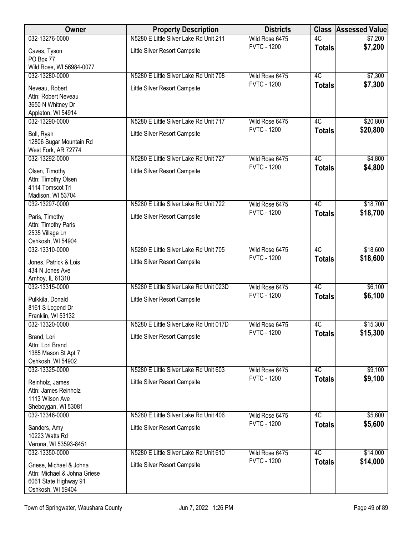| Owner                                                                                                 | <b>Property Description</b>                                             | <b>Districts</b>                     | <b>Class</b>        | <b>Assessed Value</b> |
|-------------------------------------------------------------------------------------------------------|-------------------------------------------------------------------------|--------------------------------------|---------------------|-----------------------|
| 032-13276-0000                                                                                        | N5280 E Little Silver Lake Rd Unit 211                                  | Wild Rose 6475                       | 4C                  | \$7,200               |
| Caves, Tyson<br>PO Box 77                                                                             | Little Silver Resort Campsite                                           | <b>FVTC - 1200</b>                   | <b>Totals</b>       | \$7,200               |
| Wild Rose, WI 56984-0077                                                                              |                                                                         |                                      |                     |                       |
| 032-13280-0000                                                                                        | N5280 E Little Silver Lake Rd Unit 708                                  | Wild Rose 6475                       | 4C                  | \$7,300               |
| Neveau, Robert<br>Attn: Robert Neveau<br>3650 N Whitney Dr                                            | Little Silver Resort Campsite                                           | <b>FVTC - 1200</b>                   | <b>Totals</b>       | \$7,300               |
| Appleton, WI 54914<br>032-13290-0000                                                                  | N5280 E Little Silver Lake Rd Unit 717                                  | Wild Rose 6475                       | 4C                  | \$20,800              |
| Boll, Ryan<br>12806 Sugar Mountain Rd                                                                 | Little Silver Resort Campsite                                           | <b>FVTC - 1200</b>                   | <b>Totals</b>       | \$20,800              |
| West Fork, AR 72774                                                                                   |                                                                         |                                      |                     |                       |
| 032-13292-0000<br>Olsen, Timothy<br>Attn: Timothy Olsen<br>4114 Tomscot Trl<br>Madison, WI 53704      | N5280 E Little Silver Lake Rd Unit 727<br>Little Silver Resort Campsite | Wild Rose 6475<br><b>FVTC - 1200</b> | 4C<br><b>Totals</b> | \$4,800<br>\$4,800    |
| 032-13297-0000                                                                                        | N5280 E Little Silver Lake Rd Unit 722                                  | Wild Rose 6475                       | $\overline{4C}$     | \$18,700              |
| Paris, Timothy<br>Attn: Timothy Paris<br>2535 Village Ln<br>Oshkosh, WI 54904                         | Little Silver Resort Campsite                                           | <b>FVTC - 1200</b>                   | <b>Totals</b>       | \$18,700              |
| 032-13310-0000                                                                                        | N5280 E Little Silver Lake Rd Unit 705                                  | Wild Rose 6475                       | 4C                  | \$18,600              |
| Jones, Patrick & Lois<br>434 N Jones Ave<br>Amhoy, IL 61310                                           | Little Silver Resort Campsite                                           | <b>FVTC - 1200</b>                   | <b>Totals</b>       | \$18,600              |
| 032-13315-0000                                                                                        | N5280 E Little Silver Lake Rd Unit 023D                                 | Wild Rose 6475                       | 4C                  | \$6,100               |
| Pulkkila, Donald<br>8161 S Legend Dr<br>Franklin, WI 53132                                            | Little Silver Resort Campsite                                           | <b>FVTC - 1200</b>                   | <b>Totals</b>       | \$6,100               |
| 032-13320-0000                                                                                        | N5280 E Little Silver Lake Rd Unit 017D                                 | Wild Rose 6475                       | 4C                  | \$15,300              |
| Brand, Lori<br>Attn: Lori Brand<br>1385 Mason St Apt 7<br>Oshkosh, WI 54902                           | Little Silver Resort Campsite                                           | <b>FVTC - 1200</b>                   | <b>Totals</b>       | \$15,300              |
| 032-13325-0000                                                                                        | N5280 E Little Silver Lake Rd Unit 603                                  | Wild Rose 6475                       | 4C                  | \$9,100               |
| Reinholz, James<br>Attn: James Reinholz<br>1113 Wilson Ave<br>Sheboygan, WI 53081                     | Little Silver Resort Campsite                                           | <b>FVTC - 1200</b>                   | <b>Totals</b>       | \$9,100               |
| 032-13346-0000                                                                                        | N5280 E Little Silver Lake Rd Unit 406                                  | Wild Rose 6475                       | 4C                  | \$5,600               |
| Sanders, Amy<br>10223 Watts Rd                                                                        | Little Silver Resort Campsite                                           | <b>FVTC - 1200</b>                   | <b>Totals</b>       | \$5,600               |
| Verona, WI 53593-8451<br>032-13350-0000                                                               | N5280 E Little Silver Lake Rd Unit 610                                  | Wild Rose 6475                       | $\overline{4C}$     | \$14,000              |
| Griese, Michael & Johna<br>Attn: Michael & Johna Griese<br>6061 State Highway 91<br>Oshkosh, WI 59404 | Little Silver Resort Campsite                                           | <b>FVTC - 1200</b>                   | <b>Totals</b>       | \$14,000              |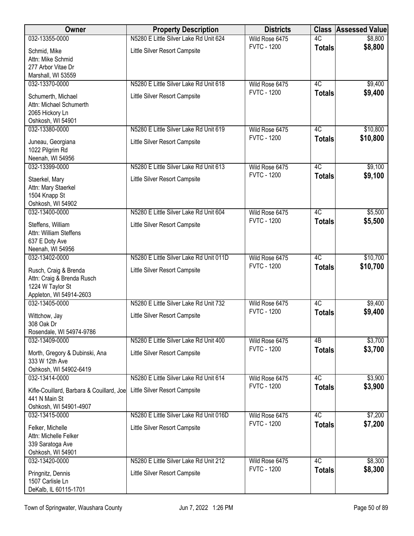| Owner                                               | <b>Property Description</b>             | <b>Districts</b>                     | <b>Class</b>    | <b>Assessed Value</b> |
|-----------------------------------------------------|-----------------------------------------|--------------------------------------|-----------------|-----------------------|
| 032-13355-0000                                      | N5280 E Little Silver Lake Rd Unit 624  | Wild Rose 6475                       | 4C              | \$8,800               |
| Schmid, Mike                                        | Little Silver Resort Campsite           | <b>FVTC - 1200</b>                   | <b>Totals</b>   | \$8,800               |
| Attn: Mike Schmid                                   |                                         |                                      |                 |                       |
| 277 Arbor Vitae Dr<br>Marshall, WI 53559            |                                         |                                      |                 |                       |
| 032-13370-0000                                      | N5280 E Little Silver Lake Rd Unit 618  | Wild Rose 6475                       | $\overline{4C}$ | \$9,400               |
| Schumerth, Michael                                  | Little Silver Resort Campsite           | <b>FVTC - 1200</b>                   | <b>Totals</b>   | \$9,400               |
| Attn: Michael Schumerth                             |                                         |                                      |                 |                       |
| 2065 Hickory Ln                                     |                                         |                                      |                 |                       |
| Oshkosh, WI 54901                                   |                                         |                                      |                 |                       |
| 032-13380-0000                                      | N5280 E Little Silver Lake Rd Unit 619  | Wild Rose 6475<br><b>FVTC - 1200</b> | $\overline{4C}$ | \$10,800              |
| Juneau, Georgiana                                   | Little Silver Resort Campsite           |                                      | <b>Totals</b>   | \$10,800              |
| 1022 Pilgrim Rd                                     |                                         |                                      |                 |                       |
| Neenah, WI 54956<br>032-13399-0000                  | N5280 E Little Silver Lake Rd Unit 613  | Wild Rose 6475                       | 4C              | \$9,100               |
|                                                     |                                         | <b>FVTC - 1200</b>                   | <b>Totals</b>   | \$9,100               |
| Staerkel, Mary<br>Attn: Mary Staerkel               | Little Silver Resort Campsite           |                                      |                 |                       |
| 1504 Knapp St                                       |                                         |                                      |                 |                       |
| Oshkosh, WI 54902                                   |                                         |                                      |                 |                       |
| 032-13400-0000                                      | N5280 E Little Silver Lake Rd Unit 604  | Wild Rose 6475                       | $\overline{4C}$ | \$5,500               |
| Steffens, William                                   | Little Silver Resort Campsite           | <b>FVTC - 1200</b>                   | <b>Totals</b>   | \$5,500               |
| Attn: William Steffens                              |                                         |                                      |                 |                       |
| 637 E Doty Ave                                      |                                         |                                      |                 |                       |
| Neenah, WI 54956<br>032-13402-0000                  | N5280 E Little Silver Lake Rd Unit 011D | Wild Rose 6475                       | 4C              | \$10,700              |
|                                                     |                                         | <b>FVTC - 1200</b>                   | <b>Totals</b>   | \$10,700              |
| Rusch, Craig & Brenda<br>Attn: Craig & Brenda Rusch | Little Silver Resort Campsite           |                                      |                 |                       |
| 1224 W Taylor St                                    |                                         |                                      |                 |                       |
| Appleton, WI 54914-2603                             |                                         |                                      |                 |                       |
| 032-13405-0000                                      | N5280 E Little Silver Lake Rd Unit 732  | Wild Rose 6475                       | 4C              | \$9,400               |
| Wittchow, Jay                                       | Little Silver Resort Campsite           | <b>FVTC - 1200</b>                   | <b>Totals</b>   | \$9,400               |
| 308 Oak Dr                                          |                                         |                                      |                 |                       |
| Rosendale, WI 54974-9786<br>032-13409-0000          | N5280 E Little Silver Lake Rd Unit 400  | Wild Rose 6475                       | 4B              | \$3,700               |
|                                                     |                                         | <b>FVTC - 1200</b>                   | <b>Totals</b>   | \$3,700               |
| Morth, Gregory & Dubinski, Ana<br>333 W 12th Ave    | Little Silver Resort Campsite           |                                      |                 |                       |
| Oshkosh, WI 54902-6419                              |                                         |                                      |                 |                       |
| 032-13414-0000                                      | N5280 E Little Silver Lake Rd Unit 614  | Wild Rose 6475                       | 4C              | \$3,900               |
| Kifle-Couillard, Barbara & Couillard, Joe           | Little Silver Resort Campsite           | <b>FVTC - 1200</b>                   | <b>Totals</b>   | \$3,900               |
| 441 N Main St                                       |                                         |                                      |                 |                       |
| Oshkosh, WI 54901-4907                              |                                         |                                      |                 |                       |
| 032-13415-0000                                      | N5280 E Little Silver Lake Rd Unit 016D | Wild Rose 6475<br><b>FVTC - 1200</b> | 4C              | \$7,200               |
| Felker, Michelle                                    | Little Silver Resort Campsite           |                                      | <b>Totals</b>   | \$7,200               |
| Attn: Michelle Felker                               |                                         |                                      |                 |                       |
| 339 Saratoga Ave<br>Oshkosh, WI 54901               |                                         |                                      |                 |                       |
| 032-13420-0000                                      | N5280 E Little Silver Lake Rd Unit 212  | Wild Rose 6475                       | 4C              | \$8,300               |
| Pringnitz, Dennis                                   | Little Silver Resort Campsite           | <b>FVTC - 1200</b>                   | <b>Totals</b>   | \$8,300               |
| 1507 Carlisle Ln                                    |                                         |                                      |                 |                       |
| DeKalb, IL 60115-1701                               |                                         |                                      |                 |                       |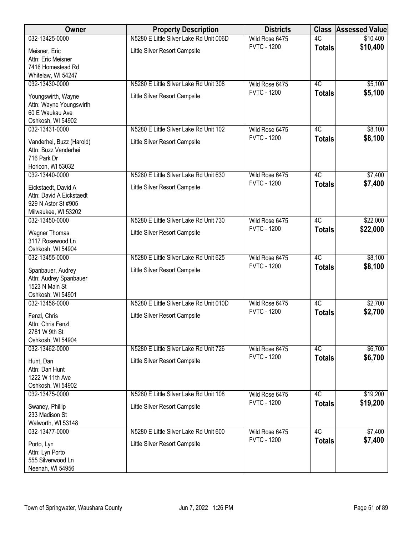| Owner                                           | <b>Property Description</b>             | <b>Districts</b>                     | <b>Class</b>    | <b>Assessed Value</b> |
|-------------------------------------------------|-----------------------------------------|--------------------------------------|-----------------|-----------------------|
| 032-13425-0000                                  | N5280 E Little Silver Lake Rd Unit 006D | Wild Rose 6475                       | $\overline{4C}$ | \$10,400              |
| Meisner, Eric                                   | Little Silver Resort Campsite           | <b>FVTC - 1200</b>                   | <b>Totals</b>   | \$10,400              |
| Attn: Eric Meisner                              |                                         |                                      |                 |                       |
| 7416 Homestead Rd                               |                                         |                                      |                 |                       |
| Whitelaw, WI 54247                              |                                         |                                      |                 |                       |
| 032-13430-0000                                  | N5280 E Little Silver Lake Rd Unit 308  | Wild Rose 6475                       | 4C              | \$5,100               |
| Youngswirth, Wayne                              | Little Silver Resort Campsite           | <b>FVTC - 1200</b>                   | <b>Totals</b>   | \$5,100               |
| Attn: Wayne Youngswirth                         |                                         |                                      |                 |                       |
| 60 E Waukau Ave                                 |                                         |                                      |                 |                       |
| Oshkosh, WI 54902                               |                                         |                                      |                 |                       |
| 032-13431-0000                                  | N5280 E Little Silver Lake Rd Unit 102  | Wild Rose 6475<br><b>FVTC - 1200</b> | 4C              | \$8,100<br>\$8,100    |
| Vanderhei, Buzz (Harold)                        | Little Silver Resort Campsite           |                                      | <b>Totals</b>   |                       |
| Attn: Buzz Vanderhei                            |                                         |                                      |                 |                       |
| 716 Park Dr<br>Horicon, WI 53032                |                                         |                                      |                 |                       |
| 032-13440-0000                                  | N5280 E Little Silver Lake Rd Unit 630  | Wild Rose 6475                       | 4C              | \$7,400               |
|                                                 |                                         | <b>FVTC - 1200</b>                   | <b>Totals</b>   | \$7,400               |
| Eickstaedt, David A                             | Little Silver Resort Campsite           |                                      |                 |                       |
| Attn: David A Eickstaedt<br>929 N Astor St #905 |                                         |                                      |                 |                       |
| Milwaukee, WI 53202                             |                                         |                                      |                 |                       |
| 032-13450-0000                                  | N5280 E Little Silver Lake Rd Unit 730  | Wild Rose 6475                       | 4C              | \$22,000              |
| <b>Wagner Thomas</b>                            | Little Silver Resort Campsite           | <b>FVTC - 1200</b>                   | <b>Totals</b>   | \$22,000              |
| 3117 Rosewood Ln                                |                                         |                                      |                 |                       |
| Oshkosh, WI 54904                               |                                         |                                      |                 |                       |
| 032-13455-0000                                  | N5280 E Little Silver Lake Rd Unit 625  | Wild Rose 6475                       | $\overline{4C}$ | \$8,100               |
| Spanbauer, Audrey                               | Little Silver Resort Campsite           | <b>FVTC - 1200</b>                   | <b>Totals</b>   | \$8,100               |
| Attn: Audrey Spanbauer                          |                                         |                                      |                 |                       |
| 1523 N Main St                                  |                                         |                                      |                 |                       |
| Oshkosh, WI 54901                               |                                         |                                      |                 |                       |
| 032-13456-0000                                  | N5280 E Little Silver Lake Rd Unit 010D | Wild Rose 6475                       | 4C              | \$2,700               |
| Fenzl, Chris                                    | Little Silver Resort Campsite           | <b>FVTC - 1200</b>                   | <b>Totals</b>   | \$2,700               |
| Attn: Chris Fenzl                               |                                         |                                      |                 |                       |
| 2781 W 9th St                                   |                                         |                                      |                 |                       |
| Oshkosh, WI 54904                               |                                         |                                      |                 |                       |
| 032-13462-0000                                  | N5280 E Little Silver Lake Rd Unit 726  | Wild Rose 6475<br><b>FVTC - 1200</b> | 4C              | \$6,700<br>\$6,700    |
| Hunt, Dan                                       | Little Silver Resort Campsite           |                                      | <b>Totals</b>   |                       |
| Attn: Dan Hunt                                  |                                         |                                      |                 |                       |
| 1222 W 11th Ave                                 |                                         |                                      |                 |                       |
| Oshkosh, WI 54902<br>032-13475-0000             | N5280 E Little Silver Lake Rd Unit 108  | Wild Rose 6475                       | 4C              | \$19,200              |
|                                                 |                                         | <b>FVTC - 1200</b>                   | <b>Totals</b>   | \$19,200              |
| Swaney, Phillip                                 | Little Silver Resort Campsite           |                                      |                 |                       |
| 233 Madison St<br>Walworth, WI 53148            |                                         |                                      |                 |                       |
| 032-13477-0000                                  | N5280 E Little Silver Lake Rd Unit 600  | Wild Rose 6475                       | 4C              | \$7,400               |
|                                                 |                                         | <b>FVTC - 1200</b>                   | <b>Totals</b>   | \$7,400               |
| Porto, Lyn                                      | Little Silver Resort Campsite           |                                      |                 |                       |
| Attn: Lyn Porto<br>555 Silverwood Ln            |                                         |                                      |                 |                       |
| Neenah, WI 54956                                |                                         |                                      |                 |                       |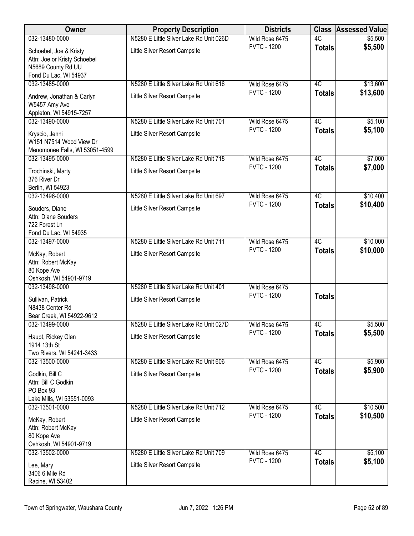| Owner                                                     | <b>Property Description</b>             | <b>Districts</b>                     | <b>Class</b>  | <b>Assessed Value</b> |
|-----------------------------------------------------------|-----------------------------------------|--------------------------------------|---------------|-----------------------|
| 032-13480-0000                                            | N5280 E Little Silver Lake Rd Unit 026D | Wild Rose 6475                       | 4C            | \$5,500               |
| Schoebel, Joe & Kristy                                    | Little Silver Resort Campsite           | <b>FVTC - 1200</b>                   | <b>Totals</b> | \$5,500               |
| Attn: Joe or Kristy Schoebel                              |                                         |                                      |               |                       |
| N5689 County Rd UU<br>Fond Du Lac, WI 54937               |                                         |                                      |               |                       |
| 032-13485-0000                                            | N5280 E Little Silver Lake Rd Unit 616  | Wild Rose 6475                       | 4C            | \$13,600              |
| Andrew, Jonathan & Carlyn                                 | Little Silver Resort Campsite           | <b>FVTC - 1200</b>                   | <b>Totals</b> | \$13,600              |
| W5457 Amy Ave                                             |                                         |                                      |               |                       |
| Appleton, WI 54915-7257                                   |                                         |                                      |               |                       |
| 032-13490-0000                                            | N5280 E Little Silver Lake Rd Unit 701  | Wild Rose 6475<br><b>FVTC - 1200</b> | 4C            | \$5,100               |
| Kryscio, Jenni                                            | Little Silver Resort Campsite           |                                      | <b>Totals</b> | \$5,100               |
| W151 N7514 Wood View Dr<br>Menomonee Falls, WI 53051-4599 |                                         |                                      |               |                       |
| 032-13495-0000                                            | N5280 E Little Silver Lake Rd Unit 718  | Wild Rose 6475                       | 4C            | \$7,000               |
| Trochinski, Marty                                         | Little Silver Resort Campsite           | <b>FVTC - 1200</b>                   | <b>Totals</b> | \$7,000               |
| 376 River Dr                                              |                                         |                                      |               |                       |
| Berlin, WI 54923                                          |                                         |                                      |               |                       |
| 032-13496-0000                                            | N5280 E Little Silver Lake Rd Unit 697  | Wild Rose 6475                       | 4C            | \$10,400              |
| Souders, Diane                                            | Little Silver Resort Campsite           | <b>FVTC - 1200</b>                   | <b>Totals</b> | \$10,400              |
| Attn: Diane Souders                                       |                                         |                                      |               |                       |
| 722 Forest Ln<br>Fond Du Lac, WI 54935                    |                                         |                                      |               |                       |
| 032-13497-0000                                            | N5280 E Little Silver Lake Rd Unit 711  | Wild Rose 6475                       | 4C            | \$10,000              |
| McKay, Robert                                             | Little Silver Resort Campsite           | <b>FVTC - 1200</b>                   | <b>Totals</b> | \$10,000              |
| Attn: Robert McKay                                        |                                         |                                      |               |                       |
| 80 Kope Ave                                               |                                         |                                      |               |                       |
| Oshkosh, WI 54901-9719                                    | N5280 E Little Silver Lake Rd Unit 401  |                                      |               |                       |
| 032-13498-0000                                            |                                         | Wild Rose 6475<br><b>FVTC - 1200</b> | <b>Totals</b> |                       |
| Sullivan, Patrick<br>N8438 Center Rd                      | Little Silver Resort Campsite           |                                      |               |                       |
| Bear Creek, WI 54922-9612                                 |                                         |                                      |               |                       |
| 032-13499-0000                                            | N5280 E Little Silver Lake Rd Unit 027D | Wild Rose 6475                       | 4C            | \$5,500               |
| Haupt, Rickey Glen                                        | Little Silver Resort Campsite           | <b>FVTC - 1200</b>                   | <b>Totals</b> | \$5,500               |
| 1914 13th St                                              |                                         |                                      |               |                       |
| Two Rivers, WI 54241-3433                                 |                                         |                                      |               |                       |
| 032-13500-0000                                            | N5280 E Little Silver Lake Rd Unit 606  | Wild Rose 6475<br><b>FVTC - 1200</b> | 4C            | \$5,900<br>\$5,900    |
| Godkin, Bill C                                            | Little Silver Resort Campsite           |                                      | <b>Totals</b> |                       |
| Attn: Bill C Godkin<br>PO Box 93                          |                                         |                                      |               |                       |
| Lake Mills, WI 53551-0093                                 |                                         |                                      |               |                       |
| 032-13501-0000                                            | N5280 E Little Silver Lake Rd Unit 712  | Wild Rose 6475                       | 4C            | \$10,500              |
| McKay, Robert                                             | Little Silver Resort Campsite           | <b>FVTC - 1200</b>                   | <b>Totals</b> | \$10,500              |
| Attn: Robert McKay                                        |                                         |                                      |               |                       |
| 80 Kope Ave                                               |                                         |                                      |               |                       |
| Oshkosh, WI 54901-9719<br>032-13502-0000                  | N5280 E Little Silver Lake Rd Unit 709  | Wild Rose 6475                       | 4C            | \$5,100               |
|                                                           | Little Silver Resort Campsite           | <b>FVTC - 1200</b>                   | <b>Totals</b> | \$5,100               |
| Lee, Mary<br>3406 6 Mile Rd                               |                                         |                                      |               |                       |
| Racine, WI 53402                                          |                                         |                                      |               |                       |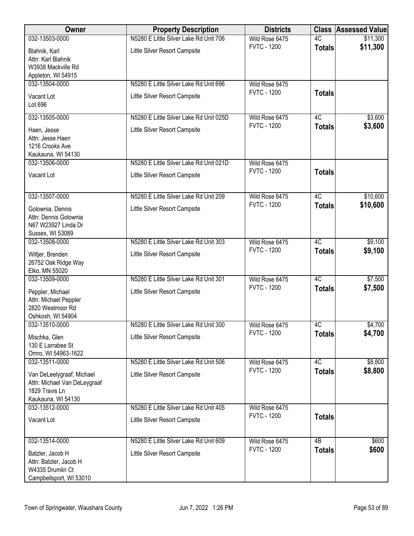| Owner                                          | <b>Property Description</b>             | <b>Districts</b>   | <b>Class</b>    | <b>Assessed Value</b> |
|------------------------------------------------|-----------------------------------------|--------------------|-----------------|-----------------------|
| 032-13503-0000                                 | N5280 E Little Silver Lake Rd Unit 706  | Wild Rose 6475     | 4C              | \$11,300              |
| Blahnik, Karl                                  | Little Silver Resort Campsite           | <b>FVTC - 1200</b> | <b>Totals</b>   | \$11,300              |
| Attn: Karl Blahnik                             |                                         |                    |                 |                       |
| W3938 Mackville Rd<br>Appleton, WI 54915       |                                         |                    |                 |                       |
| 032-13504-0000                                 | N5280 E Little Silver Lake Rd Unit 696  | Wild Rose 6475     |                 |                       |
| Vacant Lot                                     | Little Silver Resort Campsite           | <b>FVTC - 1200</b> | <b>Totals</b>   |                       |
| Lot 696                                        |                                         |                    |                 |                       |
| 032-13505-0000                                 | N5280 E Little Silver Lake Rd Unit 025D | Wild Rose 6475     | 4C              | \$3,600               |
| Haen, Jesse                                    | Little Silver Resort Campsite           | <b>FVTC - 1200</b> | <b>Totals</b>   | \$3,600               |
| Attn: Jesse Haen                               |                                         |                    |                 |                       |
| 1216 Crooks Ave                                |                                         |                    |                 |                       |
| Kaukauna, WI 54130                             |                                         |                    |                 |                       |
| 032-13506-0000                                 | N5280 E Little Silver Lake Rd Unit 021D | Wild Rose 6475     |                 |                       |
| Vacant Lot                                     | Little Silver Resort Campsite           | <b>FVTC - 1200</b> | <b>Totals</b>   |                       |
|                                                |                                         |                    |                 |                       |
| 032-13507-0000                                 | N5280 E Little Silver Lake Rd Unit 209  | Wild Rose 6475     | 4C              | \$10,600              |
| Golownia, Dennis                               | Little Silver Resort Campsite           | <b>FVTC - 1200</b> | <b>Totals</b>   | \$10,600              |
| Attn: Dennis Golownia                          |                                         |                    |                 |                       |
| N67 W23927 Linda Dr                            |                                         |                    |                 |                       |
| Sussex, WI 53089<br>032-13508-0000             | N5280 E Little Silver Lake Rd Unit 303  | Wild Rose 6475     | $\overline{4C}$ | \$9,100               |
|                                                |                                         | <b>FVTC - 1200</b> | <b>Totals</b>   | \$9,100               |
| Wiltjer, Brenden                               | Little Silver Resort Campsite           |                    |                 |                       |
| 26752 Oak Ridge Way<br>Elko, MN 55020          |                                         |                    |                 |                       |
| 032-13509-0000                                 | N5280 E Little Silver Lake Rd Unit 301  | Wild Rose 6475     | 4C              | \$7,500               |
| Peppler, Michael                               | Little Silver Resort Campsite           | <b>FVTC - 1200</b> | <b>Totals</b>   | \$7,500               |
| Attn: Michael Peppler                          |                                         |                    |                 |                       |
| 2820 Westmoor Rd                               |                                         |                    |                 |                       |
| Oshkosh, WI 54904                              |                                         |                    |                 |                       |
| 032-13510-0000                                 | N5280 E Little Silver Lake Rd Unit 300  | Wild Rose 6475     | 4C              | \$4,700               |
| Mischka, Glen                                  | Little Silver Resort Campsite           | <b>FVTC - 1200</b> | <b>Totals</b>   | \$4,700               |
| 130 E Larrabee St                              |                                         |                    |                 |                       |
| Omro, WI 54963-1622<br>032-13511-0000          | N5280 E Little Silver Lake Rd Unit 506  | Wild Rose 6475     | 4C              | \$8,800               |
|                                                |                                         | <b>FVTC - 1200</b> | <b>Totals</b>   | \$8,800               |
| Van DeLeelygraaf, Michael                      | Little Silver Resort Campsite           |                    |                 |                       |
| Attn: Michael Van DeLeygraaf<br>1829 Travis Ln |                                         |                    |                 |                       |
| Kaukauna, WI 54130                             |                                         |                    |                 |                       |
| 032-13512-0000                                 | N5280 E Little Silver Lake Rd Unit 405  | Wild Rose 6475     |                 |                       |
| Vacant Lot                                     | Little Silver Resort Campsite           | <b>FVTC - 1200</b> | <b>Totals</b>   |                       |
|                                                |                                         |                    |                 |                       |
| 032-13514-0000                                 | N5280 E Little Silver Lake Rd Unit 609  | Wild Rose 6475     | 4B              | \$600                 |
| Batzler, Jacob H                               | Little Silver Resort Campsite           | <b>FVTC - 1200</b> | <b>Totals</b>   | \$600                 |
| Attn: Batzler, Jacob H                         |                                         |                    |                 |                       |
| W4335 Drumlin Ct                               |                                         |                    |                 |                       |
| Campbellsport, WI 53010                        |                                         |                    |                 |                       |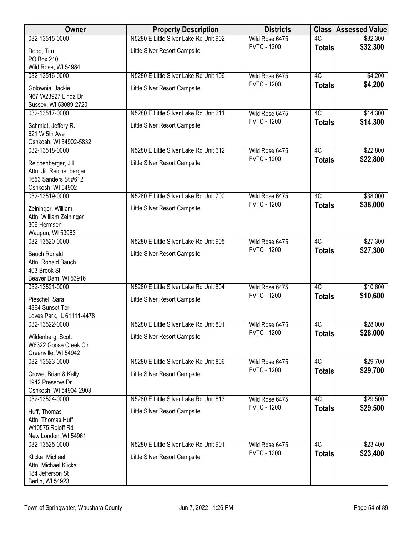| Owner                                                                                        | <b>Property Description</b>            | <b>Districts</b>                     | <b>Class</b>        | <b>Assessed Value</b> |
|----------------------------------------------------------------------------------------------|----------------------------------------|--------------------------------------|---------------------|-----------------------|
| 032-13515-0000                                                                               | N5280 E Little Silver Lake Rd Unit 902 | Wild Rose 6475                       | 4C                  | \$32,300              |
| Dopp, Tim                                                                                    | Little Silver Resort Campsite          | <b>FVTC - 1200</b>                   | <b>Totals</b>       | \$32,300              |
| PO Box 210                                                                                   |                                        |                                      |                     |                       |
| Wild Rose, WI 54984<br>032-13516-0000                                                        | N5280 E Little Silver Lake Rd Unit 106 |                                      | 4C                  |                       |
|                                                                                              |                                        | Wild Rose 6475<br><b>FVTC - 1200</b> |                     | \$4,200<br>\$4,200    |
| Golownia, Jackie<br>N67 W23927 Linda Dr                                                      | Little Silver Resort Campsite          |                                      | <b>Totals</b>       |                       |
| Sussex, WI 53089-2720<br>032-13517-0000                                                      | N5280 E Little Silver Lake Rd Unit 611 | Wild Rose 6475                       | 4C                  | \$14,300              |
|                                                                                              |                                        | <b>FVTC - 1200</b>                   | <b>Totals</b>       | \$14,300              |
| Schmidt, Jeffery R.<br>621 W 5th Ave<br>Oshkosh, WI 54902-5832                               | Little Silver Resort Campsite          |                                      |                     |                       |
| 032-13518-0000                                                                               | N5280 E Little Silver Lake Rd Unit 612 | Wild Rose 6475                       | 4C                  | \$22,800              |
| Reichenberger, Jill<br>Attn: Jill Reichenberger<br>1653 Sanders St #612<br>Oshkosh, WI 54902 | Little Silver Resort Campsite          | <b>FVTC - 1200</b>                   | <b>Totals</b>       | \$22,800              |
| 032-13519-0000                                                                               | N5280 E Little Silver Lake Rd Unit 700 | Wild Rose 6475                       | $\overline{4C}$     | \$38,000              |
| Zeininger, William                                                                           | Little Silver Resort Campsite          | <b>FVTC - 1200</b>                   | <b>Totals</b>       | \$38,000              |
| Attn: William Zeininger                                                                      |                                        |                                      |                     |                       |
| 306 Hermsen                                                                                  |                                        |                                      |                     |                       |
| Waupun, WI 53963                                                                             |                                        |                                      |                     |                       |
| 032-13520-0000                                                                               | N5280 E Little Silver Lake Rd Unit 905 | Wild Rose 6475<br><b>FVTC - 1200</b> | 4C<br><b>Totals</b> | \$27,300<br>\$27,300  |
| <b>Bauch Ronald</b><br>Attn: Ronald Bauch<br>403 Brook St<br>Beaver Dam, WI 53916            | Little Silver Resort Campsite          |                                      |                     |                       |
| 032-13521-0000                                                                               | N5280 E Little Silver Lake Rd Unit 804 | Wild Rose 6475                       | 4C                  | \$10,600              |
| Pieschel, Sara<br>4364 Sunset Ter<br>Loves Park, IL 61111-4478                               | Little Silver Resort Campsite          | <b>FVTC - 1200</b>                   | <b>Totals</b>       | \$10,600              |
| 032-13522-0000                                                                               | N5280 E Little Silver Lake Rd Unit 801 | Wild Rose 6475                       | 4C                  | \$28,000              |
| Wildenberg, Scott<br>W6322 Goose Creek Cir<br>Greenville, WI 54942                           | Little Silver Resort Campsite          | <b>FVTC - 1200</b>                   | <b>Totals</b>       | \$28,000              |
| 032-13523-0000                                                                               | N5280 E Little Silver Lake Rd Unit 806 | Wild Rose 6475                       | 4C                  | \$29,700              |
| Crowe, Brian & Kelly                                                                         | Little Silver Resort Campsite          | <b>FVTC - 1200</b>                   | <b>Totals</b>       | \$29,700              |
| 1942 Preserve Dr                                                                             |                                        |                                      |                     |                       |
| Oshkosh, WI 54904-2903                                                                       |                                        |                                      |                     |                       |
| 032-13524-0000                                                                               | N5280 E Little Silver Lake Rd Unit 813 | Wild Rose 6475                       | $\overline{4C}$     | \$29,500              |
| Huff, Thomas                                                                                 | Little Silver Resort Campsite          | <b>FVTC - 1200</b>                   | <b>Totals</b>       | \$29,500              |
| Attn: Thomas Huff                                                                            |                                        |                                      |                     |                       |
| W10575 Roloff Rd                                                                             |                                        |                                      |                     |                       |
| New London, WI 54961<br>032-13525-0000                                                       | N5280 E Little Silver Lake Rd Unit 901 | Wild Rose 6475                       | $\overline{4C}$     | \$23,400              |
|                                                                                              |                                        | <b>FVTC - 1200</b>                   | <b>Totals</b>       | \$23,400              |
| Klicka, Michael                                                                              | Little Silver Resort Campsite          |                                      |                     |                       |
| Attn: Michael Klicka<br>184 Jefferson St                                                     |                                        |                                      |                     |                       |
| Berlin, WI 54923                                                                             |                                        |                                      |                     |                       |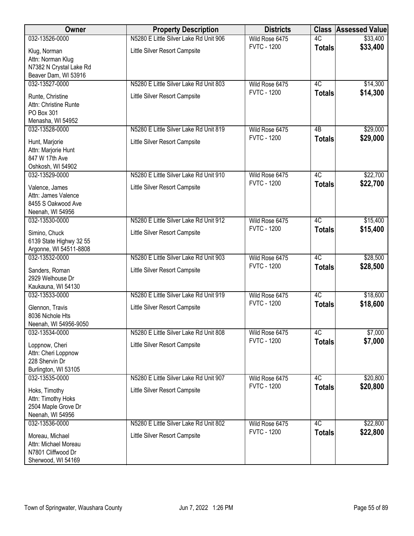| Owner                   | <b>Property Description</b>            | <b>Districts</b>   | <b>Class</b>    | <b>Assessed Value</b> |
|-------------------------|----------------------------------------|--------------------|-----------------|-----------------------|
| 032-13526-0000          | N5280 E Little Silver Lake Rd Unit 906 | Wild Rose 6475     | $\overline{4C}$ | \$33,400              |
| Klug, Norman            | Little Silver Resort Campsite          | <b>FVTC - 1200</b> | <b>Totals</b>   | \$33,400              |
| Attn: Norman Klug       |                                        |                    |                 |                       |
| N7382 N Crystal Lake Rd |                                        |                    |                 |                       |
| Beaver Dam, WI 53916    |                                        |                    |                 |                       |
| 032-13527-0000          | N5280 E Little Silver Lake Rd Unit 803 | Wild Rose 6475     | 4C              | \$14,300              |
| Runte, Christine        | Little Silver Resort Campsite          | <b>FVTC - 1200</b> | <b>Totals</b>   | \$14,300              |
| Attn: Christine Runte   |                                        |                    |                 |                       |
| PO Box 301              |                                        |                    |                 |                       |
| Menasha, WI 54952       |                                        |                    |                 |                       |
| 032-13528-0000          | N5280 E Little Silver Lake Rd Unit 819 | Wild Rose 6475     | 4B              | \$29,000              |
| Hunt, Marjorie          | Little Silver Resort Campsite          | <b>FVTC - 1200</b> | <b>Totals</b>   | \$29,000              |
| Attn: Marjorie Hunt     |                                        |                    |                 |                       |
| 847 W 17th Ave          |                                        |                    |                 |                       |
| Oshkosh, WI 54902       |                                        |                    |                 |                       |
| 032-13529-0000          | N5280 E Little Silver Lake Rd Unit 910 | Wild Rose 6475     | 4C              | \$22,700              |
| Valence, James          | Little Silver Resort Campsite          | <b>FVTC - 1200</b> | <b>Totals</b>   | \$22,700              |
| Attn: James Valence     |                                        |                    |                 |                       |
| 8455 S Oakwood Ave      |                                        |                    |                 |                       |
| Neenah, WI 54956        |                                        |                    |                 |                       |
| 032-13530-0000          | N5280 E Little Silver Lake Rd Unit 912 | Wild Rose 6475     | 4C              | \$15,400              |
| Simino, Chuck           | Little Silver Resort Campsite          | <b>FVTC - 1200</b> | <b>Totals</b>   | \$15,400              |
| 6139 State Highwy 32 55 |                                        |                    |                 |                       |
| Argonne, WI 54511-8808  |                                        |                    |                 |                       |
| 032-13532-0000          | N5280 E Little Silver Lake Rd Unit 903 | Wild Rose 6475     | $\overline{4C}$ | \$28,500              |
| Sanders, Roman          | Little Silver Resort Campsite          | <b>FVTC - 1200</b> | <b>Totals</b>   | \$28,500              |
| 2929 Welhouse Dr        |                                        |                    |                 |                       |
| Kaukauna, WI 54130      |                                        |                    |                 |                       |
| 032-13533-0000          | N5280 E Little Silver Lake Rd Unit 919 | Wild Rose 6475     | 4C              | \$18,600              |
| Glennon, Travis         | Little Silver Resort Campsite          | <b>FVTC - 1200</b> | <b>Totals</b>   | \$18,600              |
| 8036 Nichole Hts        |                                        |                    |                 |                       |
| Neenah, WI 54956-9050   |                                        |                    |                 |                       |
| 032-13534-0000          | N5280 E Little Silver Lake Rd Unit 808 | Wild Rose 6475     | 4C              | \$7,000               |
| Loppnow, Cheri          | Little Silver Resort Campsite          | <b>FVTC - 1200</b> | <b>Totals</b>   | \$7,000               |
| Attn: Cheri Loppnow     |                                        |                    |                 |                       |
| 228 Shervin Dr          |                                        |                    |                 |                       |
| Burlington, WI 53105    |                                        |                    |                 |                       |
| 032-13535-0000          | N5280 E Little Silver Lake Rd Unit 907 | Wild Rose 6475     | 4C              | \$20,800              |
| Hoks, Timothy           | Little Silver Resort Campsite          | <b>FVTC - 1200</b> | <b>Totals</b>   | \$20,800              |
| Attn: Timothy Hoks      |                                        |                    |                 |                       |
| 2504 Maple Grove Dr     |                                        |                    |                 |                       |
| Neenah, WI 54956        |                                        |                    |                 |                       |
| 032-13536-0000          | N5280 E Little Silver Lake Rd Unit 802 | Wild Rose 6475     | 4C              | \$22,800              |
| Moreau, Michael         | Little Silver Resort Campsite          | <b>FVTC - 1200</b> | <b>Totals</b>   | \$22,800              |
| Attn: Michael Moreau    |                                        |                    |                 |                       |
| N7801 Cliffwood Dr      |                                        |                    |                 |                       |
| Sherwood, WI 54169      |                                        |                    |                 |                       |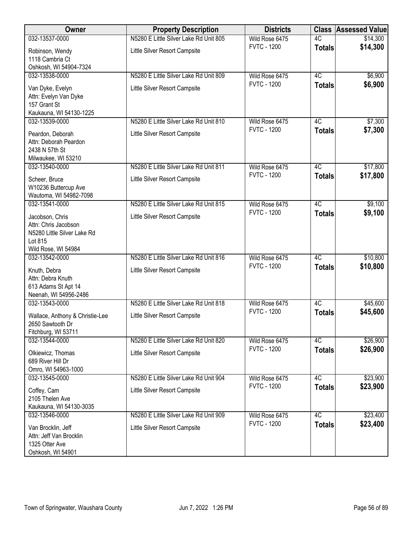| Owner                                         | <b>Property Description</b>            | <b>Districts</b>                     |                 | <b>Class Assessed Value</b> |
|-----------------------------------------------|----------------------------------------|--------------------------------------|-----------------|-----------------------------|
| 032-13537-0000                                | N5280 E Little Silver Lake Rd Unit 805 | Wild Rose 6475                       | 4C              | \$14,300                    |
| Robinson, Wendy<br>1118 Cambria Ct            | Little Silver Resort Campsite          | <b>FVTC - 1200</b>                   | <b>Totals</b>   | \$14,300                    |
| Oshkosh, WI 54904-7324                        |                                        |                                      |                 |                             |
| 032-13538-0000                                | N5280 E Little Silver Lake Rd Unit 809 | Wild Rose 6475                       | 4C              | \$6,900                     |
| Van Dyke, Evelyn                              | Little Silver Resort Campsite          | <b>FVTC - 1200</b>                   | <b>Totals</b>   | \$6,900                     |
| Attn: Evelyn Van Dyke<br>157 Grant St         |                                        |                                      |                 |                             |
| Kaukauna, WI 54130-1225                       |                                        |                                      |                 |                             |
| 032-13539-0000                                | N5280 E Little Silver Lake Rd Unit 810 | Wild Rose 6475                       | 4C              | \$7,300                     |
| Peardon, Deborah                              | Little Silver Resort Campsite          | <b>FVTC - 1200</b>                   | <b>Totals</b>   | \$7,300                     |
| Attn: Deborah Peardon                         |                                        |                                      |                 |                             |
| 2438 N 57th St                                |                                        |                                      |                 |                             |
| Milwaukee, WI 53210<br>032-13540-0000         | N5280 E Little Silver Lake Rd Unit 811 | Wild Rose 6475                       | 4C              | \$17,800                    |
|                                               |                                        | <b>FVTC - 1200</b>                   | <b>Totals</b>   | \$17,800                    |
| Scheer, Bruce<br>W10236 Buttercup Ave         | Little Silver Resort Campsite          |                                      |                 |                             |
| Wautoma, WI 54982-7098                        |                                        |                                      |                 |                             |
| 032-13541-0000                                | N5280 E Little Silver Lake Rd Unit 815 | Wild Rose 6475                       | $\overline{4C}$ | \$9,100                     |
| Jacobson, Chris                               | Little Silver Resort Campsite          | <b>FVTC - 1200</b>                   | <b>Totals</b>   | \$9,100                     |
| Attn: Chris Jacobson                          |                                        |                                      |                 |                             |
| N5280 Little Silver Lake Rd                   |                                        |                                      |                 |                             |
| Lot 815<br>Wild Rose, WI 54984                |                                        |                                      |                 |                             |
| 032-13542-0000                                | N5280 E Little Silver Lake Rd Unit 816 | Wild Rose 6475                       | 4C              | \$10,800                    |
| Knuth, Debra                                  | Little Silver Resort Campsite          | <b>FVTC - 1200</b>                   | <b>Totals</b>   | \$10,800                    |
| Attn: Debra Knuth                             |                                        |                                      |                 |                             |
| 613 Adams St Apt 14                           |                                        |                                      |                 |                             |
| Neenah, WI 54956-2486                         |                                        |                                      |                 |                             |
| 032-13543-0000                                | N5280 E Little Silver Lake Rd Unit 818 | Wild Rose 6475<br><b>FVTC - 1200</b> | 4C              | \$45,600<br>\$45,600        |
| Wallace, Anthony & Christie-Lee               | Little Silver Resort Campsite          |                                      | <b>Totals</b>   |                             |
| 2650 Sawtooth Dr<br>Fitchburg, WI 53711       |                                        |                                      |                 |                             |
| 032-13544-0000                                | N5280 E Little Silver Lake Rd Unit 820 | Wild Rose 6475                       | 4C              | \$26,900                    |
| Olkiewicz, Thomas                             | Little Silver Resort Campsite          | <b>FVTC - 1200</b>                   | <b>Totals</b>   | \$26,900                    |
| 689 River Hill Dr                             |                                        |                                      |                 |                             |
| Omro, WI 54963-1000                           |                                        |                                      |                 |                             |
| 032-13545-0000                                | N5280 E Little Silver Lake Rd Unit 904 | Wild Rose 6475                       | 4C              | \$23,900                    |
| Coffey, Cam                                   | Little Silver Resort Campsite          | <b>FVTC - 1200</b>                   | <b>Totals</b>   | \$23,900                    |
| 2105 Thelen Ave                               |                                        |                                      |                 |                             |
| Kaukauna, WI 54130-3035<br>032-13546-0000     | N5280 E Little Silver Lake Rd Unit 909 | Wild Rose 6475                       | 4C              | \$23,400                    |
|                                               |                                        | <b>FVTC - 1200</b>                   | <b>Totals</b>   | \$23,400                    |
| Van Brocklin, Jeff<br>Attn: Jeff Van Brocklin | Little Silver Resort Campsite          |                                      |                 |                             |
| 1325 Otter Ave                                |                                        |                                      |                 |                             |
| Oshkosh, WI 54901                             |                                        |                                      |                 |                             |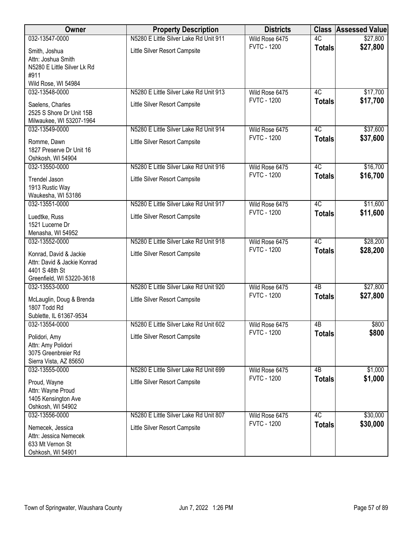| Owner                                                                                                | <b>Property Description</b>                                             | <b>Districts</b>                     | <b>Class</b>        | <b>Assessed Value</b> |
|------------------------------------------------------------------------------------------------------|-------------------------------------------------------------------------|--------------------------------------|---------------------|-----------------------|
| 032-13547-0000                                                                                       | N5280 E Little Silver Lake Rd Unit 911                                  | Wild Rose 6475                       | $\overline{4C}$     | \$27,800              |
| Smith, Joshua<br>Attn: Joshua Smith<br>N5280 E Little Silver Lk Rd<br>#911                           | Little Silver Resort Campsite                                           | <b>FVTC - 1200</b>                   | <b>Totals</b>       | \$27,800              |
| Wild Rose, WI 54984                                                                                  |                                                                         |                                      |                     |                       |
| 032-13548-0000<br>Saelens, Charles<br>2525 S Shore Dr Unit 15B<br>Milwaukee, WI 53207-1964           | N5280 E Little Silver Lake Rd Unit 913<br>Little Silver Resort Campsite | Wild Rose 6475<br><b>FVTC - 1200</b> | 4C<br><b>Totals</b> | \$17,700<br>\$17,700  |
| 032-13549-0000                                                                                       | N5280 E Little Silver Lake Rd Unit 914                                  | Wild Rose 6475                       | 4C                  | \$37,600              |
| Romme, Dawn<br>1827 Preserve Dr Unit 16<br>Oshkosh, WI 54904                                         | Little Silver Resort Campsite                                           | <b>FVTC - 1200</b>                   | <b>Totals</b>       | \$37,600              |
| 032-13550-0000                                                                                       | N5280 E Little Silver Lake Rd Unit 916                                  | Wild Rose 6475                       | 4C                  | \$16,700              |
| <b>Trendel Jason</b><br>1913 Rustic Way<br>Waukesha, WI 53186                                        | Little Silver Resort Campsite                                           | <b>FVTC - 1200</b>                   | <b>Totals</b>       | \$16,700              |
| 032-13551-0000                                                                                       | N5280 E Little Silver Lake Rd Unit 917                                  | Wild Rose 6475                       | 4C                  | \$11,600              |
| Luedtke, Russ<br>1521 Lucerne Dr<br>Menasha, WI 54952                                                | Little Silver Resort Campsite                                           | <b>FVTC - 1200</b>                   | <b>Totals</b>       | \$11,600              |
| 032-13552-0000                                                                                       | N5280 E Little Silver Lake Rd Unit 918                                  | Wild Rose 6475                       | $\overline{4C}$     | \$28,200              |
| Konrad, David & Jackie<br>Attn: David & Jackie Konrad<br>4401 S 48th St<br>Greenfield, WI 53220-3618 | Little Silver Resort Campsite                                           | <b>FVTC - 1200</b>                   | <b>Totals</b>       | \$28,200              |
| 032-13553-0000                                                                                       | N5280 E Little Silver Lake Rd Unit 920                                  | Wild Rose 6475                       | 4B                  | \$27,800              |
| McLauglin, Doug & Brenda<br>1807 Todd Rd<br>Sublette, IL 61367-9534                                  | Little Silver Resort Campsite                                           | <b>FVTC - 1200</b>                   | <b>Totals</b>       | \$27,800              |
| 032-13554-0000                                                                                       | N5280 E Little Silver Lake Rd Unit 602                                  | Wild Rose 6475                       | 4B                  | \$800                 |
| Polidori, Amy<br>Attn: Amy Polidori<br>3075 Greenbreier Rd<br>Sierra Vista, AZ 85650                 | Little Silver Resort Campsite                                           | <b>FVTC - 1200</b>                   | <b>Totals</b>       | \$800                 |
| 032-13555-0000                                                                                       | N5280 E Little Silver Lake Rd Unit 699                                  | Wild Rose 6475                       | 4 <sub>B</sub>      | \$1,000               |
| Proud, Wayne<br>Attn: Wayne Proud<br>1405 Kensington Ave<br>Oshkosh, WI 54902                        | Little Silver Resort Campsite                                           | <b>FVTC - 1200</b>                   | <b>Totals</b>       | \$1,000               |
| 032-13556-0000                                                                                       | N5280 E Little Silver Lake Rd Unit 807                                  | Wild Rose 6475                       | 4C                  | \$30,000              |
| Nemecek, Jessica<br>Attn: Jessica Nemecek<br>633 Mt Vernon St<br>Oshkosh, WI 54901                   | Little Silver Resort Campsite                                           | <b>FVTC - 1200</b>                   | <b>Totals</b>       | \$30,000              |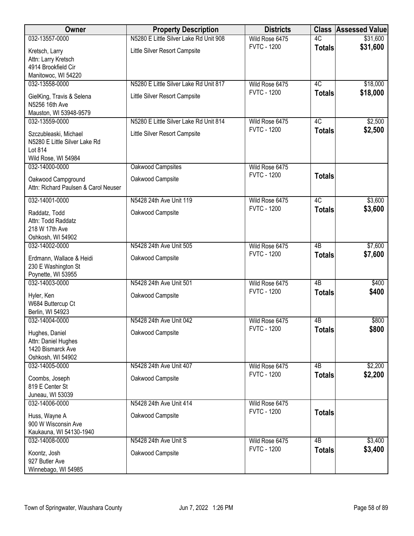| Owner                                | <b>Property Description</b>            | <b>Districts</b>                     |                 | <b>Class Assessed Value</b> |
|--------------------------------------|----------------------------------------|--------------------------------------|-----------------|-----------------------------|
| 032-13557-0000                       | N5280 E Little Silver Lake Rd Unit 908 | Wild Rose 6475                       | 4C              | \$31,600                    |
| Kretsch, Larry                       | Little Silver Resort Campsite          | <b>FVTC - 1200</b>                   | <b>Totals</b>   | \$31,600                    |
| Attn: Larry Kretsch                  |                                        |                                      |                 |                             |
| 4914 Brookfield Cir                  |                                        |                                      |                 |                             |
| Manitowoc, WI 54220                  |                                        |                                      |                 |                             |
| 032-13558-0000                       | N5280 E Little Silver Lake Rd Unit 817 | Wild Rose 6475                       | 4C              | \$18,000                    |
| GielKing, Travis & Selena            | Little Silver Resort Campsite          | <b>FVTC - 1200</b>                   | <b>Totals</b>   | \$18,000                    |
| N5256 16th Ave                       |                                        |                                      |                 |                             |
| Mauston, WI 53948-9579               |                                        |                                      |                 |                             |
| 032-13559-0000                       | N5280 E Little Silver Lake Rd Unit 814 | Wild Rose 6475                       | 4C              | \$2,500                     |
| Szczubleaski, Michael                | Little Silver Resort Campsite          | <b>FVTC - 1200</b>                   | <b>Totals</b>   | \$2,500                     |
| N5280 E Little Silver Lake Rd        |                                        |                                      |                 |                             |
| Lot 814                              |                                        |                                      |                 |                             |
| Wild Rose, WI 54984                  |                                        |                                      |                 |                             |
| 032-14000-0000                       | Oakwood Campsites                      | Wild Rose 6475                       |                 |                             |
| Oakwood Campground                   | Oakwood Campsite                       | <b>FVTC - 1200</b>                   | <b>Totals</b>   |                             |
| Attn: Richard Paulsen & Carol Neuser |                                        |                                      |                 |                             |
|                                      |                                        |                                      |                 |                             |
| 032-14001-0000                       | N5428 24th Ave Unit 119                | Wild Rose 6475<br><b>FVTC - 1200</b> | 4C              | \$3,600                     |
| Raddatz, Todd                        | Oakwood Campsite                       |                                      | <b>Totals</b>   | \$3,600                     |
| Attn: Todd Raddatz                   |                                        |                                      |                 |                             |
| 218 W 17th Ave                       |                                        |                                      |                 |                             |
| Oshkosh, WI 54902                    |                                        |                                      |                 |                             |
| 032-14002-0000                       | N5428 24th Ave Unit 505                | Wild Rose 6475                       | $\overline{AB}$ | \$7,600                     |
| Erdmann, Wallace & Heidi             | Oakwood Campsite                       | <b>FVTC - 1200</b>                   | <b>Totals</b>   | \$7,600                     |
| 230 E Washington St                  |                                        |                                      |                 |                             |
| Poynette, WI 53955                   |                                        |                                      |                 |                             |
| 032-14003-0000                       | N5428 24th Ave Unit 501                | Wild Rose 6475                       | $\overline{AB}$ | \$400                       |
| Hyler, Ken                           | Oakwood Campsite                       | <b>FVTC - 1200</b>                   | <b>Totals</b>   | \$400                       |
| W684 Buttercup Ct                    |                                        |                                      |                 |                             |
| Berlin, WI 54923                     |                                        |                                      |                 |                             |
| 032-14004-0000                       | N5428 24th Ave Unit 042                | Wild Rose 6475                       | 4B              | \$800                       |
| Hughes, Daniel                       | Oakwood Campsite                       | <b>FVTC - 1200</b>                   | Totals          | \$800                       |
| Attn: Daniel Hughes                  |                                        |                                      |                 |                             |
| 1420 Bismarck Ave                    |                                        |                                      |                 |                             |
| Oshkosh, WI 54902                    |                                        |                                      |                 |                             |
| 032-14005-0000                       | N5428 24th Ave Unit 407                | Wild Rose 6475                       | 4B              | \$2,200                     |
| Coombs, Joseph                       | Oakwood Campsite                       | <b>FVTC - 1200</b>                   | <b>Totals</b>   | \$2,200                     |
| 819 E Center St                      |                                        |                                      |                 |                             |
| Juneau, WI 53039                     |                                        |                                      |                 |                             |
| 032-14006-0000                       | N5428 24th Ave Unit 414                | Wild Rose 6475                       |                 |                             |
| Huss, Wayne A                        | Oakwood Campsite                       | <b>FVTC - 1200</b>                   | <b>Totals</b>   |                             |
| 900 W Wisconsin Ave                  |                                        |                                      |                 |                             |
| Kaukauna, WI 54130-1940              |                                        |                                      |                 |                             |
| 032-14008-0000                       | N5428 24th Ave Unit S                  | Wild Rose 6475                       | 4B              | \$3,400                     |
| Koontz, Josh                         | Oakwood Campsite                       | <b>FVTC - 1200</b>                   | <b>Totals</b>   | \$3,400                     |
| 927 Butler Ave                       |                                        |                                      |                 |                             |
| Winnebago, WI 54985                  |                                        |                                      |                 |                             |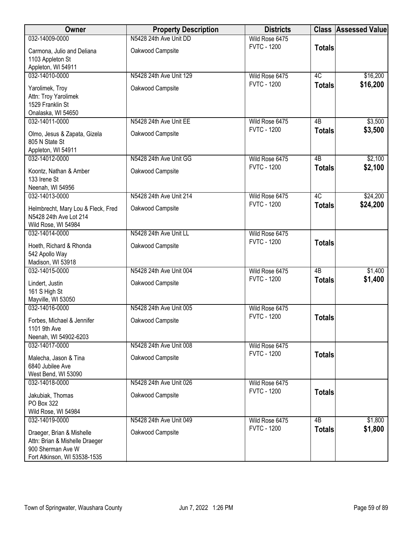| Owner                                                                                                            | <b>Property Description</b> | <b>Districts</b>                     |                 | <b>Class Assessed Value</b> |
|------------------------------------------------------------------------------------------------------------------|-----------------------------|--------------------------------------|-----------------|-----------------------------|
| 032-14009-0000                                                                                                   | N5428 24th Ave Unit DD      | Wild Rose 6475                       |                 |                             |
| Carmona, Julio and Deliana<br>1103 Appleton St                                                                   | Oakwood Campsite            | <b>FVTC - 1200</b>                   | <b>Totals</b>   |                             |
| Appleton, WI 54911                                                                                               |                             |                                      |                 |                             |
| 032-14010-0000                                                                                                   | N5428 24th Ave Unit 129     | Wild Rose 6475<br><b>FVTC - 1200</b> | 4C              | \$16,200<br>\$16,200        |
| Yarolimek, Troy<br>Attn: Troy Yarolimek<br>1529 Franklin St                                                      | Oakwood Campsite            |                                      | <b>Totals</b>   |                             |
| Onalaska, WI 54650                                                                                               |                             |                                      |                 |                             |
| 032-14011-0000                                                                                                   | N5428 24th Ave Unit EE      | Wild Rose 6475                       | 4B              | \$3,500                     |
| Olmo, Jesus & Zapata, Gizela<br>805 N State St                                                                   | Oakwood Campsite            | <b>FVTC - 1200</b>                   | <b>Totals</b>   | \$3,500                     |
| Appleton, WI 54911<br>032-14012-0000                                                                             | N5428 24th Ave Unit GG      | Wild Rose 6475                       | 4B              | \$2,100                     |
| Koontz, Nathan & Amber<br>133 Irene St                                                                           | Oakwood Campsite            | <b>FVTC - 1200</b>                   | <b>Totals</b>   | \$2,100                     |
| Neenah, WI 54956                                                                                                 | N5428 24th Ave Unit 214     |                                      | $\overline{4C}$ |                             |
| 032-14013-0000                                                                                                   |                             | Wild Rose 6475<br><b>FVTC - 1200</b> | <b>Totals</b>   | \$24,200<br>\$24,200        |
| Helmbrecht, Mary Lou & Fleck, Fred<br>N5428 24th Ave Lot 214<br>Wild Rose, WI 54984                              | Oakwood Campsite            |                                      |                 |                             |
| 032-14014-0000                                                                                                   | N5428 24th Ave Unit LL      | Wild Rose 6475                       |                 |                             |
| Hoeth, Richard & Rhonda<br>542 Apollo Way<br>Madison, WI 53918                                                   | Oakwood Campsite            | <b>FVTC - 1200</b>                   | <b>Totals</b>   |                             |
| 032-14015-0000                                                                                                   | N5428 24th Ave Unit 004     | Wild Rose 6475                       | $\overline{AB}$ | \$1,400                     |
| Lindert, Justin<br>161 S High St<br>Mayville, WI 53050                                                           | Oakwood Campsite            | <b>FVTC - 1200</b>                   | <b>Totals</b>   | \$1,400                     |
| 032-14016-0000                                                                                                   | N5428 24th Ave Unit 005     | Wild Rose 6475                       |                 |                             |
| Forbes, Michael & Jennifer<br>1101 9th Ave<br>Neenah, WI 54902-6203                                              | Oakwood Campsite            | <b>FVTC - 1200</b>                   | <b>Totals</b>   |                             |
| 032-14017-0000                                                                                                   | N5428 24th Ave Unit 008     | Wild Rose 6475                       |                 |                             |
| Malecha, Jason & Tina<br>6840 Jubilee Ave<br>West Bend, WI 53090                                                 | Oakwood Campsite            | <b>FVTC - 1200</b>                   | <b>Totals</b>   |                             |
| 032-14018-0000                                                                                                   | N5428 24th Ave Unit 026     | Wild Rose 6475                       |                 |                             |
| Jakubiak, Thomas<br>PO Box 322<br>Wild Rose, WI 54984                                                            | Oakwood Campsite            | <b>FVTC - 1200</b>                   | <b>Totals</b>   |                             |
| 032-14019-0000                                                                                                   | N5428 24th Ave Unit 049     | Wild Rose 6475                       | $\overline{AB}$ | \$1,800                     |
| Draeger, Brian & Mishelle<br>Attn: Brian & Mishelle Draeger<br>900 Sherman Ave W<br>Fort Atkinson, WI 53538-1535 | Oakwood Campsite            | <b>FVTC - 1200</b>                   | <b>Totals</b>   | \$1,800                     |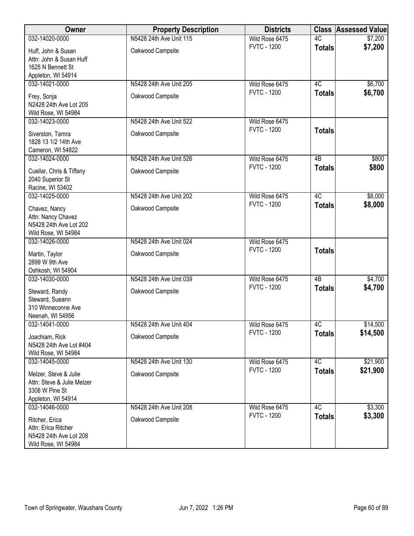| Owner                                                                                       | <b>Property Description</b> | <b>Districts</b>   |                 | <b>Class Assessed Value</b> |
|---------------------------------------------------------------------------------------------|-----------------------------|--------------------|-----------------|-----------------------------|
| 032-14020-0000                                                                              | N5428 24th Ave Unit 115     | Wild Rose 6475     | 4C              | \$7,200                     |
| Huff, John & Susan<br>Attn: John & Susan Huff<br>1625 N Bennett St<br>Appleton, WI 54914    | Oakwood Campsite            | <b>FVTC - 1200</b> | <b>Totals</b>   | \$7,200                     |
| 032-14021-0000                                                                              | N5428 24th Ave Unit 205     | Wild Rose 6475     | 4C              | \$6,700                     |
| Frey, Sonja<br>N2428 24th Ave Lot 205<br>Wild Rose, WI 54984                                | Oakwood Campsite            | <b>FVTC - 1200</b> | <b>Totals</b>   | \$6,700                     |
| 032-14023-0000                                                                              | N5428 24th Ave Unit 522     | Wild Rose 6475     |                 |                             |
| Siverston, Tamra<br>1828 13 1/2 14th Ave<br>Cameron, WI 54822                               | Oakwood Campsite            | <b>FVTC - 1200</b> | <b>Totals</b>   |                             |
| 032-14024-0000                                                                              | N5428 24th Ave Unit 526     | Wild Rose 6475     | 4B              | \$800                       |
| Cuellar, Chris & Tiffany<br>2040 Superior St<br>Racine, WI 53402                            | Oakwood Campsite            | <b>FVTC - 1200</b> | <b>Totals</b>   | \$800                       |
| 032-14025-0000                                                                              | N5428 24th Ave Unit 202     | Wild Rose 6475     | 4C              | \$8,000                     |
| Chavez, Nancy<br>Attn: Nancy Chavez<br>N5428 24th Ave Lot 202<br>Wild Rose, WI 54984        | Oakwood Campsite            | <b>FVTC - 1200</b> | <b>Totals</b>   | \$8,000                     |
| 032-14026-0000                                                                              | N5428 24th Ave Unit 024     | Wild Rose 6475     |                 |                             |
| Martin, Taylor<br>2899 W 9th Ave<br>Oshkosh, WI 54904                                       | Oakwood Campsite            | <b>FVTC - 1200</b> | <b>Totals</b>   |                             |
| 032-14030-0000                                                                              | N5428 24th Ave Unit 039     | Wild Rose 6475     | $\overline{AB}$ | \$4,700                     |
| Steward, Randy<br>Steward, Sueann<br>310 Winneconne Ave<br>Neenah, WI 54956                 | Oakwood Campsite            | <b>FVTC - 1200</b> | <b>Totals</b>   | \$4,700                     |
| 032-14041-0000                                                                              | N5428 24th Ave Unit 404     | Wild Rose 6475     | 4C              | \$14,500                    |
| Joachiam, Rick<br>N5428 24th Ave Lot #404<br>Wild Rose, WI 54984                            | Oakwood Campsite            | <b>FVTC - 1200</b> | <b>Totals</b>   | \$14,500                    |
| 032-14045-0000                                                                              | N5428 24th Ave Unit 130     | Wild Rose 6475     | 4C              | \$21,900                    |
| Melzer, Steve & Julie<br>Attn: Steve & Julie Melzer<br>3308 W Pine St<br>Appleton, WI 54914 | Oakwood Campsite            | <b>FVTC - 1200</b> | <b>Totals</b>   | \$21,900                    |
| 032-14046-0000                                                                              | N5428 24th Ave Unit 208     | Wild Rose 6475     | 4C              | \$3,300                     |
| Ritcher, Erica<br>Attn: Erica Ritcher<br>N5428 24th Ave Lot 208<br>Wild Rose, WI 54984      | Oakwood Campsite            | <b>FVTC - 1200</b> | <b>Totals</b>   | \$3,300                     |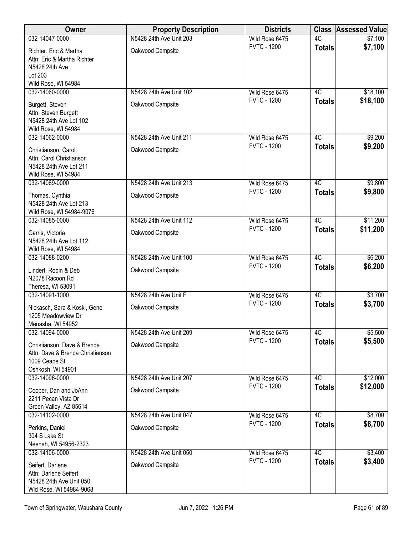| Owner                                                                                                 | <b>Property Description</b>                 | <b>Districts</b>                     | <b>Class</b>        | <b>Assessed Value</b> |
|-------------------------------------------------------------------------------------------------------|---------------------------------------------|--------------------------------------|---------------------|-----------------------|
| 032-14047-0000                                                                                        | N5428 24th Ave Unit 203                     | Wild Rose 6475                       | $\overline{4C}$     | \$7,100               |
| Richter, Eric & Martha<br>Attn: Eric & Martha Richter<br>N5428 24th Ave<br>Lot 203                    | Oakwood Campsite                            | <b>FVTC - 1200</b>                   | <b>Totals</b>       | \$7,100               |
| Wild Rose, WI 54984                                                                                   |                                             |                                      |                     |                       |
| 032-14060-0000<br>Burgett, Steven<br>Attn: Steven Burgett<br>N5428 24th Ave Lot 102                   | N5428 24th Ave Unit 102<br>Oakwood Campsite | Wild Rose 6475<br><b>FVTC - 1200</b> | 4C<br><b>Totals</b> | \$18,100<br>\$18,100  |
| Wild Rose, WI 54984                                                                                   |                                             |                                      |                     |                       |
| 032-14062-0000                                                                                        | N5428 24th Ave Unit 211                     | Wild Rose 6475                       | 4C                  | \$9,200               |
| Christianson, Carol<br>Attn: Carol Christianson<br>N5428 24th Ave Lot 211                             | Oakwood Campsite                            | <b>FVTC - 1200</b>                   | <b>Totals</b>       | \$9,200               |
| Wild Rose, WI 54984<br>032-14069-0000                                                                 | N5428 24th Ave Unit 213                     | Wild Rose 6475                       | 4C                  | \$9,800               |
| Thomas, Cynthia<br>N5428 24th Ave Lot 213<br>Wild Rose, WI 54984-9076                                 | Oakwood Campsite                            | <b>FVTC - 1200</b>                   | <b>Totals</b>       | \$9,800               |
| 032-14085-0000                                                                                        | N5428 24th Ave Unit 112                     | Wild Rose 6475                       | $\overline{4C}$     | \$11,200              |
| Garris, Victoria<br>N5428 24th Ave Lot 112<br>Wild Rose, WI 54984                                     | Oakwood Campsite                            | <b>FVTC - 1200</b>                   | <b>Totals</b>       | \$11,200              |
| 032-14088-0200                                                                                        | N5428 24th Ave Unit 100                     | Wild Rose 6475                       | $\overline{4C}$     | \$6,200               |
| Lindert, Robin & Deb<br>N2078 Racoon Rd                                                               | Oakwood Campsite                            | <b>FVTC - 1200</b>                   | <b>Totals</b>       | \$6,200               |
| Theresa, WI 53091<br>032-14091-1000                                                                   | N5428 24th Ave Unit F                       | Wild Rose 6475                       | 4C                  | \$3,700               |
| Nickasch, Sara & Koski, Gene<br>1205 Meadowview Dr<br>Menasha, WI 54952                               | Oakwood Campsite                            | <b>FVTC - 1200</b>                   | <b>Totals</b>       | \$3,700               |
| 032-14094-0000                                                                                        | N5428 24th Ave Unit 209                     | Wild Rose 6475                       | 4C                  | \$5,500               |
| Christianson, Dave & Brenda<br>Attn: Dave & Brenda Christianson<br>1009 Ceape St<br>Oshkosh, WI 54901 | Oakwood Campsite                            | <b>FVTC - 1200</b>                   | <b>Totals</b>       | \$5,500               |
| 032-14096-0000                                                                                        | N5428 24th Ave Unit 207                     | Wild Rose 6475                       | 4C                  | \$12,000              |
| Cooper, Dan and JoAnn<br>2211 Pecan Vista Dr<br>Green Valley, AZ 85614                                | Oakwood Campsite                            | <b>FVTC - 1200</b>                   | <b>Totals</b>       | \$12,000              |
| 032-14102-0000                                                                                        | N5428 24th Ave Unit 047                     | Wild Rose 6475                       | $\overline{4C}$     | \$8,700               |
| Perkins, Daniel<br>304 S Lake St<br>Neenah, WI 54956-2323                                             | Oakwood Campsite                            | <b>FVTC - 1200</b>                   | <b>Totals</b>       | \$8,700               |
| 032-14106-0000                                                                                        | N5428 24th Ave Unit 050                     | Wild Rose 6475                       | 4C                  | \$3,400               |
| Seifert, Darlene<br>Attn: Darlene Seifert<br>N5428 24th Ave Unit 050<br>Wld Rose, WI 54984-9068       | Oakwood Campsite                            | <b>FVTC - 1200</b>                   | <b>Totals</b>       | \$3,400               |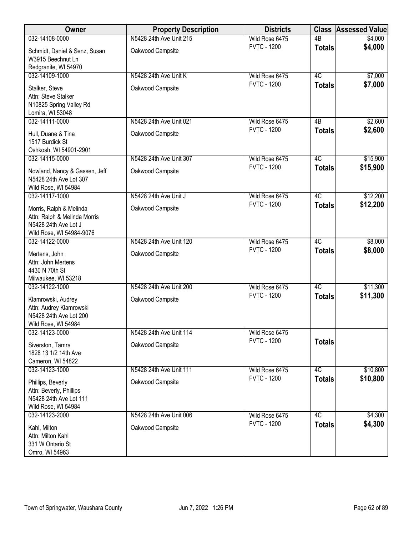| Owner                                                                                                       | <b>Property Description</b> | <b>Districts</b>                     |                 | <b>Class Assessed Value</b> |
|-------------------------------------------------------------------------------------------------------------|-----------------------------|--------------------------------------|-----------------|-----------------------------|
| 032-14108-0000                                                                                              | N5428 24th Ave Unit 215     | Wild Rose 6475                       | $\overline{AB}$ | \$4,000                     |
| Schmidt, Daniel & Senz, Susan<br>W3915 Beechnut Ln                                                          | Oakwood Campsite            | <b>FVTC - 1200</b>                   | <b>Totals</b>   | \$4,000                     |
| Redgranite, WI 54970                                                                                        |                             |                                      |                 |                             |
| 032-14109-1000                                                                                              | N5428 24th Ave Unit K       | Wild Rose 6475<br><b>FVTC - 1200</b> | 4C              | \$7,000                     |
| Stalker, Steve<br>Attn: Steve Stalker<br>N10825 Spring Valley Rd                                            | Oakwood Campsite            |                                      | <b>Totals</b>   | \$7,000                     |
| Lomira, WI 53048                                                                                            |                             |                                      |                 |                             |
| 032-14111-0000                                                                                              | N5428 24th Ave Unit 021     | Wild Rose 6475                       | 4B              | \$2,600                     |
| Hull, Duane & Tina<br>1517 Burdick St<br>Oshkosh, WI 54901-2901                                             | Oakwood Campsite            | <b>FVTC - 1200</b>                   | <b>Totals</b>   | \$2,600                     |
| 032-14115-0000                                                                                              | N5428 24th Ave Unit 307     | Wild Rose 6475                       | 4C              | \$15,900                    |
| Nowland, Nancy & Gassen, Jeff<br>N5428 24th Ave Lot 307<br>Wild Rose, WI 54984                              | Oakwood Campsite            | <b>FVTC - 1200</b>                   | <b>Totals</b>   | \$15,900                    |
| 032-14117-1000                                                                                              | N5428 24th Ave Unit J       | Wild Rose 6475                       | 4C              | \$12,200                    |
| Morris, Ralph & Melinda<br>Attn: Ralph & Melinda Morris<br>N5428 24th Ave Lot J<br>Wild Rose, WI 54984-9076 | Oakwood Campsite            | <b>FVTC - 1200</b>                   | <b>Totals</b>   | \$12,200                    |
| 032-14122-0000                                                                                              | N5428 24th Ave Unit 120     | Wild Rose 6475                       | 4C              | \$8,000                     |
| Mertens, John<br>Attn: John Mertens<br>4430 N 70th St<br>Milwaukee, WI 53218                                | Oakwood Campsite            | <b>FVTC - 1200</b>                   | <b>Totals</b>   | \$8,000                     |
| 032-14122-1000                                                                                              | N5428 24th Ave Unit 200     | Wild Rose 6475                       | 4C              | \$11,300                    |
| Klamrowski, Audrey<br>Attn: Audrey Klamrowski<br>N5428 24th Ave Lot 200<br>Wild Rose, WI 54984              | Oakwood Campsite            | <b>FVTC - 1200</b>                   | <b>Totals</b>   | \$11,300                    |
| 032-14123-0000                                                                                              | N5428 24th Ave Unit 114     | Wild Rose 6475                       |                 |                             |
| Siverston, Tamra<br>1828 13 1/2 14th Ave<br>Cameron, WI 54822                                               | Oakwood Campsite            | <b>FVTC - 1200</b>                   | <b>Totals</b>   |                             |
| 032-14123-1000                                                                                              | N5428 24th Ave Unit 111     | Wild Rose 6475                       | 4C              | \$10,800                    |
| Phillips, Beverly<br>Attn: Beverly, Phillips<br>N5428 24th Ave Lot 111<br>Wild Rose, WI 54984               | Oakwood Campsite            | <b>FVTC - 1200</b>                   | <b>Totals</b>   | \$10,800                    |
| 032-14123-2000                                                                                              | N5428 24th Ave Unit 006     | Wild Rose 6475                       | 4C              | \$4,300                     |
| Kahl, Milton<br>Attn: Milton Kahl<br>331 W Ontario St<br>Omro, WI 54963                                     | Oakwood Campsite            | <b>FVTC - 1200</b>                   | <b>Totals</b>   | \$4,300                     |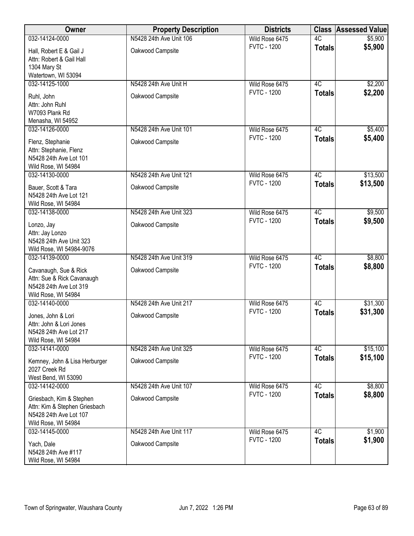| Owner                                                                                                      | <b>Property Description</b> | <b>Districts</b>   |                 | <b>Class Assessed Value</b> |
|------------------------------------------------------------------------------------------------------------|-----------------------------|--------------------|-----------------|-----------------------------|
| 032-14124-0000                                                                                             | N5428 24th Ave Unit 106     | Wild Rose 6475     | 4C              | \$5,900                     |
| Hall, Robert E & Gail J<br>Attn: Robert & Gail Hall<br>1304 Mary St<br>Watertown, WI 53094                 | Oakwood Campsite            | <b>FVTC - 1200</b> | <b>Totals</b>   | \$5,900                     |
| 032-14125-1000                                                                                             | N5428 24th Ave Unit H       | Wild Rose 6475     | 4C              | \$2,200                     |
| Ruhl, John<br>Attn: John Ruhl<br>W7093 Plank Rd<br>Menasha, WI 54952                                       | Oakwood Campsite            | <b>FVTC - 1200</b> | <b>Totals</b>   | \$2,200                     |
| 032-14126-0000                                                                                             | N5428 24th Ave Unit 101     | Wild Rose 6475     | 4C              | \$5,400                     |
| Flenz, Stephanie<br>Attn: Stephanie, Flenz<br>N5428 24th Ave Lot 101<br>Wild Rose, WI 54984                | Oakwood Campsite            | <b>FVTC - 1200</b> | <b>Totals</b>   | \$5,400                     |
| 032-14130-0000                                                                                             | N5428 24th Ave Unit 121     | Wild Rose 6475     | 4C              | \$13,500                    |
| Bauer, Scott & Tara<br>N5428 24th Ave Lot 121<br>Wild Rose, WI 54984                                       | Oakwood Campsite            | <b>FVTC - 1200</b> | <b>Totals</b>   | \$13,500                    |
| 032-14138-0000                                                                                             | N5428 24th Ave Unit 323     | Wild Rose 6475     | 4C              | \$9,500                     |
| Lonzo, Jay<br>Attn: Jay Lonzo<br>N5428 24th Ave Unit 323<br>Wild Rose, WI 54984-9076                       | Oakwood Campsite            | <b>FVTC - 1200</b> | <b>Totals</b>   | \$9,500                     |
| 032-14139-0000                                                                                             | N5428 24th Ave Unit 319     | Wild Rose 6475     | 4C              | \$8,800                     |
| Cavanaugh, Sue & Rick<br>Attn: Sue & Rick Cavanaugh<br>N5428 24th Ave Lot 319<br>Wild Rose, WI 54984       | Oakwood Campsite            | <b>FVTC - 1200</b> | <b>Totals</b>   | \$8,800                     |
| 032-14140-0000                                                                                             | N5428 24th Ave Unit 217     | Wild Rose 6475     | $\overline{4C}$ | \$31,300                    |
| Jones, John & Lori<br>Attn: John & Lori Jones<br>N5428 24th Ave Lot 217<br>Wild Rose, WI 54984             | Oakwood Campsite            | <b>FVTC - 1200</b> | <b>Totals</b>   | \$31,300                    |
| 032-14141-0000                                                                                             | N5428 24th Ave Unit 325     | Wild Rose 6475     | 4C              | \$15,100                    |
| Kemney, John & Lisa Herburger<br>2027 Creek Rd<br>West Bend, WI 53090                                      | Oakwood Campsite            | <b>FVTC - 1200</b> | <b>Totals</b>   | \$15,100                    |
| 032-14142-0000                                                                                             | N5428 24th Ave Unit 107     | Wild Rose 6475     | 4C              | \$8,800                     |
| Griesbach, Kim & Stephen<br>Attn: Kim & Stephen Griesbach<br>N5428 24th Ave Lot 107<br>Wild Rose, WI 54984 | Oakwood Campsite            | <b>FVTC - 1200</b> | <b>Totals</b>   | \$8,800                     |
| 032-14145-0000                                                                                             | N5428 24th Ave Unit 117     | Wild Rose 6475     | 4C              | \$1,900                     |
| Yach, Dale<br>N5428 24th Ave #117<br>Wild Rose, WI 54984                                                   | Oakwood Campsite            | <b>FVTC - 1200</b> | <b>Totals</b>   | \$1,900                     |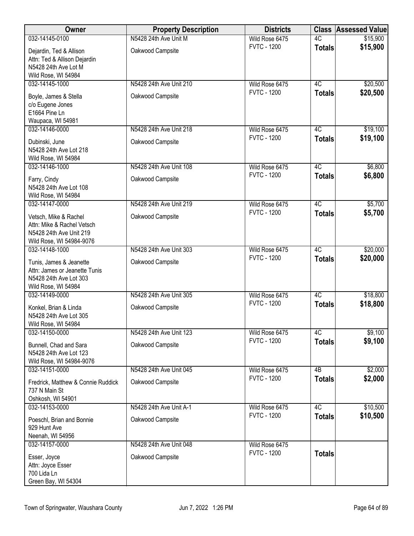| Owner                                                                                                      | <b>Property Description</b> | <b>Districts</b>   |               | <b>Class Assessed Value</b> |
|------------------------------------------------------------------------------------------------------------|-----------------------------|--------------------|---------------|-----------------------------|
| 032-14145-0100                                                                                             | N5428 24th Ave Unit M       | Wild Rose 6475     | 4C            | \$15,900                    |
| Dejardin, Ted & Allison<br>Attn: Ted & Allison Dejardin<br>N5428 24th Ave Lot M                            | Oakwood Campsite            | <b>FVTC - 1200</b> | <b>Totals</b> | \$15,900                    |
| Wild Rose, WI 54984<br>032-14145-1000                                                                      | N5428 24th Ave Unit 210     | Wild Rose 6475     | 4C            | \$20,500                    |
| Boyle, James & Stella<br>c/o Eugene Jones<br>E1664 Pine Ln<br>Waupaca, WI 54981                            | Oakwood Campsite            | <b>FVTC - 1200</b> | <b>Totals</b> | \$20,500                    |
| 032-14146-0000                                                                                             | N5428 24th Ave Unit 218     | Wild Rose 6475     | 4C            | \$19,100                    |
| Dubinski, June<br>N5428 24th Ave Lot 218<br>Wild Rose, WI 54984                                            | Oakwood Campsite            | <b>FVTC - 1200</b> | <b>Totals</b> | \$19,100                    |
| 032-14146-1000                                                                                             | N5428 24th Ave Unit 108     | Wild Rose 6475     | 4C            | \$6,800                     |
| Farry, Cindy<br>N5428 24th Ave Lot 108<br>Wild Rose, WI 54984                                              | Oakwood Campsite            | <b>FVTC - 1200</b> | <b>Totals</b> | \$6,800                     |
| 032-14147-0000                                                                                             | N5428 24th Ave Unit 219     | Wild Rose 6475     | 4C            | \$5,700                     |
| Vetsch, Mike & Rachel<br>Attn: Mike & Rachel Vetsch<br>N5428 24th Ave Unit 219<br>Wild Rose, WI 54984-9076 | Oakwood Campsite            | <b>FVTC - 1200</b> | <b>Totals</b> | \$5,700                     |
| 032-14148-1000                                                                                             | N5428 24th Ave Unit 303     | Wild Rose 6475     | 4C            | \$20,000                    |
| Tunis, James & Jeanette<br>Attn: James or Jeanette Tunis<br>N5428 24th Ave Lot 303<br>Wild Rose, WI 54984  | Oakwood Campsite            | <b>FVTC - 1200</b> | <b>Totals</b> | \$20,000                    |
| 032-14149-0000                                                                                             | N5428 24th Ave Unit 305     | Wild Rose 6475     | 4C            | \$18,800                    |
| Konkel, Brian & Linda<br>N5428 24th Ave Lot 305<br>Wild Rose, WI 54984                                     | Oakwood Campsite            | <b>FVTC - 1200</b> | <b>Totals</b> | \$18,800                    |
| 032-14150-0000                                                                                             | N5428 24th Ave Unit 123     | Wild Rose 6475     | 4C            | \$9,100                     |
| Bunnell, Chad and Sara<br>N5428 24th Ave Lot 123<br>Wild Rose, WI 54984-9076                               | Oakwood Campsite            | <b>FVTC - 1200</b> | <b>Totals</b> | \$9,100                     |
| 032-14151-0000                                                                                             | N5428 24th Ave Unit 045     | Wild Rose 6475     | 4B            | \$2,000                     |
| Fredrick, Matthew & Connie Ruddick<br>737 N Main St<br>Oshkosh, WI 54901                                   | Oakwood Campsite            | <b>FVTC - 1200</b> | <b>Totals</b> | \$2,000                     |
| 032-14153-0000                                                                                             | N5428 24th Ave Unit A-1     | Wild Rose 6475     | 4C            | \$10,500                    |
| Poeschl, Brian and Bonnie<br>929 Hunt Ave                                                                  | Oakwood Campsite            | <b>FVTC - 1200</b> | <b>Totals</b> | \$10,500                    |
| Neenah, WI 54956<br>032-14157-0000                                                                         | N5428 24th Ave Unit 048     | Wild Rose 6475     |               |                             |
| Esser, Joyce<br>Attn: Joyce Esser<br>700 Lida Ln<br>Green Bay, WI 54304                                    | Oakwood Campsite            | <b>FVTC - 1200</b> | <b>Totals</b> |                             |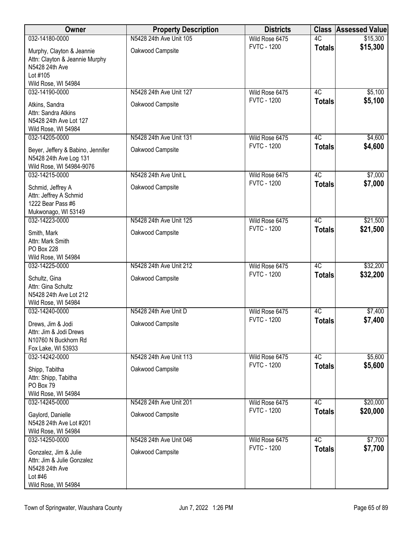| Owner                                                                                                            | <b>Property Description</b> | <b>Districts</b>   | <b>Class</b>    | <b>Assessed Value</b> |
|------------------------------------------------------------------------------------------------------------------|-----------------------------|--------------------|-----------------|-----------------------|
| 032-14180-0000                                                                                                   | N5428 24th Ave Unit 105     | Wild Rose 6475     | 4C              | \$15,300              |
| Murphy, Clayton & Jeannie<br>Attn: Clayton & Jeannie Murphy<br>N5428 24th Ave<br>Lot #105<br>Wild Rose, WI 54984 | Oakwood Campsite            | <b>FVTC - 1200</b> | <b>Totals</b>   | \$15,300              |
| 032-14190-0000                                                                                                   | N5428 24th Ave Unit 127     | Wild Rose 6475     | 4C              | \$5,100               |
| Atkins, Sandra<br>Attn: Sandra Atkins<br>N5428 24th Ave Lot 127<br>Wild Rose, WI 54984                           | Oakwood Campsite            | <b>FVTC - 1200</b> | <b>Totals</b>   | \$5,100               |
| 032-14205-0000                                                                                                   | N5428 24th Ave Unit 131     | Wild Rose 6475     | 4C              | \$4,600               |
| Beyer, Jeffery & Babino, Jennifer<br>N5428 24th Ave Log 131<br>Wild Rose, WI 54984-9076                          | Oakwood Campsite            | <b>FVTC - 1200</b> | <b>Totals</b>   | \$4,600               |
| 032-14215-0000                                                                                                   | N5428 24th Ave Unit L       | Wild Rose 6475     | 4C              | \$7,000               |
| Schmid, Jeffrey A<br>Attn: Jeffrey A Schmid<br>1222 Bear Pass #6<br>Mukwonago, WI 53149                          | Oakwood Campsite            | <b>FVTC - 1200</b> | <b>Totals</b>   | \$7,000               |
| 032-14223-0000                                                                                                   | N5428 24th Ave Unit 125     | Wild Rose 6475     | $\overline{4C}$ | \$21,500              |
| Smith, Mark<br>Attn: Mark Smith<br>PO Box 228<br>Wild Rose, WI 54984                                             | Oakwood Campsite            | <b>FVTC - 1200</b> | <b>Totals</b>   | \$21,500              |
| 032-14225-0000                                                                                                   | N5428 24th Ave Unit 212     | Wild Rose 6475     | 4C              | \$32,200              |
| Schultz, Gina<br>Attn: Gina Schultz<br>N5428 24th Ave Lot 212<br>Wild Rose, WI 54984                             | Oakwood Campsite            | <b>FVTC - 1200</b> | <b>Totals</b>   | \$32,200              |
| 032-14240-0000                                                                                                   | N5428 24th Ave Unit D       | Wild Rose 6475     | 4C              | \$7,400               |
| Drews, Jim & Jodi<br>Attn: Jim & Jodi Drews<br>N10760 N Buckhorn Rd<br>Fox Lake, WI 53933                        | Oakwood Campsite            | <b>FVTC - 1200</b> | <b>Totals</b>   | \$7,400               |
| 032-14242-0000                                                                                                   | N5428 24th Ave Unit 113     | Wild Rose 6475     | 4C              | \$5,600               |
| Shipp, Tabitha<br>Attn: Shipp, Tabitha<br>PO Box 79<br>Wild Rose, WI 54984                                       | Oakwood Campsite            | <b>FVTC - 1200</b> | <b>Totals</b>   | \$5,600               |
| 032-14245-0000                                                                                                   | N5428 24th Ave Unit 201     | Wild Rose 6475     | 4C              | \$20,000              |
| Gaylord, Danielle<br>N5428 24th Ave Lot #201<br>Wild Rose, WI 54984                                              | Oakwood Campsite            | <b>FVTC - 1200</b> | <b>Totals</b>   | \$20,000              |
| 032-14250-0000                                                                                                   | N5428 24th Ave Unit 046     | Wild Rose 6475     | 4C              | \$7,700               |
| Gonzalez, Jim & Julie<br>Attn: Jim & Julie Gonzalez<br>N5428 24th Ave<br>Lot #46<br>Wild Rose, WI 54984          | Oakwood Campsite            | <b>FVTC - 1200</b> | <b>Totals</b>   | \$7,700               |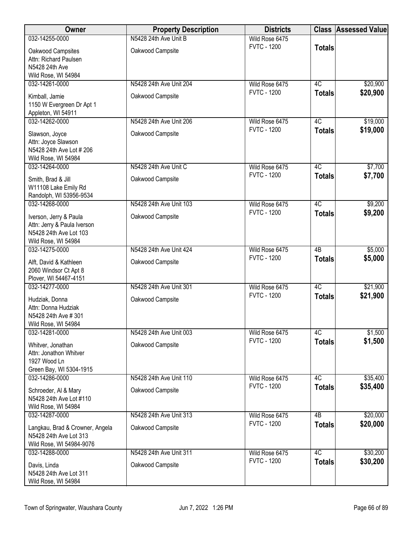| Owner                                                                                                  | <b>Property Description</b> | <b>Districts</b>   |                 | <b>Class Assessed Value</b> |
|--------------------------------------------------------------------------------------------------------|-----------------------------|--------------------|-----------------|-----------------------------|
| 032-14255-0000                                                                                         | N5428 24th Ave Unit B       | Wild Rose 6475     |                 |                             |
| Oakwood Campsites                                                                                      | Oakwood Campsite            | <b>FVTC - 1200</b> | <b>Totals</b>   |                             |
| Attn: Richard Paulsen                                                                                  |                             |                    |                 |                             |
| N5428 24th Ave<br>Wild Rose, WI 54984                                                                  |                             |                    |                 |                             |
| 032-14261-0000                                                                                         | N5428 24th Ave Unit 204     | Wild Rose 6475     | 4C              | \$20,900                    |
| Kimball, Jamie<br>1150 W Evergreen Dr Apt 1<br>Appleton, WI 54911                                      | Oakwood Campsite            | <b>FVTC - 1200</b> | <b>Totals</b>   | \$20,900                    |
| 032-14262-0000                                                                                         | N5428 24th Ave Unit 206     | Wild Rose 6475     | 4C              | \$19,000                    |
| Slawson, Joyce<br>Attn: Joyce Slawson<br>N5428 24th Ave Lot # 206<br>Wild Rose, WI 54984               | Oakwood Campsite            | <b>FVTC - 1200</b> | <b>Totals</b>   | \$19,000                    |
| 032-14264-0000                                                                                         | N5428 24th Ave Unit C       | Wild Rose 6475     | 4C              | \$7,700                     |
| Smith, Brad & Jill<br>W11108 Lake Emily Rd<br>Randolph, WI 53956-9534                                  | Oakwood Campsite            | <b>FVTC - 1200</b> | <b>Totals</b>   | \$7,700                     |
| 032-14268-0000                                                                                         | N5428 24th Ave Unit 103     | Wild Rose 6475     | 4C              | \$9,200                     |
| Iverson, Jerry & Paula<br>Attn: Jerry & Paula Iverson<br>N5428 24th Ave Lot 103<br>Wild Rose, WI 54984 | Oakwood Campsite            | <b>FVTC - 1200</b> | <b>Totals</b>   | \$9,200                     |
| 032-14275-0000                                                                                         | N5428 24th Ave Unit 424     | Wild Rose 6475     | $\overline{AB}$ | \$5,000                     |
| Alft, David & Kathleen<br>2060 Windsor Ct Apt 8<br>Plover, WI 54467-4151                               | Oakwood Campsite            | <b>FVTC - 1200</b> | <b>Totals</b>   | \$5,000                     |
| 032-14277-0000                                                                                         | N5428 24th Ave Unit 301     | Wild Rose 6475     | 4C              | \$21,900                    |
| Hudziak, Donna<br>Attn: Donna Hudziak<br>N5428 24th Ave # 301<br>Wild Rose, WI 54984                   | Oakwood Campsite            | <b>FVTC - 1200</b> | <b>Totals</b>   | \$21,900                    |
| 032-14281-0000                                                                                         | N5428 24th Ave Unit 003     | Wild Rose 6475     | 4C              | \$1,500                     |
| Whitver, Jonathan<br>Attn: Jonathon Whitver<br>1927 Wood Ln                                            | Oakwood Campsite            | <b>FVTC - 1200</b> | <b>Totals</b>   | \$1,500                     |
| Green Bay, WI 5304-1915<br>032-14286-0000                                                              | N5428 24th Ave Unit 110     | Wild Rose 6475     | 4C              |                             |
| Schroeder, Al & Mary<br>N5428 24th Ave Lot #110<br>Wild Rose, WI 54984                                 | Oakwood Campsite            | <b>FVTC - 1200</b> | <b>Totals</b>   | \$35,400<br>\$35,400        |
| 032-14287-0000                                                                                         | N5428 24th Ave Unit 313     | Wild Rose 6475     | 4B              | \$20,000                    |
| Langkau, Brad & Crowner, Angela<br>N5428 24th Ave Lot 313<br>Wild Rose, WI 54984-9076                  | Oakwood Campsite            | <b>FVTC - 1200</b> | <b>Totals</b>   | \$20,000                    |
| 032-14288-0000                                                                                         | N5428 24th Ave Unit 311     | Wild Rose 6475     | 4C              | \$30,200                    |
| Davis, Linda<br>N5428 24th Ave Lot 311<br>Wild Rose, WI 54984                                          | Oakwood Campsite            | <b>FVTC - 1200</b> | <b>Totals</b>   | \$30,200                    |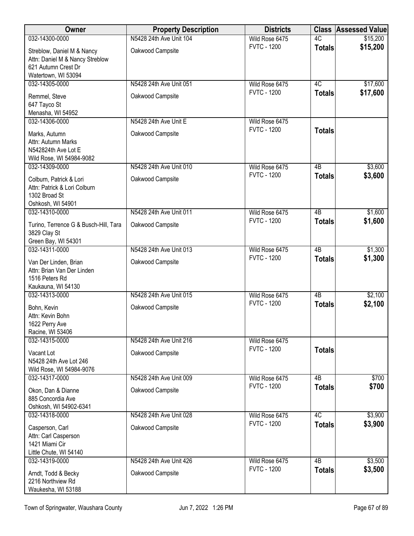| Owner                                                                                         | <b>Property Description</b> | <b>Districts</b>                     |                 | <b>Class Assessed Value</b> |
|-----------------------------------------------------------------------------------------------|-----------------------------|--------------------------------------|-----------------|-----------------------------|
| 032-14300-0000                                                                                | N5428 24th Ave Unit 104     | Wild Rose 6475                       | 4C              | \$15,200                    |
| Streblow, Daniel M & Nancy<br>Attn: Daniel M & Nancy Streblow<br>621 Autumn Crest Dr          | Oakwood Campsite            | <b>FVTC - 1200</b>                   | <b>Totals</b>   | \$15,200                    |
| Watertown, WI 53094                                                                           |                             |                                      |                 |                             |
| 032-14305-0000                                                                                | N5428 24th Ave Unit 051     | Wild Rose 6475                       | 4C              | \$17,600                    |
| Remmel, Steve<br>647 Tayco St                                                                 | Oakwood Campsite            | <b>FVTC - 1200</b>                   | <b>Totals</b>   | \$17,600                    |
| Menasha, WI 54952                                                                             |                             |                                      |                 |                             |
| 032-14306-0000                                                                                | N5428 24th Ave Unit E       | Wild Rose 6475                       |                 |                             |
| Marks, Autumn<br>Attn: Autumn Marks<br>N542824th Ave Lot E                                    | Oakwood Campsite            | <b>FVTC - 1200</b>                   | <b>Totals</b>   |                             |
| Wild Rose, WI 54984-9082                                                                      |                             |                                      |                 |                             |
| 032-14309-0000                                                                                | N5428 24th Ave Unit 010     | Wild Rose 6475                       | $\overline{AB}$ | \$3,600                     |
| Colburn, Patrick & Lori<br>Attn: Patrick & Lori Colburn<br>1302 Broad St<br>Oshkosh, WI 54901 | Oakwood Campsite            | <b>FVTC - 1200</b>                   | <b>Totals</b>   | \$3,600                     |
| 032-14310-0000                                                                                | N5428 24th Ave Unit 011     | Wild Rose 6475                       | $\overline{AB}$ | \$1,600                     |
| Turino, Terrence G & Busch-Hill, Tara<br>3829 Clay St<br>Green Bay, WI 54301                  | Oakwood Campsite            | <b>FVTC - 1200</b>                   | <b>Totals</b>   | \$1,600                     |
| 032-14311-0000                                                                                | N5428 24th Ave Unit 013     | Wild Rose 6475                       | 4B              | \$1,300                     |
| Van Der Linden, Brian<br>Attn: Brian Van Der Linden<br>1516 Peters Rd                         | Oakwood Campsite            | <b>FVTC - 1200</b>                   | <b>Totals</b>   | \$1,300                     |
| Kaukauna, WI 54130                                                                            |                             |                                      |                 |                             |
| 032-14313-0000                                                                                | N5428 24th Ave Unit 015     | Wild Rose 6475<br><b>FVTC - 1200</b> | $\overline{AB}$ | \$2,100                     |
| Bohn, Kevin<br>Attn: Kevin Bohn                                                               | Oakwood Campsite            |                                      | <b>Totals</b>   | \$2,100                     |
| 1622 Perry Ave<br>Racine, WI 53406                                                            |                             |                                      |                 |                             |
| 032-14315-0000                                                                                | N5428 24th Ave Unit 216     | Wild Rose 6475                       |                 |                             |
| Vacant Lot                                                                                    | Oakwood Campsite            | <b>FVTC - 1200</b>                   | <b>Totals</b>   |                             |
| N5428 24th Ave Lot 246<br>Wild Rose, WI 54984-9076                                            |                             |                                      |                 |                             |
| 032-14317-0000                                                                                | N5428 24th Ave Unit 009     | Wild Rose 6475                       | 4B              | \$700                       |
| Okon, Dan & Dianne                                                                            | Oakwood Campsite            | <b>FVTC - 1200</b>                   | <b>Totals</b>   | \$700                       |
| 885 Concordia Ave                                                                             |                             |                                      |                 |                             |
| Oshkosh, WI 54902-6341<br>032-14318-0000                                                      | N5428 24th Ave Unit 028     | Wild Rose 6475                       | 4C              | \$3,900                     |
|                                                                                               |                             | <b>FVTC - 1200</b>                   | <b>Totals</b>   | \$3,900                     |
| Casperson, Carl<br>Attn: Carl Casperson                                                       | Oakwood Campsite            |                                      |                 |                             |
| 1421 Miami Cir                                                                                |                             |                                      |                 |                             |
| Little Chute, WI 54140                                                                        |                             |                                      |                 |                             |
| 032-14319-0000                                                                                | N5428 24th Ave Unit 426     | Wild Rose 6475                       | 4B              | \$3,500                     |
| Arndt, Todd & Becky<br>2216 Northview Rd<br>Waukesha, WI 53188                                | Oakwood Campsite            | <b>FVTC - 1200</b>                   | <b>Totals</b>   | \$3,500                     |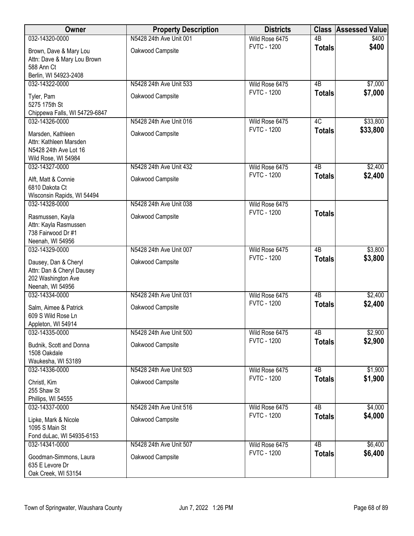| Owner                                             | <b>Property Description</b> | <b>Districts</b>   | <b>Class</b>    | <b>Assessed Value</b> |
|---------------------------------------------------|-----------------------------|--------------------|-----------------|-----------------------|
| 032-14320-0000                                    | N5428 24th Ave Unit 001     | Wild Rose 6475     | $\overline{AB}$ | \$400                 |
| Brown, Dave & Mary Lou                            | Oakwood Campsite            | <b>FVTC - 1200</b> | <b>Totals</b>   | \$400                 |
| Attn: Dave & Mary Lou Brown                       |                             |                    |                 |                       |
| 588 Ann Ct                                        |                             |                    |                 |                       |
| Berlin, WI 54923-2408                             |                             |                    |                 |                       |
| 032-14322-0000                                    | N5428 24th Ave Unit 533     | Wild Rose 6475     | 4B              | \$7,000               |
| Tyler, Pam                                        | Oakwood Campsite            | <b>FVTC - 1200</b> | <b>Totals</b>   | \$7,000               |
| 5275 175th St                                     |                             |                    |                 |                       |
| Chippewa Falls, WI 54729-6847                     |                             |                    |                 |                       |
| 032-14326-0000                                    | N5428 24th Ave Unit 016     | Wild Rose 6475     | 4C              | \$33,800              |
| Marsden, Kathleen                                 | Oakwood Campsite            | <b>FVTC - 1200</b> | <b>Totals</b>   | \$33,800              |
| Attn: Kathleen Marsden                            |                             |                    |                 |                       |
| N5428 24th Ave Lot 16                             |                             |                    |                 |                       |
| Wild Rose, WI 54984<br>032-14327-0000             | N5428 24th Ave Unit 432     | Wild Rose 6475     | $\overline{AB}$ | \$2,400               |
|                                                   |                             | <b>FVTC - 1200</b> | <b>Totals</b>   | \$2,400               |
| Alft, Matt & Connie                               | Oakwood Campsite            |                    |                 |                       |
| 6810 Dakota Ct                                    |                             |                    |                 |                       |
| Wisconsin Rapids, WI 54494<br>032-14328-0000      | N5428 24th Ave Unit 038     | Wild Rose 6475     |                 |                       |
|                                                   |                             | <b>FVTC - 1200</b> | <b>Totals</b>   |                       |
| Rasmussen, Kayla                                  | Oakwood Campsite            |                    |                 |                       |
| Attn: Kayla Rasmussen                             |                             |                    |                 |                       |
| 738 Fairwood Dr #1<br>Neenah, WI 54956            |                             |                    |                 |                       |
| 032-14329-0000                                    | N5428 24th Ave Unit 007     | Wild Rose 6475     | $\overline{AB}$ | \$3,800               |
|                                                   |                             | <b>FVTC - 1200</b> | <b>Totals</b>   | \$3,800               |
| Dausey, Dan & Cheryl<br>Attn: Dan & Cheryl Dausey | Oakwood Campsite            |                    |                 |                       |
| 202 Washington Ave                                |                             |                    |                 |                       |
| Neenah, WI 54956                                  |                             |                    |                 |                       |
| 032-14334-0000                                    | N5428 24th Ave Unit 031     | Wild Rose 6475     | $\overline{AB}$ | \$2,400               |
| Salm, Aimee & Patrick                             | Oakwood Campsite            | <b>FVTC - 1200</b> | <b>Totals</b>   | \$2,400               |
| 609 S Wild Rose Ln                                |                             |                    |                 |                       |
| Appleton, WI 54914                                |                             |                    |                 |                       |
| 032-14335-0000                                    | N5428 24th Ave Unit 500     | Wild Rose 6475     | 4B              | \$2,900               |
| Budnik, Scott and Donna                           | Oakwood Campsite            | <b>FVTC - 1200</b> | <b>Totals</b>   | \$2,900               |
| 1508 Oakdale                                      |                             |                    |                 |                       |
| Waukesha, WI 53189                                |                             |                    |                 |                       |
| 032-14336-0000                                    | N5428 24th Ave Unit 503     | Wild Rose 6475     | 4B              | \$1,900               |
| Christl, Kim                                      | Oakwood Campsite            | <b>FVTC - 1200</b> | <b>Totals</b>   | \$1,900               |
| 255 Shaw St                                       |                             |                    |                 |                       |
| Phillips, WI 54555                                |                             |                    |                 |                       |
| 032-14337-0000                                    | N5428 24th Ave Unit 516     | Wild Rose 6475     | $\overline{AB}$ | \$4,000               |
| Lipke, Mark & Nicole                              | Oakwood Campsite            | <b>FVTC - 1200</b> | <b>Totals</b>   | \$4,000               |
| 1095 S Main St                                    |                             |                    |                 |                       |
| Fond duLac, WI 54935-6153                         |                             |                    |                 |                       |
| 032-14341-0000                                    | N5428 24th Ave Unit 507     | Wild Rose 6475     | $\overline{AB}$ | \$6,400               |
| Goodman-Simmons, Laura                            | Oakwood Campsite            | <b>FVTC - 1200</b> | <b>Totals</b>   | \$6,400               |
| 635 E Levore Dr                                   |                             |                    |                 |                       |
| Oak Creek, WI 53154                               |                             |                    |                 |                       |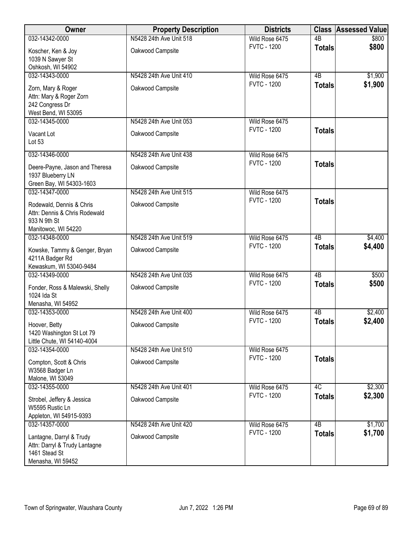| <b>Owner</b>                                                                                     | <b>Property Description</b> | <b>Districts</b>   |                 | <b>Class Assessed Value</b> |
|--------------------------------------------------------------------------------------------------|-----------------------------|--------------------|-----------------|-----------------------------|
| 032-14342-0000                                                                                   | N5428 24th Ave Unit 518     | Wild Rose 6475     | $\overline{AB}$ | \$800                       |
| Koscher, Ken & Joy<br>1039 N Sawyer St                                                           | Oakwood Campsite            | <b>FVTC - 1200</b> | <b>Totals</b>   | \$800                       |
| Oshkosh, WI 54902                                                                                |                             |                    |                 |                             |
| 032-14343-0000                                                                                   | N5428 24th Ave Unit 410     | Wild Rose 6475     | $\overline{AB}$ | \$1,900                     |
| Zorn, Mary & Roger<br>Attn: Mary & Roger Zorn<br>242 Congress Dr<br>West Bend, WI 53095          | Oakwood Campsite            | <b>FVTC - 1200</b> | <b>Totals</b>   | \$1,900                     |
| 032-14345-0000                                                                                   | N5428 24th Ave Unit 053     | Wild Rose 6475     |                 |                             |
| Vacant Lot<br>Lot 53                                                                             | Oakwood Campsite            | <b>FVTC - 1200</b> | <b>Totals</b>   |                             |
| 032-14346-0000                                                                                   | N5428 24th Ave Unit 438     | Wild Rose 6475     |                 |                             |
| Deere-Payne, Jason and Theresa<br>1937 Blueberry LN<br>Green Bay, WI 54303-1603                  | Oakwood Campsite            | <b>FVTC - 1200</b> | <b>Totals</b>   |                             |
| 032-14347-0000                                                                                   | N5428 24th Ave Unit 515     | Wild Rose 6475     |                 |                             |
| Rodewald, Dennis & Chris<br>Attn: Dennis & Chris Rodewald<br>933 N 9th St<br>Manitowoc, WI 54220 | Oakwood Campsite            | <b>FVTC - 1200</b> | <b>Totals</b>   |                             |
| 032-14348-0000                                                                                   | N5428 24th Ave Unit 519     | Wild Rose 6475     | $\overline{AB}$ | \$4,400                     |
| Kowske, Tammy & Genger, Bryan<br>4211A Badger Rd<br>Kewaskum, WI 53040-9484                      | Oakwood Campsite            | <b>FVTC - 1200</b> | <b>Totals</b>   | \$4,400                     |
| 032-14349-0000                                                                                   | N5428 24th Ave Unit 035     | Wild Rose 6475     | $\overline{AB}$ | \$500                       |
| Fonder, Ross & Malewski, Shelly<br>1024 Ida St<br>Menasha, WI 54952                              | Oakwood Campsite            | <b>FVTC - 1200</b> | <b>Totals</b>   | \$500                       |
| 032-14353-0000                                                                                   | N5428 24th Ave Unit 400     | Wild Rose 6475     | 4B              | \$2,400                     |
| Hoover, Betty<br>1420 Washington St Lot 79<br>Little Chute, WI 54140-4004                        | Oakwood Campsite            | <b>FVTC - 1200</b> | <b>Totals</b>   | \$2,400                     |
| 032-14354-0000                                                                                   | N5428 24th Ave Unit 510     | Wild Rose 6475     |                 |                             |
| Compton, Scott & Chris<br>W3568 Badger Ln<br>Malone, WI 53049                                    | Oakwood Campsite            | <b>FVTC - 1200</b> | <b>Totals</b>   |                             |
| 032-14355-0000                                                                                   | N5428 24th Ave Unit 401     | Wild Rose 6475     | 4C              | \$2,300                     |
| Strobel, Jeffery & Jessica<br>W5595 Rustic Ln<br>Appleton, WI 54915-9393                         | Oakwood Campsite            | <b>FVTC - 1200</b> | <b>Totals</b>   | \$2,300                     |
| 032-14357-0000                                                                                   | N5428 24th Ave Unit 420     | Wild Rose 6475     | $\overline{AB}$ | \$1,700                     |
| Lantagne, Darryl & Trudy<br>Attn: Darryl & Trudy Lantagne<br>1461 Stead St<br>Menasha, WI 59452  | Oakwood Campsite            | <b>FVTC - 1200</b> | <b>Totals</b>   | \$1,700                     |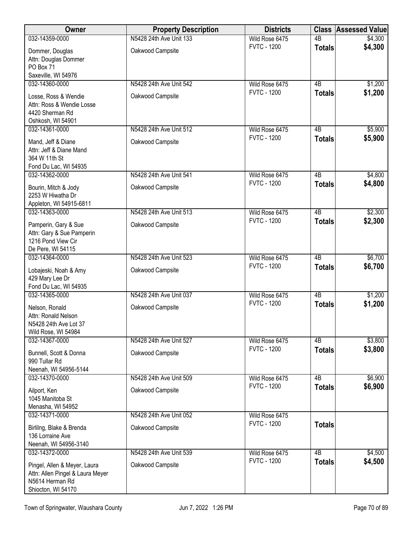| Owner                                                                                                     | <b>Property Description</b> | <b>Districts</b>                     | <b>Class</b>    | <b>Assessed Value</b> |
|-----------------------------------------------------------------------------------------------------------|-----------------------------|--------------------------------------|-----------------|-----------------------|
| 032-14359-0000                                                                                            | N5428 24th Ave Unit 133     | Wild Rose 6475                       | 4B              | \$4,300               |
| Dommer, Douglas<br>Attn: Douglas Dommer<br>PO Box 71                                                      | Oakwood Campsite            | <b>FVTC - 1200</b>                   | <b>Totals</b>   | \$4,300               |
| Saxeville, WI 54976                                                                                       |                             |                                      |                 |                       |
| 032-14360-0000                                                                                            | N5428 24th Ave Unit 542     | Wild Rose 6475<br><b>FVTC - 1200</b> | $\overline{AB}$ | \$1,200<br>\$1,200    |
| Losse, Ross & Wendie<br>Attn: Ross & Wendie Losse<br>4420 Sherman Rd<br>Oshkosh, WI 54901                 | Oakwood Campsite            |                                      | <b>Totals</b>   |                       |
| 032-14361-0000                                                                                            | N5428 24th Ave Unit 512     | Wild Rose 6475                       | 4B              | \$5,900               |
| Mand, Jeff & Diane<br>Attn: Jeff & Diane Mand<br>364 W 11th St<br>Fond Du Lac, WI 54935                   | Oakwood Campsite            | <b>FVTC - 1200</b>                   | <b>Totals</b>   | \$5,900               |
| 032-14362-0000                                                                                            | N5428 24th Ave Unit 541     | Wild Rose 6475                       | 4B              | \$4,800               |
| Bourin, Mitch & Jody<br>2253 W Hiwatha Dr<br>Appleton, WI 54915-6811                                      | Oakwood Campsite            | <b>FVTC - 1200</b>                   | <b>Totals</b>   | \$4,800               |
| 032-14363-0000                                                                                            | N5428 24th Ave Unit 513     | Wild Rose 6475                       | $\overline{AB}$ | \$2,300               |
| Pamperin, Gary & Sue<br>Attn: Gary & Sue Pamperin<br>1216 Pond View Cir<br>De Pere, WI 54115              | Oakwood Campsite            | <b>FVTC - 1200</b>                   | <b>Totals</b>   | \$2,300               |
| 032-14364-0000                                                                                            | N5428 24th Ave Unit 523     | Wild Rose 6475                       | $\overline{AB}$ | \$6,700               |
| Lobajeski, Noah & Amy<br>429 Mary Lee Dr<br>Fond Du Lac, WI 54935                                         | Oakwood Campsite            | <b>FVTC - 1200</b>                   | <b>Totals</b>   | \$6,700               |
| 032-14365-0000                                                                                            | N5428 24th Ave Unit 037     | Wild Rose 6475                       | $\overline{AB}$ | \$1,200               |
| Nelson, Ronald<br>Attn: Ronald Nelson<br>N5428 24th Ave Lot 37<br>Wild Rose, WI 54984                     | Oakwood Campsite            | <b>FVTC - 1200</b>                   | <b>Totals</b>   | \$1,200               |
| 032-14367-0000                                                                                            | N5428 24th Ave Unit 527     | Wild Rose 6475                       | 4B              | \$3,800               |
| Bunnell, Scott & Donna<br>990 Tullar Rd<br>Neenah, WI 54956-5144                                          | Oakwood Campsite            | <b>FVTC - 1200</b>                   | <b>Totals</b>   | \$3,800               |
| 032-14370-0000                                                                                            | N5428 24th Ave Unit 509     | Wild Rose 6475                       | 4B              | \$6,900               |
| Ailport, Ken<br>1045 Manitoba St<br>Menasha, WI 54952                                                     | Oakwood Campsite            | <b>FVTC - 1200</b>                   | <b>Totals</b>   | \$6,900               |
| 032-14371-0000                                                                                            | N5428 24th Ave Unit 052     | Wild Rose 6475                       |                 |                       |
| Birlilng, Blake & Brenda<br>136 Lorraine Ave<br>Neenah, WI 54956-3140                                     | Oakwood Campsite            | <b>FVTC - 1200</b>                   | <b>Totals</b>   |                       |
| 032-14372-0000                                                                                            | N5428 24th Ave Unit 539     | Wild Rose 6475                       | $\overline{AB}$ | \$4,500               |
| Pingel, Allen & Meyer, Laura<br>Attn: Allen Pingel & Laura Meyer<br>N5614 Herman Rd<br>Shiocton, WI 54170 | Oakwood Campsite            | <b>FVTC - 1200</b>                   | <b>Totals</b>   | \$4,500               |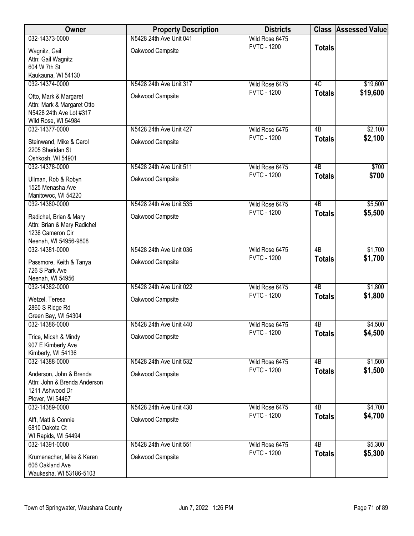| Owner                                                                                                 | <b>Property Description</b> | <b>Districts</b>   |                 | <b>Class Assessed Value</b> |
|-------------------------------------------------------------------------------------------------------|-----------------------------|--------------------|-----------------|-----------------------------|
| 032-14373-0000                                                                                        | N5428 24th Ave Unit 041     | Wild Rose 6475     |                 |                             |
| Wagnitz, Gail<br>Attn: Gail Wagnitz<br>604 W 7th St<br>Kaukauna, WI 54130                             | Oakwood Campsite            | <b>FVTC - 1200</b> | <b>Totals</b>   |                             |
| 032-14374-0000                                                                                        | N5428 24th Ave Unit 317     | Wild Rose 6475     | 4C              | \$19,600                    |
| Otto, Mark & Margaret<br>Attn: Mark & Margaret Otto<br>N5428 24th Ave Lot #317<br>Wild Rose, WI 54984 | Oakwood Campsite            | <b>FVTC - 1200</b> | <b>Totals</b>   | \$19,600                    |
| 032-14377-0000                                                                                        | N5428 24th Ave Unit 427     | Wild Rose 6475     | 4B              | \$2,100                     |
| Steinwand, Mike & Carol<br>2205 Sheridan St<br>Oshkosh, WI 54901                                      | Oakwood Campsite            | <b>FVTC - 1200</b> | <b>Totals</b>   | \$2,100                     |
| 032-14378-0000                                                                                        | N5428 24th Ave Unit 511     | Wild Rose 6475     | 4B              | \$700                       |
| Ullman, Rob & Robyn<br>1525 Menasha Ave<br>Manitowoc, WI 54220                                        | Oakwood Campsite            | <b>FVTC - 1200</b> | <b>Totals</b>   | \$700                       |
| 032-14380-0000                                                                                        | N5428 24th Ave Unit 535     | Wild Rose 6475     | $\overline{AB}$ | \$5,500                     |
| Radichel, Brian & Mary<br>Attn: Brian & Mary Radichel<br>1236 Cameron Cir<br>Neenah, WI 54956-9808    | Oakwood Campsite            | <b>FVTC - 1200</b> | <b>Totals</b>   | \$5,500                     |
| 032-14381-0000                                                                                        | N5428 24th Ave Unit 036     | Wild Rose 6475     | 4B              | \$1,700                     |
| Passmore, Keith & Tanya<br>726 S Park Ave                                                             | Oakwood Campsite            | <b>FVTC - 1200</b> | <b>Totals</b>   | \$1,700                     |
| Neenah, WI 54956<br>032-14382-0000                                                                    | N5428 24th Ave Unit 022     | Wild Rose 6475     | $\overline{AB}$ | \$1,800                     |
| Wetzel, Teresa<br>2860 S Ridge Rd<br>Green Bay, WI 54304                                              | Oakwood Campsite            | <b>FVTC - 1200</b> | <b>Totals</b>   | \$1,800                     |
| 032-14386-0000                                                                                        | N5428 24th Ave Unit 440     | Wild Rose 6475     | 4B              | \$4,500                     |
| Trice, Micah & Mindy<br>907 E Kimberly Ave<br>Kimberly, WI 54136                                      | Oakwood Campsite            | <b>FVTC - 1200</b> | <b>Totals</b>   | \$4,500                     |
| 032-14388-0000                                                                                        | N5428 24th Ave Unit 532     | Wild Rose 6475     | 4B              | \$1,500                     |
| Anderson, John & Brenda<br>Attn: John & Brenda Anderson<br>1211 Ashwood Dr<br>Plover, WI 54467        | Oakwood Campsite            | <b>FVTC - 1200</b> | <b>Totals</b>   | \$1,500                     |
| 032-14389-0000                                                                                        | N5428 24th Ave Unit 430     | Wild Rose 6475     | $\overline{AB}$ | \$4,700                     |
| Alft, Matt & Connie<br>6810 Dakota Ct<br>WI Rapids, WI 54494                                          | Oakwood Campsite            | <b>FVTC - 1200</b> | <b>Totals</b>   | \$4,700                     |
| 032-14391-0000                                                                                        | N5428 24th Ave Unit 551     | Wild Rose 6475     | 4B              | \$5,300                     |
| Krumenacher, Mike & Karen<br>606 Oakland Ave<br>Waukesha, WI 53186-5103                               | Oakwood Campsite            | <b>FVTC - 1200</b> | <b>Totals</b>   | \$5,300                     |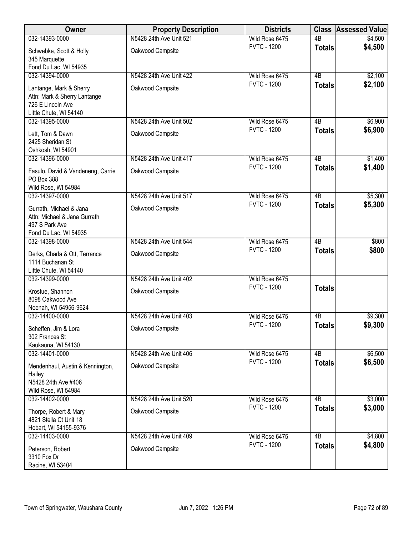| Owner                                   | <b>Property Description</b> | <b>Districts</b>   |                 | <b>Class Assessed Value</b> |
|-----------------------------------------|-----------------------------|--------------------|-----------------|-----------------------------|
| 032-14393-0000                          | N5428 24th Ave Unit 521     | Wild Rose 6475     | $\overline{AB}$ | \$4,500                     |
| Schwebke, Scott & Holly                 | Oakwood Campsite            | <b>FVTC - 1200</b> | <b>Totals</b>   | \$4,500                     |
| 345 Marquette                           |                             |                    |                 |                             |
| Fond Du Lac, WI 54935                   |                             |                    |                 |                             |
| 032-14394-0000                          | N5428 24th Ave Unit 422     | Wild Rose 6475     | $\overline{AB}$ | \$2,100                     |
| Lantange, Mark & Sherry                 | Oakwood Campsite            | <b>FVTC - 1200</b> | <b>Totals</b>   | \$2,100                     |
| Attn: Mark & Sherry Lantange            |                             |                    |                 |                             |
| 726 E Lincoln Ave                       |                             |                    |                 |                             |
| Little Chute, WI 54140                  |                             |                    |                 |                             |
| 032-14395-0000                          | N5428 24th Ave Unit 502     | Wild Rose 6475     | 4B              | \$6,900                     |
| Lett, Tom & Dawn                        | Oakwood Campsite            | <b>FVTC - 1200</b> | <b>Totals</b>   | \$6,900                     |
| 2425 Sheridan St                        |                             |                    |                 |                             |
| Oshkosh, WI 54901                       |                             |                    |                 |                             |
| 032-14396-0000                          | N5428 24th Ave Unit 417     | Wild Rose 6475     | $\overline{AB}$ | \$1,400                     |
| Fasulo, David & Vandeneng, Carrie       | Oakwood Campsite            | <b>FVTC - 1200</b> | <b>Totals</b>   | \$1,400                     |
| PO Box 388                              |                             |                    |                 |                             |
| Wild Rose, WI 54984                     |                             |                    |                 |                             |
| 032-14397-0000                          | N5428 24th Ave Unit 517     | Wild Rose 6475     | $\overline{AB}$ | \$5,300                     |
| Gurrath, Michael & Jana                 | Oakwood Campsite            | <b>FVTC - 1200</b> | <b>Totals</b>   | \$5,300                     |
| Attn: Michael & Jana Gurrath            |                             |                    |                 |                             |
| 497 S Park Ave                          |                             |                    |                 |                             |
| Fond Du Lac, WI 54935                   |                             |                    |                 |                             |
| 032-14398-0000                          | N5428 24th Ave Unit 544     | Wild Rose 6475     | $\overline{AB}$ | \$800                       |
| Derks, Charla & Ott, Terrance           | Oakwood Campsite            | <b>FVTC - 1200</b> | <b>Totals</b>   | \$800                       |
| 1114 Buchanan St                        |                             |                    |                 |                             |
| Little Chute, WI 54140                  |                             |                    |                 |                             |
| 032-14399-0000                          | N5428 24th Ave Unit 402     | Wild Rose 6475     |                 |                             |
|                                         |                             | <b>FVTC - 1200</b> | <b>Totals</b>   |                             |
| Krostue, Shannon<br>8098 Oakwood Ave    | Oakwood Campsite            |                    |                 |                             |
| Neenah, WI 54956-9624                   |                             |                    |                 |                             |
| 032-14400-0000                          | N5428 24th Ave Unit 403     | Wild Rose 6475     | 4B              | \$9,300                     |
|                                         |                             | <b>FVTC - 1200</b> | <b>Totals</b>   | \$9,300                     |
| Scheffen, Jim & Lora<br>302 Frances St  | Oakwood Campsite            |                    |                 |                             |
| Kaukauna, WI 54130                      |                             |                    |                 |                             |
| 032-14401-0000                          | N5428 24th Ave Unit 406     | Wild Rose 6475     | 4B              | \$6,500                     |
|                                         |                             | <b>FVTC - 1200</b> | <b>Totals</b>   | \$6,500                     |
| Mendenhaul, Austin & Kennington,        | Oakwood Campsite            |                    |                 |                             |
| Hailey<br>N5428 24th Ave #406           |                             |                    |                 |                             |
| Wild Rose, WI 54984                     |                             |                    |                 |                             |
| 032-14402-0000                          | N5428 24th Ave Unit 520     | Wild Rose 6475     | $\overline{AB}$ | \$3,000                     |
|                                         |                             | <b>FVTC - 1200</b> | <b>Totals</b>   | \$3,000                     |
| Thorpe, Robert & Mary                   | Oakwood Campsite            |                    |                 |                             |
| 4821 Stella Ct Unit 18                  |                             |                    |                 |                             |
| Hobart, WI 54155-9376<br>032-14403-0000 | N5428 24th Ave Unit 409     | Wild Rose 6475     | $\overline{AB}$ | \$4,800                     |
|                                         |                             | <b>FVTC - 1200</b> | <b>Totals</b>   | \$4,800                     |
| Peterson, Robert                        | Oakwood Campsite            |                    |                 |                             |
| 3310 Fox Dr                             |                             |                    |                 |                             |
| Racine, WI 53404                        |                             |                    |                 |                             |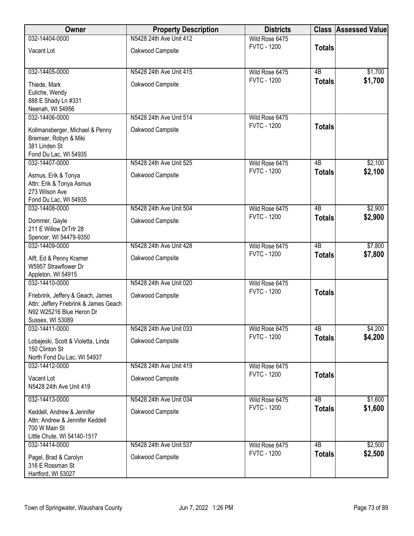| Owner                                                                                                                      | <b>Property Description</b> | <b>Districts</b>   |                 | <b>Class Assessed Value</b> |
|----------------------------------------------------------------------------------------------------------------------------|-----------------------------|--------------------|-----------------|-----------------------------|
| 032-14404-0000                                                                                                             | N5428 24th Ave Unit 412     | Wild Rose 6475     |                 |                             |
| Vacant Lot                                                                                                                 | Oakwood Campsite            | <b>FVTC - 1200</b> | <b>Totals</b>   |                             |
| 032-14405-0000                                                                                                             | N5428 24th Ave Unit 415     | Wild Rose 6475     | 4B              | \$1,700                     |
| Thiede, Mark<br>Euliche, Wendy<br>888 E Shady Ln #331<br>Neenah, WI 54956                                                  | Oakwood Campsite            | <b>FVTC - 1200</b> | <b>Totals</b>   | \$1,700                     |
| 032-14406-0000                                                                                                             | N5428 24th Ave Unit 514     | Wild Rose 6475     |                 |                             |
| Kollmansberger, Michael & Penny<br>Bremser, Robyn & Miki<br>381 Linden St<br>Fond Du Lac, WI 54935                         | Oakwood Campsite            | <b>FVTC - 1200</b> | <b>Totals</b>   |                             |
| 032-14407-0000                                                                                                             | N5428 24th Ave Unit 525     | Wild Rose 6475     | 4B              | \$2,100                     |
| Asmus, Erik & Tonya<br>Attn: Erik & Tonya Asmus<br>273 Wilson Ave<br>Fond Du Lac, WI 54935                                 | Oakwood Campsite            | <b>FVTC - 1200</b> | <b>Totals</b>   | \$2,100                     |
| 032-14408-0000                                                                                                             | N5428 24th Ave Unit 504     | Wild Rose 6475     | $\overline{AB}$ | \$2,900                     |
| Dommer, Gayle<br>211 E Willow DrTrlr 28<br>Spencer, WI 54479-9350                                                          | Oakwood Campsite            | <b>FVTC - 1200</b> | <b>Totals</b>   | \$2,900                     |
| 032-14409-0000                                                                                                             | N5428 24th Ave Unit 428     | Wild Rose 6475     | $\overline{AB}$ | \$7,800                     |
| Alft, Ed & Penny Kramer<br>W5957 Strawflower Dr<br>Appleton, WI 54915                                                      | Oakwood Campsite            | <b>FVTC - 1200</b> | <b>Totals</b>   | \$7,800                     |
| 032-14410-0000                                                                                                             | N5428 24th Ave Unit 020     | Wild Rose 6475     |                 |                             |
| Friebrink, Jeffery & Geach, James<br>Attn: Jeffery Friebrink & James Geach<br>N92 W25216 Blue Heron Dr<br>Sussex, WI 53089 | Oakwood Campsite            | <b>FVTC - 1200</b> | <b>Totals</b>   |                             |
| 032-14411-0000                                                                                                             | N5428 24th Ave Unit 033     | Wild Rose 6475     | 4B              | \$4,200                     |
| Lobajeski, Scott & Violetta, Linda<br>150 Clinton St<br>North Fond Du Lac, WI 54937                                        | Oakwood Campsite            | <b>FVTC - 1200</b> | <b>Totals</b>   | \$4,200                     |
| 032-14412-0000                                                                                                             | N5428 24th Ave Unit 419     | Wild Rose 6475     |                 |                             |
| Vacant Lot<br>N5428 24th Ave Unit 419                                                                                      | Oakwood Campsite            | <b>FVTC - 1200</b> | <b>Totals</b>   |                             |
| 032-14413-0000                                                                                                             | N5428 24th Ave Unit 034     | Wild Rose 6475     | 4B              | \$1,600                     |
| Keddell, Andrew & Jennifer<br>Attn: Andrew & Jennifer Keddell<br>700 W Main St<br>Little Chute, WI 54140-1517              | Oakwood Campsite            | <b>FVTC - 1200</b> | <b>Totals</b>   | \$1,600                     |
| 032-14414-0000                                                                                                             | N5428 24th Ave Unit 537     | Wild Rose 6475     | 4B              | \$2,500                     |
| Pagel, Brad & Carolyn<br>316 E Rossman St<br>Hartford, WI 53027                                                            | Oakwood Campsite            | <b>FVTC - 1200</b> | <b>Totals</b>   | \$2,500                     |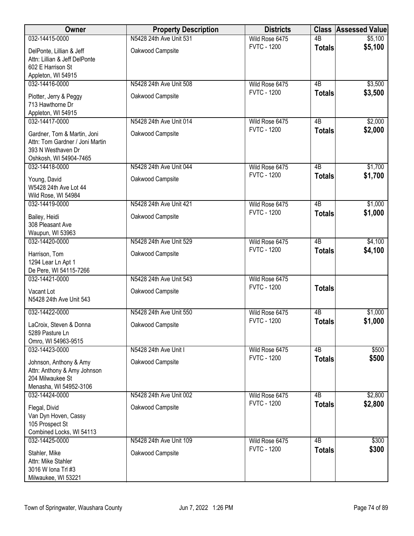| Owner                                                 | <b>Property Description</b> | <b>Districts</b>                     |                     | <b>Class Assessed Value</b> |
|-------------------------------------------------------|-----------------------------|--------------------------------------|---------------------|-----------------------------|
| 032-14415-0000                                        | N5428 24th Ave Unit 531     | Wild Rose 6475                       | $\overline{AB}$     | \$5,100                     |
| DelPonte, Lillian & Jeff                              | Oakwood Campsite            | <b>FVTC - 1200</b>                   | <b>Totals</b>       | \$5,100                     |
| Attn: Lillian & Jeff DelPonte                         |                             |                                      |                     |                             |
| 602 E Harrison St<br>Appleton, WI 54915               |                             |                                      |                     |                             |
| 032-14416-0000                                        | N5428 24th Ave Unit 508     | Wild Rose 6475                       | 4B                  | \$3,500                     |
| Piotter, Jerry & Peggy                                | Oakwood Campsite            | <b>FVTC - 1200</b>                   | <b>Totals</b>       | \$3,500                     |
| 713 Hawthorne Dr                                      |                             |                                      |                     |                             |
| Appleton, WI 54915                                    |                             |                                      |                     |                             |
| 032-14417-0000                                        | N5428 24th Ave Unit 014     | Wild Rose 6475<br><b>FVTC - 1200</b> | 4B<br><b>Totals</b> | \$2,000<br>\$2,000          |
| Gardner, Tom & Martin, Joni                           | Oakwood Campsite            |                                      |                     |                             |
| Attn: Tom Gardner / Joni Martin<br>393 N Westhaven Dr |                             |                                      |                     |                             |
| Oshkosh, WI 54904-7465                                |                             |                                      |                     |                             |
| 032-14418-0000                                        | N5428 24th Ave Unit 044     | Wild Rose 6475                       | 4B                  | \$1,700                     |
| Young, David                                          | Oakwood Campsite            | <b>FVTC - 1200</b>                   | <b>Totals</b>       | \$1,700                     |
| W5428 24th Ave Lot 44                                 |                             |                                      |                     |                             |
| Wild Rose, WI 54984<br>032-14419-0000                 | N5428 24th Ave Unit 421     | Wild Rose 6475                       | $\overline{AB}$     | \$1,000                     |
|                                                       |                             | <b>FVTC - 1200</b>                   | <b>Totals</b>       | \$1,000                     |
| Bailey, Heidi<br>308 Pleasant Ave                     | Oakwood Campsite            |                                      |                     |                             |
| Waupun, WI 53963                                      |                             |                                      |                     |                             |
| 032-14420-0000                                        | N5428 24th Ave Unit 529     | Wild Rose 6475                       | $\overline{AB}$     | \$4,100                     |
| Harrison, Tom                                         | Oakwood Campsite            | <b>FVTC - 1200</b>                   | <b>Totals</b>       | \$4,100                     |
| 1294 Lear Ln Apt 1                                    |                             |                                      |                     |                             |
| De Pere, WI 54115-7266<br>032-14421-0000              | N5428 24th Ave Unit 543     | Wild Rose 6475                       |                     |                             |
|                                                       |                             | <b>FVTC - 1200</b>                   | <b>Totals</b>       |                             |
| Vacant Lot<br>N5428 24th Ave Unit 543                 | Oakwood Campsite            |                                      |                     |                             |
|                                                       |                             |                                      |                     |                             |
| 032-14422-0000                                        | N5428 24th Ave Unit 550     | Wild Rose 6475<br><b>FVTC - 1200</b> | 4B<br><b>Totals</b> | \$1,000<br>\$1,000          |
| LaCroix, Steven & Donna                               | Oakwood Campsite            |                                      |                     |                             |
| 5289 Pasture Ln<br>Omro, WI 54963-9515                |                             |                                      |                     |                             |
| 032-14423-0000                                        | N5428 24th Ave Unit I       | Wild Rose 6475                       | 4B                  | \$500                       |
| Johnson, Anthony & Amy                                | Oakwood Campsite            | <b>FVTC - 1200</b>                   | <b>Totals</b>       | \$500                       |
| Attn: Anthony & Amy Johnson                           |                             |                                      |                     |                             |
| 204 Milwaukee St<br>Menasha, WI 54952-3106            |                             |                                      |                     |                             |
| 032-14424-0000                                        | N5428 24th Ave Unit 002     | Wild Rose 6475                       | $\overline{AB}$     | \$2,800                     |
| Flegal, Divid                                         | Oakwood Campsite            | <b>FVTC - 1200</b>                   | <b>Totals</b>       | \$2,800                     |
| Van Dyn Hoven, Cassy                                  |                             |                                      |                     |                             |
| 105 Prospect St                                       |                             |                                      |                     |                             |
| Combined Locks, WI 54113                              | N5428 24th Ave Unit 109     |                                      | $\overline{AB}$     |                             |
| 032-14425-0000                                        |                             | Wild Rose 6475<br><b>FVTC - 1200</b> | <b>Totals</b>       | \$300<br>\$300              |
| Stahler, Mike<br>Attn: Mike Stahler                   | Oakwood Campsite            |                                      |                     |                             |
| 3016 W Iona Trl #3                                    |                             |                                      |                     |                             |
| Milwaukee, WI 53221                                   |                             |                                      |                     |                             |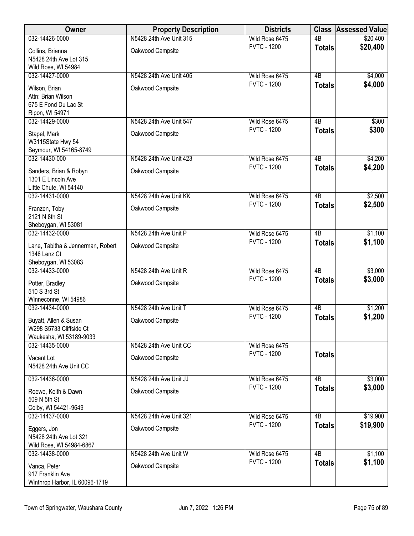| 032-14426-0000<br>N5428 24th Ave Unit 315<br>$\overline{AB}$<br>\$20,400<br>Wild Rose 6475<br>\$20,400<br><b>FVTC - 1200</b><br><b>Totals</b><br>Oakwood Campsite<br>Collins, Brianna<br>N5428 24th Ave Lot 315<br>Wild Rose, WI 54984<br>$\overline{AB}$<br>032-14427-0000<br>N5428 24th Ave Unit 405<br>Wild Rose 6475<br>\$4,000<br><b>FVTC - 1200</b><br>\$4,000<br><b>Totals</b><br>Oakwood Campsite<br>Wilson, Brian<br>Attn: Brian Wilson<br>675 E Fond Du Lac St<br>Ripon, WI 54971<br>\$300<br>032-14429-0000<br>N5428 24th Ave Unit 547<br>Wild Rose 6475<br>4B<br><b>FVTC - 1200</b><br>\$300<br><b>Totals</b><br>Oakwood Campsite<br>Stapel, Mark<br>W3115State Hwy 54<br>Seymour, WI 54165-8749<br>032-14430-000<br>N5428 24th Ave Unit 423<br>$\overline{AB}$<br>\$4,200<br>Wild Rose 6475<br>\$4,200<br><b>FVTC - 1200</b><br><b>Totals</b><br>Sanders, Brian & Robyn<br>Oakwood Campsite<br>1301 E Lincoln Ave<br>Little Chute, WI 54140<br>N5428 24th Ave Unit KK<br>$\overline{AB}$<br>\$2,500<br>032-14431-0000<br>Wild Rose 6475<br><b>FVTC - 1200</b><br>\$2,500<br><b>Totals</b><br>Oakwood Campsite<br>Franzen, Toby<br>2121 N 8th St<br>Sheboygan, WI 53081<br>$\overline{AB}$<br>\$1,100<br>032-14432-0000<br>N5428 24th Ave Unit P<br>Wild Rose 6475<br><b>FVTC - 1200</b><br>\$1,100<br><b>Totals</b><br>Oakwood Campsite<br>Lane, Tabitha & Jennerman, Robert<br>1346 Lenz Ct<br>Sheboygan, WI 53083<br>$\overline{AB}$<br>032-14433-0000<br>N5428 24th Ave Unit R<br>Wild Rose 6475<br>\$3,000<br><b>FVTC - 1200</b><br>\$3,000<br><b>Totals</b><br>Oakwood Campsite<br>Potter, Bradley<br>510 S 3rd St<br>Winneconne, WI 54986<br>N5428 24th Ave Unit T<br>\$1,200<br>032-14434-0000<br>Wild Rose 6475<br>4B<br><b>FVTC - 1200</b><br>\$1,200<br><b>Totals</b><br>Buyatt, Allen & Susan<br>Oakwood Campsite<br>W298 S5733 Cliffside Ct<br>Waukesha, WI 53189-9033<br>N5428 24th Ave Unit CC<br>032-14435-0000<br>Wild Rose 6475<br><b>FVTC - 1200</b><br><b>Totals</b><br>Oakwood Campsite<br>Vacant Lot<br>N5428 24th Ave Unit CC<br>$\overline{AB}$<br>\$3,000<br>032-14436-0000<br>N5428 24th Ave Unit JJ<br>Wild Rose 6475<br><b>FVTC - 1200</b><br>\$3,000<br><b>Totals</b><br>Oakwood Campsite<br>Roewe, Keith & Dawn<br>509 N 5th St<br>Colby, WI 54421-9649<br>$\overline{AB}$<br>\$19,900<br>N5428 24th Ave Unit 321<br>032-14437-0000<br>Wild Rose 6475<br><b>FVTC - 1200</b><br>\$19,900<br><b>Totals</b><br>Oakwood Campsite<br>Eggers, Jon<br>N5428 24th Ave Lot 321<br>Wild Rose, WI 54984-6867<br>$\overline{AB}$<br>N5428 24th Ave Unit W<br>\$1,100<br>032-14438-0000<br>Wild Rose 6475<br>\$1,100<br><b>FVTC - 1200</b><br><b>Totals</b><br>Oakwood Campsite<br>Vanca, Peter<br>917 Franklin Ave | Owner | <b>Property Description</b> | <b>Districts</b> | <b>Class Assessed Value</b> |
|--------------------------------------------------------------------------------------------------------------------------------------------------------------------------------------------------------------------------------------------------------------------------------------------------------------------------------------------------------------------------------------------------------------------------------------------------------------------------------------------------------------------------------------------------------------------------------------------------------------------------------------------------------------------------------------------------------------------------------------------------------------------------------------------------------------------------------------------------------------------------------------------------------------------------------------------------------------------------------------------------------------------------------------------------------------------------------------------------------------------------------------------------------------------------------------------------------------------------------------------------------------------------------------------------------------------------------------------------------------------------------------------------------------------------------------------------------------------------------------------------------------------------------------------------------------------------------------------------------------------------------------------------------------------------------------------------------------------------------------------------------------------------------------------------------------------------------------------------------------------------------------------------------------------------------------------------------------------------------------------------------------------------------------------------------------------------------------------------------------------------------------------------------------------------------------------------------------------------------------------------------------------------------------------------------------------------------------------------------------------------------------------------------------------------------------------------------------------------------------------------------------------------------------------------------------------------------------------------------------------------------------------------------------------------------------------------------------------------------------------------|-------|-----------------------------|------------------|-----------------------------|
|                                                                                                                                                                                                                                                                                                                                                                                                                                                                                                                                                                                                                                                                                                                                                                                                                                                                                                                                                                                                                                                                                                                                                                                                                                                                                                                                                                                                                                                                                                                                                                                                                                                                                                                                                                                                                                                                                                                                                                                                                                                                                                                                                                                                                                                                                                                                                                                                                                                                                                                                                                                                                                                                                                                                                  |       |                             |                  |                             |
|                                                                                                                                                                                                                                                                                                                                                                                                                                                                                                                                                                                                                                                                                                                                                                                                                                                                                                                                                                                                                                                                                                                                                                                                                                                                                                                                                                                                                                                                                                                                                                                                                                                                                                                                                                                                                                                                                                                                                                                                                                                                                                                                                                                                                                                                                                                                                                                                                                                                                                                                                                                                                                                                                                                                                  |       |                             |                  |                             |
|                                                                                                                                                                                                                                                                                                                                                                                                                                                                                                                                                                                                                                                                                                                                                                                                                                                                                                                                                                                                                                                                                                                                                                                                                                                                                                                                                                                                                                                                                                                                                                                                                                                                                                                                                                                                                                                                                                                                                                                                                                                                                                                                                                                                                                                                                                                                                                                                                                                                                                                                                                                                                                                                                                                                                  |       |                             |                  |                             |
|                                                                                                                                                                                                                                                                                                                                                                                                                                                                                                                                                                                                                                                                                                                                                                                                                                                                                                                                                                                                                                                                                                                                                                                                                                                                                                                                                                                                                                                                                                                                                                                                                                                                                                                                                                                                                                                                                                                                                                                                                                                                                                                                                                                                                                                                                                                                                                                                                                                                                                                                                                                                                                                                                                                                                  |       |                             |                  |                             |
|                                                                                                                                                                                                                                                                                                                                                                                                                                                                                                                                                                                                                                                                                                                                                                                                                                                                                                                                                                                                                                                                                                                                                                                                                                                                                                                                                                                                                                                                                                                                                                                                                                                                                                                                                                                                                                                                                                                                                                                                                                                                                                                                                                                                                                                                                                                                                                                                                                                                                                                                                                                                                                                                                                                                                  |       |                             |                  |                             |
|                                                                                                                                                                                                                                                                                                                                                                                                                                                                                                                                                                                                                                                                                                                                                                                                                                                                                                                                                                                                                                                                                                                                                                                                                                                                                                                                                                                                                                                                                                                                                                                                                                                                                                                                                                                                                                                                                                                                                                                                                                                                                                                                                                                                                                                                                                                                                                                                                                                                                                                                                                                                                                                                                                                                                  |       |                             |                  |                             |
|                                                                                                                                                                                                                                                                                                                                                                                                                                                                                                                                                                                                                                                                                                                                                                                                                                                                                                                                                                                                                                                                                                                                                                                                                                                                                                                                                                                                                                                                                                                                                                                                                                                                                                                                                                                                                                                                                                                                                                                                                                                                                                                                                                                                                                                                                                                                                                                                                                                                                                                                                                                                                                                                                                                                                  |       |                             |                  |                             |
|                                                                                                                                                                                                                                                                                                                                                                                                                                                                                                                                                                                                                                                                                                                                                                                                                                                                                                                                                                                                                                                                                                                                                                                                                                                                                                                                                                                                                                                                                                                                                                                                                                                                                                                                                                                                                                                                                                                                                                                                                                                                                                                                                                                                                                                                                                                                                                                                                                                                                                                                                                                                                                                                                                                                                  |       |                             |                  |                             |
|                                                                                                                                                                                                                                                                                                                                                                                                                                                                                                                                                                                                                                                                                                                                                                                                                                                                                                                                                                                                                                                                                                                                                                                                                                                                                                                                                                                                                                                                                                                                                                                                                                                                                                                                                                                                                                                                                                                                                                                                                                                                                                                                                                                                                                                                                                                                                                                                                                                                                                                                                                                                                                                                                                                                                  |       |                             |                  |                             |
|                                                                                                                                                                                                                                                                                                                                                                                                                                                                                                                                                                                                                                                                                                                                                                                                                                                                                                                                                                                                                                                                                                                                                                                                                                                                                                                                                                                                                                                                                                                                                                                                                                                                                                                                                                                                                                                                                                                                                                                                                                                                                                                                                                                                                                                                                                                                                                                                                                                                                                                                                                                                                                                                                                                                                  |       |                             |                  |                             |
|                                                                                                                                                                                                                                                                                                                                                                                                                                                                                                                                                                                                                                                                                                                                                                                                                                                                                                                                                                                                                                                                                                                                                                                                                                                                                                                                                                                                                                                                                                                                                                                                                                                                                                                                                                                                                                                                                                                                                                                                                                                                                                                                                                                                                                                                                                                                                                                                                                                                                                                                                                                                                                                                                                                                                  |       |                             |                  |                             |
|                                                                                                                                                                                                                                                                                                                                                                                                                                                                                                                                                                                                                                                                                                                                                                                                                                                                                                                                                                                                                                                                                                                                                                                                                                                                                                                                                                                                                                                                                                                                                                                                                                                                                                                                                                                                                                                                                                                                                                                                                                                                                                                                                                                                                                                                                                                                                                                                                                                                                                                                                                                                                                                                                                                                                  |       |                             |                  |                             |
|                                                                                                                                                                                                                                                                                                                                                                                                                                                                                                                                                                                                                                                                                                                                                                                                                                                                                                                                                                                                                                                                                                                                                                                                                                                                                                                                                                                                                                                                                                                                                                                                                                                                                                                                                                                                                                                                                                                                                                                                                                                                                                                                                                                                                                                                                                                                                                                                                                                                                                                                                                                                                                                                                                                                                  |       |                             |                  |                             |
|                                                                                                                                                                                                                                                                                                                                                                                                                                                                                                                                                                                                                                                                                                                                                                                                                                                                                                                                                                                                                                                                                                                                                                                                                                                                                                                                                                                                                                                                                                                                                                                                                                                                                                                                                                                                                                                                                                                                                                                                                                                                                                                                                                                                                                                                                                                                                                                                                                                                                                                                                                                                                                                                                                                                                  |       |                             |                  |                             |
|                                                                                                                                                                                                                                                                                                                                                                                                                                                                                                                                                                                                                                                                                                                                                                                                                                                                                                                                                                                                                                                                                                                                                                                                                                                                                                                                                                                                                                                                                                                                                                                                                                                                                                                                                                                                                                                                                                                                                                                                                                                                                                                                                                                                                                                                                                                                                                                                                                                                                                                                                                                                                                                                                                                                                  |       |                             |                  |                             |
|                                                                                                                                                                                                                                                                                                                                                                                                                                                                                                                                                                                                                                                                                                                                                                                                                                                                                                                                                                                                                                                                                                                                                                                                                                                                                                                                                                                                                                                                                                                                                                                                                                                                                                                                                                                                                                                                                                                                                                                                                                                                                                                                                                                                                                                                                                                                                                                                                                                                                                                                                                                                                                                                                                                                                  |       |                             |                  |                             |
|                                                                                                                                                                                                                                                                                                                                                                                                                                                                                                                                                                                                                                                                                                                                                                                                                                                                                                                                                                                                                                                                                                                                                                                                                                                                                                                                                                                                                                                                                                                                                                                                                                                                                                                                                                                                                                                                                                                                                                                                                                                                                                                                                                                                                                                                                                                                                                                                                                                                                                                                                                                                                                                                                                                                                  |       |                             |                  |                             |
|                                                                                                                                                                                                                                                                                                                                                                                                                                                                                                                                                                                                                                                                                                                                                                                                                                                                                                                                                                                                                                                                                                                                                                                                                                                                                                                                                                                                                                                                                                                                                                                                                                                                                                                                                                                                                                                                                                                                                                                                                                                                                                                                                                                                                                                                                                                                                                                                                                                                                                                                                                                                                                                                                                                                                  |       |                             |                  |                             |
|                                                                                                                                                                                                                                                                                                                                                                                                                                                                                                                                                                                                                                                                                                                                                                                                                                                                                                                                                                                                                                                                                                                                                                                                                                                                                                                                                                                                                                                                                                                                                                                                                                                                                                                                                                                                                                                                                                                                                                                                                                                                                                                                                                                                                                                                                                                                                                                                                                                                                                                                                                                                                                                                                                                                                  |       |                             |                  |                             |
|                                                                                                                                                                                                                                                                                                                                                                                                                                                                                                                                                                                                                                                                                                                                                                                                                                                                                                                                                                                                                                                                                                                                                                                                                                                                                                                                                                                                                                                                                                                                                                                                                                                                                                                                                                                                                                                                                                                                                                                                                                                                                                                                                                                                                                                                                                                                                                                                                                                                                                                                                                                                                                                                                                                                                  |       |                             |                  |                             |
|                                                                                                                                                                                                                                                                                                                                                                                                                                                                                                                                                                                                                                                                                                                                                                                                                                                                                                                                                                                                                                                                                                                                                                                                                                                                                                                                                                                                                                                                                                                                                                                                                                                                                                                                                                                                                                                                                                                                                                                                                                                                                                                                                                                                                                                                                                                                                                                                                                                                                                                                                                                                                                                                                                                                                  |       |                             |                  |                             |
|                                                                                                                                                                                                                                                                                                                                                                                                                                                                                                                                                                                                                                                                                                                                                                                                                                                                                                                                                                                                                                                                                                                                                                                                                                                                                                                                                                                                                                                                                                                                                                                                                                                                                                                                                                                                                                                                                                                                                                                                                                                                                                                                                                                                                                                                                                                                                                                                                                                                                                                                                                                                                                                                                                                                                  |       |                             |                  |                             |
|                                                                                                                                                                                                                                                                                                                                                                                                                                                                                                                                                                                                                                                                                                                                                                                                                                                                                                                                                                                                                                                                                                                                                                                                                                                                                                                                                                                                                                                                                                                                                                                                                                                                                                                                                                                                                                                                                                                                                                                                                                                                                                                                                                                                                                                                                                                                                                                                                                                                                                                                                                                                                                                                                                                                                  |       |                             |                  |                             |
|                                                                                                                                                                                                                                                                                                                                                                                                                                                                                                                                                                                                                                                                                                                                                                                                                                                                                                                                                                                                                                                                                                                                                                                                                                                                                                                                                                                                                                                                                                                                                                                                                                                                                                                                                                                                                                                                                                                                                                                                                                                                                                                                                                                                                                                                                                                                                                                                                                                                                                                                                                                                                                                                                                                                                  |       |                             |                  |                             |
|                                                                                                                                                                                                                                                                                                                                                                                                                                                                                                                                                                                                                                                                                                                                                                                                                                                                                                                                                                                                                                                                                                                                                                                                                                                                                                                                                                                                                                                                                                                                                                                                                                                                                                                                                                                                                                                                                                                                                                                                                                                                                                                                                                                                                                                                                                                                                                                                                                                                                                                                                                                                                                                                                                                                                  |       |                             |                  |                             |
|                                                                                                                                                                                                                                                                                                                                                                                                                                                                                                                                                                                                                                                                                                                                                                                                                                                                                                                                                                                                                                                                                                                                                                                                                                                                                                                                                                                                                                                                                                                                                                                                                                                                                                                                                                                                                                                                                                                                                                                                                                                                                                                                                                                                                                                                                                                                                                                                                                                                                                                                                                                                                                                                                                                                                  |       |                             |                  |                             |
|                                                                                                                                                                                                                                                                                                                                                                                                                                                                                                                                                                                                                                                                                                                                                                                                                                                                                                                                                                                                                                                                                                                                                                                                                                                                                                                                                                                                                                                                                                                                                                                                                                                                                                                                                                                                                                                                                                                                                                                                                                                                                                                                                                                                                                                                                                                                                                                                                                                                                                                                                                                                                                                                                                                                                  |       |                             |                  |                             |
|                                                                                                                                                                                                                                                                                                                                                                                                                                                                                                                                                                                                                                                                                                                                                                                                                                                                                                                                                                                                                                                                                                                                                                                                                                                                                                                                                                                                                                                                                                                                                                                                                                                                                                                                                                                                                                                                                                                                                                                                                                                                                                                                                                                                                                                                                                                                                                                                                                                                                                                                                                                                                                                                                                                                                  |       |                             |                  |                             |
|                                                                                                                                                                                                                                                                                                                                                                                                                                                                                                                                                                                                                                                                                                                                                                                                                                                                                                                                                                                                                                                                                                                                                                                                                                                                                                                                                                                                                                                                                                                                                                                                                                                                                                                                                                                                                                                                                                                                                                                                                                                                                                                                                                                                                                                                                                                                                                                                                                                                                                                                                                                                                                                                                                                                                  |       |                             |                  |                             |
|                                                                                                                                                                                                                                                                                                                                                                                                                                                                                                                                                                                                                                                                                                                                                                                                                                                                                                                                                                                                                                                                                                                                                                                                                                                                                                                                                                                                                                                                                                                                                                                                                                                                                                                                                                                                                                                                                                                                                                                                                                                                                                                                                                                                                                                                                                                                                                                                                                                                                                                                                                                                                                                                                                                                                  |       |                             |                  |                             |
|                                                                                                                                                                                                                                                                                                                                                                                                                                                                                                                                                                                                                                                                                                                                                                                                                                                                                                                                                                                                                                                                                                                                                                                                                                                                                                                                                                                                                                                                                                                                                                                                                                                                                                                                                                                                                                                                                                                                                                                                                                                                                                                                                                                                                                                                                                                                                                                                                                                                                                                                                                                                                                                                                                                                                  |       |                             |                  |                             |
|                                                                                                                                                                                                                                                                                                                                                                                                                                                                                                                                                                                                                                                                                                                                                                                                                                                                                                                                                                                                                                                                                                                                                                                                                                                                                                                                                                                                                                                                                                                                                                                                                                                                                                                                                                                                                                                                                                                                                                                                                                                                                                                                                                                                                                                                                                                                                                                                                                                                                                                                                                                                                                                                                                                                                  |       |                             |                  |                             |
|                                                                                                                                                                                                                                                                                                                                                                                                                                                                                                                                                                                                                                                                                                                                                                                                                                                                                                                                                                                                                                                                                                                                                                                                                                                                                                                                                                                                                                                                                                                                                                                                                                                                                                                                                                                                                                                                                                                                                                                                                                                                                                                                                                                                                                                                                                                                                                                                                                                                                                                                                                                                                                                                                                                                                  |       |                             |                  |                             |
|                                                                                                                                                                                                                                                                                                                                                                                                                                                                                                                                                                                                                                                                                                                                                                                                                                                                                                                                                                                                                                                                                                                                                                                                                                                                                                                                                                                                                                                                                                                                                                                                                                                                                                                                                                                                                                                                                                                                                                                                                                                                                                                                                                                                                                                                                                                                                                                                                                                                                                                                                                                                                                                                                                                                                  |       |                             |                  |                             |
|                                                                                                                                                                                                                                                                                                                                                                                                                                                                                                                                                                                                                                                                                                                                                                                                                                                                                                                                                                                                                                                                                                                                                                                                                                                                                                                                                                                                                                                                                                                                                                                                                                                                                                                                                                                                                                                                                                                                                                                                                                                                                                                                                                                                                                                                                                                                                                                                                                                                                                                                                                                                                                                                                                                                                  |       |                             |                  |                             |
|                                                                                                                                                                                                                                                                                                                                                                                                                                                                                                                                                                                                                                                                                                                                                                                                                                                                                                                                                                                                                                                                                                                                                                                                                                                                                                                                                                                                                                                                                                                                                                                                                                                                                                                                                                                                                                                                                                                                                                                                                                                                                                                                                                                                                                                                                                                                                                                                                                                                                                                                                                                                                                                                                                                                                  |       |                             |                  |                             |
|                                                                                                                                                                                                                                                                                                                                                                                                                                                                                                                                                                                                                                                                                                                                                                                                                                                                                                                                                                                                                                                                                                                                                                                                                                                                                                                                                                                                                                                                                                                                                                                                                                                                                                                                                                                                                                                                                                                                                                                                                                                                                                                                                                                                                                                                                                                                                                                                                                                                                                                                                                                                                                                                                                                                                  |       |                             |                  |                             |
|                                                                                                                                                                                                                                                                                                                                                                                                                                                                                                                                                                                                                                                                                                                                                                                                                                                                                                                                                                                                                                                                                                                                                                                                                                                                                                                                                                                                                                                                                                                                                                                                                                                                                                                                                                                                                                                                                                                                                                                                                                                                                                                                                                                                                                                                                                                                                                                                                                                                                                                                                                                                                                                                                                                                                  |       |                             |                  |                             |
|                                                                                                                                                                                                                                                                                                                                                                                                                                                                                                                                                                                                                                                                                                                                                                                                                                                                                                                                                                                                                                                                                                                                                                                                                                                                                                                                                                                                                                                                                                                                                                                                                                                                                                                                                                                                                                                                                                                                                                                                                                                                                                                                                                                                                                                                                                                                                                                                                                                                                                                                                                                                                                                                                                                                                  |       |                             |                  |                             |
|                                                                                                                                                                                                                                                                                                                                                                                                                                                                                                                                                                                                                                                                                                                                                                                                                                                                                                                                                                                                                                                                                                                                                                                                                                                                                                                                                                                                                                                                                                                                                                                                                                                                                                                                                                                                                                                                                                                                                                                                                                                                                                                                                                                                                                                                                                                                                                                                                                                                                                                                                                                                                                                                                                                                                  |       |                             |                  |                             |
|                                                                                                                                                                                                                                                                                                                                                                                                                                                                                                                                                                                                                                                                                                                                                                                                                                                                                                                                                                                                                                                                                                                                                                                                                                                                                                                                                                                                                                                                                                                                                                                                                                                                                                                                                                                                                                                                                                                                                                                                                                                                                                                                                                                                                                                                                                                                                                                                                                                                                                                                                                                                                                                                                                                                                  |       |                             |                  |                             |
|                                                                                                                                                                                                                                                                                                                                                                                                                                                                                                                                                                                                                                                                                                                                                                                                                                                                                                                                                                                                                                                                                                                                                                                                                                                                                                                                                                                                                                                                                                                                                                                                                                                                                                                                                                                                                                                                                                                                                                                                                                                                                                                                                                                                                                                                                                                                                                                                                                                                                                                                                                                                                                                                                                                                                  |       |                             |                  |                             |
|                                                                                                                                                                                                                                                                                                                                                                                                                                                                                                                                                                                                                                                                                                                                                                                                                                                                                                                                                                                                                                                                                                                                                                                                                                                                                                                                                                                                                                                                                                                                                                                                                                                                                                                                                                                                                                                                                                                                                                                                                                                                                                                                                                                                                                                                                                                                                                                                                                                                                                                                                                                                                                                                                                                                                  |       |                             |                  |                             |
|                                                                                                                                                                                                                                                                                                                                                                                                                                                                                                                                                                                                                                                                                                                                                                                                                                                                                                                                                                                                                                                                                                                                                                                                                                                                                                                                                                                                                                                                                                                                                                                                                                                                                                                                                                                                                                                                                                                                                                                                                                                                                                                                                                                                                                                                                                                                                                                                                                                                                                                                                                                                                                                                                                                                                  |       |                             |                  |                             |
|                                                                                                                                                                                                                                                                                                                                                                                                                                                                                                                                                                                                                                                                                                                                                                                                                                                                                                                                                                                                                                                                                                                                                                                                                                                                                                                                                                                                                                                                                                                                                                                                                                                                                                                                                                                                                                                                                                                                                                                                                                                                                                                                                                                                                                                                                                                                                                                                                                                                                                                                                                                                                                                                                                                                                  |       |                             |                  |                             |
|                                                                                                                                                                                                                                                                                                                                                                                                                                                                                                                                                                                                                                                                                                                                                                                                                                                                                                                                                                                                                                                                                                                                                                                                                                                                                                                                                                                                                                                                                                                                                                                                                                                                                                                                                                                                                                                                                                                                                                                                                                                                                                                                                                                                                                                                                                                                                                                                                                                                                                                                                                                                                                                                                                                                                  |       |                             |                  |                             |
|                                                                                                                                                                                                                                                                                                                                                                                                                                                                                                                                                                                                                                                                                                                                                                                                                                                                                                                                                                                                                                                                                                                                                                                                                                                                                                                                                                                                                                                                                                                                                                                                                                                                                                                                                                                                                                                                                                                                                                                                                                                                                                                                                                                                                                                                                                                                                                                                                                                                                                                                                                                                                                                                                                                                                  |       |                             |                  |                             |
| Winthrop Harbor, IL 60096-1719                                                                                                                                                                                                                                                                                                                                                                                                                                                                                                                                                                                                                                                                                                                                                                                                                                                                                                                                                                                                                                                                                                                                                                                                                                                                                                                                                                                                                                                                                                                                                                                                                                                                                                                                                                                                                                                                                                                                                                                                                                                                                                                                                                                                                                                                                                                                                                                                                                                                                                                                                                                                                                                                                                                   |       |                             |                  |                             |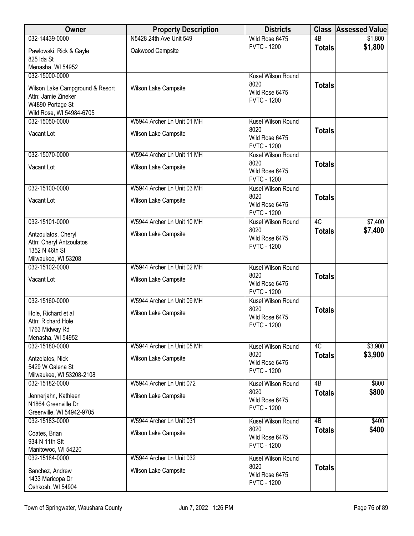| Owner                                                                                                  | <b>Property Description</b> | <b>Districts</b>                             |                 | <b>Class Assessed Value</b> |
|--------------------------------------------------------------------------------------------------------|-----------------------------|----------------------------------------------|-----------------|-----------------------------|
| 032-14439-0000                                                                                         | N5428 24th Ave Unit 549     | Wild Rose 6475                               | 4B              | \$1,800                     |
| Pawlowski, Rick & Gayle<br>825 Ida St                                                                  | Oakwood Campsite            | <b>FVTC - 1200</b>                           | <b>Totals</b>   | \$1,800                     |
| Menasha, WI 54952                                                                                      |                             |                                              |                 |                             |
| 032-15000-0000                                                                                         |                             | Kusel Wilson Round                           |                 |                             |
| Wilson Lake Campground & Resort<br>Attn: Jamie Zineker<br>W4890 Portage St<br>Wild Rose, WI 54984-6705 | Wilson Lake Campsite        | 8020<br>Wild Rose 6475<br><b>FVTC - 1200</b> | <b>Totals</b>   |                             |
| 032-15050-0000                                                                                         | W5944 Archer Ln Unit 01 MH  | Kusel Wilson Round                           |                 |                             |
| Vacant Lot                                                                                             | Wilson Lake Campsite        | 8020<br>Wild Rose 6475<br><b>FVTC - 1200</b> | <b>Totals</b>   |                             |
| 032-15070-0000                                                                                         | W5944 Archer Ln Unit 11 MH  | Kusel Wilson Round                           |                 |                             |
| Vacant Lot                                                                                             | Wilson Lake Campsite        | 8020<br>Wild Rose 6475<br><b>FVTC - 1200</b> | <b>Totals</b>   |                             |
| 032-15100-0000                                                                                         | W5944 Archer Ln Unit 03 MH  | Kusel Wilson Round                           |                 |                             |
| Vacant Lot                                                                                             | Wilson Lake Campsite        | 8020<br>Wild Rose 6475<br><b>FVTC - 1200</b> | <b>Totals</b>   |                             |
| 032-15101-0000                                                                                         | W5944 Archer Ln Unit 10 MH  | Kusel Wilson Round                           | 4C              | \$7,400                     |
| Antzoulatos, Cheryl<br>Attn: Cheryl Antzoulatos<br>1352 N 46th St<br>Milwaukee, WI 53208               | Wilson Lake Campsite        | 8020<br>Wild Rose 6475<br><b>FVTC - 1200</b> | <b>Totals</b>   | \$7,400                     |
| 032-15102-0000                                                                                         | W5944 Archer Ln Unit 02 MH  | Kusel Wilson Round                           |                 |                             |
| Vacant Lot                                                                                             | Wilson Lake Campsite        | 8020<br>Wild Rose 6475<br><b>FVTC - 1200</b> | <b>Totals</b>   |                             |
| 032-15160-0000                                                                                         | W5944 Archer Ln Unit 09 MH  | Kusel Wilson Round                           |                 |                             |
| Hole, Richard et al<br>Attn: Richard Hole<br>1763 Midway Rd<br>Menasha, WI 54952                       | Wilson Lake Campsite        | 8020<br>Wild Rose 6475<br><b>FVTC - 1200</b> | <b>Totals</b>   |                             |
| 032-15180-0000                                                                                         | W5944 Archer Ln Unit 05 MH  | Kusel Wilson Round                           | 4C              | \$3,900                     |
| Antzolatos, Nick<br>5429 W Galena St<br>Milwaukee, WI 53208-2108                                       | Wilson Lake Campsite        | 8020<br>Wild Rose 6475<br><b>FVTC - 1200</b> | <b>Totals</b>   | \$3,900                     |
| 032-15182-0000                                                                                         | W5944 Archer Ln Unit 072    | <b>Kusel Wilson Round</b>                    | 4B              | \$800                       |
| Jennerjahn, Kathleen<br>N1864 Greenville Dr<br>Greenville, WI 54942-9705                               | Wilson Lake Campsite        | 8020<br>Wild Rose 6475<br><b>FVTC - 1200</b> | <b>Totals</b>   | \$800                       |
| 032-15183-0000                                                                                         | W5944 Archer Ln Unit 031    | Kusel Wilson Round                           | $\overline{AB}$ | \$400                       |
| Coates, Brian<br>934 N 11th Stt<br>Manitowoc, WI 54220                                                 | Wilson Lake Campsite        | 8020<br>Wild Rose 6475<br><b>FVTC - 1200</b> | <b>Totals</b>   | \$400                       |
| 032-15184-0000                                                                                         | W5944 Archer Ln Unit 032    | Kusel Wilson Round                           |                 |                             |
| Sanchez, Andrew<br>1433 Maricopa Dr<br>Oshkosh, WI 54904                                               | Wilson Lake Campsite        | 8020<br>Wild Rose 6475<br><b>FVTC - 1200</b> | <b>Totals</b>   |                             |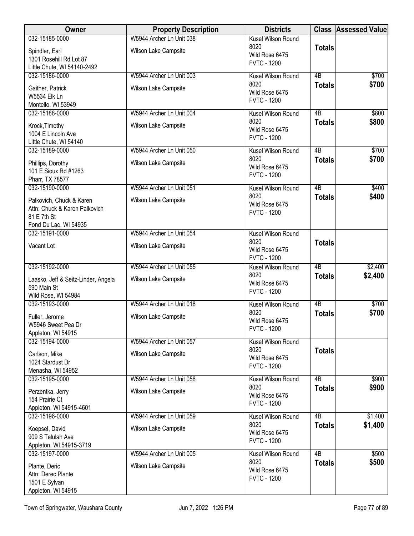| 032-15185-0000<br>Kusel Wilson Round<br>8020<br><b>Totals</b><br>Wilson Lake Campsite<br>Spindler, Earl<br>Wild Rose 6475<br>1301 Rosehill Rd Lot 87<br><b>FVTC - 1200</b><br>Little Chute, WI 54140-2492<br>$\overline{AB}$<br>\$700<br>032-15186-0000<br>W5944 Archer Ln Unit 003<br>Kusel Wilson Round<br>8020<br>\$700<br><b>Totals</b><br>Wilson Lake Campsite<br>Gaither, Patrick<br>Wild Rose 6475<br>W5534 Elk Ln<br><b>FVTC - 1200</b><br>Montello, WI 53949<br>032-15188-0000<br>W5944 Archer Ln Unit 004<br>4B<br>\$800<br>Kusel Wilson Round<br>8020<br>\$800<br><b>Totals</b><br>Wilson Lake Campsite<br>Krock, Timothy<br>Wild Rose 6475<br>1004 E Lincoln Ave<br><b>FVTC - 1200</b><br>Little Chute, WI 54140<br>$\overline{AB}$<br>\$700<br>032-15189-0000<br>W5944 Archer Ln Unit 050<br>Kusel Wilson Round<br>\$700<br>8020<br><b>Totals</b><br>Wilson Lake Campsite<br>Phillips, Dorothy<br>Wild Rose 6475<br>101 E Sioux Rd #1263<br><b>FVTC - 1200</b><br>Pharr, TX 78577<br>032-15190-0000<br>W5944 Archer Ln Unit 051<br>$\overline{AB}$<br>\$400<br>Kusel Wilson Round<br>8020<br>\$400<br><b>Totals</b><br>Palkovich, Chuck & Karen<br>Wilson Lake Campsite<br>Wild Rose 6475<br>Attn: Chuck & Karen Palkovich<br><b>FVTC - 1200</b><br>81 E 7th St<br>Fond Du Lac, WI 54935<br>032-15191-0000<br>W5944 Archer Ln Unit 054<br>Kusel Wilson Round<br>8020<br><b>Totals</b><br>Vacant Lot<br>Wilson Lake Campsite<br>Wild Rose 6475<br><b>FVTC - 1200</b><br>032-15192-0000<br>W5944 Archer Ln Unit 055<br>$\overline{AB}$<br>\$2,400<br>Kusel Wilson Round<br>8020<br>\$2,400<br><b>Totals</b><br>Wilson Lake Campsite<br>Laasko, Jeff & Seitz-Linder, Angela<br>Wild Rose 6475<br>590 Main St<br><b>FVTC - 1200</b><br>Wild Rose, WI 54984<br>032-15193-0000<br>4B<br>\$700<br>W5944 Archer Ln Unit 018<br>Kusel Wilson Round<br>8020<br>\$700<br><b>Totals</b><br>Wilson Lake Campsite<br>Fuller, Jerome<br>Wild Rose 6475<br>W5946 Sweet Pea Dr<br><b>FVTC - 1200</b><br>Appleton, WI 54915<br>032-15194-0000<br>W5944 Archer Ln Unit 057<br>Kusel Wilson Round<br>8020<br><b>Totals</b><br>Wilson Lake Campsite<br>Carlson, Mike<br>Wild Rose 6475<br>1024 Stardust Dr<br><b>FVTC - 1200</b><br>Menasha, WI 54952<br>W5944 Archer Ln Unit 058<br>4B<br>\$900<br>032-15195-0000<br>Kusel Wilson Round<br>8020<br>\$900<br><b>Totals</b><br>Wilson Lake Campsite<br>Perzentka, Jerry<br>Wild Rose 6475<br>154 Prairie Ct<br><b>FVTC - 1200</b><br>Appleton, WI 54915-4601<br>$\overline{AB}$<br>032-15196-0000<br>W5944 Archer Ln Unit 059<br>\$1,400<br>Kusel Wilson Round<br>8020<br>\$1,400<br><b>Totals</b><br>Wilson Lake Campsite<br>Koepsel, David<br>Wild Rose 6475<br>909 S Telulah Ave<br><b>FVTC - 1200</b><br>Appleton, WI 54915-3719<br>$\overline{AB}$<br>032-15197-0000<br>W5944 Archer Ln Unit 005<br>Kusel Wilson Round<br>\$500<br>8020<br>\$500<br><b>Totals</b><br>Plante, Deric<br>Wilson Lake Campsite<br>Wild Rose 6475<br>Attn: Derec Plante<br><b>FVTC - 1200</b><br>1501 E Sylvan | Owner              | <b>Property Description</b> | <b>Districts</b> | <b>Class Assessed Value</b> |
|---------------------------------------------------------------------------------------------------------------------------------------------------------------------------------------------------------------------------------------------------------------------------------------------------------------------------------------------------------------------------------------------------------------------------------------------------------------------------------------------------------------------------------------------------------------------------------------------------------------------------------------------------------------------------------------------------------------------------------------------------------------------------------------------------------------------------------------------------------------------------------------------------------------------------------------------------------------------------------------------------------------------------------------------------------------------------------------------------------------------------------------------------------------------------------------------------------------------------------------------------------------------------------------------------------------------------------------------------------------------------------------------------------------------------------------------------------------------------------------------------------------------------------------------------------------------------------------------------------------------------------------------------------------------------------------------------------------------------------------------------------------------------------------------------------------------------------------------------------------------------------------------------------------------------------------------------------------------------------------------------------------------------------------------------------------------------------------------------------------------------------------------------------------------------------------------------------------------------------------------------------------------------------------------------------------------------------------------------------------------------------------------------------------------------------------------------------------------------------------------------------------------------------------------------------------------------------------------------------------------------------------------------------------------------------------------------------------------------------------------------------------------------------------------------------------------------------------------------------------------------------------------------------------------------------------------------------------------------------------------------------------------------------------|--------------------|-----------------------------|------------------|-----------------------------|
|                                                                                                                                                                                                                                                                                                                                                                                                                                                                                                                                                                                                                                                                                                                                                                                                                                                                                                                                                                                                                                                                                                                                                                                                                                                                                                                                                                                                                                                                                                                                                                                                                                                                                                                                                                                                                                                                                                                                                                                                                                                                                                                                                                                                                                                                                                                                                                                                                                                                                                                                                                                                                                                                                                                                                                                                                                                                                                                                                                                                                                       |                    | W5944 Archer Ln Unit 038    |                  |                             |
|                                                                                                                                                                                                                                                                                                                                                                                                                                                                                                                                                                                                                                                                                                                                                                                                                                                                                                                                                                                                                                                                                                                                                                                                                                                                                                                                                                                                                                                                                                                                                                                                                                                                                                                                                                                                                                                                                                                                                                                                                                                                                                                                                                                                                                                                                                                                                                                                                                                                                                                                                                                                                                                                                                                                                                                                                                                                                                                                                                                                                                       |                    |                             |                  |                             |
|                                                                                                                                                                                                                                                                                                                                                                                                                                                                                                                                                                                                                                                                                                                                                                                                                                                                                                                                                                                                                                                                                                                                                                                                                                                                                                                                                                                                                                                                                                                                                                                                                                                                                                                                                                                                                                                                                                                                                                                                                                                                                                                                                                                                                                                                                                                                                                                                                                                                                                                                                                                                                                                                                                                                                                                                                                                                                                                                                                                                                                       |                    |                             |                  |                             |
|                                                                                                                                                                                                                                                                                                                                                                                                                                                                                                                                                                                                                                                                                                                                                                                                                                                                                                                                                                                                                                                                                                                                                                                                                                                                                                                                                                                                                                                                                                                                                                                                                                                                                                                                                                                                                                                                                                                                                                                                                                                                                                                                                                                                                                                                                                                                                                                                                                                                                                                                                                                                                                                                                                                                                                                                                                                                                                                                                                                                                                       |                    |                             |                  |                             |
|                                                                                                                                                                                                                                                                                                                                                                                                                                                                                                                                                                                                                                                                                                                                                                                                                                                                                                                                                                                                                                                                                                                                                                                                                                                                                                                                                                                                                                                                                                                                                                                                                                                                                                                                                                                                                                                                                                                                                                                                                                                                                                                                                                                                                                                                                                                                                                                                                                                                                                                                                                                                                                                                                                                                                                                                                                                                                                                                                                                                                                       |                    |                             |                  |                             |
|                                                                                                                                                                                                                                                                                                                                                                                                                                                                                                                                                                                                                                                                                                                                                                                                                                                                                                                                                                                                                                                                                                                                                                                                                                                                                                                                                                                                                                                                                                                                                                                                                                                                                                                                                                                                                                                                                                                                                                                                                                                                                                                                                                                                                                                                                                                                                                                                                                                                                                                                                                                                                                                                                                                                                                                                                                                                                                                                                                                                                                       |                    |                             |                  |                             |
|                                                                                                                                                                                                                                                                                                                                                                                                                                                                                                                                                                                                                                                                                                                                                                                                                                                                                                                                                                                                                                                                                                                                                                                                                                                                                                                                                                                                                                                                                                                                                                                                                                                                                                                                                                                                                                                                                                                                                                                                                                                                                                                                                                                                                                                                                                                                                                                                                                                                                                                                                                                                                                                                                                                                                                                                                                                                                                                                                                                                                                       |                    |                             |                  |                             |
|                                                                                                                                                                                                                                                                                                                                                                                                                                                                                                                                                                                                                                                                                                                                                                                                                                                                                                                                                                                                                                                                                                                                                                                                                                                                                                                                                                                                                                                                                                                                                                                                                                                                                                                                                                                                                                                                                                                                                                                                                                                                                                                                                                                                                                                                                                                                                                                                                                                                                                                                                                                                                                                                                                                                                                                                                                                                                                                                                                                                                                       |                    |                             |                  |                             |
|                                                                                                                                                                                                                                                                                                                                                                                                                                                                                                                                                                                                                                                                                                                                                                                                                                                                                                                                                                                                                                                                                                                                                                                                                                                                                                                                                                                                                                                                                                                                                                                                                                                                                                                                                                                                                                                                                                                                                                                                                                                                                                                                                                                                                                                                                                                                                                                                                                                                                                                                                                                                                                                                                                                                                                                                                                                                                                                                                                                                                                       |                    |                             |                  |                             |
|                                                                                                                                                                                                                                                                                                                                                                                                                                                                                                                                                                                                                                                                                                                                                                                                                                                                                                                                                                                                                                                                                                                                                                                                                                                                                                                                                                                                                                                                                                                                                                                                                                                                                                                                                                                                                                                                                                                                                                                                                                                                                                                                                                                                                                                                                                                                                                                                                                                                                                                                                                                                                                                                                                                                                                                                                                                                                                                                                                                                                                       |                    |                             |                  |                             |
|                                                                                                                                                                                                                                                                                                                                                                                                                                                                                                                                                                                                                                                                                                                                                                                                                                                                                                                                                                                                                                                                                                                                                                                                                                                                                                                                                                                                                                                                                                                                                                                                                                                                                                                                                                                                                                                                                                                                                                                                                                                                                                                                                                                                                                                                                                                                                                                                                                                                                                                                                                                                                                                                                                                                                                                                                                                                                                                                                                                                                                       |                    |                             |                  |                             |
|                                                                                                                                                                                                                                                                                                                                                                                                                                                                                                                                                                                                                                                                                                                                                                                                                                                                                                                                                                                                                                                                                                                                                                                                                                                                                                                                                                                                                                                                                                                                                                                                                                                                                                                                                                                                                                                                                                                                                                                                                                                                                                                                                                                                                                                                                                                                                                                                                                                                                                                                                                                                                                                                                                                                                                                                                                                                                                                                                                                                                                       |                    |                             |                  |                             |
|                                                                                                                                                                                                                                                                                                                                                                                                                                                                                                                                                                                                                                                                                                                                                                                                                                                                                                                                                                                                                                                                                                                                                                                                                                                                                                                                                                                                                                                                                                                                                                                                                                                                                                                                                                                                                                                                                                                                                                                                                                                                                                                                                                                                                                                                                                                                                                                                                                                                                                                                                                                                                                                                                                                                                                                                                                                                                                                                                                                                                                       |                    |                             |                  |                             |
|                                                                                                                                                                                                                                                                                                                                                                                                                                                                                                                                                                                                                                                                                                                                                                                                                                                                                                                                                                                                                                                                                                                                                                                                                                                                                                                                                                                                                                                                                                                                                                                                                                                                                                                                                                                                                                                                                                                                                                                                                                                                                                                                                                                                                                                                                                                                                                                                                                                                                                                                                                                                                                                                                                                                                                                                                                                                                                                                                                                                                                       |                    |                             |                  |                             |
|                                                                                                                                                                                                                                                                                                                                                                                                                                                                                                                                                                                                                                                                                                                                                                                                                                                                                                                                                                                                                                                                                                                                                                                                                                                                                                                                                                                                                                                                                                                                                                                                                                                                                                                                                                                                                                                                                                                                                                                                                                                                                                                                                                                                                                                                                                                                                                                                                                                                                                                                                                                                                                                                                                                                                                                                                                                                                                                                                                                                                                       |                    |                             |                  |                             |
|                                                                                                                                                                                                                                                                                                                                                                                                                                                                                                                                                                                                                                                                                                                                                                                                                                                                                                                                                                                                                                                                                                                                                                                                                                                                                                                                                                                                                                                                                                                                                                                                                                                                                                                                                                                                                                                                                                                                                                                                                                                                                                                                                                                                                                                                                                                                                                                                                                                                                                                                                                                                                                                                                                                                                                                                                                                                                                                                                                                                                                       |                    |                             |                  |                             |
|                                                                                                                                                                                                                                                                                                                                                                                                                                                                                                                                                                                                                                                                                                                                                                                                                                                                                                                                                                                                                                                                                                                                                                                                                                                                                                                                                                                                                                                                                                                                                                                                                                                                                                                                                                                                                                                                                                                                                                                                                                                                                                                                                                                                                                                                                                                                                                                                                                                                                                                                                                                                                                                                                                                                                                                                                                                                                                                                                                                                                                       |                    |                             |                  |                             |
|                                                                                                                                                                                                                                                                                                                                                                                                                                                                                                                                                                                                                                                                                                                                                                                                                                                                                                                                                                                                                                                                                                                                                                                                                                                                                                                                                                                                                                                                                                                                                                                                                                                                                                                                                                                                                                                                                                                                                                                                                                                                                                                                                                                                                                                                                                                                                                                                                                                                                                                                                                                                                                                                                                                                                                                                                                                                                                                                                                                                                                       |                    |                             |                  |                             |
|                                                                                                                                                                                                                                                                                                                                                                                                                                                                                                                                                                                                                                                                                                                                                                                                                                                                                                                                                                                                                                                                                                                                                                                                                                                                                                                                                                                                                                                                                                                                                                                                                                                                                                                                                                                                                                                                                                                                                                                                                                                                                                                                                                                                                                                                                                                                                                                                                                                                                                                                                                                                                                                                                                                                                                                                                                                                                                                                                                                                                                       |                    |                             |                  |                             |
|                                                                                                                                                                                                                                                                                                                                                                                                                                                                                                                                                                                                                                                                                                                                                                                                                                                                                                                                                                                                                                                                                                                                                                                                                                                                                                                                                                                                                                                                                                                                                                                                                                                                                                                                                                                                                                                                                                                                                                                                                                                                                                                                                                                                                                                                                                                                                                                                                                                                                                                                                                                                                                                                                                                                                                                                                                                                                                                                                                                                                                       |                    |                             |                  |                             |
|                                                                                                                                                                                                                                                                                                                                                                                                                                                                                                                                                                                                                                                                                                                                                                                                                                                                                                                                                                                                                                                                                                                                                                                                                                                                                                                                                                                                                                                                                                                                                                                                                                                                                                                                                                                                                                                                                                                                                                                                                                                                                                                                                                                                                                                                                                                                                                                                                                                                                                                                                                                                                                                                                                                                                                                                                                                                                                                                                                                                                                       |                    |                             |                  |                             |
|                                                                                                                                                                                                                                                                                                                                                                                                                                                                                                                                                                                                                                                                                                                                                                                                                                                                                                                                                                                                                                                                                                                                                                                                                                                                                                                                                                                                                                                                                                                                                                                                                                                                                                                                                                                                                                                                                                                                                                                                                                                                                                                                                                                                                                                                                                                                                                                                                                                                                                                                                                                                                                                                                                                                                                                                                                                                                                                                                                                                                                       |                    |                             |                  |                             |
|                                                                                                                                                                                                                                                                                                                                                                                                                                                                                                                                                                                                                                                                                                                                                                                                                                                                                                                                                                                                                                                                                                                                                                                                                                                                                                                                                                                                                                                                                                                                                                                                                                                                                                                                                                                                                                                                                                                                                                                                                                                                                                                                                                                                                                                                                                                                                                                                                                                                                                                                                                                                                                                                                                                                                                                                                                                                                                                                                                                                                                       |                    |                             |                  |                             |
|                                                                                                                                                                                                                                                                                                                                                                                                                                                                                                                                                                                                                                                                                                                                                                                                                                                                                                                                                                                                                                                                                                                                                                                                                                                                                                                                                                                                                                                                                                                                                                                                                                                                                                                                                                                                                                                                                                                                                                                                                                                                                                                                                                                                                                                                                                                                                                                                                                                                                                                                                                                                                                                                                                                                                                                                                                                                                                                                                                                                                                       |                    |                             |                  |                             |
|                                                                                                                                                                                                                                                                                                                                                                                                                                                                                                                                                                                                                                                                                                                                                                                                                                                                                                                                                                                                                                                                                                                                                                                                                                                                                                                                                                                                                                                                                                                                                                                                                                                                                                                                                                                                                                                                                                                                                                                                                                                                                                                                                                                                                                                                                                                                                                                                                                                                                                                                                                                                                                                                                                                                                                                                                                                                                                                                                                                                                                       |                    |                             |                  |                             |
|                                                                                                                                                                                                                                                                                                                                                                                                                                                                                                                                                                                                                                                                                                                                                                                                                                                                                                                                                                                                                                                                                                                                                                                                                                                                                                                                                                                                                                                                                                                                                                                                                                                                                                                                                                                                                                                                                                                                                                                                                                                                                                                                                                                                                                                                                                                                                                                                                                                                                                                                                                                                                                                                                                                                                                                                                                                                                                                                                                                                                                       |                    |                             |                  |                             |
|                                                                                                                                                                                                                                                                                                                                                                                                                                                                                                                                                                                                                                                                                                                                                                                                                                                                                                                                                                                                                                                                                                                                                                                                                                                                                                                                                                                                                                                                                                                                                                                                                                                                                                                                                                                                                                                                                                                                                                                                                                                                                                                                                                                                                                                                                                                                                                                                                                                                                                                                                                                                                                                                                                                                                                                                                                                                                                                                                                                                                                       |                    |                             |                  |                             |
|                                                                                                                                                                                                                                                                                                                                                                                                                                                                                                                                                                                                                                                                                                                                                                                                                                                                                                                                                                                                                                                                                                                                                                                                                                                                                                                                                                                                                                                                                                                                                                                                                                                                                                                                                                                                                                                                                                                                                                                                                                                                                                                                                                                                                                                                                                                                                                                                                                                                                                                                                                                                                                                                                                                                                                                                                                                                                                                                                                                                                                       |                    |                             |                  |                             |
|                                                                                                                                                                                                                                                                                                                                                                                                                                                                                                                                                                                                                                                                                                                                                                                                                                                                                                                                                                                                                                                                                                                                                                                                                                                                                                                                                                                                                                                                                                                                                                                                                                                                                                                                                                                                                                                                                                                                                                                                                                                                                                                                                                                                                                                                                                                                                                                                                                                                                                                                                                                                                                                                                                                                                                                                                                                                                                                                                                                                                                       |                    |                             |                  |                             |
|                                                                                                                                                                                                                                                                                                                                                                                                                                                                                                                                                                                                                                                                                                                                                                                                                                                                                                                                                                                                                                                                                                                                                                                                                                                                                                                                                                                                                                                                                                                                                                                                                                                                                                                                                                                                                                                                                                                                                                                                                                                                                                                                                                                                                                                                                                                                                                                                                                                                                                                                                                                                                                                                                                                                                                                                                                                                                                                                                                                                                                       |                    |                             |                  |                             |
|                                                                                                                                                                                                                                                                                                                                                                                                                                                                                                                                                                                                                                                                                                                                                                                                                                                                                                                                                                                                                                                                                                                                                                                                                                                                                                                                                                                                                                                                                                                                                                                                                                                                                                                                                                                                                                                                                                                                                                                                                                                                                                                                                                                                                                                                                                                                                                                                                                                                                                                                                                                                                                                                                                                                                                                                                                                                                                                                                                                                                                       |                    |                             |                  |                             |
|                                                                                                                                                                                                                                                                                                                                                                                                                                                                                                                                                                                                                                                                                                                                                                                                                                                                                                                                                                                                                                                                                                                                                                                                                                                                                                                                                                                                                                                                                                                                                                                                                                                                                                                                                                                                                                                                                                                                                                                                                                                                                                                                                                                                                                                                                                                                                                                                                                                                                                                                                                                                                                                                                                                                                                                                                                                                                                                                                                                                                                       |                    |                             |                  |                             |
|                                                                                                                                                                                                                                                                                                                                                                                                                                                                                                                                                                                                                                                                                                                                                                                                                                                                                                                                                                                                                                                                                                                                                                                                                                                                                                                                                                                                                                                                                                                                                                                                                                                                                                                                                                                                                                                                                                                                                                                                                                                                                                                                                                                                                                                                                                                                                                                                                                                                                                                                                                                                                                                                                                                                                                                                                                                                                                                                                                                                                                       |                    |                             |                  |                             |
|                                                                                                                                                                                                                                                                                                                                                                                                                                                                                                                                                                                                                                                                                                                                                                                                                                                                                                                                                                                                                                                                                                                                                                                                                                                                                                                                                                                                                                                                                                                                                                                                                                                                                                                                                                                                                                                                                                                                                                                                                                                                                                                                                                                                                                                                                                                                                                                                                                                                                                                                                                                                                                                                                                                                                                                                                                                                                                                                                                                                                                       |                    |                             |                  |                             |
|                                                                                                                                                                                                                                                                                                                                                                                                                                                                                                                                                                                                                                                                                                                                                                                                                                                                                                                                                                                                                                                                                                                                                                                                                                                                                                                                                                                                                                                                                                                                                                                                                                                                                                                                                                                                                                                                                                                                                                                                                                                                                                                                                                                                                                                                                                                                                                                                                                                                                                                                                                                                                                                                                                                                                                                                                                                                                                                                                                                                                                       |                    |                             |                  |                             |
|                                                                                                                                                                                                                                                                                                                                                                                                                                                                                                                                                                                                                                                                                                                                                                                                                                                                                                                                                                                                                                                                                                                                                                                                                                                                                                                                                                                                                                                                                                                                                                                                                                                                                                                                                                                                                                                                                                                                                                                                                                                                                                                                                                                                                                                                                                                                                                                                                                                                                                                                                                                                                                                                                                                                                                                                                                                                                                                                                                                                                                       |                    |                             |                  |                             |
|                                                                                                                                                                                                                                                                                                                                                                                                                                                                                                                                                                                                                                                                                                                                                                                                                                                                                                                                                                                                                                                                                                                                                                                                                                                                                                                                                                                                                                                                                                                                                                                                                                                                                                                                                                                                                                                                                                                                                                                                                                                                                                                                                                                                                                                                                                                                                                                                                                                                                                                                                                                                                                                                                                                                                                                                                                                                                                                                                                                                                                       |                    |                             |                  |                             |
|                                                                                                                                                                                                                                                                                                                                                                                                                                                                                                                                                                                                                                                                                                                                                                                                                                                                                                                                                                                                                                                                                                                                                                                                                                                                                                                                                                                                                                                                                                                                                                                                                                                                                                                                                                                                                                                                                                                                                                                                                                                                                                                                                                                                                                                                                                                                                                                                                                                                                                                                                                                                                                                                                                                                                                                                                                                                                                                                                                                                                                       |                    |                             |                  |                             |
|                                                                                                                                                                                                                                                                                                                                                                                                                                                                                                                                                                                                                                                                                                                                                                                                                                                                                                                                                                                                                                                                                                                                                                                                                                                                                                                                                                                                                                                                                                                                                                                                                                                                                                                                                                                                                                                                                                                                                                                                                                                                                                                                                                                                                                                                                                                                                                                                                                                                                                                                                                                                                                                                                                                                                                                                                                                                                                                                                                                                                                       |                    |                             |                  |                             |
|                                                                                                                                                                                                                                                                                                                                                                                                                                                                                                                                                                                                                                                                                                                                                                                                                                                                                                                                                                                                                                                                                                                                                                                                                                                                                                                                                                                                                                                                                                                                                                                                                                                                                                                                                                                                                                                                                                                                                                                                                                                                                                                                                                                                                                                                                                                                                                                                                                                                                                                                                                                                                                                                                                                                                                                                                                                                                                                                                                                                                                       |                    |                             |                  |                             |
|                                                                                                                                                                                                                                                                                                                                                                                                                                                                                                                                                                                                                                                                                                                                                                                                                                                                                                                                                                                                                                                                                                                                                                                                                                                                                                                                                                                                                                                                                                                                                                                                                                                                                                                                                                                                                                                                                                                                                                                                                                                                                                                                                                                                                                                                                                                                                                                                                                                                                                                                                                                                                                                                                                                                                                                                                                                                                                                                                                                                                                       |                    |                             |                  |                             |
|                                                                                                                                                                                                                                                                                                                                                                                                                                                                                                                                                                                                                                                                                                                                                                                                                                                                                                                                                                                                                                                                                                                                                                                                                                                                                                                                                                                                                                                                                                                                                                                                                                                                                                                                                                                                                                                                                                                                                                                                                                                                                                                                                                                                                                                                                                                                                                                                                                                                                                                                                                                                                                                                                                                                                                                                                                                                                                                                                                                                                                       |                    |                             |                  |                             |
|                                                                                                                                                                                                                                                                                                                                                                                                                                                                                                                                                                                                                                                                                                                                                                                                                                                                                                                                                                                                                                                                                                                                                                                                                                                                                                                                                                                                                                                                                                                                                                                                                                                                                                                                                                                                                                                                                                                                                                                                                                                                                                                                                                                                                                                                                                                                                                                                                                                                                                                                                                                                                                                                                                                                                                                                                                                                                                                                                                                                                                       |                    |                             |                  |                             |
|                                                                                                                                                                                                                                                                                                                                                                                                                                                                                                                                                                                                                                                                                                                                                                                                                                                                                                                                                                                                                                                                                                                                                                                                                                                                                                                                                                                                                                                                                                                                                                                                                                                                                                                                                                                                                                                                                                                                                                                                                                                                                                                                                                                                                                                                                                                                                                                                                                                                                                                                                                                                                                                                                                                                                                                                                                                                                                                                                                                                                                       |                    |                             |                  |                             |
|                                                                                                                                                                                                                                                                                                                                                                                                                                                                                                                                                                                                                                                                                                                                                                                                                                                                                                                                                                                                                                                                                                                                                                                                                                                                                                                                                                                                                                                                                                                                                                                                                                                                                                                                                                                                                                                                                                                                                                                                                                                                                                                                                                                                                                                                                                                                                                                                                                                                                                                                                                                                                                                                                                                                                                                                                                                                                                                                                                                                                                       |                    |                             |                  |                             |
|                                                                                                                                                                                                                                                                                                                                                                                                                                                                                                                                                                                                                                                                                                                                                                                                                                                                                                                                                                                                                                                                                                                                                                                                                                                                                                                                                                                                                                                                                                                                                                                                                                                                                                                                                                                                                                                                                                                                                                                                                                                                                                                                                                                                                                                                                                                                                                                                                                                                                                                                                                                                                                                                                                                                                                                                                                                                                                                                                                                                                                       |                    |                             |                  |                             |
|                                                                                                                                                                                                                                                                                                                                                                                                                                                                                                                                                                                                                                                                                                                                                                                                                                                                                                                                                                                                                                                                                                                                                                                                                                                                                                                                                                                                                                                                                                                                                                                                                                                                                                                                                                                                                                                                                                                                                                                                                                                                                                                                                                                                                                                                                                                                                                                                                                                                                                                                                                                                                                                                                                                                                                                                                                                                                                                                                                                                                                       |                    |                             |                  |                             |
|                                                                                                                                                                                                                                                                                                                                                                                                                                                                                                                                                                                                                                                                                                                                                                                                                                                                                                                                                                                                                                                                                                                                                                                                                                                                                                                                                                                                                                                                                                                                                                                                                                                                                                                                                                                                                                                                                                                                                                                                                                                                                                                                                                                                                                                                                                                                                                                                                                                                                                                                                                                                                                                                                                                                                                                                                                                                                                                                                                                                                                       | Appleton, WI 54915 |                             |                  |                             |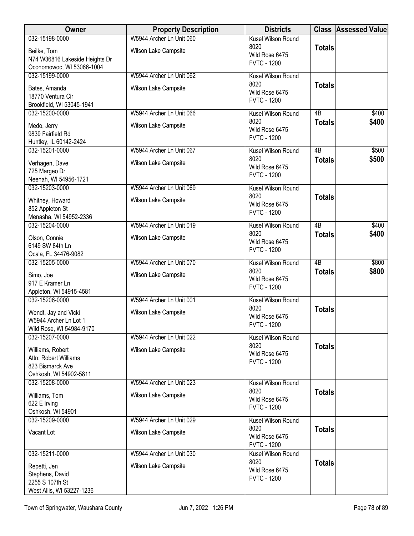| Owner                                         | <b>Property Description</b> | <b>Districts</b>                     |                 | <b>Class Assessed Value</b> |
|-----------------------------------------------|-----------------------------|--------------------------------------|-----------------|-----------------------------|
| 032-15198-0000                                | W5944 Archer Ln Unit 060    | Kusel Wilson Round                   |                 |                             |
| Beilke, Tom                                   | Wilson Lake Campsite        | 8020<br>Wild Rose 6475               | <b>Totals</b>   |                             |
| N74 W36816 Lakeside Heights Dr                |                             | <b>FVTC - 1200</b>                   |                 |                             |
| Oconomowoc, WI 53066-1004                     |                             |                                      |                 |                             |
| 032-15199-0000                                | W5944 Archer Ln Unit 062    | Kusel Wilson Round                   |                 |                             |
| Bates, Amanda                                 | Wilson Lake Campsite        | 8020<br>Wild Rose 6475               | <b>Totals</b>   |                             |
| 18770 Ventura Cir                             |                             | <b>FVTC - 1200</b>                   |                 |                             |
| Brookfield, WI 53045-1941                     |                             |                                      |                 |                             |
| 032-15200-0000                                | W5944 Archer Ln Unit 066    | Kusel Wilson Round<br>8020           | 4B              | \$400<br>\$400              |
| Medo, Jerry                                   | Wilson Lake Campsite        | Wild Rose 6475                       | <b>Totals</b>   |                             |
| 9839 Fairfield Rd                             |                             | <b>FVTC - 1200</b>                   |                 |                             |
| Huntley, IL 60142-2424                        |                             |                                      |                 |                             |
| 032-15201-0000                                | W5944 Archer Ln Unit 067    | Kusel Wilson Round<br>8020           | $\overline{AB}$ | \$500<br>\$500              |
| Verhagen, Dave                                | Wilson Lake Campsite        | Wild Rose 6475                       | <b>Totals</b>   |                             |
| 725 Margeo Dr                                 |                             | <b>FVTC - 1200</b>                   |                 |                             |
| Neenah, WI 54956-1721                         |                             |                                      |                 |                             |
| 032-15203-0000                                | W5944 Archer Ln Unit 069    | Kusel Wilson Round<br>8020           | <b>Totals</b>   |                             |
| Whitney, Howard                               | Wilson Lake Campsite        | Wild Rose 6475                       |                 |                             |
| 852 Appleton St                               |                             | <b>FVTC - 1200</b>                   |                 |                             |
| Menasha, WI 54952-2336<br>032-15204-0000      | W5944 Archer Ln Unit 019    | Kusel Wilson Round                   | $\overline{AB}$ | \$400                       |
|                                               |                             | 8020                                 | <b>Totals</b>   | \$400                       |
| Olson, Connie                                 | Wilson Lake Campsite        | Wild Rose 6475                       |                 |                             |
| 6149 SW 84th Ln                               |                             | <b>FVTC - 1200</b>                   |                 |                             |
| Ocala, FL 34476-9082<br>032-15205-0000        | W5944 Archer Ln Unit 070    | Kusel Wilson Round                   | $\overline{AB}$ | \$800                       |
|                                               |                             | 8020                                 | <b>Totals</b>   | \$800                       |
| Simo, Joe                                     | Wilson Lake Campsite        | Wild Rose 6475                       |                 |                             |
| 917 E Kramer Ln<br>Appleton, WI 54915-4581    |                             | <b>FVTC - 1200</b>                   |                 |                             |
| 032-15206-0000                                | W5944 Archer Ln Unit 001    | Kusel Wilson Round                   |                 |                             |
|                                               |                             | 8020                                 | <b>Totals</b>   |                             |
| Wendt, Jay and Vicki<br>W5944 Archer Ln Lot 1 | Wilson Lake Campsite        | Wild Rose 6475                       |                 |                             |
| Wild Rose, WI 54984-9170                      |                             | <b>FVTC - 1200</b>                   |                 |                             |
| 032-15207-0000                                | W5944 Archer Ln Unit 022    | Kusel Wilson Round                   |                 |                             |
| Williams, Robert                              | Wilson Lake Campsite        | 8020                                 | <b>Totals</b>   |                             |
| Attn: Robert Williams                         |                             | Wild Rose 6475                       |                 |                             |
| 823 Bismarck Ave                              |                             | <b>FVTC - 1200</b>                   |                 |                             |
| Oshkosh, WI 54902-5811                        |                             |                                      |                 |                             |
| 032-15208-0000                                | W5944 Archer Ln Unit 023    | Kusel Wilson Round                   |                 |                             |
| Williams, Tom                                 | Wilson Lake Campsite        | 8020                                 | <b>Totals</b>   |                             |
| 622 E Irving                                  |                             | Wild Rose 6475<br><b>FVTC - 1200</b> |                 |                             |
| Oshkosh, WI 54901                             |                             |                                      |                 |                             |
| 032-15209-0000                                | W5944 Archer Ln Unit 029    | Kusel Wilson Round                   |                 |                             |
| Vacant Lot                                    | Wilson Lake Campsite        | 8020<br>Wild Rose 6475               | <b>Totals</b>   |                             |
|                                               |                             | <b>FVTC - 1200</b>                   |                 |                             |
| 032-15211-0000                                | W5944 Archer Ln Unit 030    | Kusel Wilson Round                   |                 |                             |
|                                               |                             | 8020                                 | <b>Totals</b>   |                             |
| Repetti, Jen<br>Stephens, David               | Wilson Lake Campsite        | Wild Rose 6475                       |                 |                             |
| 2255 S 107th St                               |                             | <b>FVTC - 1200</b>                   |                 |                             |
| West Allis, WI 53227-1236                     |                             |                                      |                 |                             |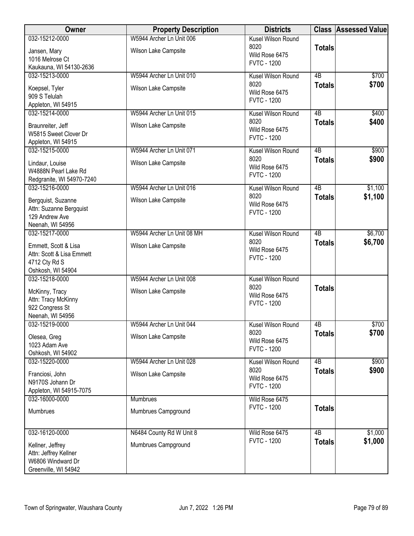| Owner                                     | <b>Property Description</b> | <b>Districts</b>                     |                 | <b>Class Assessed Value</b> |
|-------------------------------------------|-----------------------------|--------------------------------------|-----------------|-----------------------------|
| 032-15212-0000                            | W5944 Archer Ln Unit 006    | Kusel Wilson Round                   |                 |                             |
| Jansen, Mary                              | Wilson Lake Campsite        | 8020                                 | <b>Totals</b>   |                             |
| 1016 Melrose Ct                           |                             | Wild Rose 6475<br><b>FVTC - 1200</b> |                 |                             |
| Kaukauna, WI 54130-2636                   |                             |                                      |                 |                             |
| 032-15213-0000                            | W5944 Archer Ln Unit 010    | Kusel Wilson Round                   | $\overline{AB}$ | \$700                       |
| Koepsel, Tyler                            | Wilson Lake Campsite        | 8020                                 | <b>Totals</b>   | \$700                       |
| 909 S Telulah                             |                             | Wild Rose 6475                       |                 |                             |
| Appleton, WI 54915                        |                             | <b>FVTC - 1200</b>                   |                 |                             |
| 032-15214-0000                            | W5944 Archer Ln Unit 015    | Kusel Wilson Round                   | 4B              | \$400                       |
| Braunreiter, Jeff                         | Wilson Lake Campsite        | 8020                                 | <b>Totals</b>   | \$400                       |
| W5815 Sweet Clover Dr                     |                             | Wild Rose 6475                       |                 |                             |
| Appleton, WI 54915                        |                             | <b>FVTC - 1200</b>                   |                 |                             |
| 032-15215-0000                            | W5944 Archer Ln Unit 071    | Kusel Wilson Round                   | $\overline{AB}$ | \$900                       |
| Lindaur, Louise                           | Wilson Lake Campsite        | 8020                                 | <b>Totals</b>   | \$900                       |
| W4888N Pearl Lake Rd                      |                             | Wild Rose 6475                       |                 |                             |
| Redgranite, WI 54970-7240                 |                             | <b>FVTC - 1200</b>                   |                 |                             |
| 032-15216-0000                            | W5944 Archer Ln Unit 016    | Kusel Wilson Round                   | $\overline{AB}$ | \$1,100                     |
| Bergquist, Suzanne                        | Wilson Lake Campsite        | 8020                                 | <b>Totals</b>   | \$1,100                     |
| Attn: Suzanne Bergquist                   |                             | Wild Rose 6475                       |                 |                             |
| 129 Andrew Ave                            |                             | <b>FVTC - 1200</b>                   |                 |                             |
| Neenah, WI 54956                          |                             |                                      |                 |                             |
| 032-15217-0000                            | W5944 Archer Ln Unit 08 MH  | Kusel Wilson Round                   | $\overline{AB}$ | \$6,700                     |
| Emmett, Scott & Lisa                      | Wilson Lake Campsite        | 8020                                 | <b>Totals</b>   | \$6,700                     |
| Attn: Scott & Lisa Emmett                 |                             | Wild Rose 6475                       |                 |                             |
| 4712 Cty Rd S                             |                             | <b>FVTC - 1200</b>                   |                 |                             |
| Oshkosh, WI 54904                         |                             |                                      |                 |                             |
| 032-15218-0000                            | W5944 Archer Ln Unit 008    | Kusel Wilson Round                   |                 |                             |
| McKinny, Tracy                            | Wilson Lake Campsite        | 8020                                 | <b>Totals</b>   |                             |
| Attn: Tracy McKinny                       |                             | Wild Rose 6475                       |                 |                             |
| 922 Congress St                           |                             | <b>FVTC - 1200</b>                   |                 |                             |
| Neenah, WI 54956                          |                             |                                      |                 |                             |
| 032-15219-0000                            | W5944 Archer Ln Unit 044    | Kusel Wilson Round                   | 4B              | \$700                       |
| Olesea, Greg                              | Wilson Lake Campsite        | 8020                                 | <b>Totals</b>   | \$700                       |
| 1023 Adam Ave                             |                             | Wild Rose 6475                       |                 |                             |
| Oshkosh, WI 54902                         |                             | <b>FVTC - 1200</b>                   |                 |                             |
| 032-15220-0000                            | W5944 Archer Ln Unit 028    | Kusel Wilson Round                   | 4B              | \$900                       |
| Franciosi, John                           | Wilson Lake Campsite        | 8020                                 | <b>Totals</b>   | \$900                       |
| N9170S Johann Dr                          |                             | Wild Rose 6475                       |                 |                             |
| Appleton, WI 54915-7075                   |                             | <b>FVTC - 1200</b>                   |                 |                             |
| 032-16000-0000                            | <b>Mumbrues</b>             | Wild Rose 6475                       |                 |                             |
| Mumbrues                                  | Mumbrues Campground         | <b>FVTC - 1200</b>                   | <b>Totals</b>   |                             |
|                                           |                             |                                      |                 |                             |
| 032-16120-0000                            | N6484 County Rd W Unit 8    | Wild Rose 6475                       | 4B              | \$1,000                     |
|                                           |                             | <b>FVTC - 1200</b>                   | <b>Totals</b>   | \$1,000                     |
| Kellner, Jeffrey                          | Mumbrues Campground         |                                      |                 |                             |
| Attn: Jeffrey Kellner                     |                             |                                      |                 |                             |
| W6806 Windward Dr<br>Greenville, WI 54942 |                             |                                      |                 |                             |
|                                           |                             |                                      |                 |                             |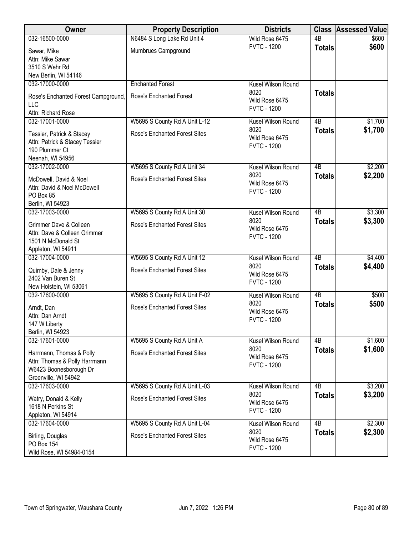| <b>Owner</b>                                                                                                | <b>Property Description</b>          | <b>Districts</b>                             |                 | <b>Class Assessed Value</b> |
|-------------------------------------------------------------------------------------------------------------|--------------------------------------|----------------------------------------------|-----------------|-----------------------------|
| 032-16500-0000                                                                                              | N6484 S Long Lake Rd Unit 4          | Wild Rose 6475                               | $\overline{AB}$ | \$600                       |
| Sawar, Mike<br>Attn: Mike Sawar<br>3510 S Wehr Rd                                                           | Mumbrues Campground                  | <b>FVTC - 1200</b>                           | <b>Totals</b>   | \$600                       |
| New Berlin, WI 54146                                                                                        |                                      |                                              |                 |                             |
| 032-17000-0000                                                                                              | <b>Enchanted Forest</b>              | Kusel Wilson Round                           |                 |                             |
| Rose's Enchanted Forest Campground,<br>LLC<br>Attn: Richard Rose                                            | Rose's Enchanted Forest              | 8020<br>Wild Rose 6475<br><b>FVTC - 1200</b> | <b>Totals</b>   |                             |
| 032-17001-0000                                                                                              | W5695 S County Rd A Unit L-12        | Kusel Wilson Round                           | 4B              | \$1,700                     |
| Tessier, Patrick & Stacey<br>Attn: Patrick & Stacey Tessier<br>190 Plummer Ct<br>Neenah, WI 54956           | <b>Rose's Enchanted Forest Sites</b> | 8020<br>Wild Rose 6475<br><b>FVTC - 1200</b> | <b>Totals</b>   | \$1,700                     |
| 032-17002-0000                                                                                              | W5695 S County Rd A Unit 34          | Kusel Wilson Round                           | $\overline{AB}$ | \$2,200                     |
| McDowell, David & Noel<br>Attn: David & Noel McDowell<br>PO Box 85<br>Berlin, WI 54923                      | <b>Rose's Enchanted Forest Sites</b> | 8020<br>Wild Rose 6475<br><b>FVTC - 1200</b> | <b>Totals</b>   | \$2,200                     |
| 032-17003-0000                                                                                              | W5695 S County Rd A Unit 30          | Kusel Wilson Round                           | $\overline{AB}$ | \$3,300                     |
| Grimmer Dave & Colleen<br>Attn: Dave & Colleen Grimmer<br>1501 N McDonald St<br>Appleton, WI 54911          | <b>Rose's Enchanted Forest Sites</b> | 8020<br>Wild Rose 6475<br><b>FVTC - 1200</b> | <b>Totals</b>   | \$3,300                     |
| 032-17004-0000                                                                                              | W5695 S County Rd A Unit 12          | Kusel Wilson Round                           | $\overline{AB}$ | \$4,400                     |
| Quimby, Dale & Jenny<br>2402 Van Buren St<br>New Holstein, WI 53061                                         | <b>Rose's Enchanted Forest Sites</b> | 8020<br>Wild Rose 6475<br><b>FVTC - 1200</b> | <b>Totals</b>   | \$4,400                     |
| 032-17600-0000                                                                                              | W5695 S County Rd A Unit F-02        | Kusel Wilson Round                           | $\overline{AB}$ | \$500                       |
| Arndt, Dan<br>Attn: Dan Arndt<br>147 W Liberty<br>Berlin, WI 54923                                          | <b>Rose's Enchanted Forest Sites</b> | 8020<br>Wild Rose 6475<br><b>FVTC - 1200</b> | <b>Totals</b>   | \$500                       |
| 032-17601-0000                                                                                              | W5695 S County Rd A Unit A           | Kusel Wilson Round                           | 4B              | \$1,600                     |
| Harrmann, Thomas & Polly<br>Attn: Thomas & Polly Harrmann<br>W6423 Boonesborough Dr<br>Greenville, WI 54942 | <b>Rose's Enchanted Forest Sites</b> | 8020<br>Wild Rose 6475<br><b>FVTC - 1200</b> | <b>Totals</b>   | \$1,600                     |
| 032-17603-0000                                                                                              | W5695 S County Rd A Unit L-03        | Kusel Wilson Round                           | 4B              | \$3,200                     |
| Watry, Donald & Kelly<br>1618 N Perkins St<br>Appleton, WI 54914                                            | Rose's Enchanted Forest Sites        | 8020<br>Wild Rose 6475<br><b>FVTC - 1200</b> | <b>Totals</b>   | \$3,200                     |
| 032-17604-0000                                                                                              | W5695 S County Rd A Unit L-04        | Kusel Wilson Round                           | $\overline{AB}$ | \$2,300                     |
| Birling, Douglas<br>PO Box 154<br>Wild Rose, WI 54984-0154                                                  | <b>Rose's Enchanted Forest Sites</b> | 8020<br>Wild Rose 6475<br><b>FVTC - 1200</b> | <b>Totals</b>   | \$2,300                     |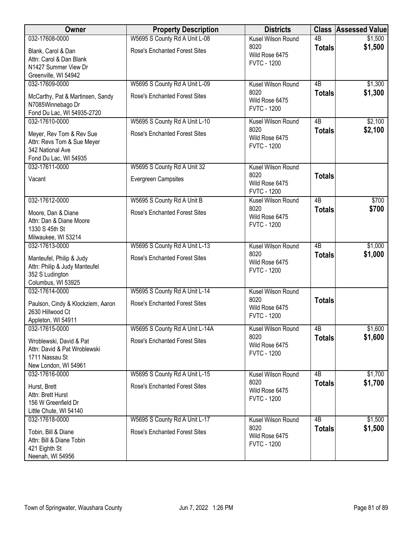| Owner                                                                                               | <b>Property Description</b>          | <b>Districts</b>                             |                 | <b>Class Assessed Value</b> |
|-----------------------------------------------------------------------------------------------------|--------------------------------------|----------------------------------------------|-----------------|-----------------------------|
| 032-17608-0000                                                                                      | W5695 S County Rd A Unit L-08        | Kusel Wilson Round                           | $\overline{AB}$ | \$1,500                     |
| Blank, Carol & Dan<br>Attn: Carol & Dan Blank<br>N1427 Summer View Dr<br>Greenville, WI 54942       | Rose's Enchanted Forest Sites        | 8020<br>Wild Rose 6475<br><b>FVTC - 1200</b> | <b>Totals</b>   | \$1,500                     |
| 032-17609-0000                                                                                      | W5695 S County Rd A Unit L-09        | Kusel Wilson Round                           | $\overline{AB}$ | \$1,300                     |
| McCarthy, Pat & Martinsen, Sandy<br>N7085Winnebago Dr<br>Fond Du Lac, WI 54935-2720                 | <b>Rose's Enchanted Forest Sites</b> | 8020<br>Wild Rose 6475<br><b>FVTC - 1200</b> | <b>Totals</b>   | \$1,300                     |
| 032-17610-0000                                                                                      | W5695 S County Rd A Unit L-10        | Kusel Wilson Round                           | 4B              | \$2,100                     |
| Meyer, Rev Tom & Rev Sue<br>Attn: Revs Tom & Sue Meyer<br>342 National Ave<br>Fond Du Lac, WI 54935 | <b>Rose's Enchanted Forest Sites</b> | 8020<br>Wild Rose 6475<br><b>FVTC - 1200</b> | <b>Totals</b>   | \$2,100                     |
| 032-17611-0000                                                                                      | W5695 S County Rd A Unit 32          | Kusel Wilson Round                           |                 |                             |
| Vacant                                                                                              | <b>Evergreen Campsites</b>           | 8020<br>Wild Rose 6475<br><b>FVTC - 1200</b> | <b>Totals</b>   |                             |
| 032-17612-0000                                                                                      | W5695 S County Rd A Unit B           | <b>Kusel Wilson Round</b>                    | 4B              | \$700                       |
| Moore, Dan & Diane<br>Attn: Dan & Diane Moore<br>1330 S 45th St<br>Milwaukee, WI 53214              | <b>Rose's Enchanted Forest Sites</b> | 8020<br>Wild Rose 6475<br><b>FVTC - 1200</b> | <b>Totals</b>   | \$700                       |
| 032-17613-0000                                                                                      | W5695 S County Rd A Unit L-13        | Kusel Wilson Round                           | $\overline{AB}$ | \$1,000                     |
| Manteufel, Philip & Judy<br>Attn: Philip & Judy Manteufel<br>352 S Ludington<br>Columbus, WI 53925  | <b>Rose's Enchanted Forest Sites</b> | 8020<br>Wild Rose 6475<br><b>FVTC - 1200</b> | <b>Totals</b>   | \$1,000                     |
| 032-17614-0000                                                                                      | W5695 S County Rd A Unit L-14        | Kusel Wilson Round                           |                 |                             |
| Paulson, Cindy & Klockziem, Aaron<br>2630 Hillwood Ct<br>Appleton, WI 54911                         | <b>Rose's Enchanted Forest Sites</b> | 8020<br>Wild Rose 6475<br><b>FVTC - 1200</b> | <b>Totals</b>   |                             |
| 032-17615-0000                                                                                      | W5695 S County Rd A Unit L-14A       | Kusel Wilson Round                           | $\overline{AB}$ | \$1,600                     |
| Wroblewski, David & Pat<br>Attn: David & Pat Wroblewski<br>1711 Nassau St<br>New London, WI 54961   | <b>Rose's Enchanted Forest Sites</b> | 8020<br>Wild Rose 6475<br><b>FVTC - 1200</b> | <b>Totals</b>   | \$1,600                     |
| 032-17616-0000                                                                                      | W5695 S County Rd A Unit L-15        | Kusel Wilson Round                           | 4B              | \$1,700                     |
| Hurst, Brett<br>Attn: Brett Hurst<br>156 W Greenfield Dr<br>Little Chute, WI 54140                  | <b>Rose's Enchanted Forest Sites</b> | 8020<br>Wild Rose 6475<br><b>FVTC - 1200</b> | <b>Totals</b>   | \$1,700                     |
| 032-17618-0000                                                                                      | W5695 S County Rd A Unit L-17        | Kusel Wilson Round                           | 4B              | \$1,500                     |
| Tobin, Bill & Diane<br>Attn: Bill & Diane Tobin<br>421 Eighth St<br>Neenah, WI 54956                | <b>Rose's Enchanted Forest Sites</b> | 8020<br>Wild Rose 6475<br><b>FVTC - 1200</b> | <b>Totals</b>   | \$1,500                     |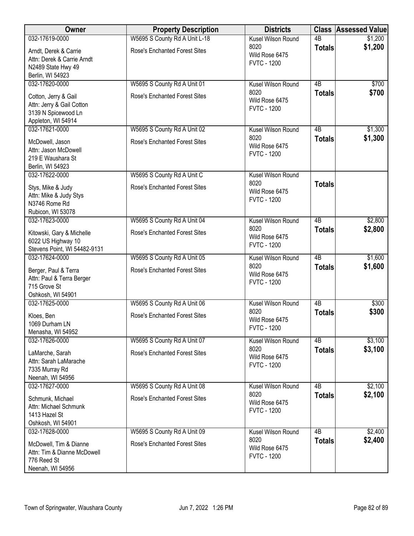| Owner                                                                                          | <b>Property Description</b>          | <b>Districts</b>                             |                 | <b>Class Assessed Value</b> |
|------------------------------------------------------------------------------------------------|--------------------------------------|----------------------------------------------|-----------------|-----------------------------|
| 032-17619-0000                                                                                 | W5695 S County Rd A Unit L-18        | Kusel Wilson Round                           | $\overline{AB}$ | \$1,200                     |
| Arndt, Derek & Carrie<br>Attn: Derek & Carrie Arndt<br>N2489 State Hwy 49<br>Berlin, WI 54923  | <b>Rose's Enchanted Forest Sites</b> | 8020<br>Wild Rose 6475<br><b>FVTC - 1200</b> | <b>Totals</b>   | \$1,200                     |
| 032-17620-0000                                                                                 | W5695 S County Rd A Unit 01          | Kusel Wilson Round                           | $\overline{AB}$ | \$700                       |
| Cotton, Jerry & Gail<br>Attn: Jerry & Gail Cotton<br>3139 N Spicewood Ln<br>Appleton, WI 54914 | <b>Rose's Enchanted Forest Sites</b> | 8020<br>Wild Rose 6475<br><b>FVTC - 1200</b> | <b>Totals</b>   | \$700                       |
| 032-17621-0000                                                                                 | W5695 S County Rd A Unit 02          | Kusel Wilson Round                           | 4B              | \$1,300                     |
| McDowell, Jason<br>Attn: Jason McDowell<br>219 E Waushara St<br>Berlin, WI 54923               | <b>Rose's Enchanted Forest Sites</b> | 8020<br>Wild Rose 6475<br><b>FVTC - 1200</b> | <b>Totals</b>   | \$1,300                     |
| 032-17622-0000                                                                                 | W5695 S County Rd A Unit C           | Kusel Wilson Round                           |                 |                             |
| Stys, Mike & Judy<br>Attn: Mike & Judy Stys<br>N3746 Rome Rd<br>Rubicon, WI 53078              | <b>Rose's Enchanted Forest Sites</b> | 8020<br>Wild Rose 6475<br><b>FVTC - 1200</b> | <b>Totals</b>   |                             |
| 032-17623-0000                                                                                 | W5695 S County Rd A Unit 04          | Kusel Wilson Round                           | $\overline{AB}$ | \$2,800                     |
| Kitowski, Gary & Michelle<br>6022 US Highway 10<br>Stevens Point, WI 54482-9131                | <b>Rose's Enchanted Forest Sites</b> | 8020<br>Wild Rose 6475<br><b>FVTC - 1200</b> | <b>Totals</b>   | \$2,800                     |
| 032-17624-0000                                                                                 | W5695 S County Rd A Unit 05          | Kusel Wilson Round                           | $\overline{AB}$ | \$1,600                     |
| Berger, Paul & Terra<br>Attn: Paul & Terra Berger<br>715 Grove St<br>Oshkosh, WI 54901         | <b>Rose's Enchanted Forest Sites</b> | 8020<br>Wild Rose 6475<br><b>FVTC - 1200</b> | <b>Totals</b>   | \$1,600                     |
| 032-17625-0000                                                                                 | W5695 S County Rd A Unit 06          | Kusel Wilson Round                           | $\overline{AB}$ | \$300                       |
| Kloes, Ben<br>1069 Durham LN<br>Menasha, WI 54952                                              | <b>Rose's Enchanted Forest Sites</b> | 8020<br>Wild Rose 6475<br><b>FVTC - 1200</b> | <b>Totals</b>   | \$300                       |
| 032-17626-0000                                                                                 | W5695 S County Rd A Unit 07          | Kusel Wilson Round                           | 4B              | \$3,100                     |
| LaMarche, Sarah<br>Attn: Sarah LaMarache<br>7335 Murray Rd<br>Neenah, WI 54956                 | <b>Rose's Enchanted Forest Sites</b> | 8020<br>Wild Rose 6475<br><b>FVTC - 1200</b> | <b>Totals</b>   | \$3,100                     |
| 032-17627-0000                                                                                 | W5695 S County Rd A Unit 08          | Kusel Wilson Round                           | 4 <sub>B</sub>  | \$2,100                     |
| Schmunk, Michael<br>Attn: Michael Schmunk<br>1413 Hazel St<br>Oshkosh, WI 54901                | <b>Rose's Enchanted Forest Sites</b> | 8020<br>Wild Rose 6475<br><b>FVTC - 1200</b> | <b>Totals</b>   | \$2,100                     |
| 032-17628-0000                                                                                 | W5695 S County Rd A Unit 09          | Kusel Wilson Round                           | $\overline{AB}$ | \$2,400                     |
| McDowell, Tim & Dianne<br>Attn: Tim & Dianne McDowell<br>776 Reed St<br>Neenah, WI 54956       | <b>Rose's Enchanted Forest Sites</b> | 8020<br>Wild Rose 6475<br><b>FVTC - 1200</b> | <b>Totals</b>   | \$2,400                     |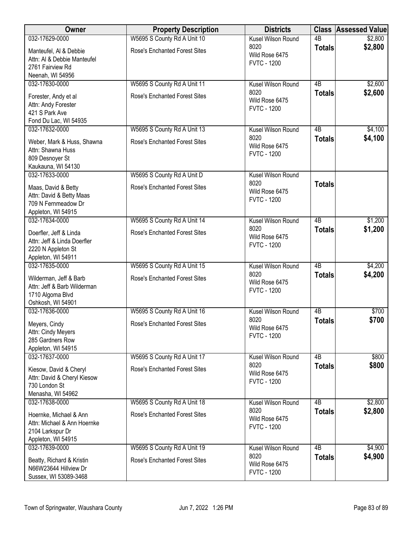| Owner                                                 | <b>Property Description</b>          | <b>Districts</b>                     |                     | <b>Class Assessed Value</b> |
|-------------------------------------------------------|--------------------------------------|--------------------------------------|---------------------|-----------------------------|
| 032-17629-0000                                        | W5695 S County Rd A Unit 10          | Kusel Wilson Round                   | $\overline{AB}$     | \$2,800                     |
| Manteufel, Al & Debbie                                | <b>Rose's Enchanted Forest Sites</b> | 8020<br>Wild Rose 6475               | <b>Totals</b>       | \$2,800                     |
| Attn: Al & Debbie Manteufel                           |                                      | <b>FVTC - 1200</b>                   |                     |                             |
| 2761 Fairview Rd<br>Neenah, WI 54956                  |                                      |                                      |                     |                             |
| 032-17630-0000                                        | W5695 S County Rd A Unit 11          | Kusel Wilson Round                   | 4B                  | \$2,600                     |
| Forester, Andy et al                                  | <b>Rose's Enchanted Forest Sites</b> | 8020                                 | <b>Totals</b>       | \$2,600                     |
| Attn: Andy Forester                                   |                                      | Wild Rose 6475                       |                     |                             |
| 421 S Park Ave                                        |                                      | <b>FVTC - 1200</b>                   |                     |                             |
| Fond Du Lac, WI 54935                                 |                                      |                                      |                     |                             |
| 032-17632-0000                                        | W5695 S County Rd A Unit 13          | Kusel Wilson Round<br>8020           | 4B<br><b>Totals</b> | \$4,100<br>\$4,100          |
| Weber, Mark & Huss, Shawna                            | <b>Rose's Enchanted Forest Sites</b> | Wild Rose 6475                       |                     |                             |
| Attn: Shawna Huss<br>809 Desnoyer St                  |                                      | <b>FVTC - 1200</b>                   |                     |                             |
| Kaukauna, WI 54130                                    |                                      |                                      |                     |                             |
| 032-17633-0000                                        | W5695 S County Rd A Unit D           | Kusel Wilson Round                   |                     |                             |
| Maas, David & Betty                                   | <b>Rose's Enchanted Forest Sites</b> | 8020                                 | <b>Totals</b>       |                             |
| Attn: David & Betty Maas                              |                                      | Wild Rose 6475<br><b>FVTC - 1200</b> |                     |                             |
| 709 N Fernmeadow Dr                                   |                                      |                                      |                     |                             |
| Appleton, WI 54915<br>032-17634-0000                  | W5695 S County Rd A Unit 14          | Kusel Wilson Round                   | $\overline{AB}$     | \$1,200                     |
|                                                       |                                      | 8020                                 | <b>Totals</b>       | \$1,200                     |
| Doerfler, Jeff & Linda                                | <b>Rose's Enchanted Forest Sites</b> | Wild Rose 6475                       |                     |                             |
| Attn: Jeff & Linda Doerfler<br>2220 N Appleton St     |                                      | <b>FVTC - 1200</b>                   |                     |                             |
| Appleton, WI 54911                                    |                                      |                                      |                     |                             |
| 032-17635-0000                                        | W5695 S County Rd A Unit 15          | <b>Kusel Wilson Round</b>            | $\overline{AB}$     | \$4,200                     |
| Wilderman, Jeff & Barb                                | <b>Rose's Enchanted Forest Sites</b> | 8020                                 | <b>Totals</b>       | \$4,200                     |
| Attn: Jeff & Barb Wilderman                           |                                      | Wild Rose 6475<br><b>FVTC - 1200</b> |                     |                             |
| 1710 Algoma Blvd                                      |                                      |                                      |                     |                             |
| Oshkosh, WI 54901<br>032-17636-0000                   | W5695 S County Rd A Unit 16          | Kusel Wilson Round                   | $\overline{AB}$     | \$700                       |
|                                                       |                                      | 8020                                 | <b>Totals</b>       | \$700                       |
| Meyers, Cindy<br>Attn: Cindy Meyers                   | <b>Rose's Enchanted Forest Sites</b> | Wild Rose 6475                       |                     |                             |
| 285 Gardners Row                                      |                                      | <b>FVTC - 1200</b>                   |                     |                             |
| Appleton, WI 54915                                    |                                      |                                      |                     |                             |
| 032-17637-0000                                        | W5695 S County Rd A Unit 17          | Kusel Wilson Round                   | 4B                  | \$800                       |
| Kiesow, David & Cheryl                                | <b>Rose's Enchanted Forest Sites</b> | 8020<br>Wild Rose 6475               | <b>Totals</b>       | \$800                       |
| Attn: David & Cheryl Kiesow                           |                                      | <b>FVTC - 1200</b>                   |                     |                             |
| 730 London St                                         |                                      |                                      |                     |                             |
| Menasha, WI 54962<br>032-17638-0000                   | W5695 S County Rd A Unit 18          | Kusel Wilson Round                   | 4 <sub>B</sub>      | \$2,800                     |
|                                                       |                                      | 8020                                 | <b>Totals</b>       | \$2,800                     |
| Hoernke, Michael & Ann<br>Attn: Michael & Ann Hoernke | <b>Rose's Enchanted Forest Sites</b> | Wild Rose 6475                       |                     |                             |
| 2104 Larkspur Dr                                      |                                      | <b>FVTC - 1200</b>                   |                     |                             |
| Appleton, WI 54915                                    |                                      |                                      |                     |                             |
| 032-17639-0000                                        | W5695 S County Rd A Unit 19          | Kusel Wilson Round                   | 4B                  | \$4,900                     |
| Beatty, Richard & Kristin                             | <b>Rose's Enchanted Forest Sites</b> | 8020<br>Wild Rose 6475               | <b>Totals</b>       | \$4,900                     |
| N66W23644 Hillview Dr                                 |                                      | <b>FVTC - 1200</b>                   |                     |                             |
| Sussex, WI 53089-3468                                 |                                      |                                      |                     |                             |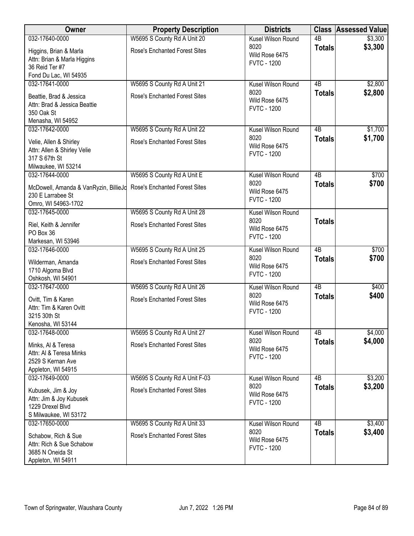| Owner                                         | <b>Property Description</b>          | <b>Districts</b>       |                 | <b>Class Assessed Value</b> |
|-----------------------------------------------|--------------------------------------|------------------------|-----------------|-----------------------------|
| 032-17640-0000                                | W5695 S County Rd A Unit 20          | Kusel Wilson Round     | $\overline{AB}$ | \$3,300                     |
| Higgins, Brian & Marla                        | <b>Rose's Enchanted Forest Sites</b> | 8020                   | <b>Totals</b>   | \$3,300                     |
| Attn: Brian & Marla Higgins                   |                                      | Wild Rose 6475         |                 |                             |
| 36 Reid Ter #7                                |                                      | <b>FVTC - 1200</b>     |                 |                             |
| Fond Du Lac, WI 54935                         |                                      |                        |                 |                             |
| 032-17641-0000                                | W5695 S County Rd A Unit 21          | Kusel Wilson Round     | $\overline{AB}$ | \$2,800                     |
| Beattie, Brad & Jessica                       | <b>Rose's Enchanted Forest Sites</b> | 8020                   | <b>Totals</b>   | \$2,800                     |
| Attn: Brad & Jessica Beattie                  |                                      | Wild Rose 6475         |                 |                             |
| 350 Oak St                                    |                                      | <b>FVTC - 1200</b>     |                 |                             |
| Menasha, WI 54952                             |                                      |                        |                 |                             |
| 032-17642-0000                                | W5695 S County Rd A Unit 22          | Kusel Wilson Round     | 4B              | \$1,700                     |
|                                               |                                      | 8020                   | <b>Totals</b>   | \$1,700                     |
| Velie, Allen & Shirley                        | Rose's Enchanted Forest Sites        | Wild Rose 6475         |                 |                             |
| Attn: Allen & Shirley Velie<br>317 S 67th St  |                                      | <b>FVTC - 1200</b>     |                 |                             |
| Milwaukee, WI 53214                           |                                      |                        |                 |                             |
| 032-17644-0000                                | W5695 S County Rd A Unit E           | Kusel Wilson Round     | $\overline{AB}$ | \$700                       |
|                                               |                                      | 8020                   | <b>Totals</b>   | \$700                       |
| McDowell, Amanda & VanRyzin, BillieJd         | <b>Rose's Enchanted Forest Sites</b> | Wild Rose 6475         |                 |                             |
| 230 E Larrabee St                             |                                      | <b>FVTC - 1200</b>     |                 |                             |
| Omro, WI 54963-1702                           |                                      |                        |                 |                             |
| 032-17645-0000                                | W5695 S County Rd A Unit 28          | Kusel Wilson Round     |                 |                             |
| Riel, Keith & Jennifer                        | <b>Rose's Enchanted Forest Sites</b> | 8020<br>Wild Rose 6475 | <b>Totals</b>   |                             |
| PO Box 36                                     |                                      | <b>FVTC - 1200</b>     |                 |                             |
| Markesan, WI 53946                            |                                      |                        |                 |                             |
| 032-17646-0000                                | W5695 S County Rd A Unit 25          | Kusel Wilson Round     | $\overline{AB}$ | \$700                       |
| Wilderman, Amanda                             | <b>Rose's Enchanted Forest Sites</b> | 8020                   | <b>Totals</b>   | \$700                       |
| 1710 Algoma Blvd                              |                                      | Wild Rose 6475         |                 |                             |
| Oshkosh, WI 54901                             |                                      | <b>FVTC - 1200</b>     |                 |                             |
| 032-17647-0000                                | W5695 S County Rd A Unit 26          | Kusel Wilson Round     | $\overline{AB}$ | \$400                       |
| Ovitt, Tim & Karen                            | <b>Rose's Enchanted Forest Sites</b> | 8020                   | <b>Totals</b>   | \$400                       |
| Attn: Tim & Karen Ovitt                       |                                      | Wild Rose 6475         |                 |                             |
| 3215 30th St                                  |                                      | <b>FVTC - 1200</b>     |                 |                             |
| Kenosha, WI 53144                             |                                      |                        |                 |                             |
| 032-17648-0000                                | W5695 S County Rd A Unit 27          | Kusel Wilson Round     | 4B              | \$4,000                     |
|                                               | <b>Rose's Enchanted Forest Sites</b> | 8020                   | <b>Totals</b>   | \$4,000                     |
| Minks, Al & Teresa<br>Attn: Al & Teresa Minks |                                      | Wild Rose 6475         |                 |                             |
| 2529 S Kernan Ave                             |                                      | <b>FVTC - 1200</b>     |                 |                             |
| Appleton, WI 54915                            |                                      |                        |                 |                             |
| 032-17649-0000                                | W5695 S County Rd A Unit F-03        | Kusel Wilson Round     | 4B              | \$3,200                     |
|                                               |                                      | 8020                   | <b>Totals</b>   | \$3,200                     |
| Kubusek, Jim & Joy                            | Rose's Enchanted Forest Sites        | Wild Rose 6475         |                 |                             |
| Attn: Jim & Joy Kubusek<br>1229 Drexel Blvd   |                                      | <b>FVTC - 1200</b>     |                 |                             |
| S Milwaukee, WI 53172                         |                                      |                        |                 |                             |
| 032-17650-0000                                | W5695 S County Rd A Unit 33          | Kusel Wilson Round     | $\overline{AB}$ | \$3,400                     |
|                                               |                                      | 8020                   | <b>Totals</b>   | \$3,400                     |
| Schabow, Rich & Sue                           | <b>Rose's Enchanted Forest Sites</b> | Wild Rose 6475         |                 |                             |
| Attn: Rich & Sue Schabow                      |                                      | <b>FVTC - 1200</b>     |                 |                             |
| 3685 N Oneida St                              |                                      |                        |                 |                             |
| Appleton, WI 54911                            |                                      |                        |                 |                             |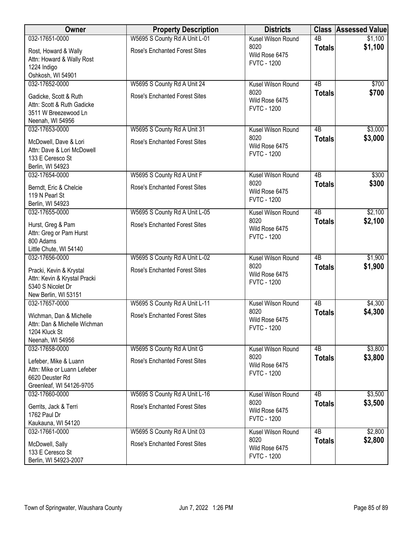| Owner                                                                                                | <b>Property Description</b>          | <b>Districts</b>                             |                 | <b>Class Assessed Value</b> |
|------------------------------------------------------------------------------------------------------|--------------------------------------|----------------------------------------------|-----------------|-----------------------------|
| 032-17651-0000                                                                                       | W5695 S County Rd A Unit L-01        | Kusel Wilson Round                           | $\overline{AB}$ | \$1,100                     |
| Rost, Howard & Wally<br>Attn: Howard & Wally Rost<br>1224 Indigo<br>Oshkosh, WI 54901                | <b>Rose's Enchanted Forest Sites</b> | 8020<br>Wild Rose 6475<br><b>FVTC - 1200</b> | <b>Totals</b>   | \$1,100                     |
| 032-17652-0000                                                                                       | W5695 S County Rd A Unit 24          | Kusel Wilson Round                           | $\overline{AB}$ | \$700                       |
| Gadicke, Scott & Ruth<br>Attn: Scott & Ruth Gadicke<br>3511 W Breezewood Ln<br>Neenah, WI 54956      | <b>Rose's Enchanted Forest Sites</b> | 8020<br>Wild Rose 6475<br><b>FVTC - 1200</b> | <b>Totals</b>   | \$700                       |
| 032-17653-0000                                                                                       | W5695 S County Rd A Unit 31          | Kusel Wilson Round                           | 4B              | \$3,000                     |
| McDowell, Dave & Lori<br>Attn: Dave & Lori McDowell<br>133 E Ceresco St<br>Berlin, WI 54923          | <b>Rose's Enchanted Forest Sites</b> | 8020<br>Wild Rose 6475<br><b>FVTC - 1200</b> | <b>Totals</b>   | \$3,000                     |
| 032-17654-0000                                                                                       | W5695 S County Rd A Unit F           | Kusel Wilson Round                           | 4B              | \$300                       |
| Berndt, Eric & Chelcie<br>119 N Pearl St<br>Berlin, WI 54923                                         | <b>Rose's Enchanted Forest Sites</b> | 8020<br>Wild Rose 6475<br><b>FVTC - 1200</b> | <b>Totals</b>   | \$300                       |
| 032-17655-0000                                                                                       | W5695 S County Rd A Unit L-05        | Kusel Wilson Round                           | $\overline{AB}$ | \$2,100                     |
| Hurst, Greg & Pam<br>Attn: Greg or Pam Hurst<br>800 Adams<br>Little Chute, WI 54140                  | <b>Rose's Enchanted Forest Sites</b> | 8020<br>Wild Rose 6475<br><b>FVTC - 1200</b> | <b>Totals</b>   | \$2,100                     |
| 032-17656-0000                                                                                       | W5695 S County Rd A Unit L-02        | Kusel Wilson Round                           | $\overline{AB}$ | \$1,900                     |
| Pracki, Kevin & Krystal<br>Attn: Kevin & Krystal Pracki<br>5340 S Nicolet Dr<br>New Berlin, WI 53151 | <b>Rose's Enchanted Forest Sites</b> | 8020<br>Wild Rose 6475<br><b>FVTC - 1200</b> | <b>Totals</b>   | \$1,900                     |
| 032-17657-0000                                                                                       | W5695 S County Rd A Unit L-11        | Kusel Wilson Round                           | $\overline{AB}$ | \$4,300                     |
| Wichman, Dan & Michelle<br>Attn: Dan & Michelle Wichman<br>1204 Kluck St<br>Neenah, WI 54956         | <b>Rose's Enchanted Forest Sites</b> | 8020<br>Wild Rose 6475<br><b>FVTC - 1200</b> | <b>Totals</b>   | \$4,300                     |
| 032-17658-0000                                                                                       | W5695 S County Rd A Unit G           | Kusel Wilson Round                           | 4B              | \$3,800                     |
| Lefeber, Mike & Luann<br>Attn: Mike or Luann Lefeber<br>6620 Deuster Rd<br>Greenleaf, WI 54126-9705  | <b>Rose's Enchanted Forest Sites</b> | 8020<br>Wild Rose 6475<br><b>FVTC - 1200</b> | <b>Totals</b>   | \$3,800                     |
| 032-17660-0000                                                                                       | W5695 S County Rd A Unit L-16        | Kusel Wilson Round                           | 4 <sub>B</sub>  | \$3,500                     |
| Gerrits, Jack & Terri<br>1762 Paul Dr<br>Kaukauna, WI 54120                                          | Rose's Enchanted Forest Sites        | 8020<br>Wild Rose 6475<br><b>FVTC - 1200</b> | <b>Totals</b>   | \$3,500                     |
| 032-17661-0000                                                                                       | W5695 S County Rd A Unit 03          | Kusel Wilson Round                           | 4B              | \$2,800                     |
| McDowell, Sally<br>133 E Ceresco St<br>Berlin, WI 54923-2007                                         | <b>Rose's Enchanted Forest Sites</b> | 8020<br>Wild Rose 6475<br><b>FVTC - 1200</b> | <b>Totals</b>   | \$2,800                     |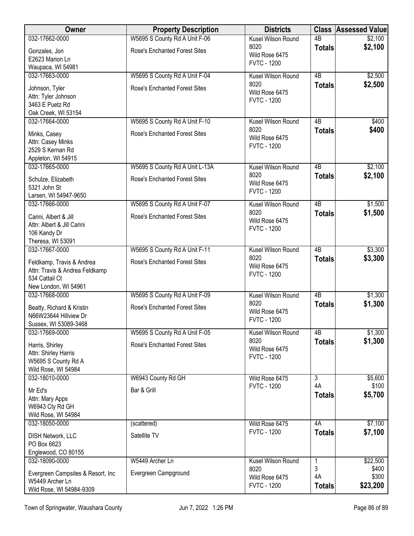| Owner                             | <b>Property Description</b>          | <b>Districts</b>                     |                 | <b>Class Assessed Value</b> |
|-----------------------------------|--------------------------------------|--------------------------------------|-----------------|-----------------------------|
| 032-17662-0000                    | W5695 S County Rd A Unit F-06        | Kusel Wilson Round                   | $\overline{AB}$ | \$2,100                     |
| Gonzales, Jon                     | <b>Rose's Enchanted Forest Sites</b> | 8020                                 | <b>Totals</b>   | \$2,100                     |
| E2623 Marion Ln                   |                                      | Wild Rose 6475<br><b>FVTC - 1200</b> |                 |                             |
| Waupaca, WI 54981                 |                                      |                                      |                 |                             |
| 032-17663-0000                    | W5695 S County Rd A Unit F-04        | Kusel Wilson Round                   | 4B              | \$2,500                     |
| Johnson, Tyler                    | <b>Rose's Enchanted Forest Sites</b> | 8020                                 | <b>Totals</b>   | \$2,500                     |
| Attn: Tyler Johnson               |                                      | Wild Rose 6475                       |                 |                             |
| 3463 E Puetz Rd                   |                                      | <b>FVTC - 1200</b>                   |                 |                             |
| Oak Creek, WI 53154               |                                      |                                      |                 |                             |
| 032-17664-0000                    | W5695 S County Rd A Unit F-10        | Kusel Wilson Round                   | 4B              | \$400                       |
| Minks, Casey                      | <b>Rose's Enchanted Forest Sites</b> | 8020                                 | <b>Totals</b>   | \$400                       |
| Attn: Casey Minks                 |                                      | Wild Rose 6475                       |                 |                             |
| 2529 S Kernan Rd                  |                                      | <b>FVTC - 1200</b>                   |                 |                             |
| Appleton, WI 54915                |                                      |                                      |                 |                             |
| 032-17665-0000                    | W5695 S County Rd A Unit L-13A       | Kusel Wilson Round                   | 4B              | \$2,100                     |
| Schulze, Elizabeth                | <b>Rose's Enchanted Forest Sites</b> | 8020                                 | <b>Totals</b>   | \$2,100                     |
| 5321 John St                      |                                      | Wild Rose 6475                       |                 |                             |
| Larsen, WI 54947-9650             |                                      | <b>FVTC - 1200</b>                   |                 |                             |
| 032-17666-0000                    | W5695 S County Rd A Unit F-07        | Kusel Wilson Round                   | 4B              | \$1,500                     |
| Carini, Albert & Jill             | <b>Rose's Enchanted Forest Sites</b> | 8020                                 | <b>Totals</b>   | \$1,500                     |
| Attn: Albert & Jill Carini        |                                      | Wild Rose 6475                       |                 |                             |
| 106 Kandy Dr                      |                                      | <b>FVTC - 1200</b>                   |                 |                             |
| Theresa, WI 53091                 |                                      |                                      |                 |                             |
| 032-17667-0000                    | W5695 S County Rd A Unit F-11        | Kusel Wilson Round                   | 4B              | \$3,300                     |
| Feldkamp, Travis & Andrea         | <b>Rose's Enchanted Forest Sites</b> | 8020                                 | <b>Totals</b>   | \$3,300                     |
| Attn: Travis & Andrea Feldkamp    |                                      | Wild Rose 6475                       |                 |                             |
| 534 Cattail Ct                    |                                      | <b>FVTC - 1200</b>                   |                 |                             |
| New London, WI 54961              |                                      |                                      |                 |                             |
| 032-17668-0000                    | W5695 S County Rd A Unit F-09        | Kusel Wilson Round                   | $\overline{AB}$ | \$1,300                     |
| Beatty, Richard & Kristin         | <b>Rose's Enchanted Forest Sites</b> | 8020                                 | <b>Totals</b>   | \$1,300                     |
| N66W23644 Hillview Dr             |                                      | Wild Rose 6475                       |                 |                             |
| Sussex, WI 53089-3468             |                                      | <b>FVTC - 1200</b>                   |                 |                             |
| 032-17669-0000                    | W5695 S County Rd A Unit F-05        | Kusel Wilson Round                   | 4B              | \$1,300                     |
| Harris, Shirley                   | <b>Rose's Enchanted Forest Sites</b> | 8020                                 | <b>Totals</b>   | \$1,300                     |
| Attn: Shirley Harris              |                                      | Wild Rose 6475                       |                 |                             |
| W5695 S County Rd A               |                                      | <b>FVTC - 1200</b>                   |                 |                             |
| Wild Rose, WI 54984               |                                      |                                      |                 |                             |
| 032-18010-0000                    | W6943 County Rd GH                   | Wild Rose 6475                       | $\overline{3}$  | \$5,600                     |
| Mr Ed's                           | Bar & Grill                          | <b>FVTC - 1200</b>                   | 4A              | \$100                       |
| Attn: Mary Apps                   |                                      |                                      | <b>Totals</b>   | \$5,700                     |
| W6943 Cty Rd GH                   |                                      |                                      |                 |                             |
| Wild Rose, WI 54984               |                                      |                                      |                 |                             |
| 032-18050-0000                    | (scattered)                          | Wild Rose 6475                       | 4A              | \$7,100                     |
| <b>DISH Network, LLC</b>          | Satellite TV                         | <b>FVTC - 1200</b>                   | <b>Totals</b>   | \$7,100                     |
| PO Box 6623                       |                                      |                                      |                 |                             |
| Englewood, CO 80155               |                                      |                                      |                 |                             |
| 032-18090-0000                    | W5449 Archer Ln                      | Kusel Wilson Round                   | 1               | \$22,500                    |
| Evergreen Campsites & Resort, Inc | Evergreen Campground                 | 8020                                 | 3               | \$400                       |
| W5449 Archer Ln                   |                                      | Wild Rose 6475                       | 4A              | \$300                       |
| Wild Rose, WI 54984-9309          |                                      | <b>FVTC - 1200</b>                   | <b>Totals</b>   | \$23,200                    |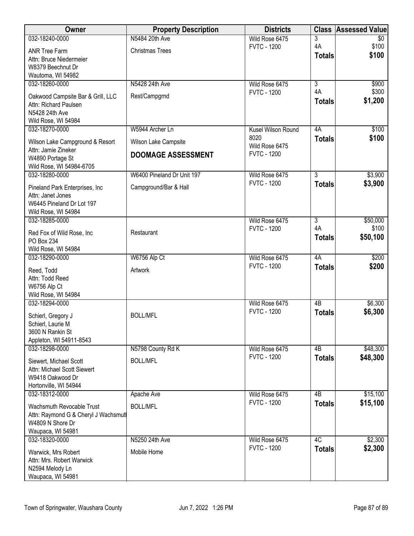| Owner                                                      | <b>Property Description</b> | <b>Districts</b>       |                      | <b>Class Assessed Value</b> |
|------------------------------------------------------------|-----------------------------|------------------------|----------------------|-----------------------------|
| 032-18240-0000                                             | N5484 20th Ave              | Wild Rose 6475         | 3                    | \$0                         |
| <b>ANR Tree Farm</b>                                       | <b>Christmas Trees</b>      | <b>FVTC - 1200</b>     | 4A<br><b>Totals</b>  | \$100<br>\$100              |
| Attn: Bruce Niedermeier                                    |                             |                        |                      |                             |
| W8379 Beechnut Dr<br>Wautoma, WI 54982                     |                             |                        |                      |                             |
| 032-18260-0000                                             | N5428 24th Ave              | Wild Rose 6475         | $\overline{3}$       | \$900                       |
|                                                            |                             | <b>FVTC - 1200</b>     | 4A                   | \$300                       |
| Oakwood Campsite Bar & Grill, LLC<br>Attn: Richard Paulsen | Rest/Campgrnd               |                        | <b>Totals</b>        | \$1,200                     |
| N5428 24th Ave                                             |                             |                        |                      |                             |
| Wild Rose, WI 54984                                        |                             |                        |                      |                             |
| 032-18270-0000                                             | W5944 Archer Ln             | Kusel Wilson Round     | 4A                   | \$100                       |
| Wilson Lake Campground & Resort                            | Wilson Lake Campsite        | 8020<br>Wild Rose 6475 | <b>Totals</b>        | \$100                       |
| Attn: Jamie Zineker                                        | <b>DOOMAGE ASSESSMENT</b>   | <b>FVTC - 1200</b>     |                      |                             |
| W4890 Portage St<br>Wild Rose, WI 54984-6705               |                             |                        |                      |                             |
| 032-18280-0000                                             | W6400 Pineland Dr Unit 197  | Wild Rose 6475         | $\overline{3}$       | \$3,900                     |
| Pineland Park Enterprises, Inc.                            | Campground/Bar & Hall       | <b>FVTC - 1200</b>     | <b>Totals</b>        | \$3,900                     |
| Attn: Janet Jones                                          |                             |                        |                      |                             |
| W6445 Pineland Dr Lot 197                                  |                             |                        |                      |                             |
| Wild Rose, WI 54984                                        |                             |                        |                      |                             |
| 032-18285-0000                                             |                             | Wild Rose 6475         | $\overline{3}$<br>4A | \$50,000<br>\$100           |
| Red Fox of Wild Rose, Inc.                                 | Restaurant                  | <b>FVTC - 1200</b>     | <b>Totals</b>        | \$50,100                    |
| PO Box 234                                                 |                             |                        |                      |                             |
| Wild Rose, WI 54984<br>032-18290-0000                      | W6756 Alp Ct                | Wild Rose 6475         | 4A                   | \$200                       |
|                                                            |                             | <b>FVTC - 1200</b>     | <b>Totals</b>        | \$200                       |
| Reed, Todd<br>Attn: Todd Reed                              | Artwork                     |                        |                      |                             |
| W6756 Alp Ct                                               |                             |                        |                      |                             |
| Wild Rose, WI 54984                                        |                             |                        |                      |                             |
| 032-18294-0000                                             |                             | Wild Rose 6475         | 4B                   | \$6,300                     |
| Schierl, Gregory J                                         | <b>BOLL/MFL</b>             | <b>FVTC - 1200</b>     | <b>Totals</b>        | \$6,300                     |
| Schierl, Laurie M                                          |                             |                        |                      |                             |
| 3600 N Rankin St                                           |                             |                        |                      |                             |
| Appleton, WI 54911-8543<br>032-18298-0000                  | N5798 County Rd K           | Wild Rose 6475         | 4B                   | \$48,300                    |
|                                                            |                             | <b>FVTC - 1200</b>     | <b>Totals</b>        | \$48,300                    |
| Siewert, Michael Scott<br>Attn: Michael Scott Siewert      | <b>BOLL/MFL</b>             |                        |                      |                             |
| W9418 Oakwood Dr                                           |                             |                        |                      |                             |
| Hortonville, WI 54944                                      |                             |                        |                      |                             |
| 032-18312-0000                                             | Apache Ave                  | Wild Rose 6475         | 4B                   | \$15,100                    |
| Wachsmuth Revocable Trust                                  | <b>BOLL/MFL</b>             | <b>FVTC - 1200</b>     | <b>Totals</b>        | \$15,100                    |
| Attn: Raymond G & Cheryl J Wachsmuth                       |                             |                        |                      |                             |
| W4809 N Shore Dr                                           |                             |                        |                      |                             |
| Waupaca, WI 54981<br>032-18320-0000                        | N5250 24th Ave              | Wild Rose 6475         | 4C                   | \$2,300                     |
|                                                            |                             | <b>FVTC - 1200</b>     | <b>Totals</b>        | \$2,300                     |
| Warwick, Mrs Robert<br>Attn: Mrs. Robert Warwick           | Mobile Home                 |                        |                      |                             |
| N2594 Melody Ln                                            |                             |                        |                      |                             |
| Waupaca, WI 54981                                          |                             |                        |                      |                             |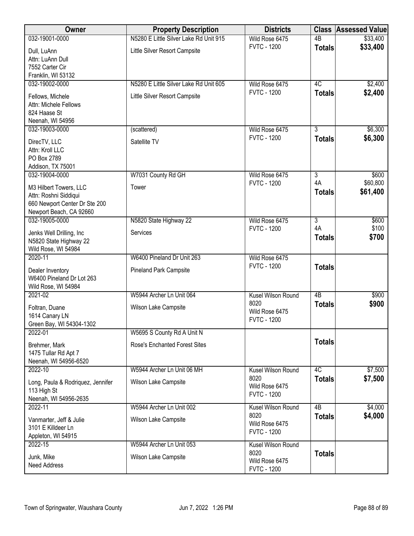| Owner                                                                                                       | <b>Property Description</b>            | <b>Districts</b>                             | <b>Class</b>        | <b>Assessed Value</b> |
|-------------------------------------------------------------------------------------------------------------|----------------------------------------|----------------------------------------------|---------------------|-----------------------|
| 032-19001-0000                                                                                              | N5280 E Little Silver Lake Rd Unit 915 | Wild Rose 6475                               | $\overline{AB}$     | \$33,400              |
| Dull, LuAnn<br>Attn: LuAnn Dull<br>7552 Carter Cir<br>Franklin, WI 53132                                    | Little Silver Resort Campsite          | <b>FVTC - 1200</b>                           | <b>Totals</b>       | \$33,400              |
| 032-19002-0000                                                                                              | N5280 E Little Silver Lake Rd Unit 605 | Wild Rose 6475                               | 4C                  | \$2,400               |
| Fellows, Michele<br>Attn: Michele Fellows<br>824 Haase St<br>Neenah, WI 54956                               | Little Silver Resort Campsite          | <b>FVTC - 1200</b>                           | <b>Totals</b>       | \$2,400               |
| 032-19003-0000                                                                                              | (scattered)                            | Wild Rose 6475                               | $\overline{3}$      | \$6,300               |
| DirecTV, LLC<br>Attn: Kroll LLC<br>PO Box 2789<br>Addison, TX 75001                                         | Satellite TV                           | <b>FVTC - 1200</b>                           | <b>Totals</b>       | \$6,300               |
| 032-19004-0000                                                                                              | W7031 County Rd GH                     | Wild Rose 6475                               | $\overline{3}$      | \$600                 |
| M3 Hilbert Towers, LLC<br>Attn: Roshni Siddiqui<br>660 Newport Center Dr Ste 200<br>Newport Beach, CA 92660 | Tower                                  | <b>FVTC - 1200</b>                           | 4A<br><b>Totals</b> | \$60,800<br>\$61,400  |
| 032-19005-0000                                                                                              | N5820 State Highway 22                 | Wild Rose 6475                               | $\overline{3}$      | \$600                 |
| Jenks Well Drilling, Inc<br>N5820 State Highway 22<br>Wild Rose, WI 54984                                   | Services                               | <b>FVTC - 1200</b>                           | 4A<br><b>Totals</b> | \$100<br>\$700        |
| 2020-11                                                                                                     | W6400 Pineland Dr Unit 263             | Wild Rose 6475                               |                     |                       |
| Dealer Inventory<br>W6400 Pineland Dr Lot 263<br>Wild Rose, WI 54984                                        | <b>Pineland Park Campsite</b>          | <b>FVTC - 1200</b>                           | <b>Totals</b>       |                       |
| 2021-02                                                                                                     | W5944 Archer Ln Unit 064               | Kusel Wilson Round                           | $\overline{AB}$     | \$900                 |
| Foltran, Duane<br>1614 Canary LN<br>Green Bay, WI 54304-1302                                                | Wilson Lake Campsite                   | 8020<br>Wild Rose 6475<br><b>FVTC - 1200</b> | <b>Totals</b>       | \$900                 |
| 2022-01                                                                                                     | W5695 S County Rd A Unit N             |                                              |                     |                       |
| Brehmer, Mark<br>1475 Tullar Rd Apt 7<br>Neenah, WI 54956-6520                                              | <b>Rose's Enchanted Forest Sites</b>   |                                              | <b>Totals</b>       |                       |
| 2022-10                                                                                                     | W5944 Archer Ln Unit 06 MH             | Kusel Wilson Round                           | 4C                  | \$7,500               |
| Long, Paula & Rodriquez, Jennifer<br>113 High St<br>Neenah, WI 54956-2635                                   | Wilson Lake Campsite                   | 8020<br>Wild Rose 6475<br><b>FVTC - 1200</b> | <b>Totals</b>       | \$7,500               |
| 2022-11                                                                                                     | W5944 Archer Ln Unit 002               | Kusel Wilson Round                           | 4B                  | \$4,000               |
| Vanmarter, Jeff & Julie<br>3101 E Killdeer Ln<br>Appleton, WI 54915                                         | Wilson Lake Campsite                   | 8020<br>Wild Rose 6475<br><b>FVTC - 1200</b> | <b>Totals</b>       | \$4,000               |
| 2022-15                                                                                                     | W5944 Archer Ln Unit 053               | Kusel Wilson Round                           |                     |                       |
| Junk, Mike<br>Need Address                                                                                  | Wilson Lake Campsite                   | 8020<br>Wild Rose 6475<br><b>FVTC - 1200</b> | <b>Totals</b>       |                       |